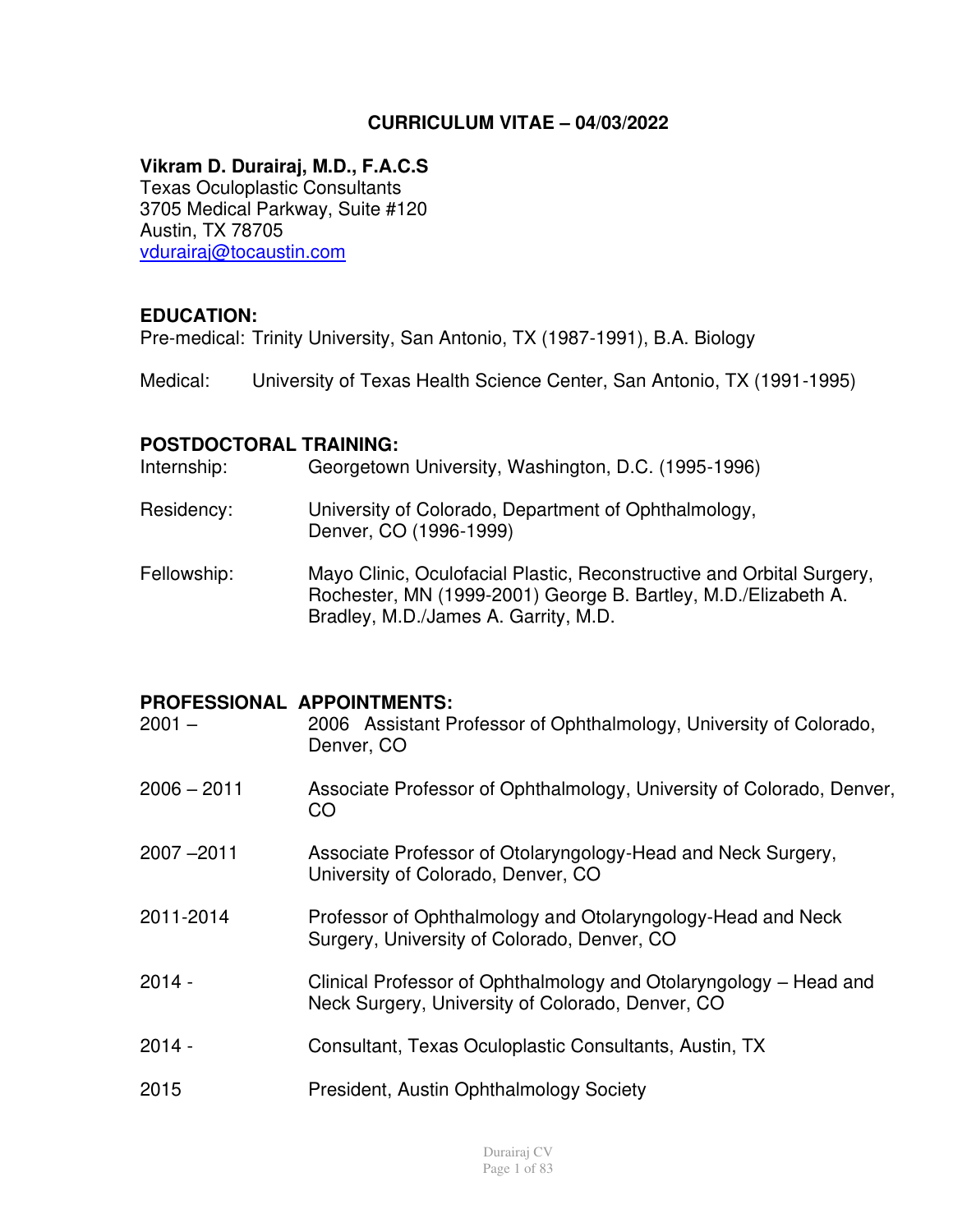# **CURRICULUM VITAE – 04/03/2022**

# **Vikram D. Durairaj, M.D., F.A.C.S**

Texas Oculoplastic Consultants 3705 Medical Parkway, Suite #120 Austin, TX 78705 [vdurairaj@tocaustin.com](mailto:vdurairaj@tocaustin.com) 

### **EDUCATION:**

Pre-medical: Trinity University, San Antonio, TX (1987-1991), B.A. Biology

Medical: University of Texas Health Science Center, San Antonio, TX (1991-1995)

#### **POSTDOCTORAL TRAINING:**

| Internship: | Georgetown University, Washington, D.C. (1995-1996) |  |
|-------------|-----------------------------------------------------|--|
|             |                                                     |  |

- Residency: University of Colorado, Department of Ophthalmology, Denver, CO (1996-1999)
- Fellowship: Mayo Clinic, Oculofacial Plastic, Reconstructive and Orbital Surgery, Rochester, MN (1999-2001) George B. Bartley, M.D./Elizabeth A. Bradley, M.D./James A. Garrity, M.D.

#### **PROFESSIONAL APPOINTMENTS:**

| $2001 -$      | 2006 Assistant Professor of Ophthalmology, University of Colorado,<br>Denver, CO                                      |
|---------------|-----------------------------------------------------------------------------------------------------------------------|
| $2006 - 2011$ | Associate Professor of Ophthalmology, University of Colorado, Denver,<br>CO                                           |
| $2007 - 2011$ | Associate Professor of Otolaryngology-Head and Neck Surgery,<br>University of Colorado, Denver, CO                    |
| 2011-2014     | Professor of Ophthalmology and Otolaryngology-Head and Neck<br>Surgery, University of Colorado, Denver, CO            |
| $2014 -$      | Clinical Professor of Ophthalmology and Otolaryngology - Head and<br>Neck Surgery, University of Colorado, Denver, CO |
| $2014 -$      | Consultant, Texas Oculoplastic Consultants, Austin, TX                                                                |
| 2015          | President, Austin Ophthalmology Society                                                                               |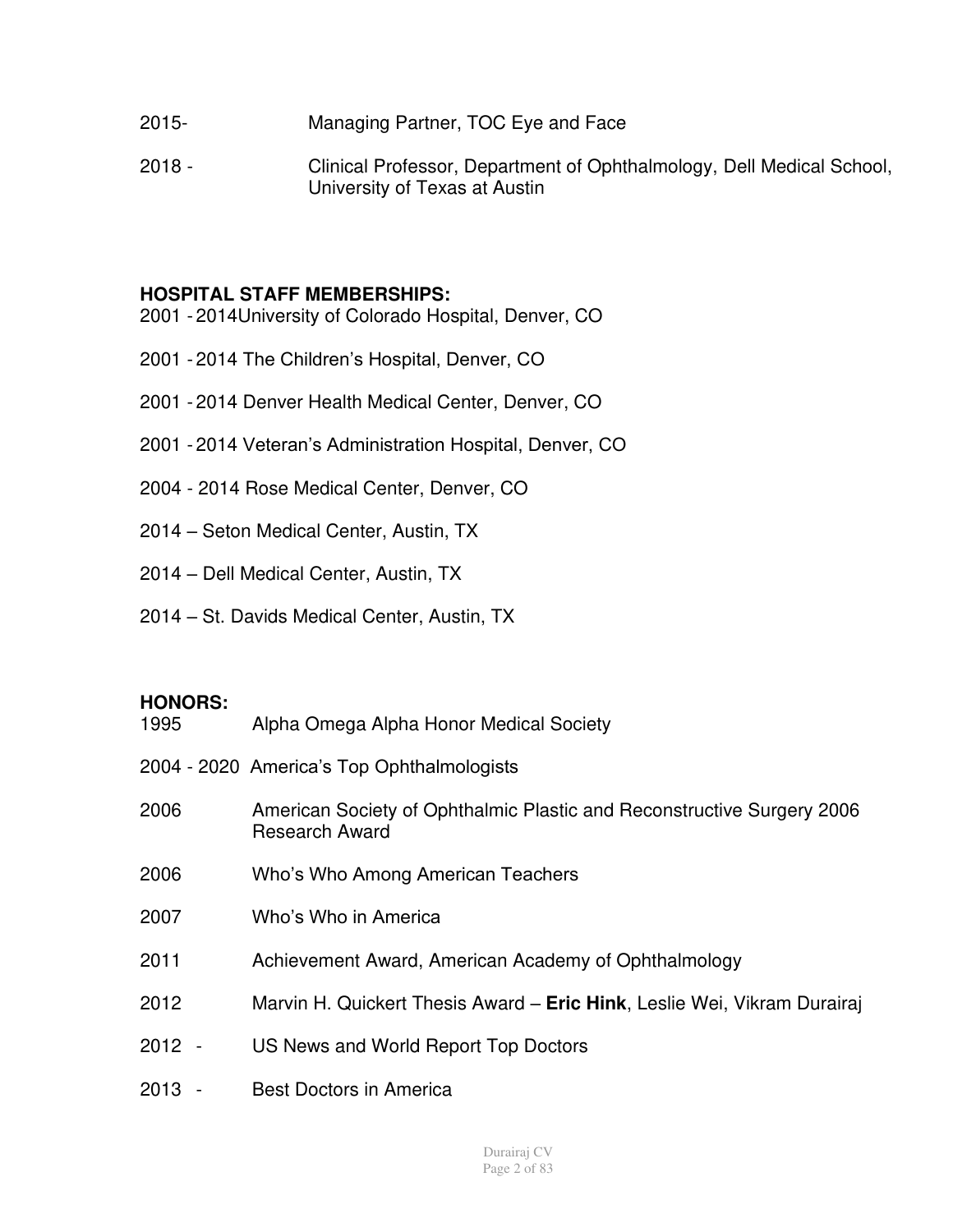- 2015- Managing Partner, TOC Eye and Face
- 2018 Clinical Professor, Department of Ophthalmology, Dell Medical School, University of Texas at Austin

# **HOSPITAL STAFF MEMBERSHIPS:**

- 2001 2014University of Colorado Hospital, Denver, CO
- 2001 2014 The Children's Hospital, Denver, CO
- 2001 2014 Denver Health Medical Center, Denver, CO
- 2001 2014 Veteran's Administration Hospital, Denver, CO
- 2004 2014 Rose Medical Center, Denver, CO
- 2014 Seton Medical Center, Austin, TX
- 2014 Dell Medical Center, Austin, TX
- 2014 St. Davids Medical Center, Austin, TX

#### **HONORS:**

- 1995 Alpha Omega Alpha Honor Medical Society
- 2004 2020 America's Top Ophthalmologists
- 2006 American Society of Ophthalmic Plastic and Reconstructive Surgery 2006 Research Award
- 2006 Who's Who Among American Teachers
- 2007 Who's Who in America
- 2011 Achievement Award, American Academy of Ophthalmology
- 2012 Marvin H. Quickert Thesis Award **Eric Hink**, Leslie Wei, Vikram Durairaj
- 2012 US News and World Report Top Doctors
- 2013 Best Doctors in America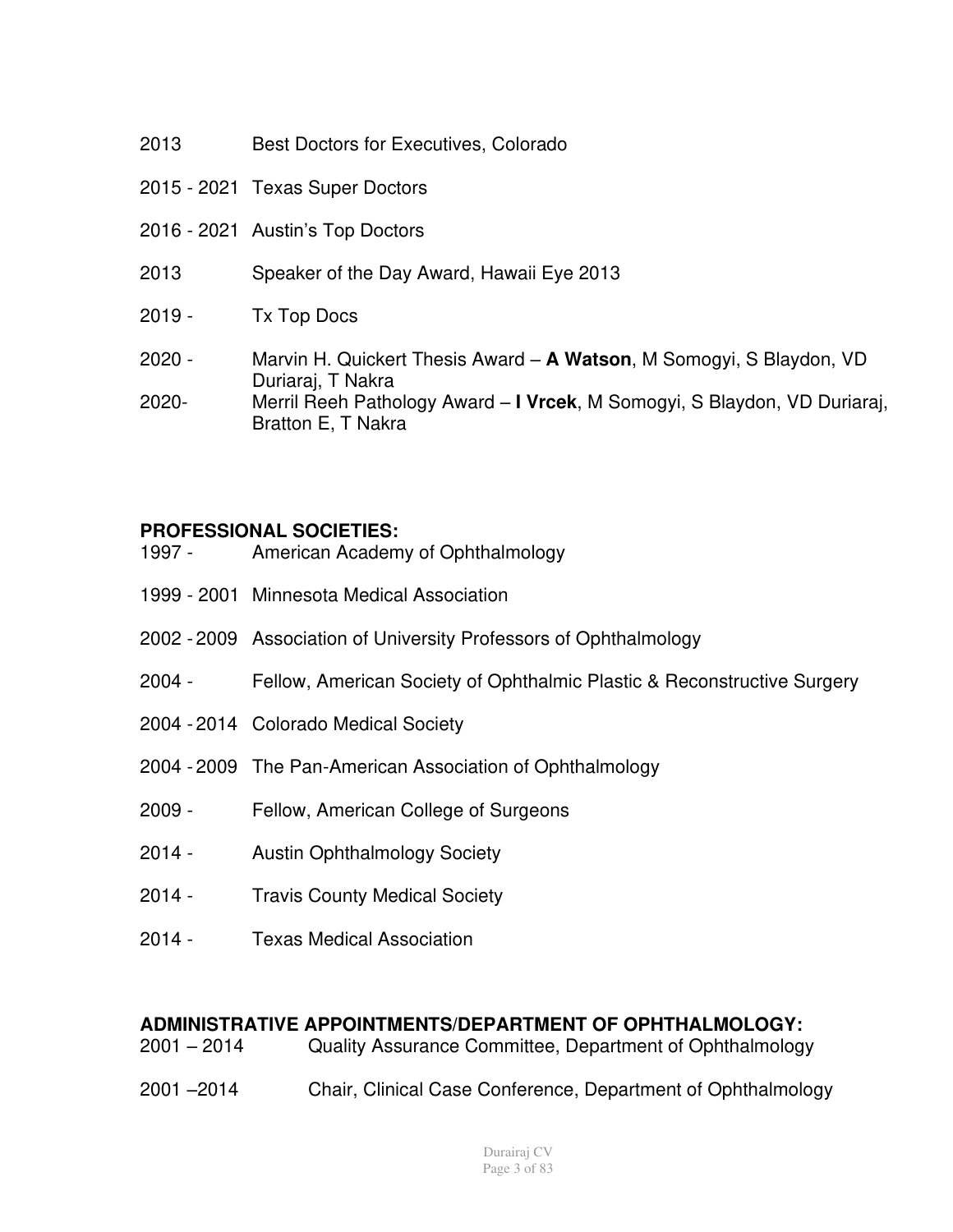- 2013 Best Doctors for Executives, Colorado
- 2015 2021 Texas Super Doctors
- 2016 2021 Austin's Top Doctors
- 2013 Speaker of the Day Award, Hawaii Eye 2013
- 2019 Tx Top Docs
- 2020 Marvin H. Quickert Thesis Award **A Watson**, M Somogyi, S Blaydon, VD Duriaraj, T Nakra
- 2020- Merril Reeh Pathology Award **I Vrcek**, M Somogyi, S Blaydon, VD Duriaraj, Bratton E, T Nakra

### **PROFESSIONAL SOCIETIES:**

- 1997 American Academy of Ophthalmology
- 1999 2001 Minnesota Medical Association
- 2002 2009 Association of University Professors of Ophthalmology
- 2004 Fellow, American Society of Ophthalmic Plastic & Reconstructive Surgery
- 2004 2014 Colorado Medical Society
- 2004 2009 The Pan-American Association of Ophthalmology
- 2009 Fellow, American College of Surgeons
- 2014 Austin Ophthalmology Society
- 2014 Travis County Medical Society
- 2014 Texas Medical Association

#### **ADMINISTRATIVE APPOINTMENTS/DEPARTMENT OF OPHTHALMOLOGY:**

- 2001 2014 Quality Assurance Committee, Department of Ophthalmology
- 2001 –2014 Chair, Clinical Case Conference, Department of Ophthalmology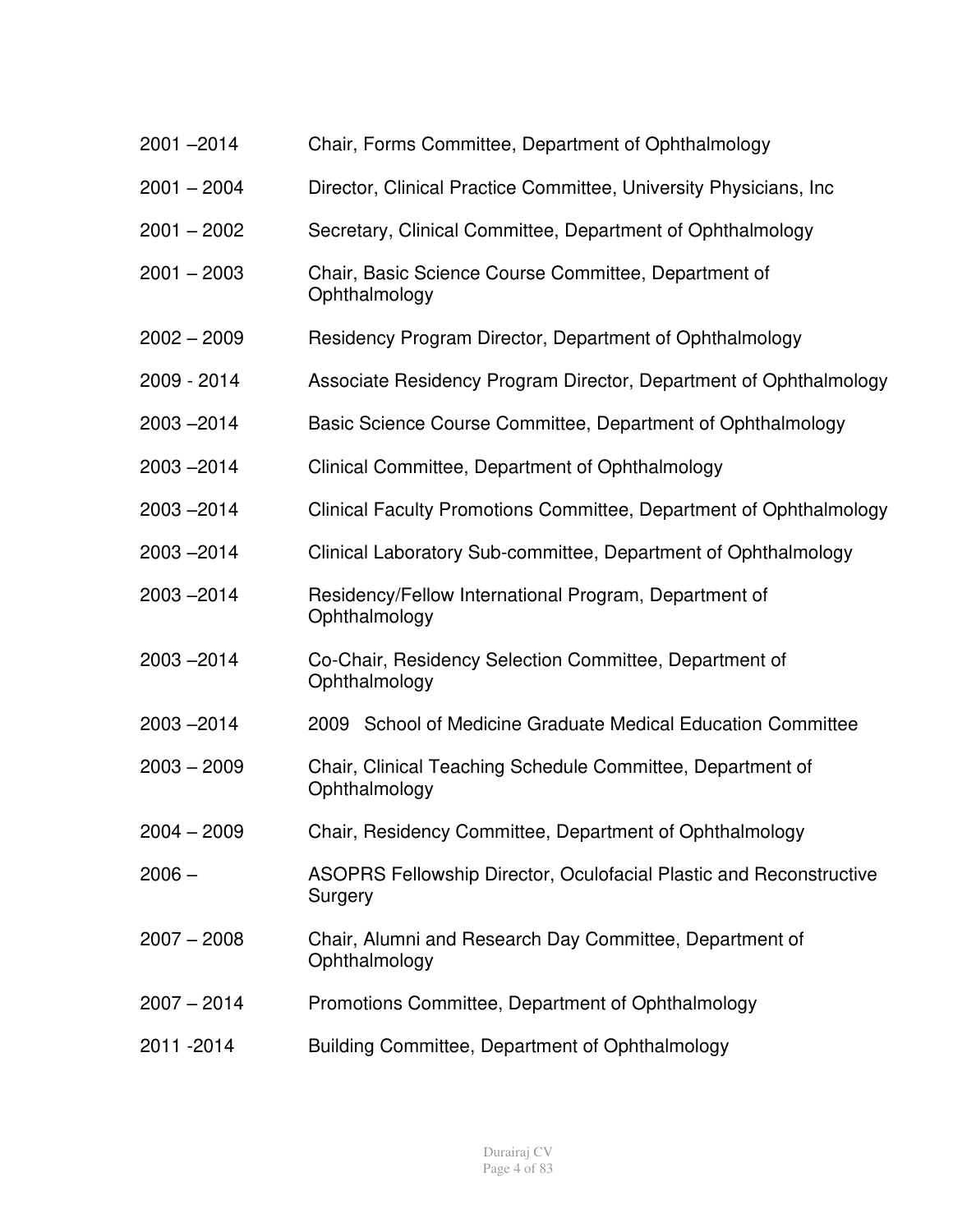- –2014 Chair, Forms Committee, Department of Ophthalmology
- 2004 Director, Clinical Practice Committee, University Physicians, Inc
- 2002 Secretary, Clinical Committee, Department of Ophthalmology
- 2003 Chair, Basic Science Course Committee, Department of **Ophthalmology**
- 2009 Residency Program Director, Department of Ophthalmology
- 2009 2014 Associate Residency Program Director, Department of Ophthalmology
- –2014 Basic Science Course Committee, Department of Ophthalmology
- –2014 Clinical Committee, Department of Ophthalmology
- –2014 Clinical Faculty Promotions Committee, Department of Ophthalmology
- –2014 Clinical Laboratory Sub-committee, Department of Ophthalmology
- –2014 Residency/Fellow International Program, Department of **Ophthalmology**
- –2014 Co-Chair, Residency Selection Committee, Department of **Ophthalmology**
- –2014 2009 School of Medicine Graduate Medical Education Committee
- 2009 Chair, Clinical Teaching Schedule Committee, Department of **Ophthalmology**
- 2009 Chair, Residency Committee, Department of Ophthalmology
- ASOPRS Fellowship Director, Oculofacial Plastic and Reconstructive Surgery
- 2008 Chair, Alumni and Research Day Committee, Department of **Ophthalmology**
- 2014 Promotions Committee, Department of Ophthalmology
- 2011 -2014 Building Committee, Department of Ophthalmology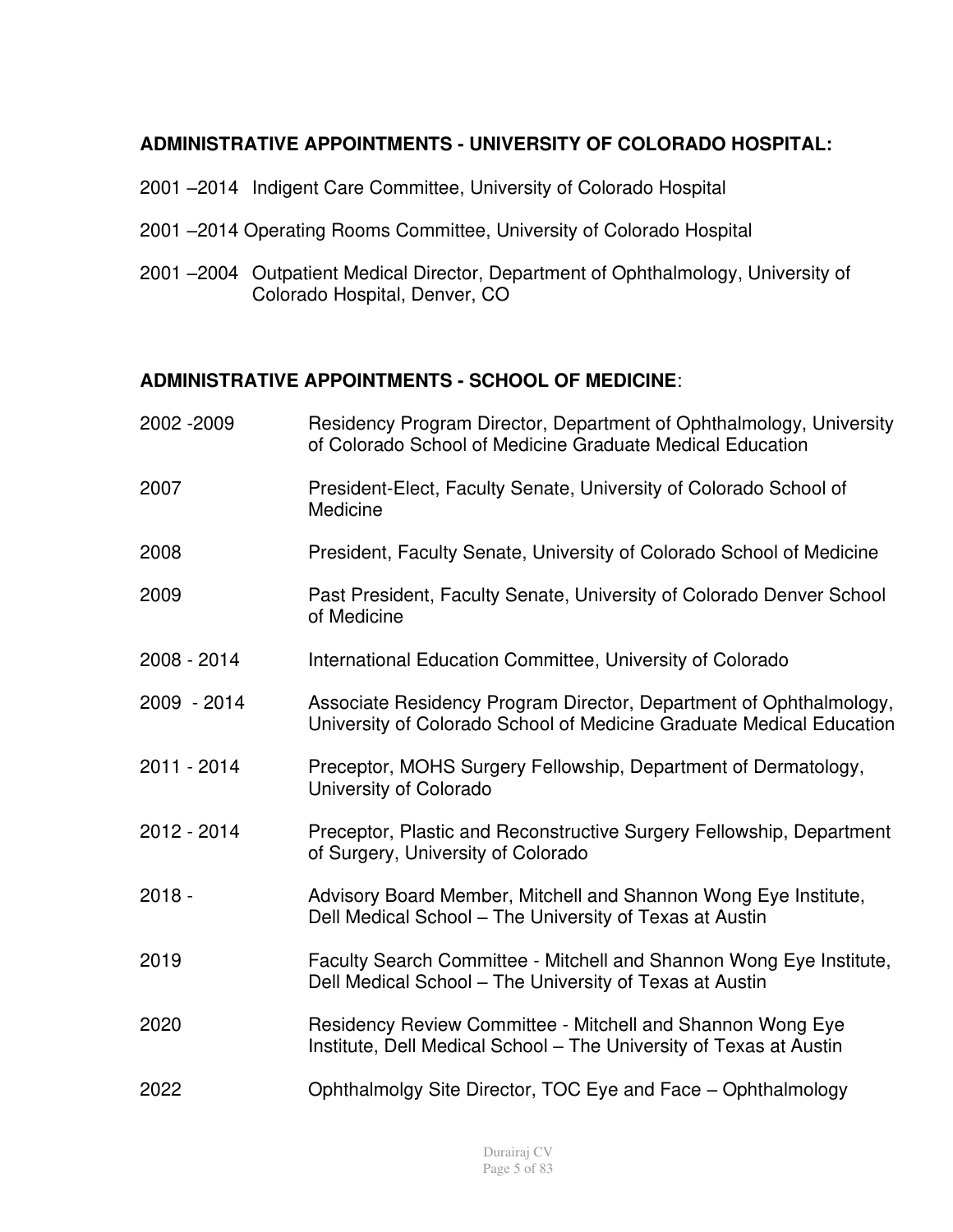# **ADMINISTRATIVE APPOINTMENTS - UNIVERSITY OF COLORADO HOSPITAL:**

- 2001 –2014 Indigent Care Committee, University of Colorado Hospital
- 2001 –2014 Operating Rooms Committee, University of Colorado Hospital
- 2001 –2004 Outpatient Medical Director, Department of Ophthalmology, University of Colorado Hospital, Denver, CO

### **ADMINISTRATIVE APPOINTMENTS - SCHOOL OF MEDICINE**:

| 2002 - 2009 | Residency Program Director, Department of Ophthalmology, University<br>of Colorado School of Medicine Graduate Medical Education           |
|-------------|--------------------------------------------------------------------------------------------------------------------------------------------|
| 2007        | President-Elect, Faculty Senate, University of Colorado School of<br>Medicine                                                              |
| 2008        | President, Faculty Senate, University of Colorado School of Medicine                                                                       |
| 2009        | Past President, Faculty Senate, University of Colorado Denver School<br>of Medicine                                                        |
| 2008 - 2014 | International Education Committee, University of Colorado                                                                                  |
| 2009 - 2014 | Associate Residency Program Director, Department of Ophthalmology,<br>University of Colorado School of Medicine Graduate Medical Education |
| 2011 - 2014 | Preceptor, MOHS Surgery Fellowship, Department of Dermatology,<br>University of Colorado                                                   |
| 2012 - 2014 | Preceptor, Plastic and Reconstructive Surgery Fellowship, Department<br>of Surgery, University of Colorado                                 |
| $2018 -$    | Advisory Board Member, Mitchell and Shannon Wong Eye Institute,<br>Dell Medical School - The University of Texas at Austin                 |
| 2019        | Faculty Search Committee - Mitchell and Shannon Wong Eye Institute,<br>Dell Medical School - The University of Texas at Austin             |
| 2020        | Residency Review Committee - Mitchell and Shannon Wong Eye<br>Institute, Dell Medical School - The University of Texas at Austin           |
| 2022        | Ophthalmolgy Site Director, TOC Eye and Face – Ophthalmology                                                                               |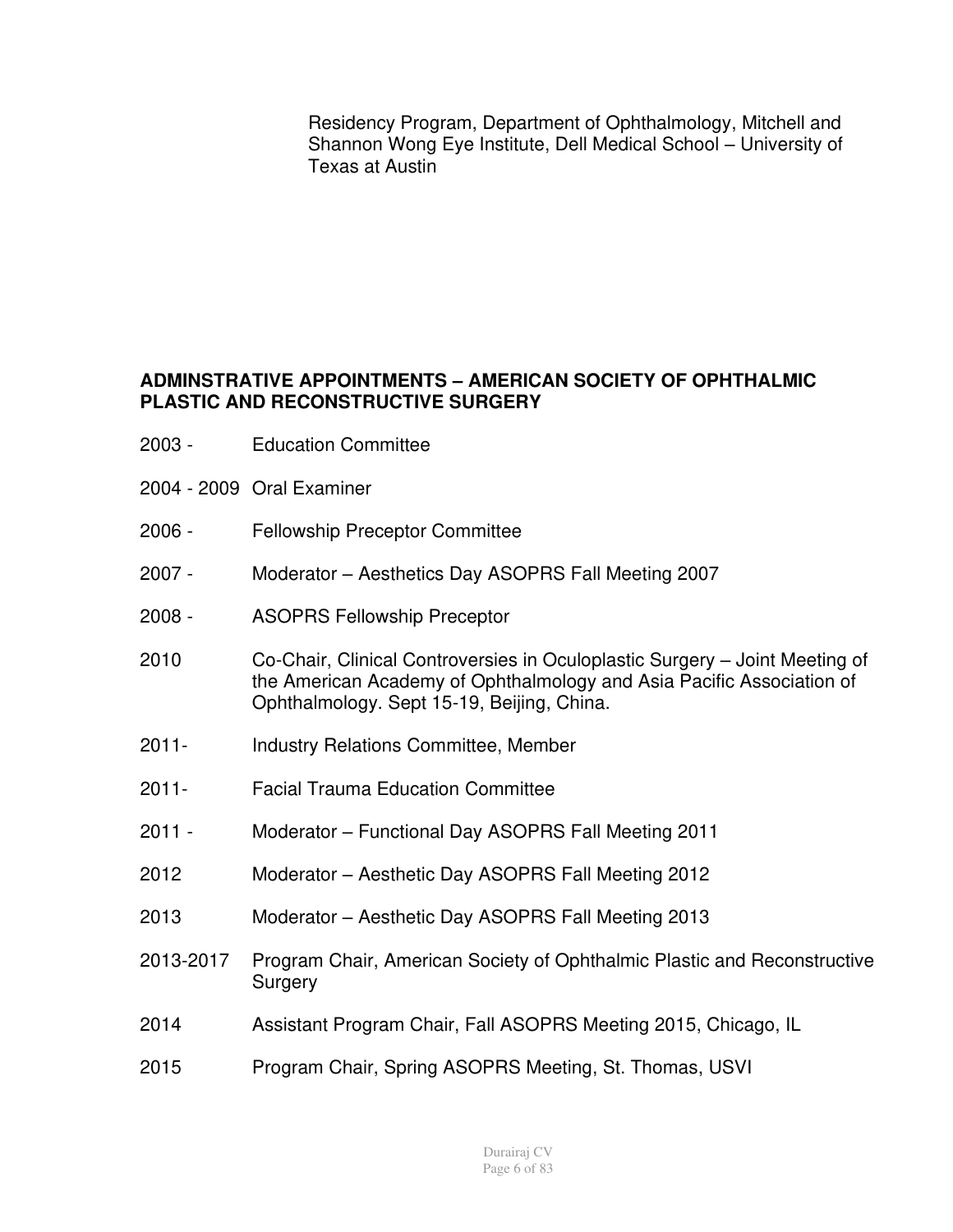Residency Program, Department of Ophthalmology, Mitchell and Shannon Wong Eye Institute, Dell Medical School – University of Texas at Austin

# **ADMINSTRATIVE APPOINTMENTS – AMERICAN SOCIETY OF OPHTHALMIC PLASTIC AND RECONSTRUCTIVE SURGERY**

- 2003 Education Committee
- 2004 2009 Oral Examiner
- 2006 Fellowship Preceptor Committee
- 2007 Moderator Aesthetics Day ASOPRS Fall Meeting 2007
- 2008 ASOPRS Fellowship Preceptor
- 2010 Co-Chair, Clinical Controversies in Oculoplastic Surgery Joint Meeting of the American Academy of Ophthalmology and Asia Pacific Association of Ophthalmology. Sept 15-19, Beijing, China.
- 2011- Industry Relations Committee, Member
- 2011- Facial Trauma Education Committee
- 2011 Moderator Functional Day ASOPRS Fall Meeting 2011
- 2012 Moderator Aesthetic Day ASOPRS Fall Meeting 2012
- 2013 Moderator Aesthetic Day ASOPRS Fall Meeting 2013
- 2013-2017 Program Chair, American Society of Ophthalmic Plastic and Reconstructive **Surgery**
- 2014 Assistant Program Chair, Fall ASOPRS Meeting 2015, Chicago, IL
- 2015 Program Chair, Spring ASOPRS Meeting, St. Thomas, USVI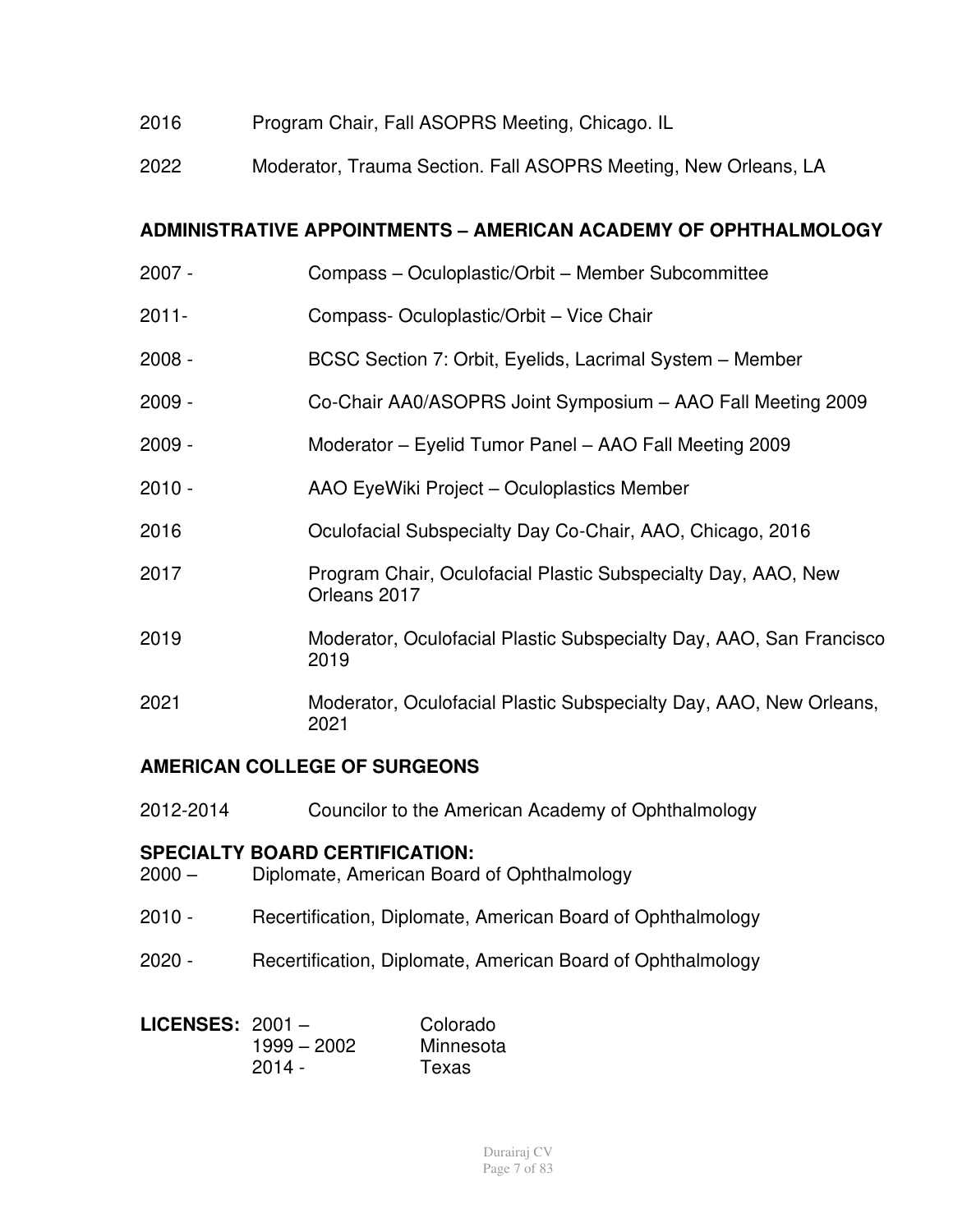- 2016 Program Chair, Fall ASOPRS Meeting, Chicago. IL
- 2022 Moderator, Trauma Section. Fall ASOPRS Meeting, New Orleans, LA

## **ADMINISTRATIVE APPOINTMENTS – AMERICAN ACADEMY OF OPHTHALMOLOGY**

- 2007 Compass Oculoplastic/Orbit Member Subcommittee
- 2011- Compass- Oculoplastic/Orbit Vice Chair
- 2008 BCSC Section 7: Orbit, Eyelids, Lacrimal System Member
- 2009 Co-Chair AA0/ASOPRS Joint Symposium AAO Fall Meeting 2009
- 2009 Moderator Eyelid Tumor Panel AAO Fall Meeting 2009
- 2010 AAO EyeWiki Project Oculoplastics Member
- 2016 Oculofacial Subspecialty Day Co-Chair, AAO, Chicago, 2016
- 2017 Program Chair, Oculofacial Plastic Subspecialty Day, AAO, New Orleans 2017
- 2019 Moderator, Oculofacial Plastic Subspecialty Day, AAO, San Francisco 2019
- 2021 Moderator, Oculofacial Plastic Subspecialty Day, AAO, New Orleans, 2021

# **AMERICAN COLLEGE OF SURGEONS**

2012-2014 Councilor to the American Academy of Ophthalmology

#### **SPECIALTY BOARD CERTIFICATION:**

- 2000 Diplomate, American Board of Ophthalmology
- 2010 Recertification, Diplomate, American Board of Ophthalmology
- 2020 Recertification, Diplomate, American Board of Ophthalmology

| <b>LICENSES: 2001 -</b> | Colorado      |           |
|-------------------------|---------------|-----------|
|                         | $1999 - 2002$ | Minnesota |
|                         | $2014 -$      | Texas     |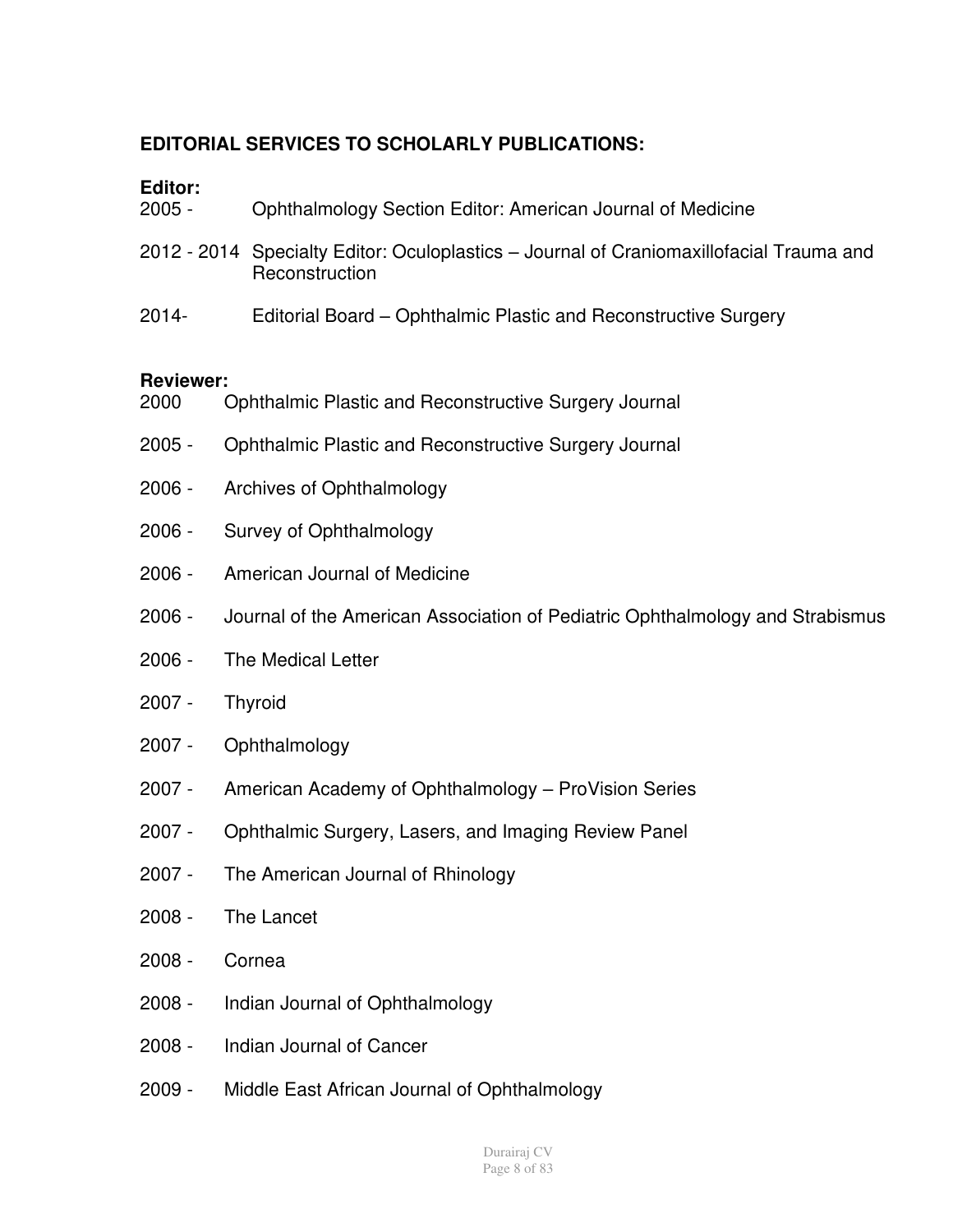# **EDITORIAL SERVICES TO SCHOLARLY PUBLICATIONS:**

# **Editor:**

| 2005 - | Ophthalmology Section Editor: American Journal of Medicine                                                |
|--------|-----------------------------------------------------------------------------------------------------------|
|        | 2012 - 2014 Specialty Editor: Oculoplastics - Journal of Craniomaxillofacial Trauma and<br>Reconstruction |
| 2014-  | Editorial Board – Ophthalmic Plastic and Reconstructive Surgery                                           |

#### **Reviewer:**

| 2000 | Ophthalmic Plastic and Reconstructive Surgery Journal |
|------|-------------------------------------------------------|
|      |                                                       |

- 2005 Ophthalmic Plastic and Reconstructive Surgery Journal
- 2006 Archives of Ophthalmology
- 2006 Survey of Ophthalmology
- 2006 American Journal of Medicine
- 2006 Journal of the American Association of Pediatric Ophthalmology and Strabismus
- 2006 The Medical Letter
- 2007 Thyroid
- 2007 Ophthalmology
- 2007 American Academy of Ophthalmology ProVision Series
- 2007 Ophthalmic Surgery, Lasers, and Imaging Review Panel
- 2007 The American Journal of Rhinology
- 2008 The Lancet
- 2008 Cornea
- 2008 Indian Journal of Ophthalmology
- 2008 Indian Journal of Cancer
- 2009 Middle East African Journal of Ophthalmology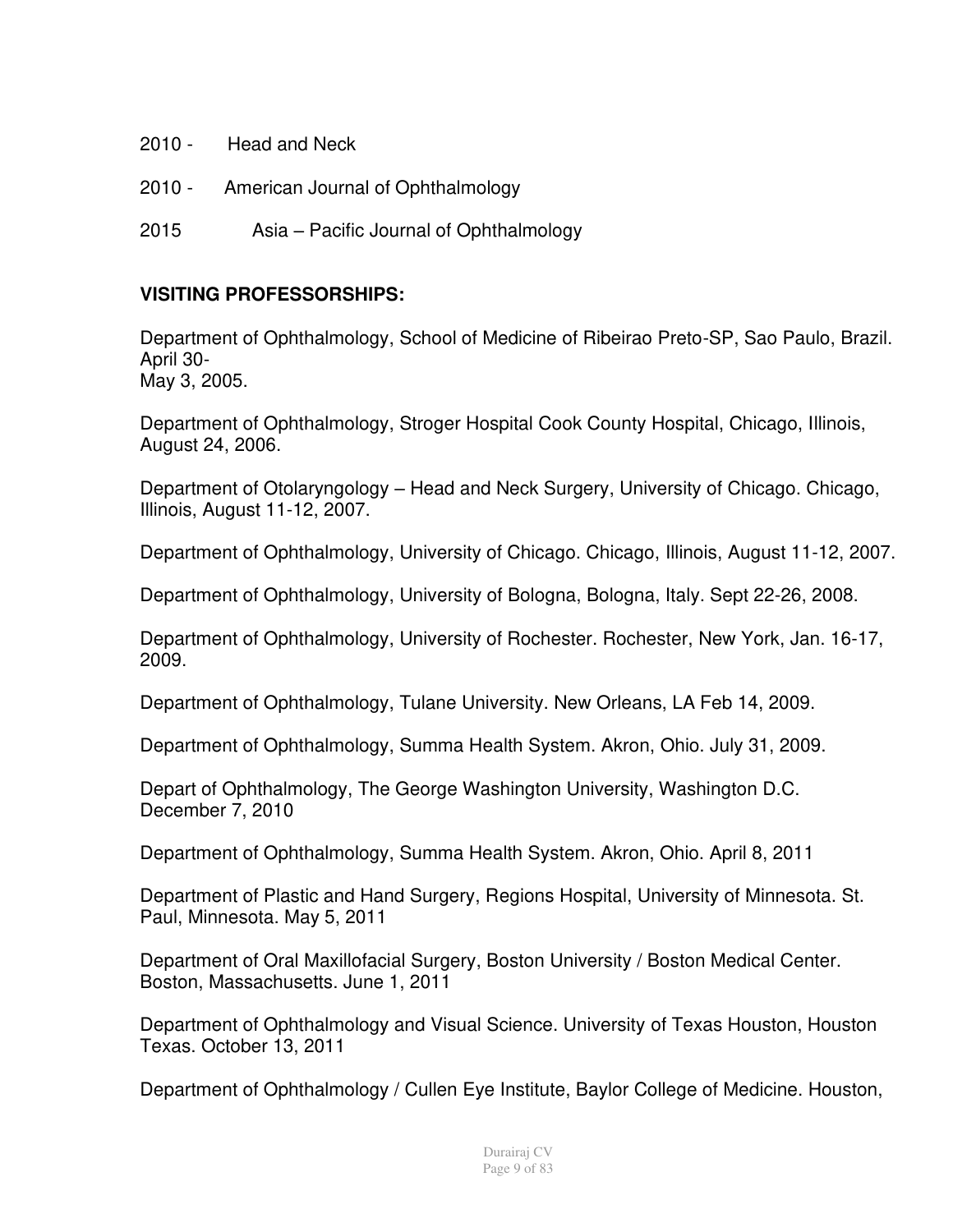- 2010 Head and Neck
- 2010 American Journal of Ophthalmology
- 2015 Asia Pacific Journal of Ophthalmology

### **VISITING PROFESSORSHIPS:**

Department of Ophthalmology, School of Medicine of Ribeirao Preto-SP, Sao Paulo, Brazil. April 30- May 3, 2005.

Department of Ophthalmology, Stroger Hospital Cook County Hospital, Chicago, Illinois, August 24, 2006.

Department of Otolaryngology – Head and Neck Surgery, University of Chicago. Chicago, Illinois, August 11-12, 2007.

Department of Ophthalmology, University of Chicago. Chicago, Illinois, August 11-12, 2007.

Department of Ophthalmology, University of Bologna, Bologna, Italy. Sept 22-26, 2008.

Department of Ophthalmology, University of Rochester. Rochester, New York, Jan. 16-17, 2009.

Department of Ophthalmology, Tulane University. New Orleans, LA Feb 14, 2009.

Department of Ophthalmology, Summa Health System. Akron, Ohio. July 31, 2009.

Depart of Ophthalmology, The George Washington University, Washington D.C. December 7, 2010

Department of Ophthalmology, Summa Health System. Akron, Ohio. April 8, 2011

Department of Plastic and Hand Surgery, Regions Hospital, University of Minnesota. St. Paul, Minnesota. May 5, 2011

Department of Oral Maxillofacial Surgery, Boston University / Boston Medical Center. Boston, Massachusetts. June 1, 2011

Department of Ophthalmology and Visual Science. University of Texas Houston, Houston Texas. October 13, 2011

Department of Ophthalmology / Cullen Eye Institute, Baylor College of Medicine. Houston,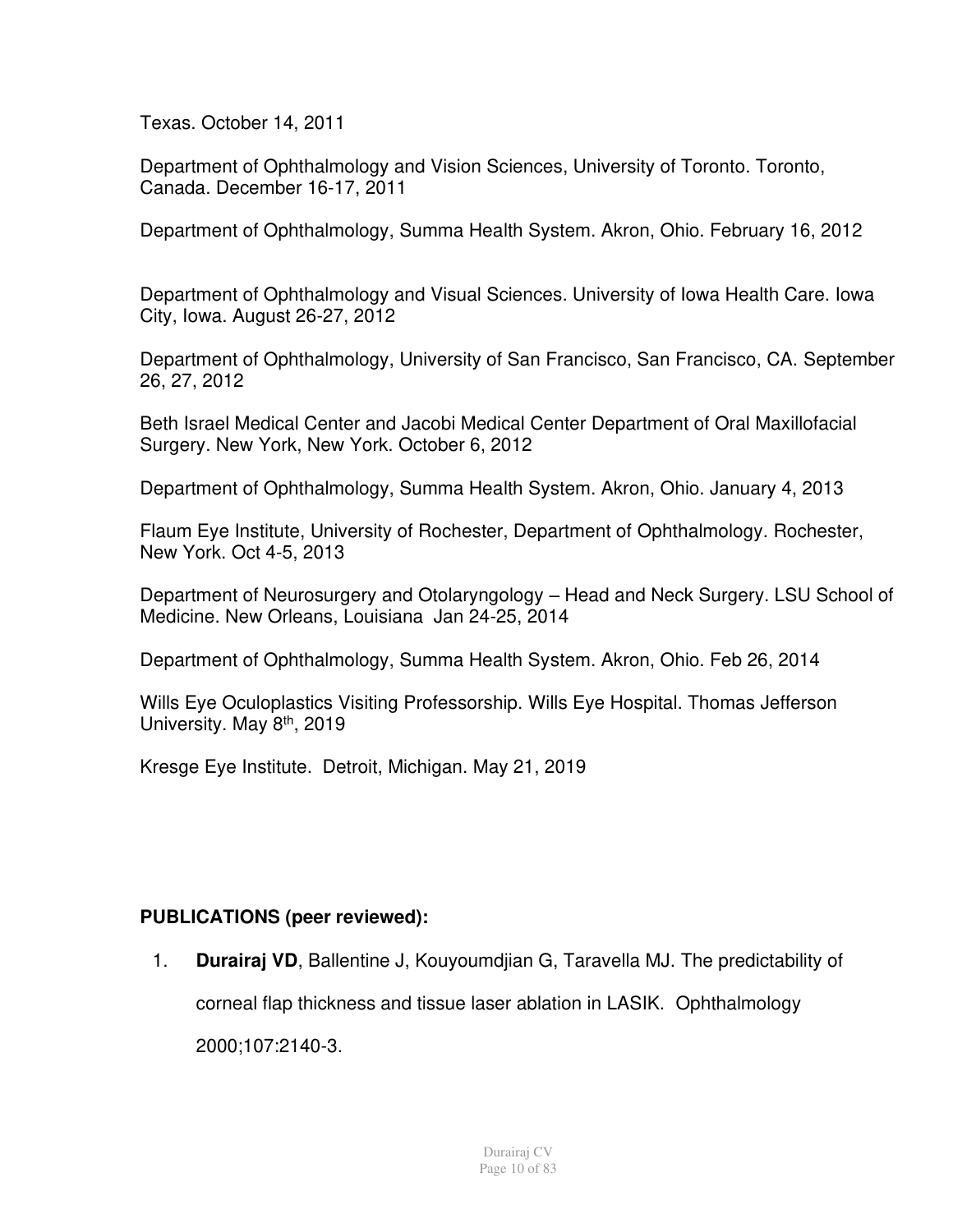Texas. October 14, 2011

Department of Ophthalmology and Vision Sciences, University of Toronto. Toronto, Canada. December 16-17, 2011

Department of Ophthalmology, Summa Health System. Akron, Ohio. February 16, 2012

Department of Ophthalmology and Visual Sciences. University of Iowa Health Care. Iowa City, Iowa. August 26-27, 2012

Department of Ophthalmology, University of San Francisco, San Francisco, CA. September 26, 27, 2012

Beth Israel Medical Center and Jacobi Medical Center Department of Oral Maxillofacial Surgery. New York, New York. October 6, 2012

Department of Ophthalmology, Summa Health System. Akron, Ohio. January 4, 2013

Flaum Eye Institute, University of Rochester, Department of Ophthalmology. Rochester, New York. Oct 4-5, 2013

Department of Neurosurgery and Otolaryngology – Head and Neck Surgery. LSU School of Medicine. New Orleans, Louisiana Jan 24-25, 2014

Department of Ophthalmology, Summa Health System. Akron, Ohio. Feb 26, 2014

Wills Eye Oculoplastics Visiting Professorship. Wills Eye Hospital. Thomas Jefferson University. May 8<sup>th</sup>, 2019

Kresge Eye Institute. Detroit, Michigan. May 21, 2019

# **PUBLICATIONS (peer reviewed):**

1. **Durairaj VD**, Ballentine J, Kouyoumdjian G, Taravella MJ. The predictability of

corneal flap thickness and tissue laser ablation in LASIK. Ophthalmology

2000;107:2140-3.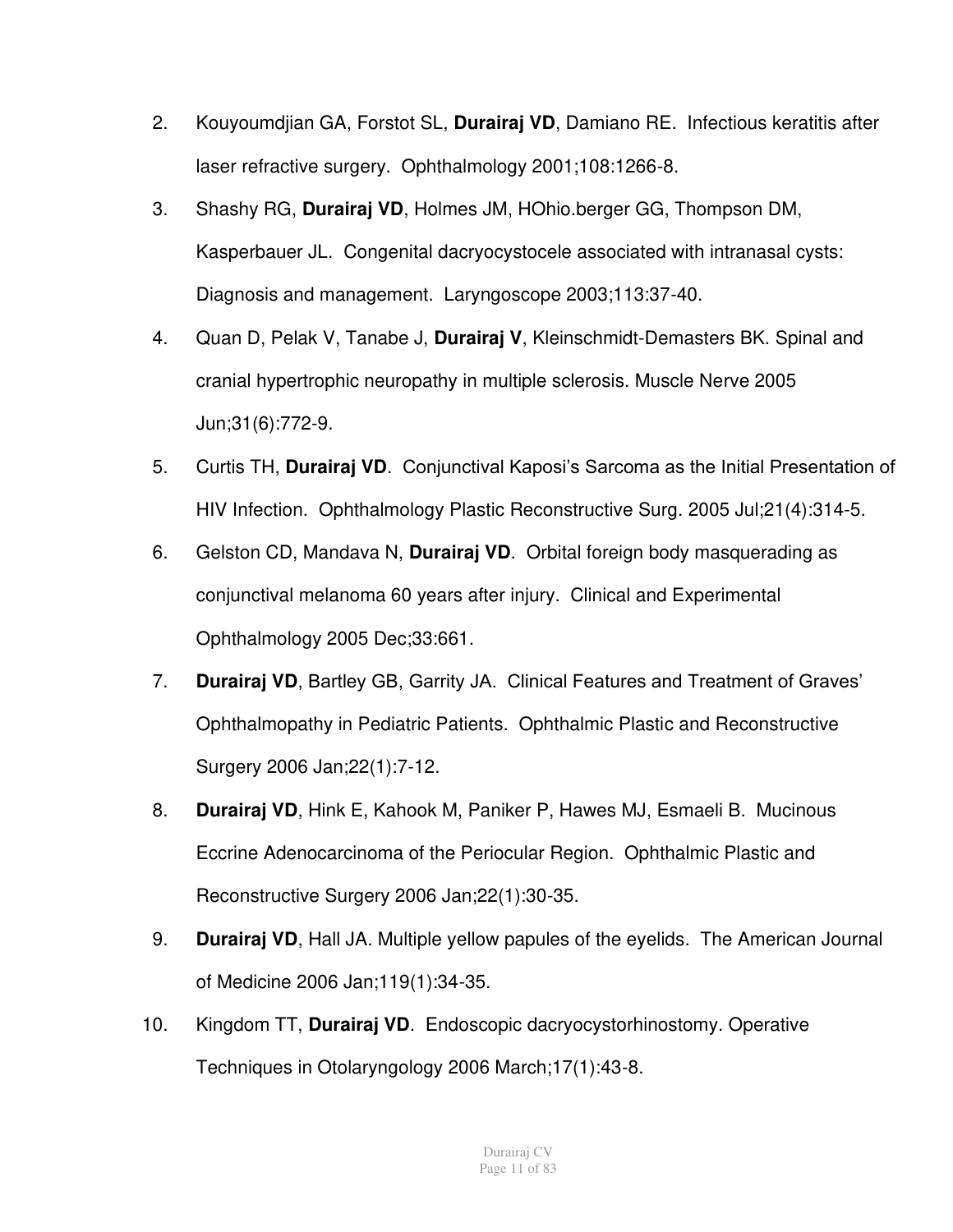- 2. Kouyoumdjian GA, Forstot SL, **Durairaj VD**, Damiano RE. Infectious keratitis after laser refractive surgery. Ophthalmology 2001;108:1266-8.
- 3. Shashy RG, **Durairaj VD**, Holmes JM, HOhio.berger GG, Thompson DM, Kasperbauer JL. Congenital dacryocystocele associated with intranasal cysts: Diagnosis and management. Laryngoscope 2003;113:37-40.
- 4. Quan D, Pelak V, Tanabe J, **Durairaj V**, Kleinschmidt-Demasters BK. Spinal and cranial hypertrophic neuropathy in multiple sclerosis. Muscle Nerve 2005 Jun;31(6):772-9.
- 5. Curtis TH, **Durairaj VD**. Conjunctival Kaposi's Sarcoma as the Initial Presentation of HIV Infection. Ophthalmology Plastic Reconstructive Surg. 2005 Jul;21(4):314-5.
- 6. Gelston CD, Mandava N, **Durairaj VD**. Orbital foreign body masquerading as conjunctival melanoma 60 years after injury. Clinical and Experimental Ophthalmology 2005 Dec;33:661.
- 7. **Durairaj VD**, Bartley GB, Garrity JA. Clinical Features and Treatment of Graves' Ophthalmopathy in Pediatric Patients. Ophthalmic Plastic and Reconstructive Surgery 2006 Jan;22(1):7-12.
- 8. **Durairaj VD**, Hink E, Kahook M, Paniker P, Hawes MJ, Esmaeli B. Mucinous Eccrine Adenocarcinoma of the Periocular Region. Ophthalmic Plastic and Reconstructive Surgery 2006 Jan;22(1):30-35.
- 9. **Durairaj VD**, Hall JA. Multiple yellow papules of the eyelids. The American Journal of Medicine 2006 Jan;119(1):34-35.
- 10. Kingdom TT, **Durairaj VD**. Endoscopic dacryocystorhinostomy. Operative Techniques in Otolaryngology 2006 March;17(1):43-8.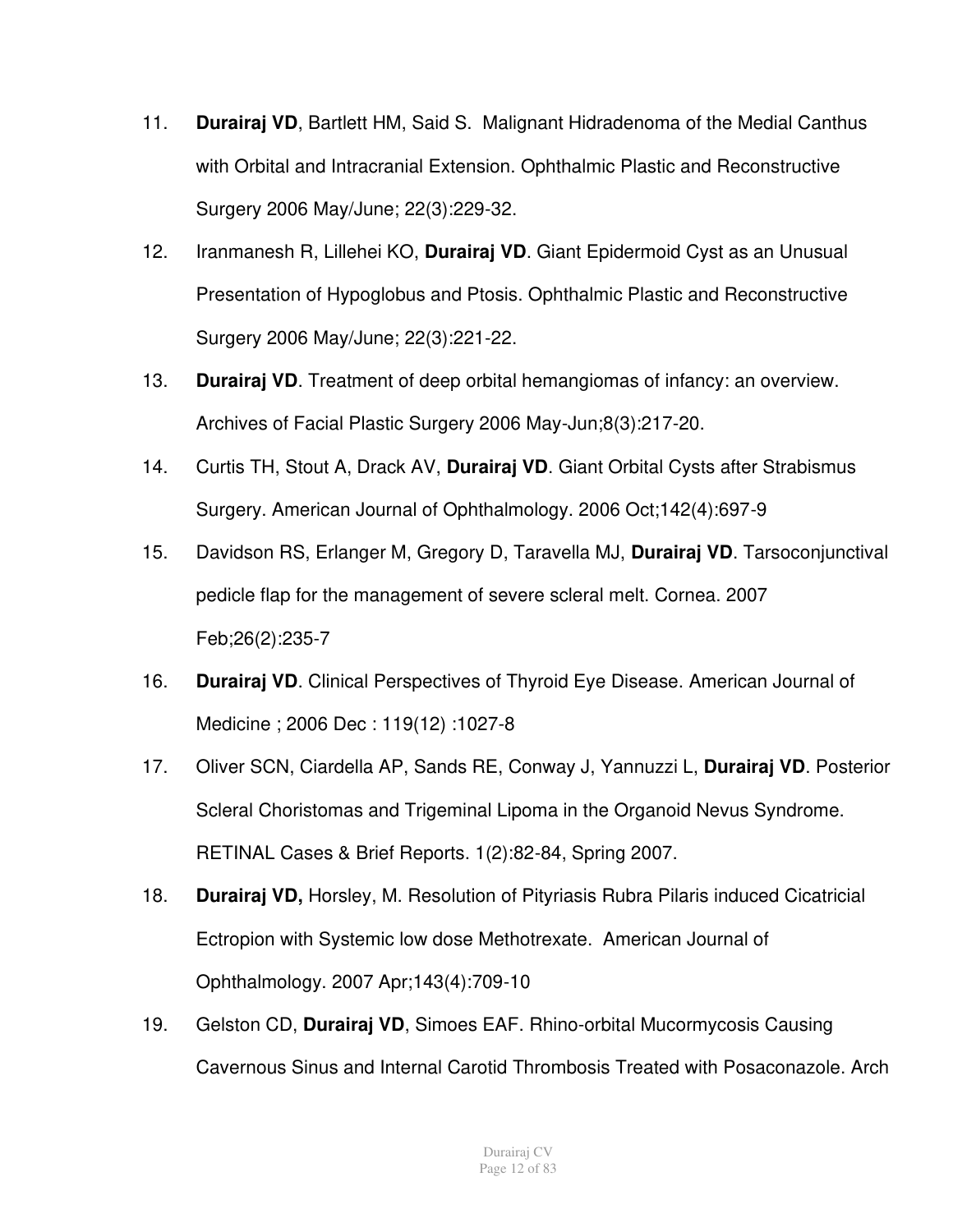- 11. **Durairaj VD**, Bartlett HM, Said S. Malignant Hidradenoma of the Medial Canthus with Orbital and Intracranial Extension. Ophthalmic Plastic and Reconstructive Surgery 2006 May/June; 22(3):229-32.
- 12. Iranmanesh R, Lillehei KO, **Durairaj VD**. Giant Epidermoid Cyst as an Unusual Presentation of Hypoglobus and Ptosis. Ophthalmic Plastic and Reconstructive Surgery 2006 May/June; 22(3):221-22.
- 13. **Durairaj VD**. Treatment of deep orbital hemangiomas of infancy: an overview. Archives of Facial Plastic Surgery 2006 May-Jun;8(3):217-20.
- 14. Curtis TH, Stout A, Drack AV, **Durairaj VD**. Giant Orbital Cysts after Strabismus Surgery. American Journal of Ophthalmology. 2006 Oct;142(4):697-9
- 15. Davidson RS, Erlanger M, Gregory D, Taravella MJ, **Durairaj VD**. Tarsoconjunctival pedicle flap for the management of severe scleral melt. Cornea. 2007 Feb;26(2):235-7
- 16. **Durairaj VD**. Clinical Perspectives of Thyroid Eye Disease. American Journal of Medicine ; 2006 Dec : 119(12) :1027-8
- 17. Oliver SCN, Ciardella AP, Sands RE, Conway J, Yannuzzi L, **Durairaj VD**. Posterior Scleral Choristomas and Trigeminal Lipoma in the Organoid Nevus Syndrome. RETINAL Cases & Brief Reports. 1(2):82-84, Spring 2007.
- 18. **Durairaj VD,** Horsley, M. Resolution of Pityriasis Rubra Pilaris induced Cicatricial Ectropion with Systemic low dose Methotrexate. American Journal of Ophthalmology. 2007 Apr;143(4):709-10
- 19. Gelston CD, **Durairaj VD**, Simoes EAF. Rhino-orbital Mucormycosis Causing Cavernous Sinus and Internal Carotid Thrombosis Treated with Posaconazole. Arch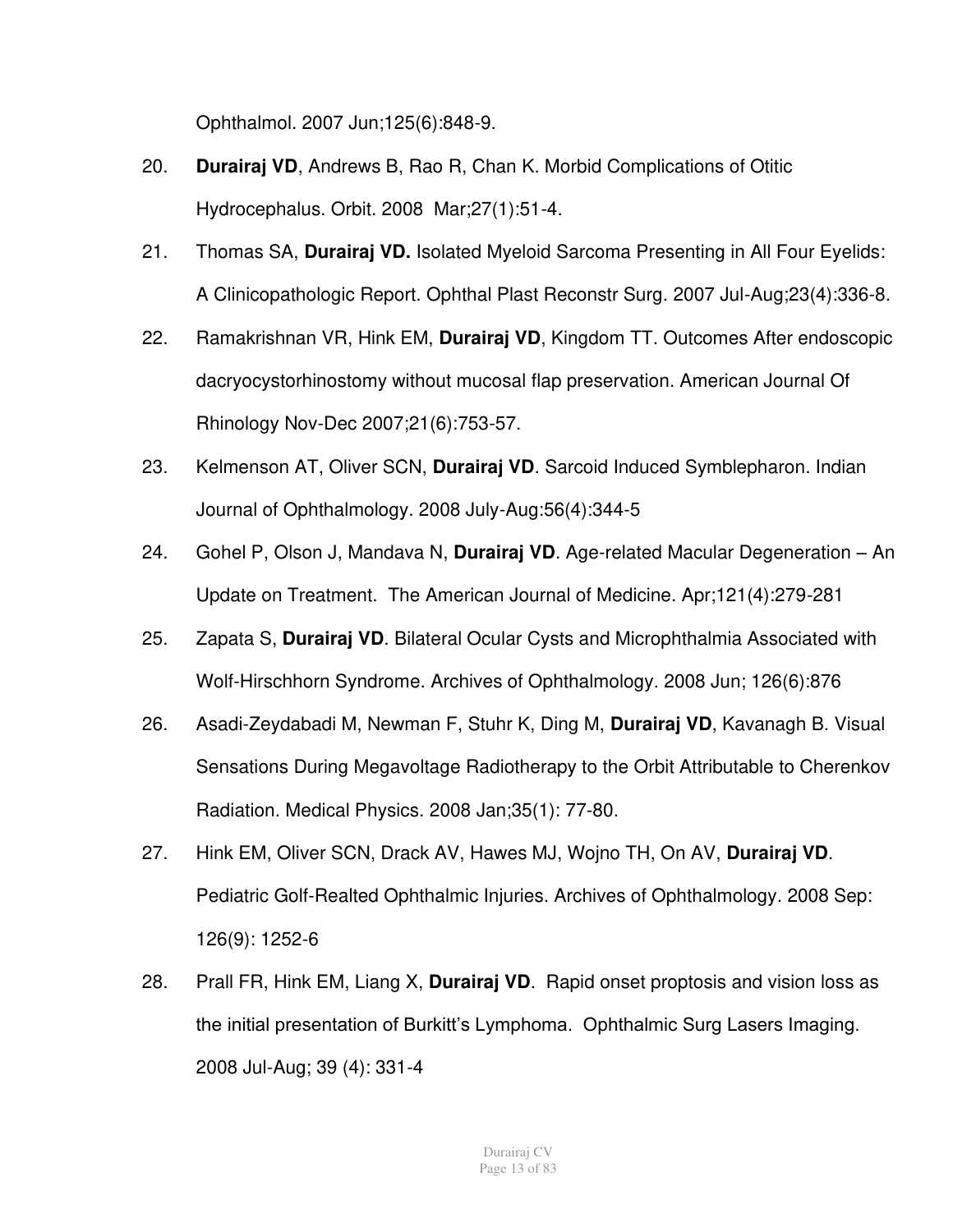Ophthalmol. 2007 Jun;125(6):848-9.

- 20. **Durairaj VD**, Andrews B, Rao R, Chan K. Morbid Complications of Otitic Hydrocephalus. Orbit. 2008 Mar;27(1):51-4.
- 21. Thomas SA, **Durairaj VD.** Isolated Myeloid Sarcoma Presenting in All Four Eyelids: A Clinicopathologic Report. Ophthal Plast Reconstr Surg. 2007 Jul-Aug;23(4):336-8.
- 22. Ramakrishnan VR, Hink EM, **Durairaj VD**, Kingdom TT. Outcomes After endoscopic dacryocystorhinostomy without mucosal flap preservation. American Journal Of Rhinology Nov-Dec 2007;21(6):753-57.
- 23. Kelmenson AT, Oliver SCN, **Durairaj VD**. Sarcoid Induced Symblepharon. Indian Journal of Ophthalmology. 2008 July-Aug:56(4):344-5
- 24. Gohel P, Olson J, Mandava N, **Durairaj VD**. Age-related Macular Degeneration An Update on Treatment. The American Journal of Medicine. Apr;121(4):279-281
- 25. Zapata S, **Durairaj VD**. Bilateral Ocular Cysts and Microphthalmia Associated with Wolf-Hirschhorn Syndrome. Archives of Ophthalmology. 2008 Jun; 126(6):876
- 26. Asadi-Zeydabadi M, Newman F, Stuhr K, Ding M, **Durairaj VD**, Kavanagh B. Visual Sensations During Megavoltage Radiotherapy to the Orbit Attributable to Cherenkov Radiation. Medical Physics. 2008 Jan;35(1): 77-80.
- 27. Hink EM, Oliver SCN, Drack AV, Hawes MJ, Wojno TH, On AV, **Durairaj VD**. Pediatric Golf-Realted Ophthalmic Injuries. Archives of Ophthalmology. 2008 Sep: 126(9): 1252-6
- 28. Prall FR, Hink EM, Liang X, **Durairaj VD**. Rapid onset proptosis and vision loss as the initial presentation of Burkitt's Lymphoma. Ophthalmic Surg Lasers Imaging. 2008 Jul-Aug; 39 (4): 331-4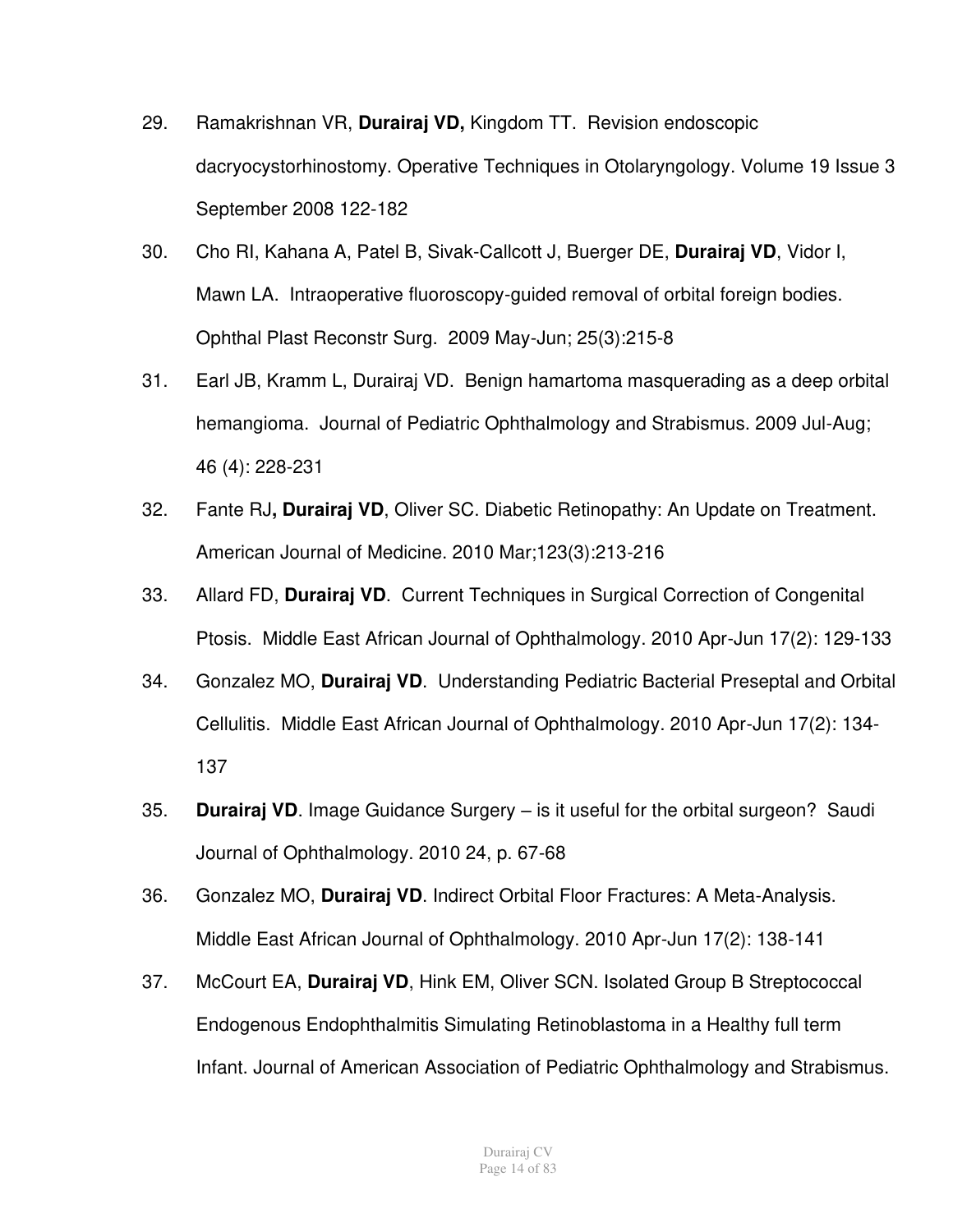- 29. Ramakrishnan VR, **Durairaj VD,** Kingdom TT. Revision endoscopic dacryocystorhinostomy. Operative Techniques in Otolaryngology. Volume 19 Issue 3 September 2008 122-182
- 30. Cho RI, Kahana A, Patel B, Sivak-Callcott J, Buerger DE, **Durairaj VD**, Vidor I, Mawn LA. Intraoperative fluoroscopy-guided removal of orbital foreign bodies. Ophthal Plast Reconstr Surg. 2009 May-Jun; 25(3):215-8
- 31. Earl JB, Kramm L, Durairaj VD. Benign hamartoma masquerading as a deep orbital hemangioma. Journal of Pediatric Ophthalmology and Strabismus. 2009 Jul-Aug; 46 (4): 228-231
- 32. Fante RJ**, Durairaj VD**, Oliver SC. Diabetic Retinopathy: An Update on Treatment. American Journal of Medicine. 2010 Mar;123(3):213-216
- 33. Allard FD, **Durairaj VD**. Current Techniques in Surgical Correction of Congenital Ptosis. Middle East African Journal of Ophthalmology. 2010 Apr-Jun 17(2): 129-133
- 34. Gonzalez MO, **Durairaj VD**. Understanding Pediatric Bacterial Preseptal and Orbital Cellulitis. Middle East African Journal of Ophthalmology. 2010 Apr-Jun 17(2): 134- 137
- 35. **Durairaj VD**. Image Guidance Surgery is it useful for the orbital surgeon? Saudi Journal of Ophthalmology. 2010 24, p. 67-68
- 36. Gonzalez MO, **Durairaj VD**. Indirect Orbital Floor Fractures: A Meta-Analysis. Middle East African Journal of Ophthalmology. 2010 Apr-Jun 17(2): 138-141
- 37. McCourt EA, **Durairaj VD**, Hink EM, Oliver SCN. Isolated Group B Streptococcal Endogenous Endophthalmitis Simulating Retinoblastoma in a Healthy full term Infant. Journal of American Association of Pediatric Ophthalmology and Strabismus.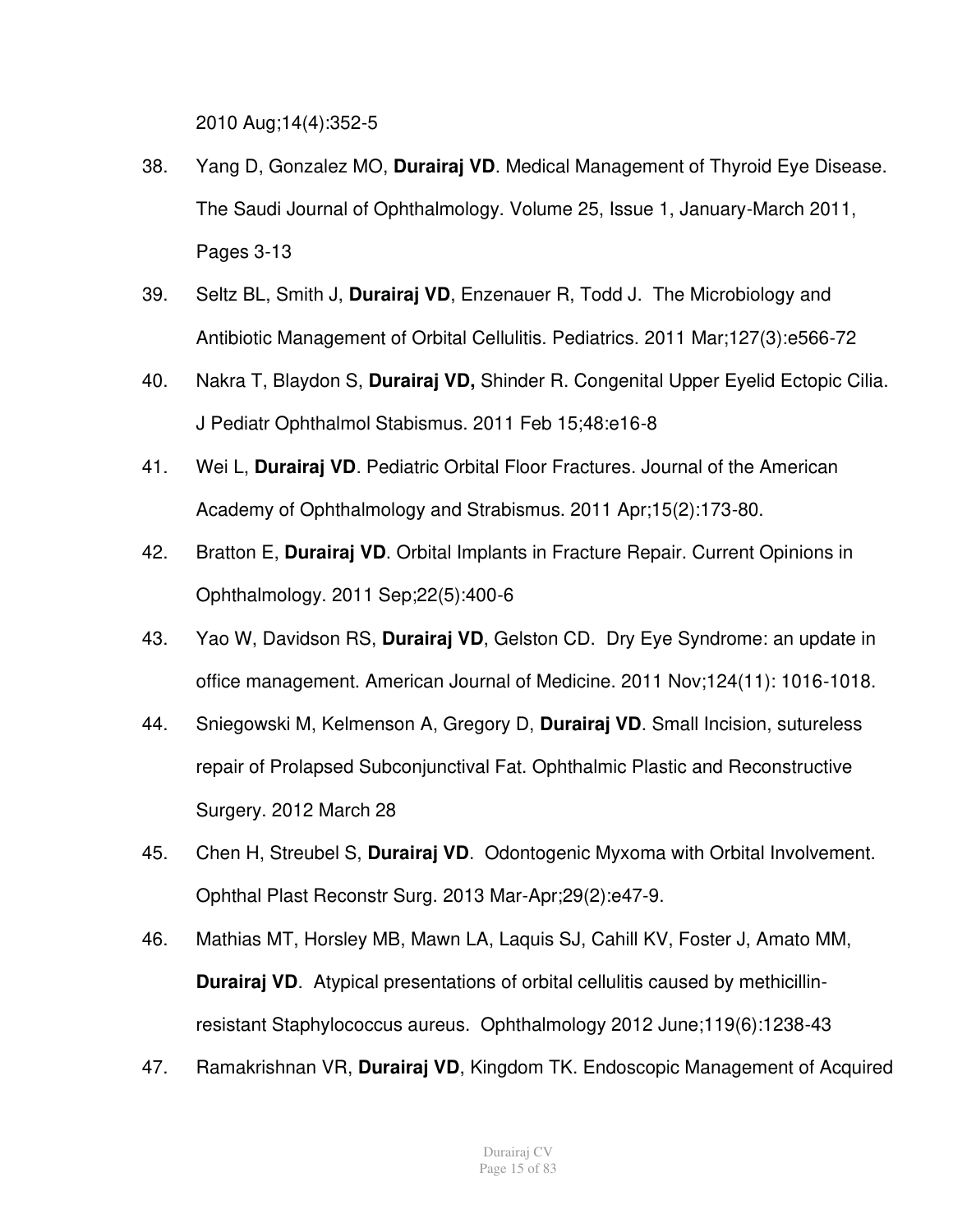2010 Aug;14(4):352-5

- 38. Yang D, Gonzalez MO, **Durairaj VD**. Medical Management of Thyroid Eye Disease. The Saudi Journal of Ophthalmology. Volume 25, Issue 1, January-March 2011, Pages 3-13
- 39. Seltz BL, Smith J, **Durairaj VD**, Enzenauer R, Todd J. The Microbiology and Antibiotic Management of Orbital Cellulitis. Pediatrics. 2011 Mar;127(3):e566-72
- 40. Nakra T, Blaydon S, **Durairaj VD,** Shinder R. Congenital Upper Eyelid Ectopic Cilia. J Pediatr Ophthalmol Stabismus. 2011 Feb 15;48:e16-8
- 41. Wei L, **Durairaj VD**. Pediatric Orbital Floor Fractures. Journal of the American Academy of Ophthalmology and Strabismus. 2011 Apr;15(2):173-80.
- 42. Bratton E, **Durairaj VD**. Orbital Implants in Fracture Repair. Current Opinions in Ophthalmology. 2011 Sep;22(5):400-6
- 43. Yao W, Davidson RS, **Durairaj VD**, Gelston CD. Dry Eye Syndrome: an update in office management. American Journal of Medicine. 2011 Nov;124(11): 1016-1018.
- 44. Sniegowski M, Kelmenson A, Gregory D, **Durairaj VD**. Small Incision, sutureless repair of Prolapsed Subconjunctival Fat. Ophthalmic Plastic and Reconstructive Surgery. 2012 March 28
- 45. Chen H, Streubel S, **Durairaj VD**. Odontogenic Myxoma with Orbital Involvement. Ophthal Plast Reconstr Surg. 2013 Mar-Apr;29(2):e47-9.
- 46. Mathias MT, Horsley MB, Mawn LA, Laquis SJ, Cahill KV, Foster J, Amato MM, **Durairaj VD**. Atypical presentations of orbital cellulitis caused by methicillinresistant Staphylococcus aureus. Ophthalmology 2012 June;119(6):1238-43
- 47. Ramakrishnan VR, **Durairaj VD**, Kingdom TK. Endoscopic Management of Acquired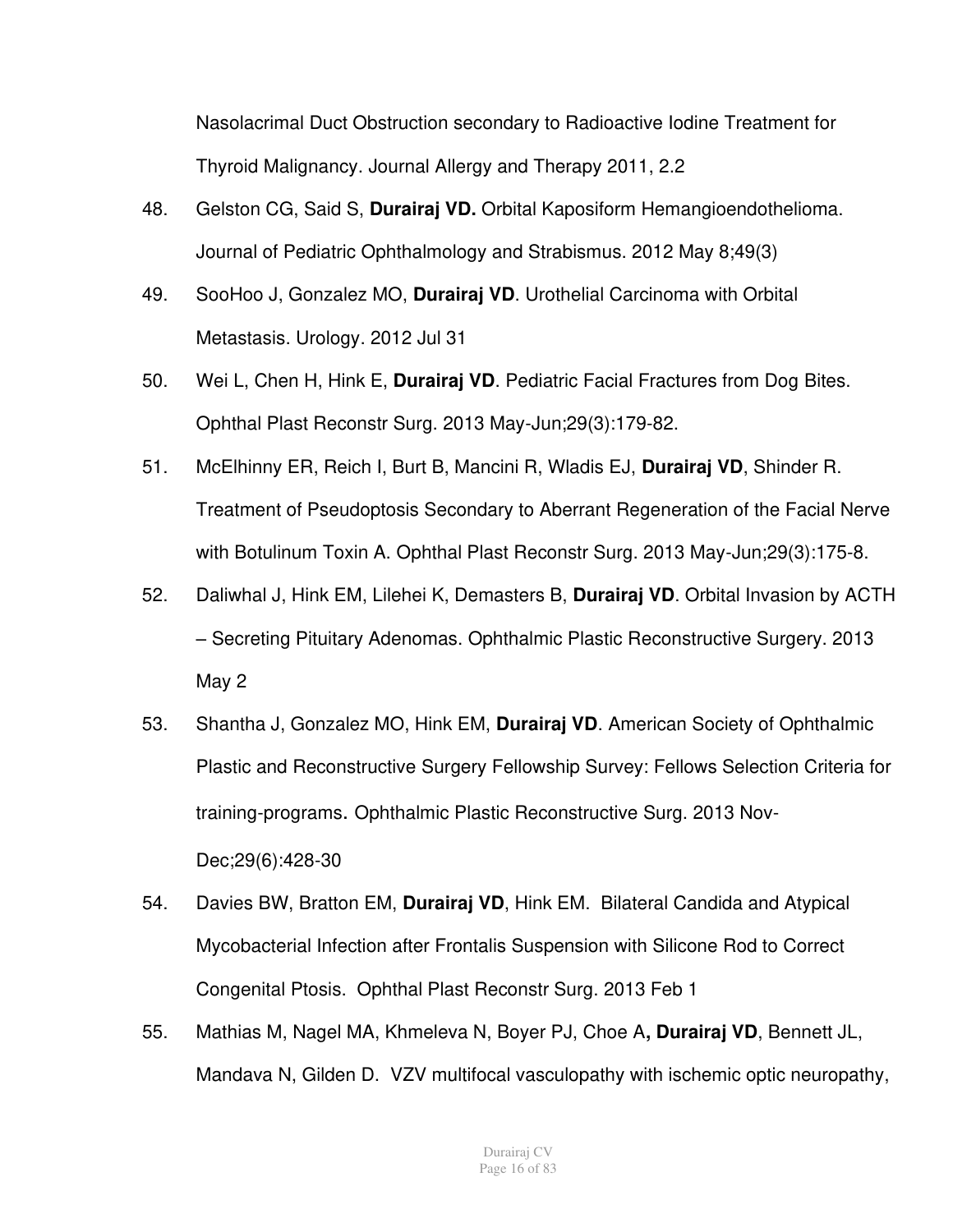Nasolacrimal Duct Obstruction secondary to Radioactive Iodine Treatment for Thyroid Malignancy. Journal Allergy and Therapy 2011, 2.2

- 48. Gelston CG, Said S, **Durairaj VD.** Orbital Kaposiform Hemangioendothelioma. Journal of Pediatric Ophthalmology and Strabismus. 2012 May 8;49(3)
- 49. SooHoo J, Gonzalez MO, **Durairaj VD**. Urothelial Carcinoma with Orbital Metastasis. Urology. 2012 Jul 31
- 50. Wei L, Chen H, Hink E, **Durairaj VD**. Pediatric Facial Fractures from Dog Bites. Ophthal Plast Reconstr Surg. 2013 May-Jun;29(3):179-82.
- 51. McElhinny ER, Reich I, Burt B, Mancini R, Wladis EJ, **Durairaj VD**, Shinder R. Treatment of Pseudoptosis Secondary to Aberrant Regeneration of the Facial Nerve with Botulinum Toxin A. Ophthal Plast Reconstr Surg. 2013 May-Jun;29(3):175-8.
- 52. Daliwhal J, Hink EM, Lilehei K, Demasters B, **Durairaj VD**. Orbital Invasion by ACTH – Secreting Pituitary Adenomas. Ophthalmic Plastic Reconstructive Surgery. 2013 May 2
- 53. Shantha J, Gonzalez MO, Hink EM, **Durairaj VD**. American Society of Ophthalmic Plastic and Reconstructive Surgery Fellowship Survey: Fellows Selection Criteria for training-programs. Ophthalmic Plastic Reconstructive Surg. 2013 Nov-Dec;29(6):428-30
- 54. Davies BW, Bratton EM, **Durairaj VD**, Hink EM. Bilateral Candida and Atypical Mycobacterial Infection after Frontalis Suspension with Silicone Rod to Correct Congenital Ptosis. Ophthal Plast Reconstr Surg. 2013 Feb 1
- 55. Mathias M, Nagel MA, Khmeleva N, Boyer PJ, Choe A**, Durairaj VD**, Bennett JL, Mandava N, Gilden D. [VZV multifocal vasculopathy with ischemic optic neuropathy,](http://www.ncbi.nlm.nih.gov/pubmed/23312850)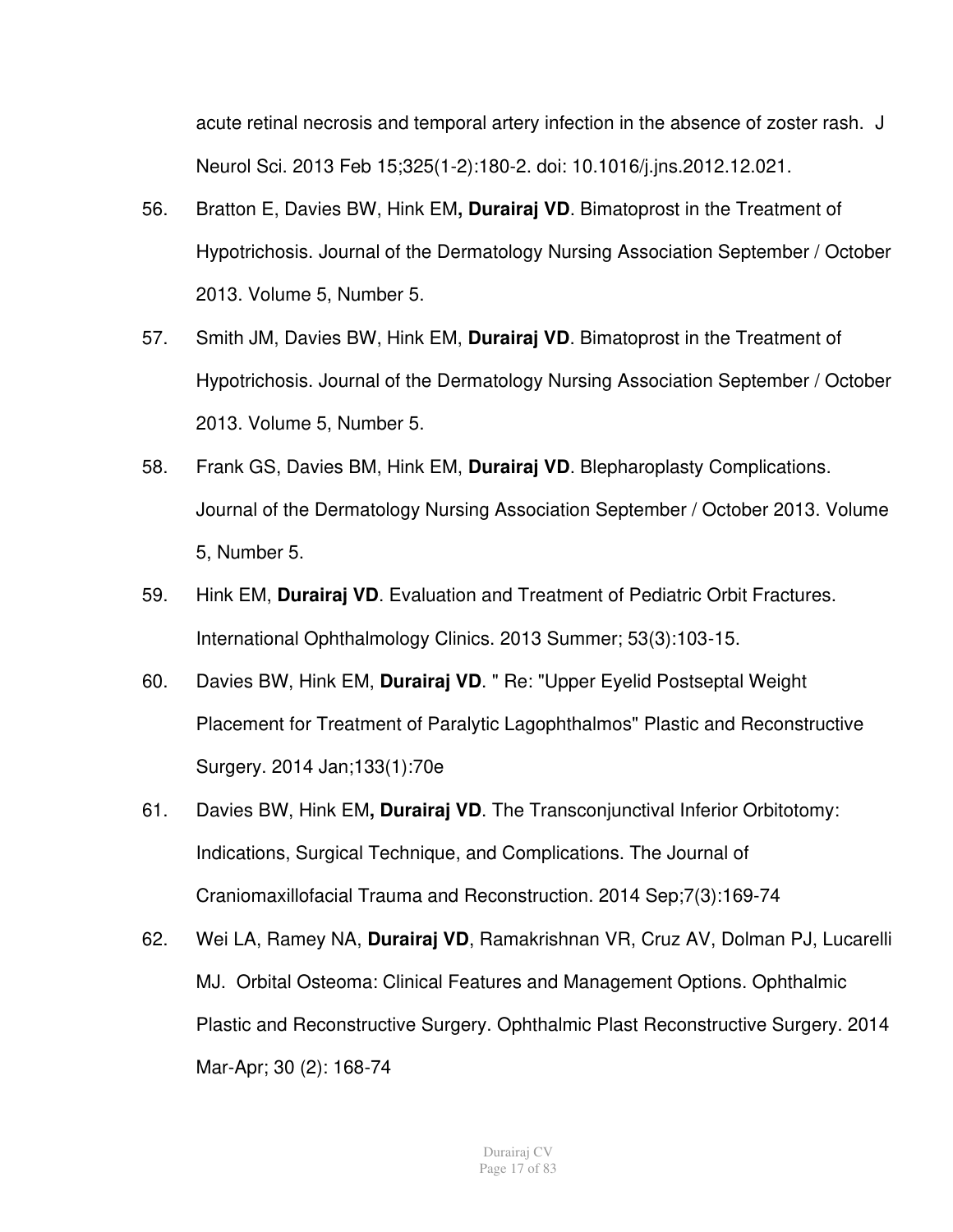[acute retinal necrosis and temporal artery infection in the absence of zoster rash.](http://www.ncbi.nlm.nih.gov/pubmed/23312850) J Neurol Sci. 2013 Feb 15;325(1-2):180-2. doi: 10.1016/j.jns.2012.12.021.

- 56. Bratton E, Davies BW, Hink EM**, Durairaj VD**. Bimatoprost in the Treatment of Hypotrichosis. Journal of the Dermatology Nursing Association September / October 2013. Volume 5, Number 5.
- 57. Smith JM, Davies BW, Hink EM, **Durairaj VD**. Bimatoprost in the Treatment of Hypotrichosis. Journal of the Dermatology Nursing Association September / October 2013. Volume 5, Number 5.
- 58. Frank GS, Davies BM, Hink EM, **Durairaj VD**. Blepharoplasty Complications. Journal of the Dermatology Nursing Association September / October 2013. Volume 5, Number 5.
- 59. Hink EM, **Durairaj VD**. Evaluation and Treatment of Pediatric Orbit Fractures. International Ophthalmology Clinics. 2013 Summer; 53(3):103-15.
- 60. Davies BW, Hink EM, **Durairaj VD**. " Re: "Upper Eyelid Postseptal Weight Placement for Treatment of Paralytic Lagophthalmos" Plastic and Reconstructive Surgery. 2014 Jan;133(1):70e
- 61. Davies BW, Hink EM**, Durairaj VD**. The Transconjunctival Inferior Orbitotomy: Indications, Surgical Technique, and Complications. The Journal of Craniomaxillofacial Trauma and Reconstruction. 2014 Sep;7(3):169-74
- 62. Wei LA, Ramey NA, **Durairaj VD**, Ramakrishnan VR, Cruz AV, Dolman PJ, Lucarelli MJ. Orbital Osteoma: Clinical Features and Management Options. Ophthalmic Plastic and Reconstructive Surgery. Ophthalmic Plast Reconstructive Surgery. 2014 Mar-Apr; 30 (2): 168-74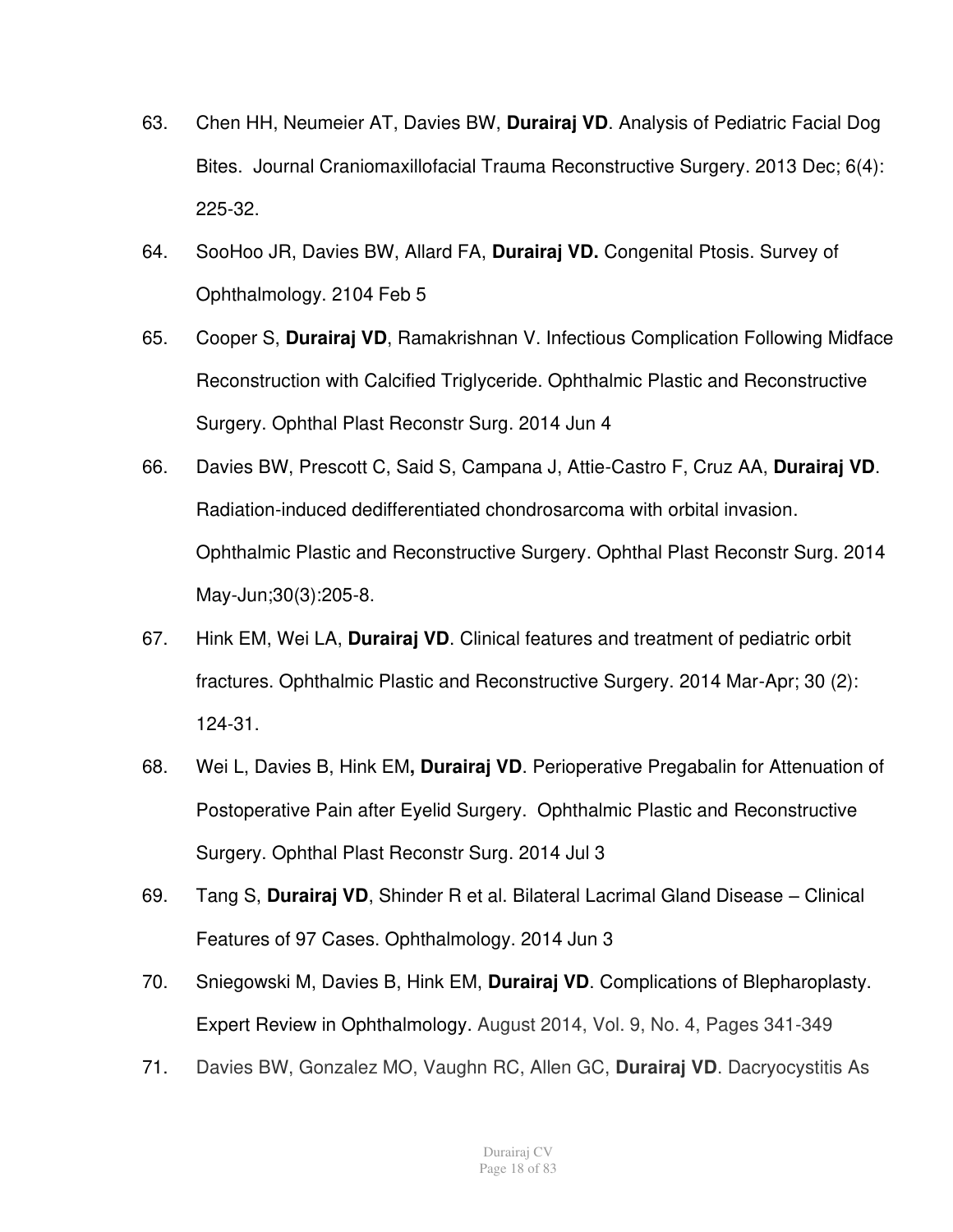- 63. Chen HH, Neumeier AT, Davies BW, **Durairaj VD**. Analysis of Pediatric Facial Dog Bites. Journal Craniomaxillofacial Trauma Reconstructive Surgery. 2013 Dec; 6(4): 225-32.
- 64. SooHoo JR, Davies BW, Allard FA, **Durairaj VD.** Congenital Ptosis. Survey of Ophthalmology. 2104 Feb 5
- 65. Cooper S, **Durairaj VD**, Ramakrishnan V. Infectious Complication Following Midface Reconstruction with Calcified Triglyceride. Ophthalmic Plastic and Reconstructive Surgery. Ophthal Plast Reconstr Surg. 2014 Jun 4
- 66. Davies BW, Prescott C, Said S, Campana J, Attie-Castro F, Cruz AA, **Durairaj VD**. Radiation-induced dedifferentiated chondrosarcoma with orbital invasion. Ophthalmic Plastic and Reconstructive Surgery. Ophthal Plast Reconstr Surg. 2014 May-Jun;30(3):205-8.
- 67. Hink EM, Wei LA, **Durairaj VD**. Clinical features and treatment of pediatric orbit fractures. Ophthalmic Plastic and Reconstructive Surgery. 2014 Mar-Apr; 30 (2): 124-31.
- 68. Wei L, Davies B, Hink EM**, Durairaj VD**. Perioperative Pregabalin for Attenuation of Postoperative Pain after Eyelid Surgery. Ophthalmic Plastic and Reconstructive Surgery. Ophthal Plast Reconstr Surg. 2014 Jul 3
- 69. Tang S, **Durairaj VD**, Shinder R et al. Bilateral Lacrimal Gland Disease Clinical Features of 97 Cases. Ophthalmology. 2014 Jun 3
- 70. Sniegowski M, Davies B, Hink EM, **Durairaj VD**. Complications of Blepharoplasty. Expert Review in Ophthalmology. August 2014, Vol. 9, No. 4, Pages 341-349
- 71. Davies BW, Gonzalez MO, Vaughn RC, Allen GC, **Durairaj VD**. Dacryocystitis As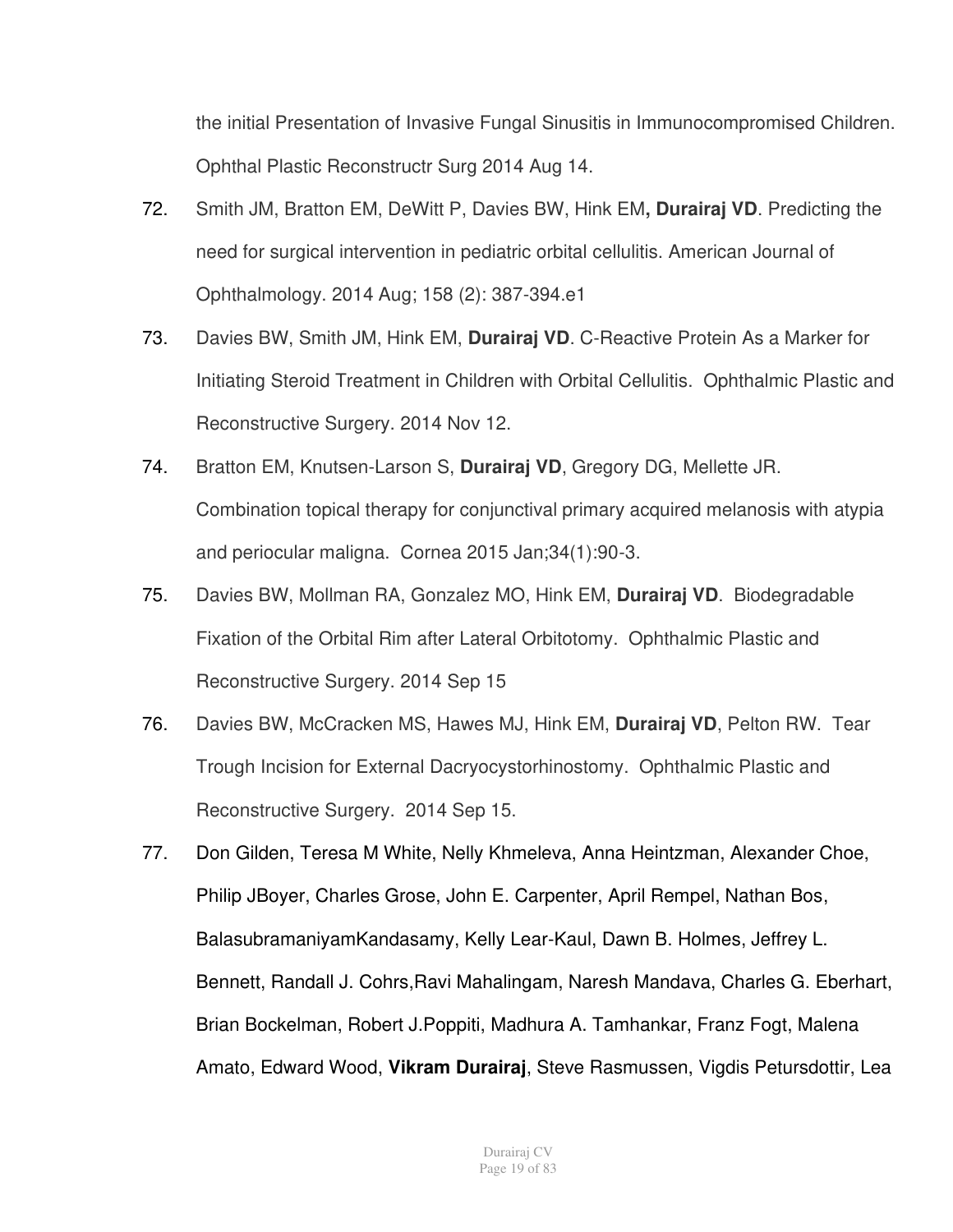the initial Presentation of Invasive Fungal Sinusitis in Immunocompromised Children. Ophthal Plastic Reconstructr Surg 2014 Aug 14.

- 72. Smith JM, Bratton EM, DeWitt P, Davies BW, Hink EM**, Durairaj VD**. Predicting the need for surgical intervention in pediatric orbital cellulitis. American Journal of Ophthalmology. 2014 Aug; 158 (2): 387-394.e1
- 73. Davies BW, Smith JM, Hink EM, **Durairaj VD**. C-Reactive Protein As a Marker for Initiating Steroid Treatment in Children with Orbital Cellulitis. Ophthalmic Plastic and Reconstructive Surgery. 2014 Nov 12.
- 74. Bratton EM, Knutsen-Larson S, **Durairaj VD**, Gregory DG, Mellette JR. Combination topical therapy for conjunctival primary acquired melanosis with atypia and periocular maligna. Cornea 2015 Jan;34(1):90-3.
- 75. Davies BW, Mollman RA, Gonzalez MO, Hink EM, **Durairaj VD**. Biodegradable Fixation of the Orbital Rim after Lateral Orbitotomy. Ophthalmic Plastic and Reconstructive Surgery. 2014 Sep 15
- 76. Davies BW, McCracken MS, Hawes MJ, Hink EM, **Durairaj VD**, Pelton RW. Tear Trough Incision for External Dacryocystorhinostomy. Ophthalmic Plastic and Reconstructive Surgery. 2014 Sep 15.
- 77. Don Gilden, Teresa M White, Nelly Khmeleva, Anna Heintzman, Alexander Choe, Philip JBoyer, Charles Grose, John E. Carpenter, April Rempel, Nathan Bos, BalasubramaniyamKandasamy, Kelly Lear-Kaul, Dawn B. Holmes, Jeffrey L. Bennett, Randall J. Cohrs,Ravi Mahalingam, Naresh Mandava, Charles G. Eberhart, Brian Bockelman, Robert J.Poppiti, Madhura A. Tamhankar, Franz Fogt, Malena Amato, Edward Wood, **Vikram Durairaj**, Steve Rasmussen, Vigdis Petursdottir, Lea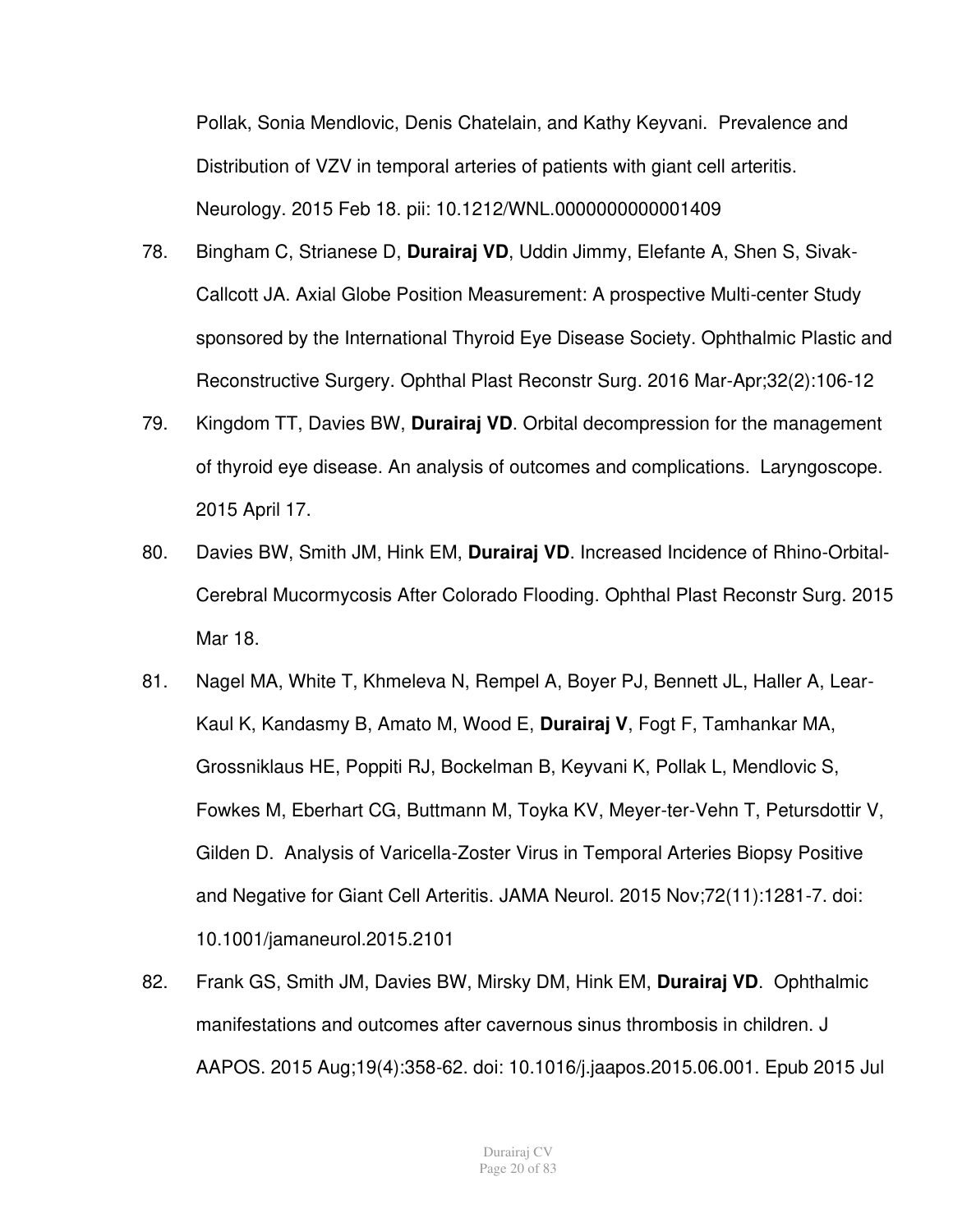Pollak, Sonia Mendlovic, Denis Chatelain, and Kathy Keyvani. Prevalence and Distribution of VZV in temporal arteries of patients with giant cell arteritis. Neurology. 2015 Feb 18. pii: 10.1212/WNL.0000000000001409

- 78. Bingham C, Strianese D, **Durairaj VD**, Uddin Jimmy, Elefante A, Shen S, Sivak-Callcott JA. Axial Globe Position Measurement: A prospective Multi-center Study sponsored by the International Thyroid Eye Disease Society. Ophthalmic Plastic and Reconstructive Surgery. Ophthal Plast Reconstr Surg. 2016 Mar-Apr;32(2):106-12
- 79. Kingdom TT, Davies BW, **Durairaj VD**. Orbital decompression for the management of thyroid eye disease. An analysis of outcomes and complications. Laryngoscope. 2015 April 17.
- 80. Davies BW, Smith JM, Hink EM, **Durairaj VD**. Increased Incidence of Rhino-Orbital-Cerebral Mucormycosis After Colorado Flooding. Ophthal Plast Reconstr Surg. 2015 Mar 18.
- 81. Nagel MA, White T, Khmeleva N, Rempel A, Boyer PJ, Bennett JL, Haller A, Lear-Kaul K, Kandasmy B, Amato M, Wood E, **Durairaj V**, Fogt F, Tamhankar MA, Grossniklaus HE, Poppiti RJ, Bockelman B, Keyvani K, Pollak L, Mendlovic S, Fowkes M, Eberhart CG, Buttmann M, Toyka KV, Meyer-ter-Vehn T, Petursdottir V, Gilden D. Analysis of Varicella-Zoster Virus in Temporal Arteries Biopsy Positive and Negative for Giant Cell Arteritis. JAMA Neurol. 2015 Nov;72(11):1281-7. doi: 10.1001/jamaneurol.2015.2101
- 82. Frank GS, Smith JM, Davies BW, Mirsky DM, Hink EM, **Durairaj VD**. Ophthalmic manifestations and outcomes after cavernous sinus thrombosis in children. J AAPOS. 2015 Aug;19(4):358-62. doi: 10.1016/j.jaapos.2015.06.001. Epub 2015 Jul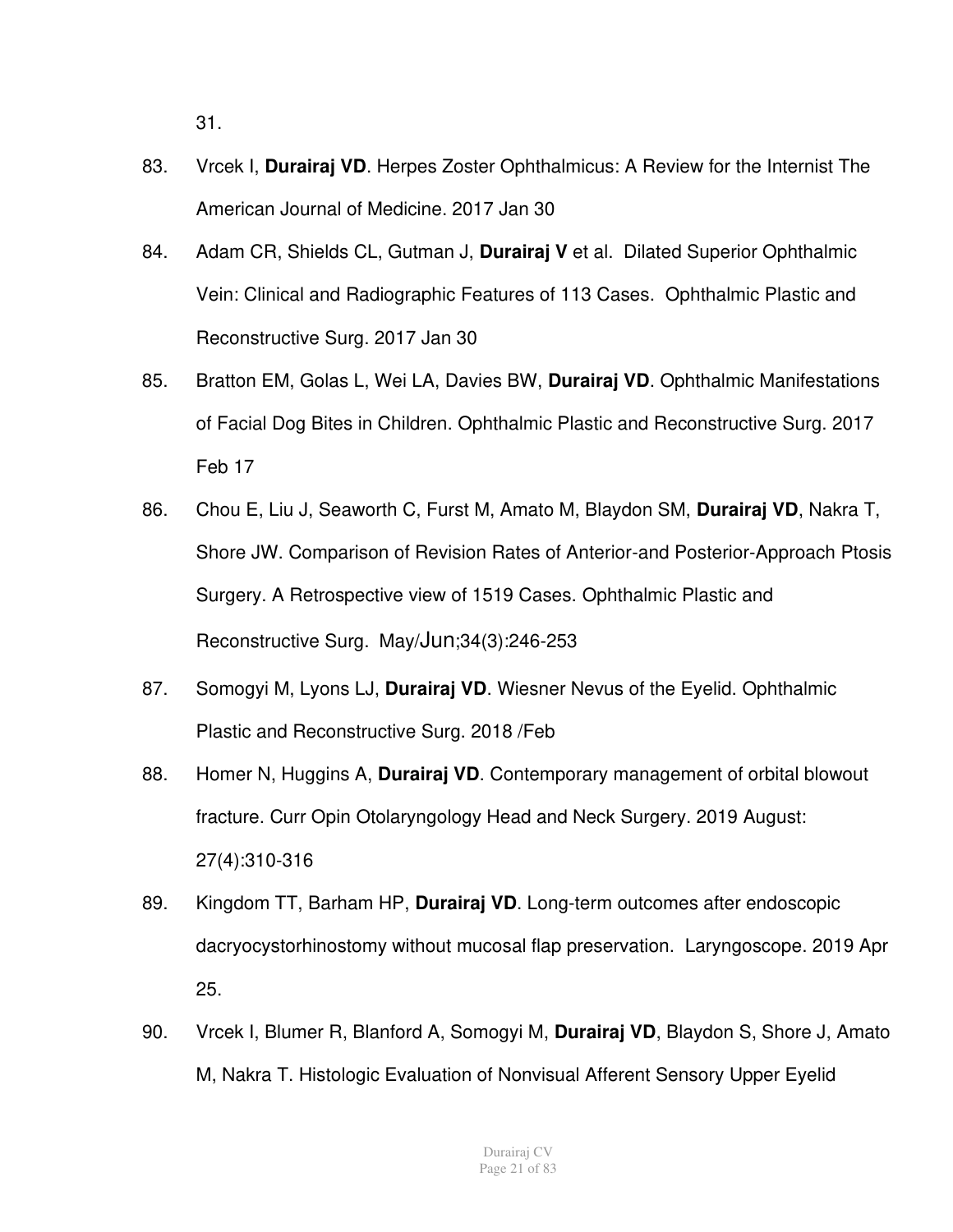31.

- 83. Vrcek I, **Durairaj VD**. Herpes Zoster Ophthalmicus: A Review for the Internist The American Journal of Medicine. 2017 Jan 30
- 84. Adam CR, Shields CL, Gutman J, **Durairaj V** et al. Dilated Superior Ophthalmic Vein: Clinical and Radiographic Features of 113 Cases. Ophthalmic Plastic and Reconstructive Surg. 2017 Jan 30
- 85. Bratton EM, Golas L, Wei LA, Davies BW, **Durairaj VD**. Ophthalmic Manifestations of Facial Dog Bites in Children. Ophthalmic Plastic and Reconstructive Surg. 2017 Feb 17
- 86. Chou E, Liu J, Seaworth C, Furst M, Amato M, Blaydon SM, **Durairaj VD**, Nakra T, Shore JW. Comparison of Revision Rates of Anterior-and Posterior-Approach Ptosis Surgery. A Retrospective view of 1519 Cases. Ophthalmic Plastic and Reconstructive Surg. May/Jun;34(3):246-253
- 87. Somogyi M, Lyons LJ, **Durairaj VD**. Wiesner Nevus of the Eyelid. Ophthalmic Plastic and Reconstructive Surg. 2018 /Feb
- 88. Homer N, Huggins A, **Durairaj VD**. Contemporary management of orbital blowout fracture. Curr Opin Otolaryngology Head and Neck Surgery. 2019 August: 27(4):310-316
- 89. Kingdom TT, Barham HP, **Durairaj VD**. Long-term outcomes after endoscopic dacryocystorhinostomy without mucosal flap preservation. Laryngoscope. 2019 Apr 25.
- 90. Vrcek I, Blumer R, Blanford A, Somogyi M, **Durairaj VD**, Blaydon S, Shore J, Amato M, Nakra T. Histologic Evaluation of Nonvisual Afferent Sensory Upper Eyelid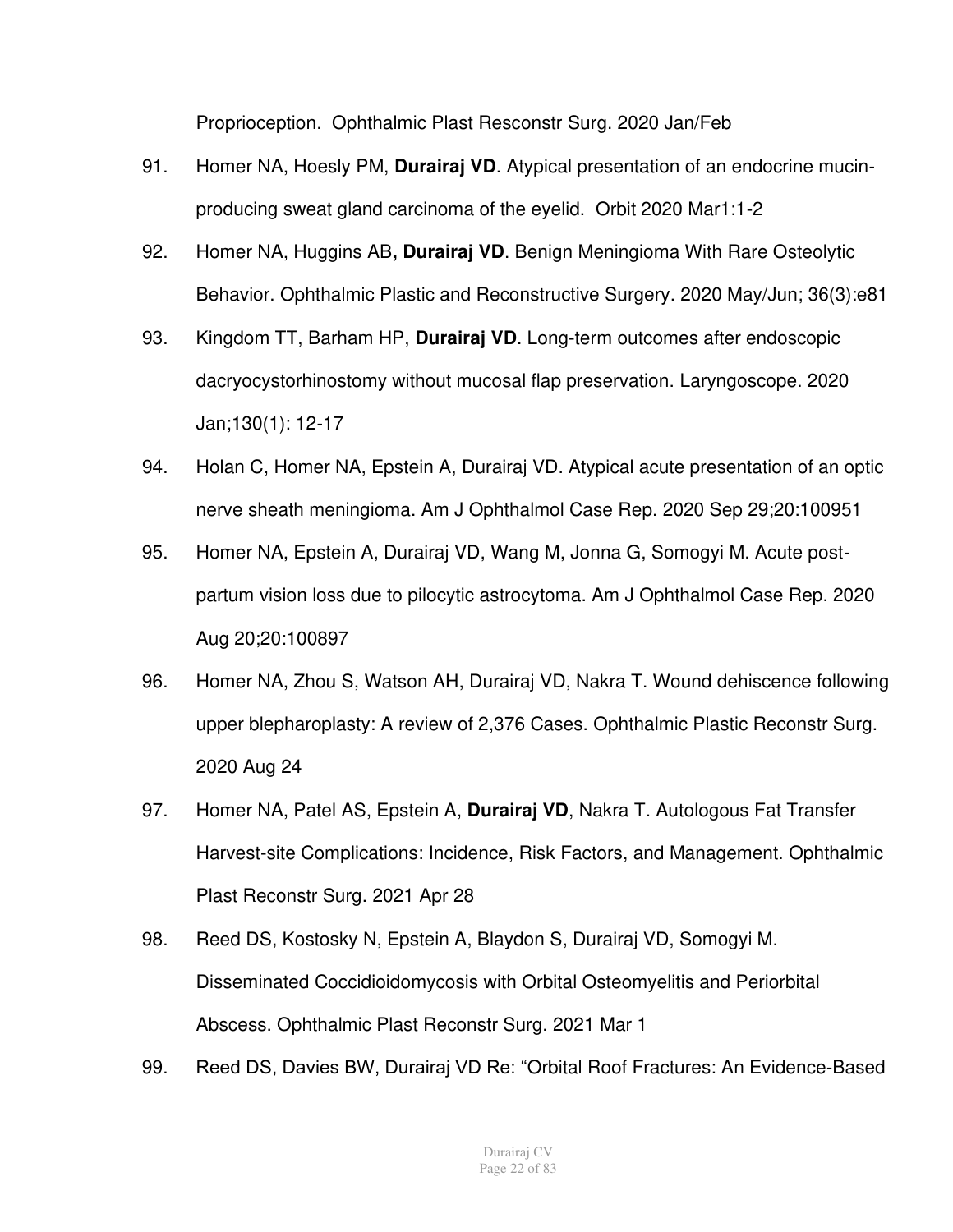Proprioception. Ophthalmic Plast Resconstr Surg. 2020 Jan/Feb

- 91. Homer NA, Hoesly PM, **Durairaj VD**. Atypical presentation of an endocrine mucinproducing sweat gland carcinoma of the eyelid. Orbit 2020 Mar1:1-2
- 92. Homer NA, Huggins AB**, Durairaj VD**. Benign Meningioma With Rare Osteolytic Behavior. Ophthalmic Plastic and Reconstructive Surgery. 2020 May/Jun; 36(3):e81
- 93. Kingdom TT, Barham HP, **Durairaj VD**. Long-term outcomes after endoscopic dacryocystorhinostomy without mucosal flap preservation. Laryngoscope. 2020 Jan;130(1): 12-17
- 94. Holan C, Homer NA, Epstein A, Durairaj VD. Atypical acute presentation of an optic nerve sheath meningioma. Am J Ophthalmol Case Rep. 2020 Sep 29;20:100951
- 95. Homer NA, Epstein A, Durairaj VD, Wang M, Jonna G, Somogyi M. Acute postpartum vision loss due to pilocytic astrocytoma. Am J Ophthalmol Case Rep. 2020 Aug 20;20:100897
- 96. Homer NA, Zhou S, Watson AH, Durairaj VD, Nakra T. Wound dehiscence following upper blepharoplasty: A review of 2,376 Cases. Ophthalmic Plastic Reconstr Surg. 2020 Aug 24
- 97. Homer NA, Patel AS, Epstein A, **Durairaj VD**, Nakra T. Autologous Fat Transfer Harvest-site Complications: Incidence, Risk Factors, and Management. Ophthalmic Plast Reconstr Surg. 2021 Apr 28
- 98. Reed DS, Kostosky N, Epstein A, Blaydon S, Durairaj VD, Somogyi M. Disseminated Coccidioidomycosis with Orbital Osteomyelitis and Periorbital Abscess. Ophthalmic Plast Reconstr Surg. 2021 Mar 1
- 99. Reed DS, Davies BW, Durairaj VD Re: "Orbital Roof Fractures: An Evidence-Based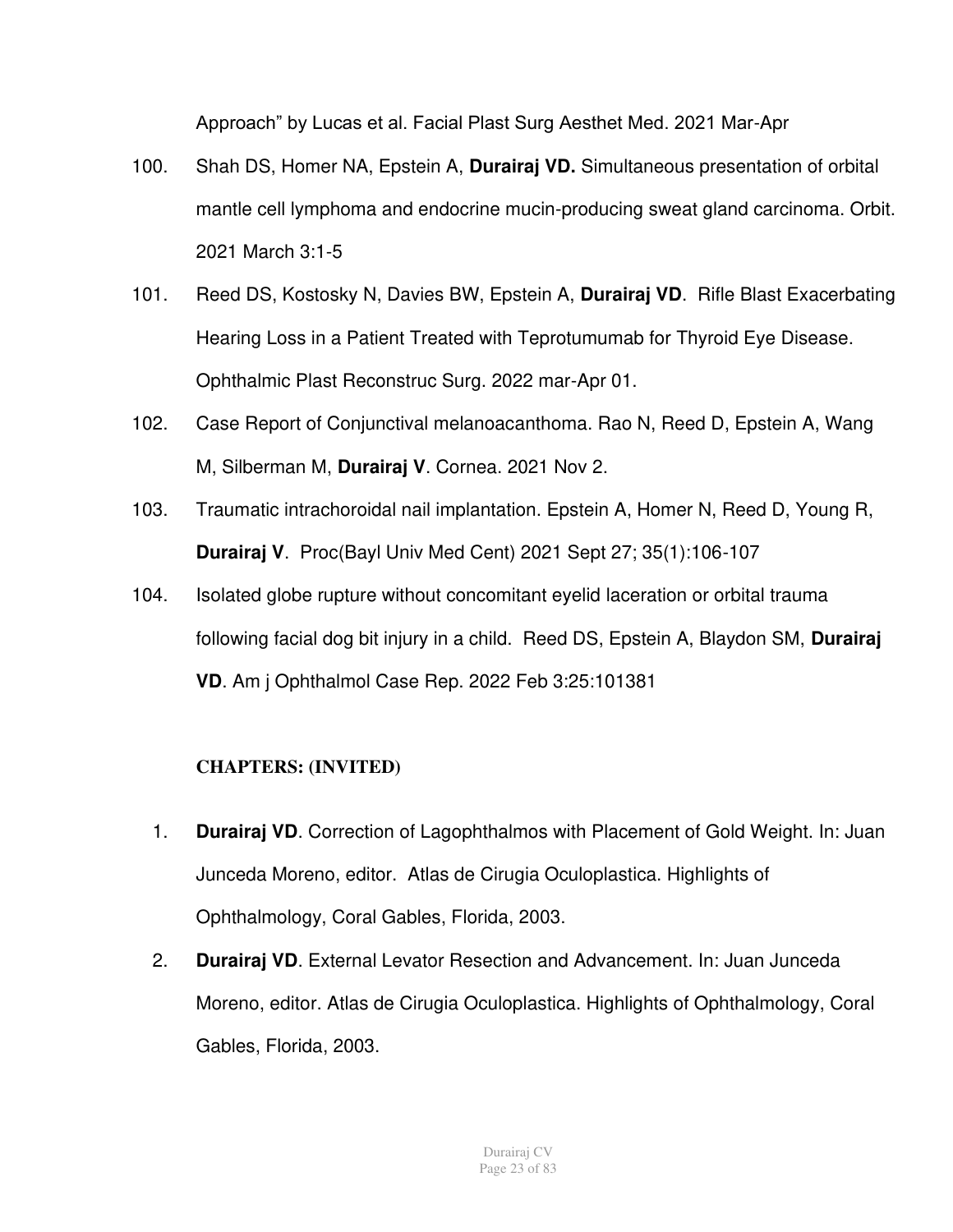Approach" by Lucas et al. Facial Plast Surg Aesthet Med. 2021 Mar-Apr

- 100. Shah DS, Homer NA, Epstein A, **Durairaj VD.** Simultaneous presentation of orbital mantle cell lymphoma and endocrine mucin-producing sweat gland carcinoma. Orbit. 2021 March 3:1-5
- 101. Reed DS, Kostosky N, Davies BW, Epstein A, **Durairaj VD**. Rifle Blast Exacerbating Hearing Loss in a Patient Treated with Teprotumumab for Thyroid Eye Disease. Ophthalmic Plast Reconstruc Surg. 2022 mar-Apr 01.
- 102. Case Report of Conjunctival melanoacanthoma. Rao N, Reed D, Epstein A, Wang M, Silberman M, **Durairaj V**. Cornea. 2021 Nov 2.
- 103. Traumatic intrachoroidal nail implantation. Epstein A, Homer N, Reed D, Young R, **Durairaj V**. Proc(Bayl Univ Med Cent) 2021 Sept 27; 35(1):106-107
- 104. Isolated globe rupture without concomitant eyelid laceration or orbital trauma following facial dog bit injury in a child. Reed DS, Epstein A, Blaydon SM, **Durairaj VD**. Am j Ophthalmol Case Rep. 2022 Feb 3:25:101381

# **CHAPTERS: (INVITED)**

- 1. **Durairaj VD**. Correction of Lagophthalmos with Placement of Gold Weight. In: Juan Junceda Moreno, editor. Atlas de Cirugia Oculoplastica. Highlights of Ophthalmology, Coral Gables, Florida, 2003.
- 2. **Durairaj VD**. External Levator Resection and Advancement. In: Juan Junceda Moreno, editor. Atlas de Cirugia Oculoplastica. Highlights of Ophthalmology, Coral Gables, Florida, 2003.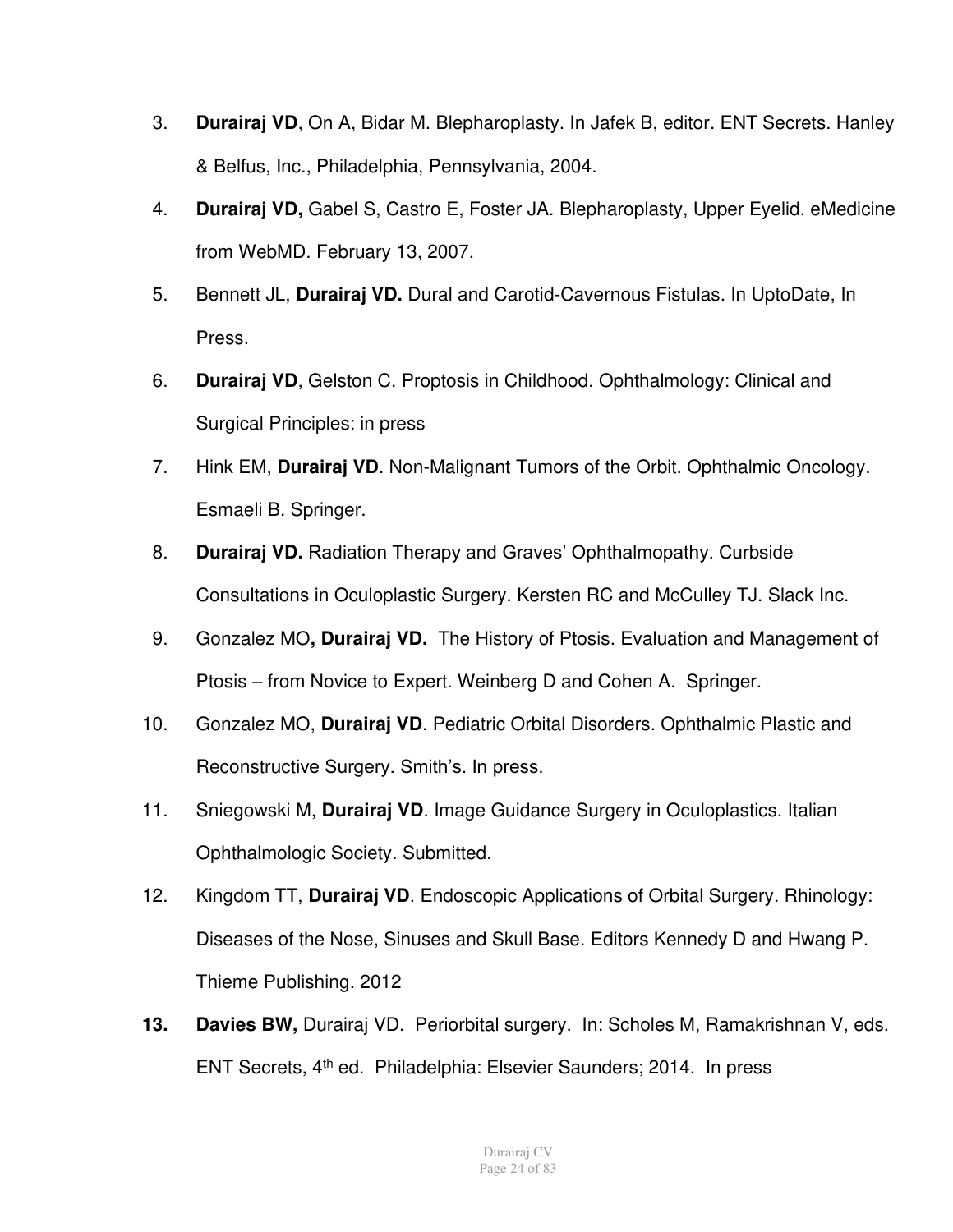- 3. **Durairaj VD**, On A, Bidar M. Blepharoplasty. In Jafek B, editor. ENT Secrets. Hanley & Belfus, Inc., Philadelphia, Pennsylvania, 2004.
- 4. **Durairaj VD,** Gabel S, Castro E, Foster JA. Blepharoplasty, Upper Eyelid. eMedicine from WebMD. February 13, 2007.
- 5. Bennett JL, **Durairaj VD.** Dural and Carotid-Cavernous Fistulas. In UptoDate, In Press.
- 6. **Durairaj VD**, Gelston C. Proptosis in Childhood. Ophthalmology: Clinical and Surgical Principles: in press
- 7. Hink EM, **Durairaj VD**. Non-Malignant Tumors of the Orbit. Ophthalmic Oncology. Esmaeli B. Springer.
- 8. **Durairaj VD.** Radiation Therapy and Graves' Ophthalmopathy. Curbside Consultations in Oculoplastic Surgery. Kersten RC and McCulley TJ. Slack Inc.
- 9. Gonzalez MO**, Durairaj VD.** The History of Ptosis. Evaluation and Management of Ptosis – from Novice to Expert. Weinberg D and Cohen A. Springer.
- 10. Gonzalez MO, **Durairaj VD**. Pediatric Orbital Disorders. Ophthalmic Plastic and Reconstructive Surgery. Smith's. In press.
- 11. Sniegowski M, **Durairaj VD**. Image Guidance Surgery in Oculoplastics. Italian Ophthalmologic Society. Submitted.
- 12. Kingdom TT, **Durairaj VD**. Endoscopic Applications of Orbital Surgery. Rhinology: Diseases of the Nose, Sinuses and Skull Base. Editors Kennedy D and Hwang P. Thieme Publishing. 2012
- **13. Davies BW,** Durairaj VD. Periorbital surgery. In: Scholes M, Ramakrishnan V, eds. ENT Secrets, 4<sup>th</sup> ed. Philadelphia: Elsevier Saunders; 2014. In press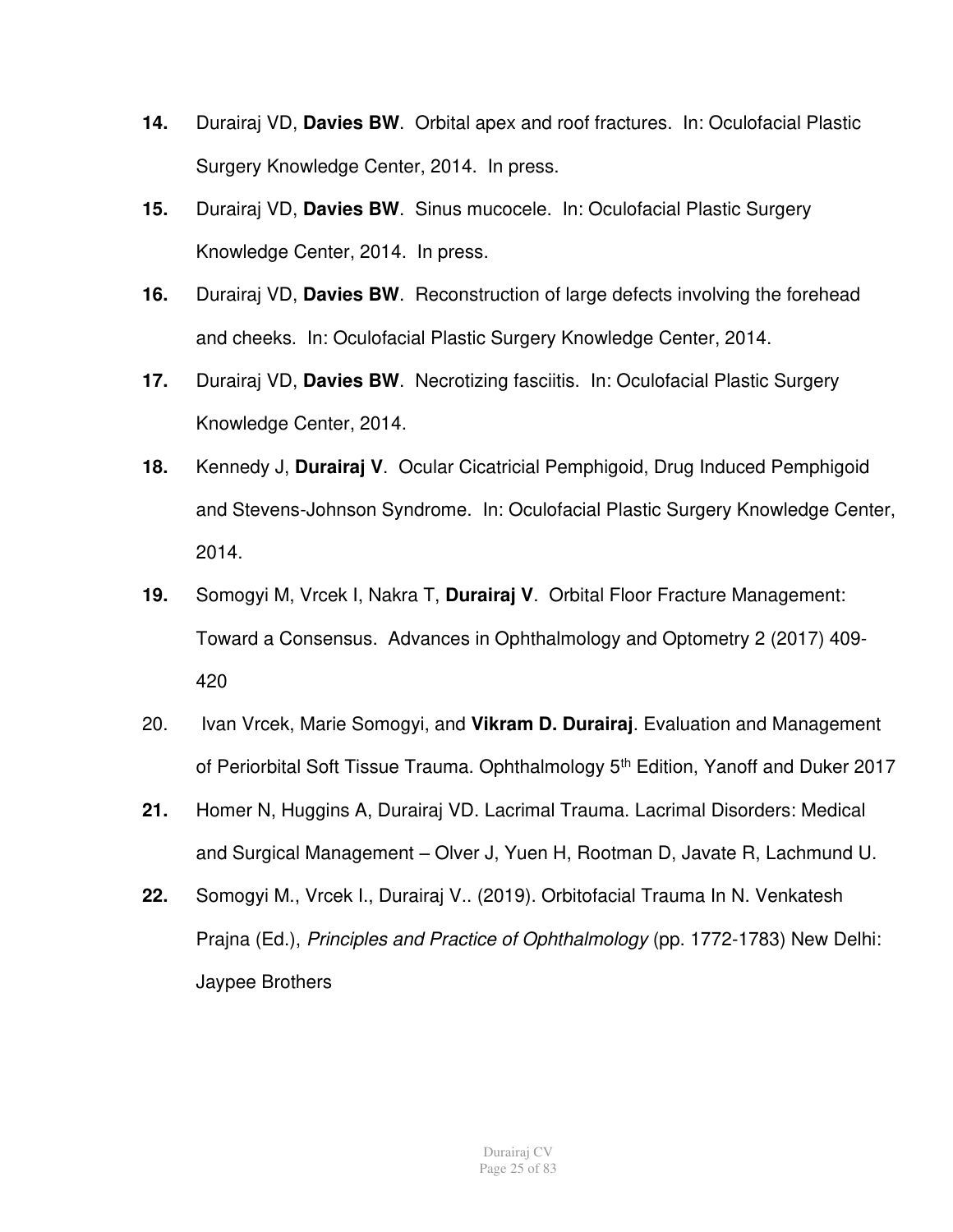- **14.** Durairaj VD, **Davies BW**. Orbital apex and roof fractures. In: Oculofacial Plastic Surgery Knowledge Center, 2014. In press.
- **15.** Durairaj VD, **Davies BW**. Sinus mucocele. In: Oculofacial Plastic Surgery Knowledge Center, 2014. In press.
- **16.** Durairaj VD, **Davies BW**. Reconstruction of large defects involving the forehead and cheeks. In: Oculofacial Plastic Surgery Knowledge Center, 2014.
- **17.** Durairaj VD, **Davies BW**. Necrotizing fasciitis. In: Oculofacial Plastic Surgery Knowledge Center, 2014.
- **18.** Kennedy J, **Durairaj V**. Ocular Cicatricial Pemphigoid, Drug Induced Pemphigoid and Stevens-Johnson Syndrome. In: Oculofacial Plastic Surgery Knowledge Center, 2014.
- **19.** Somogyi M, Vrcek I, Nakra T, **Durairaj V**. Orbital Floor Fracture Management: Toward a Consensus. Advances in Ophthalmology and Optometry 2 (2017) 409- 420
- 20. Ivan Vrcek, Marie Somogyi, and **Vikram D. Durairaj**. Evaluation and Management of Periorbital Soft Tissue Trauma. Ophthalmology 5<sup>th</sup> Edition, Yanoff and Duker 2017
- **21.** Homer N, Huggins A, Durairaj VD. Lacrimal Trauma. Lacrimal Disorders: Medical and Surgical Management – Olver J, Yuen H, Rootman D, Javate R, Lachmund U.
- **22.** Somogyi M., Vrcek I., Durairaj V.. (2019). Orbitofacial Trauma In N. Venkatesh Prajna (Ed.), Principles and Practice of Ophthalmology (pp. 1772-1783) New Delhi: Jaypee Brothers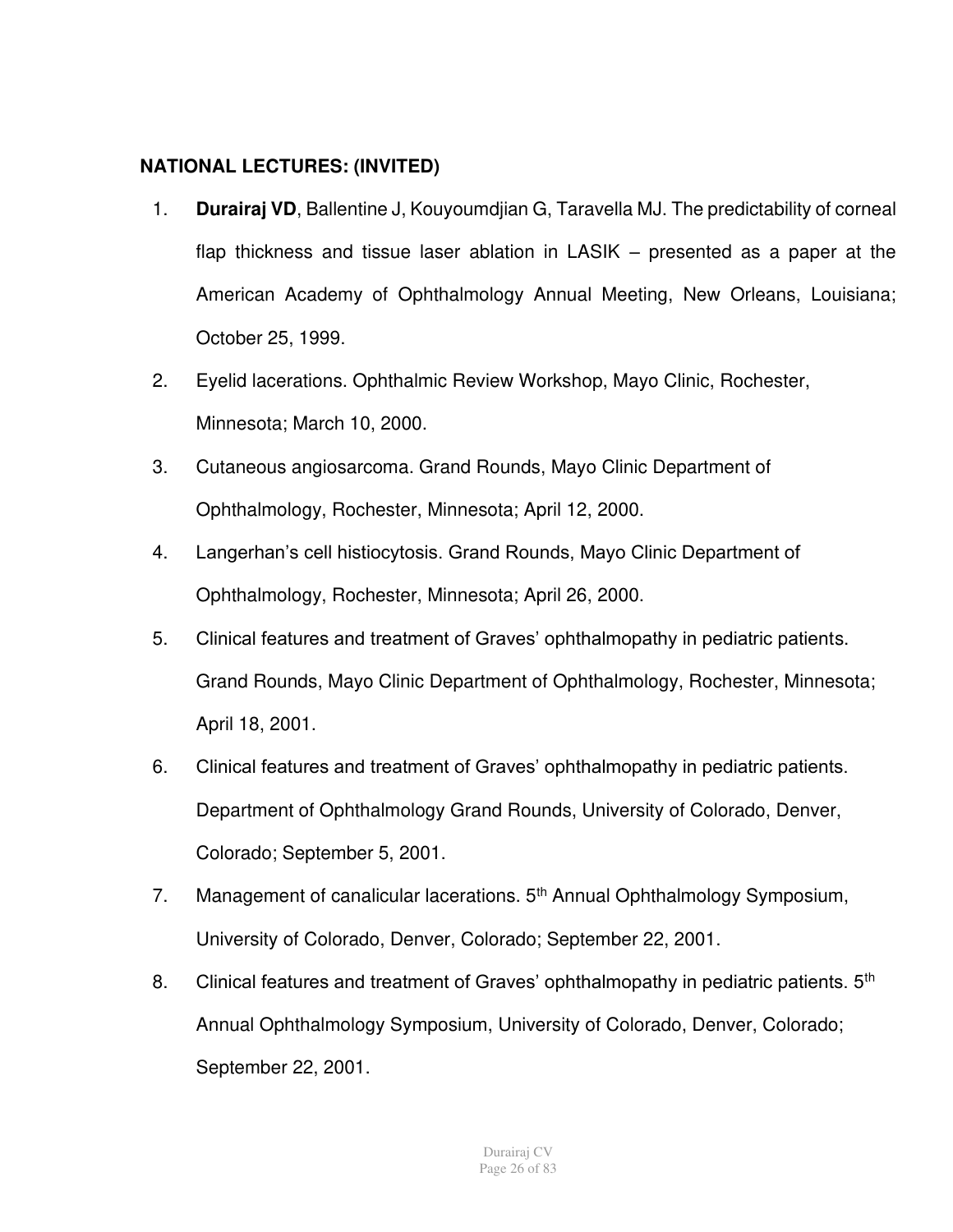# **NATIONAL LECTURES: (INVITED)**

- 1. **Durairaj VD**, Ballentine J, Kouyoumdjian G, Taravella MJ. The predictability of corneal flap thickness and tissue laser ablation in LASIK – presented as a paper at the American Academy of Ophthalmology Annual Meeting, New Orleans, Louisiana; October 25, 1999.
- 2. Eyelid lacerations. Ophthalmic Review Workshop, Mayo Clinic, Rochester, Minnesota; March 10, 2000.
- 3. Cutaneous angiosarcoma. Grand Rounds, Mayo Clinic Department of Ophthalmology, Rochester, Minnesota; April 12, 2000.
- 4. Langerhan's cell histiocytosis. Grand Rounds, Mayo Clinic Department of Ophthalmology, Rochester, Minnesota; April 26, 2000.
- 5. Clinical features and treatment of Graves' ophthalmopathy in pediatric patients. Grand Rounds, Mayo Clinic Department of Ophthalmology, Rochester, Minnesota; April 18, 2001.
- 6. Clinical features and treatment of Graves' ophthalmopathy in pediatric patients. Department of Ophthalmology Grand Rounds, University of Colorado, Denver, Colorado; September 5, 2001.
- 7. Management of canalicular lacerations. 5<sup>th</sup> Annual Ophthalmology Symposium, University of Colorado, Denver, Colorado; September 22, 2001.
- 8. Clinical features and treatment of Graves' ophthalmopathy in pediatric patients. 5<sup>th</sup> Annual Ophthalmology Symposium, University of Colorado, Denver, Colorado; September 22, 2001.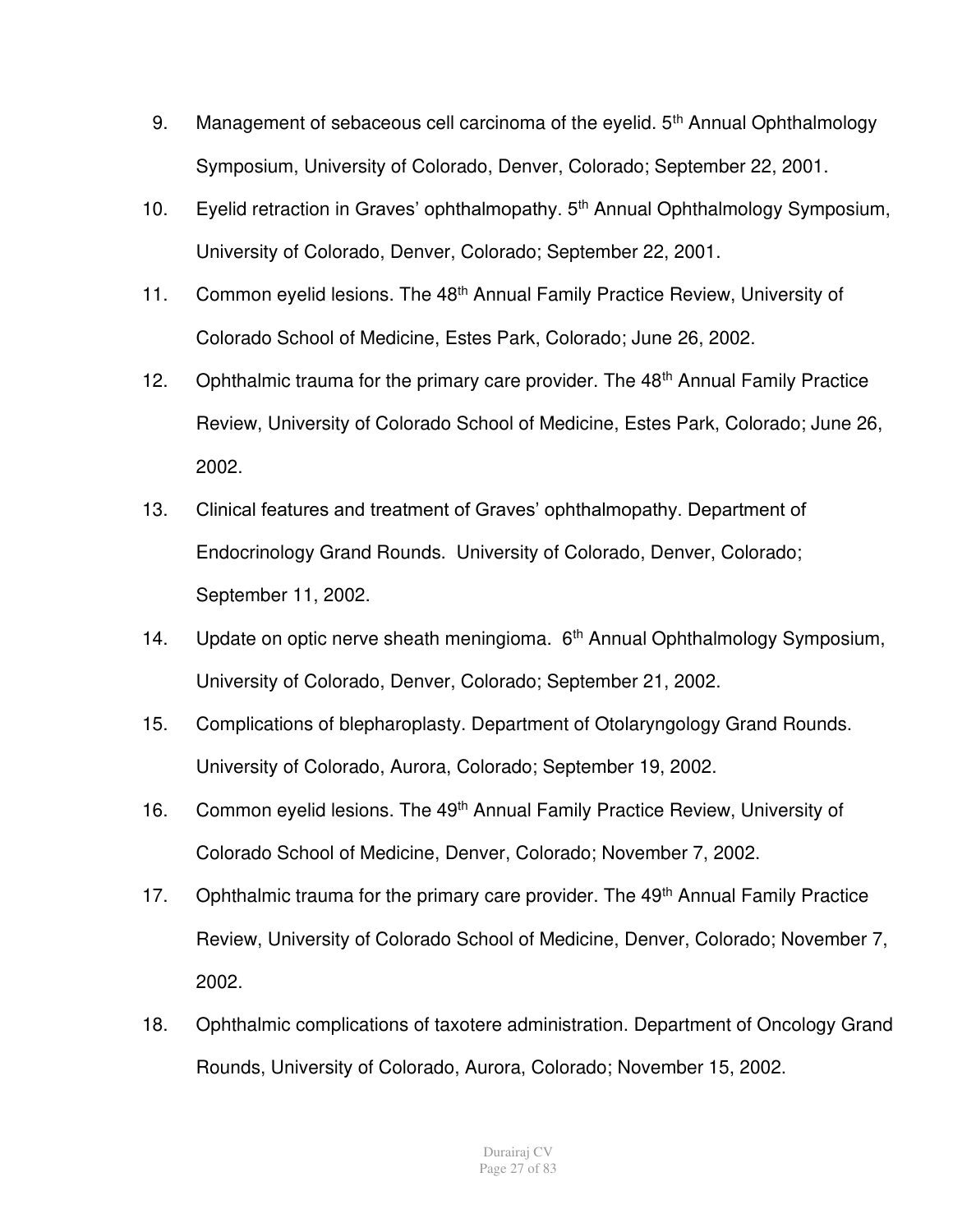- 9. Management of sebaceous cell carcinoma of the eyelid.  $5<sup>th</sup>$  Annual Ophthalmology Symposium, University of Colorado, Denver, Colorado; September 22, 2001.
- 10. Eyelid retraction in Graves' ophthalmopathy. 5<sup>th</sup> Annual Ophthalmology Symposium, University of Colorado, Denver, Colorado; September 22, 2001.
- 11. Common eyelid lesions. The 48<sup>th</sup> Annual Family Practice Review, University of Colorado School of Medicine, Estes Park, Colorado; June 26, 2002.
- 12. Ophthalmic trauma for the primary care provider. The 48<sup>th</sup> Annual Family Practice Review, University of Colorado School of Medicine, Estes Park, Colorado; June 26, 2002.
- 13. Clinical features and treatment of Graves' ophthalmopathy. Department of Endocrinology Grand Rounds. University of Colorado, Denver, Colorado; September 11, 2002.
- 14. Update on optic nerve sheath meningioma. 6<sup>th</sup> Annual Ophthalmology Symposium, University of Colorado, Denver, Colorado; September 21, 2002.
- 15. Complications of blepharoplasty. Department of Otolaryngology Grand Rounds. University of Colorado, Aurora, Colorado; September 19, 2002.
- 16. Common eyelid lesions. The 49<sup>th</sup> Annual Family Practice Review, University of Colorado School of Medicine, Denver, Colorado; November 7, 2002.
- 17. Ophthalmic trauma for the primary care provider. The 49<sup>th</sup> Annual Family Practice Review, University of Colorado School of Medicine, Denver, Colorado; November 7, 2002.
- 18. Ophthalmic complications of taxotere administration. Department of Oncology Grand Rounds, University of Colorado, Aurora, Colorado; November 15, 2002.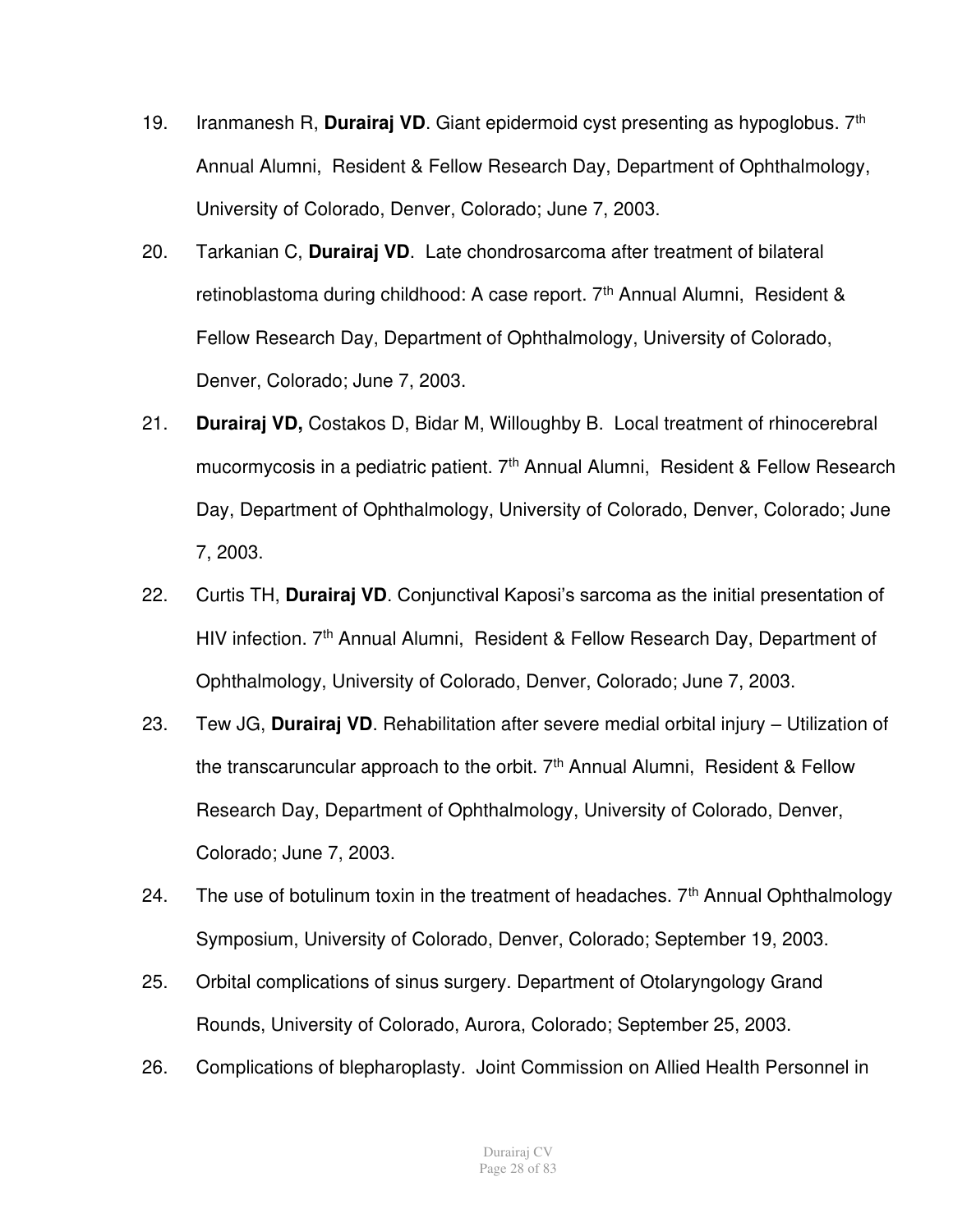- 19. Iranmanesh R, **Durairaj VD**. Giant epidermoid cyst presenting as hypoglobus. 7th Annual Alumni, Resident & Fellow Research Day, Department of Ophthalmology, University of Colorado, Denver, Colorado; June 7, 2003.
- 20. Tarkanian C, **Durairaj VD**. Late chondrosarcoma after treatment of bilateral retinoblastoma during childhood: A case report. 7<sup>th</sup> Annual Alumni, Resident & Fellow Research Day, Department of Ophthalmology, University of Colorado, Denver, Colorado; June 7, 2003.
- 21. **Durairaj VD,** Costakos D, Bidar M, Willoughby B. Local treatment of rhinocerebral mucormycosis in a pediatric patient. 7<sup>th</sup> Annual Alumni, Resident & Fellow Research Day, Department of Ophthalmology, University of Colorado, Denver, Colorado; June 7, 2003.
- 22. Curtis TH, **Durairaj VD**. Conjunctival Kaposi's sarcoma as the initial presentation of HIV infection. 7<sup>th</sup> Annual Alumni, Resident & Fellow Research Day, Department of Ophthalmology, University of Colorado, Denver, Colorado; June 7, 2003.
- 23. Tew JG, **Durairaj VD**. Rehabilitation after severe medial orbital injury Utilization of the transcaruncular approach to the orbit.  $7<sup>th</sup>$  Annual Alumni, Resident & Fellow Research Day, Department of Ophthalmology, University of Colorado, Denver, Colorado; June 7, 2003.
- 24. The use of botulinum toxin in the treatment of headaches.  $7<sup>th</sup>$  Annual Ophthalmology Symposium, University of Colorado, Denver, Colorado; September 19, 2003.
- 25. Orbital complications of sinus surgery. Department of Otolaryngology Grand Rounds, University of Colorado, Aurora, Colorado; September 25, 2003.
- 26. Complications of blepharoplasty. Joint Commission on Allied Health Personnel in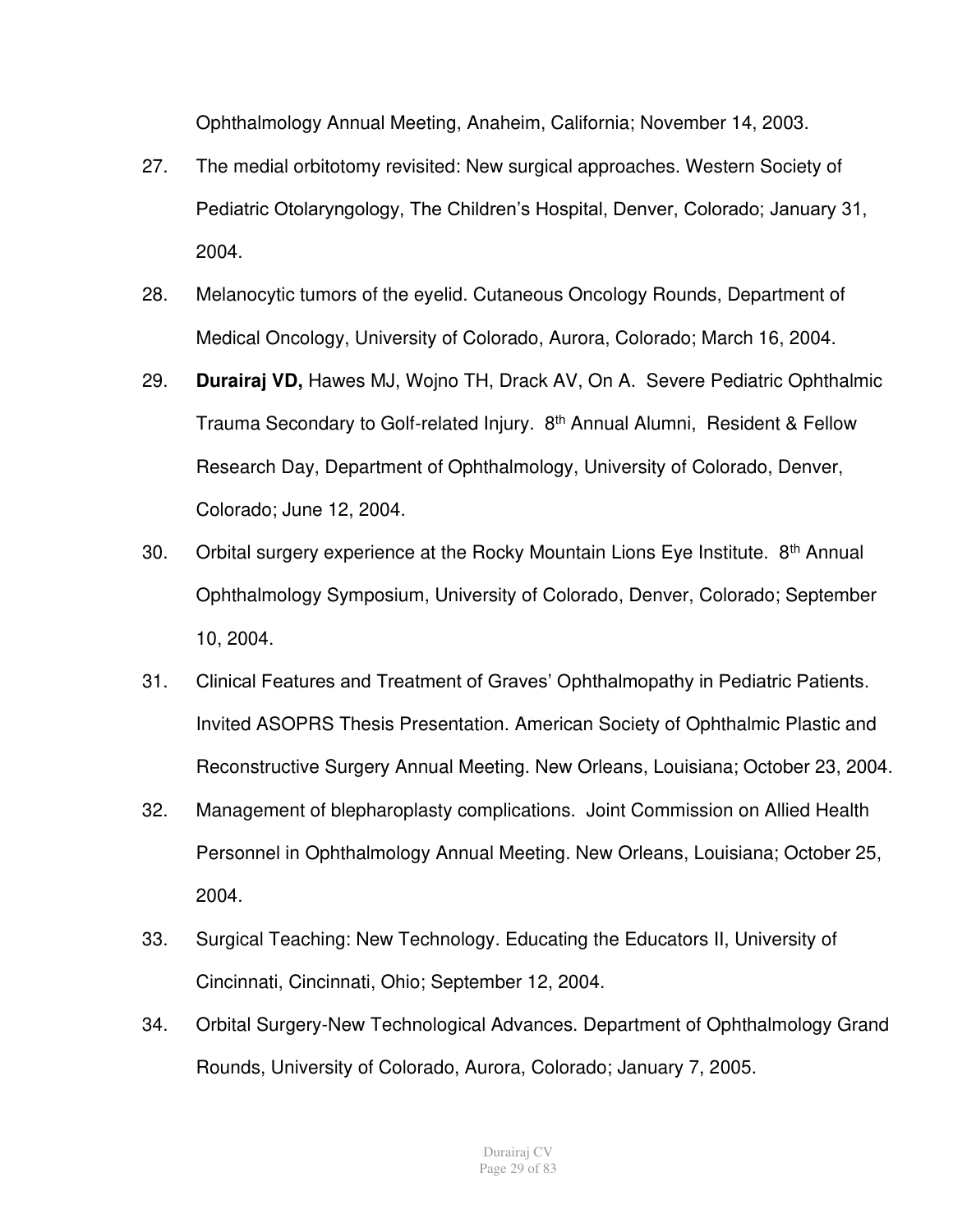Ophthalmology Annual Meeting, Anaheim, California; November 14, 2003.

- 27. The medial orbitotomy revisited: New surgical approaches. Western Society of Pediatric Otolaryngology, The Children's Hospital, Denver, Colorado; January 31, 2004.
- 28. Melanocytic tumors of the eyelid. Cutaneous Oncology Rounds, Department of Medical Oncology, University of Colorado, Aurora, Colorado; March 16, 2004.
- 29. **Durairaj VD,** Hawes MJ, Wojno TH, Drack AV, On A. Severe Pediatric Ophthalmic Trauma Secondary to Golf-related Injury. 8th Annual Alumni, Resident & Fellow Research Day, Department of Ophthalmology, University of Colorado, Denver, Colorado; June 12, 2004.
- 30. Orbital surgery experience at the Rocky Mountain Lions Eye Institute. 8<sup>th</sup> Annual Ophthalmology Symposium, University of Colorado, Denver, Colorado; September 10, 2004.
- 31. Clinical Features and Treatment of Graves' Ophthalmopathy in Pediatric Patients. Invited ASOPRS Thesis Presentation. American Society of Ophthalmic Plastic and Reconstructive Surgery Annual Meeting. New Orleans, Louisiana; October 23, 2004.
- 32. Management of blepharoplasty complications. Joint Commission on Allied Health Personnel in Ophthalmology Annual Meeting. New Orleans, Louisiana; October 25, 2004.
- 33. Surgical Teaching: New Technology. Educating the Educators II, University of Cincinnati, Cincinnati, Ohio; September 12, 2004.
- 34. Orbital Surgery-New Technological Advances. Department of Ophthalmology Grand Rounds, University of Colorado, Aurora, Colorado; January 7, 2005.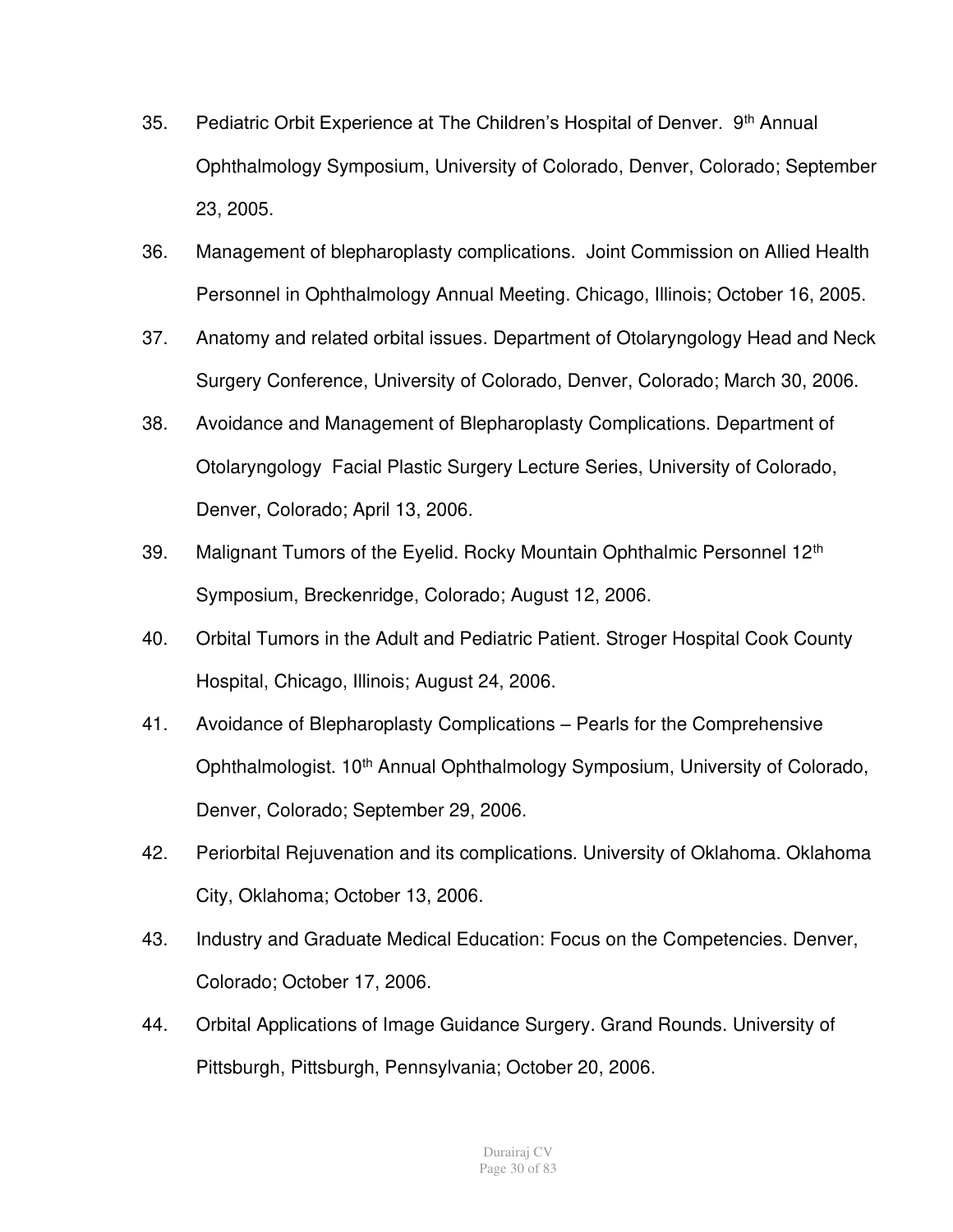- 35. Pediatric Orbit Experience at The Children's Hospital of Denver. 9<sup>th</sup> Annual Ophthalmology Symposium, University of Colorado, Denver, Colorado; September 23, 2005.
- 36. Management of blepharoplasty complications. Joint Commission on Allied Health Personnel in Ophthalmology Annual Meeting. Chicago, Illinois; October 16, 2005.
- 37. Anatomy and related orbital issues. Department of Otolaryngology Head and Neck Surgery Conference, University of Colorado, Denver, Colorado; March 30, 2006.
- 38. Avoidance and Management of Blepharoplasty Complications. Department of Otolaryngology Facial Plastic Surgery Lecture Series, University of Colorado, Denver, Colorado; April 13, 2006.
- 39. Malignant Tumors of the Eyelid. Rocky Mountain Ophthalmic Personnel 12<sup>th</sup> Symposium, Breckenridge, Colorado; August 12, 2006.
- 40. Orbital Tumors in the Adult and Pediatric Patient. Stroger Hospital Cook County Hospital, Chicago, Illinois; August 24, 2006.
- 41. Avoidance of Blepharoplasty Complications Pearls for the Comprehensive Ophthalmologist. 10<sup>th</sup> Annual Ophthalmology Symposium, University of Colorado, Denver, Colorado; September 29, 2006.
- 42. Periorbital Rejuvenation and its complications. University of Oklahoma. Oklahoma City, Oklahoma; October 13, 2006.
- 43. Industry and Graduate Medical Education: Focus on the Competencies. Denver, Colorado; October 17, 2006.
- 44. Orbital Applications of Image Guidance Surgery. Grand Rounds. University of Pittsburgh, Pittsburgh, Pennsylvania; October 20, 2006.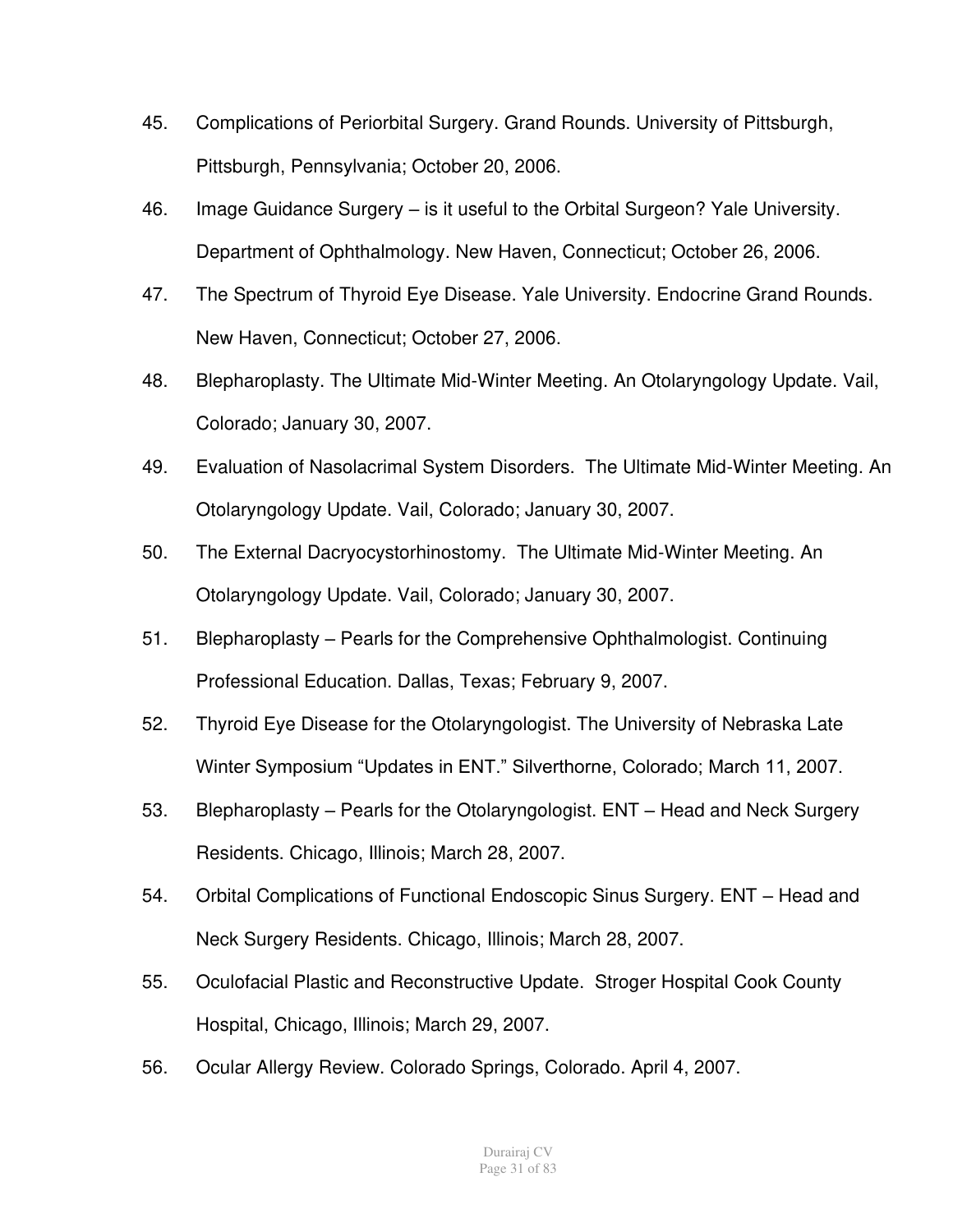- 45. Complications of Periorbital Surgery. Grand Rounds. University of Pittsburgh, Pittsburgh, Pennsylvania; October 20, 2006.
- 46. Image Guidance Surgery is it useful to the Orbital Surgeon? Yale University. Department of Ophthalmology. New Haven, Connecticut; October 26, 2006.
- 47. The Spectrum of Thyroid Eye Disease. Yale University. Endocrine Grand Rounds. New Haven, Connecticut; October 27, 2006.
- 48. Blepharoplasty. The Ultimate Mid-Winter Meeting. An Otolaryngology Update. Vail, Colorado; January 30, 2007.
- 49. Evaluation of Nasolacrimal System Disorders. The Ultimate Mid-Winter Meeting. An Otolaryngology Update. Vail, Colorado; January 30, 2007.
- 50. The External Dacryocystorhinostomy. The Ultimate Mid-Winter Meeting. An Otolaryngology Update. Vail, Colorado; January 30, 2007.
- 51. Blepharoplasty Pearls for the Comprehensive Ophthalmologist. Continuing Professional Education. Dallas, Texas; February 9, 2007.
- 52. Thyroid Eye Disease for the Otolaryngologist. The University of Nebraska Late Winter Symposium "Updates in ENT." Silverthorne, Colorado; March 11, 2007.
- 53. Blepharoplasty Pearls for the Otolaryngologist. ENT Head and Neck Surgery Residents. Chicago, Illinois; March 28, 2007.
- 54. Orbital Complications of Functional Endoscopic Sinus Surgery. ENT Head and Neck Surgery Residents. Chicago, Illinois; March 28, 2007.
- 55. Oculofacial Plastic and Reconstructive Update. Stroger Hospital Cook County Hospital, Chicago, Illinois; March 29, 2007.
- 56. Ocular Allergy Review. Colorado Springs, Colorado. April 4, 2007.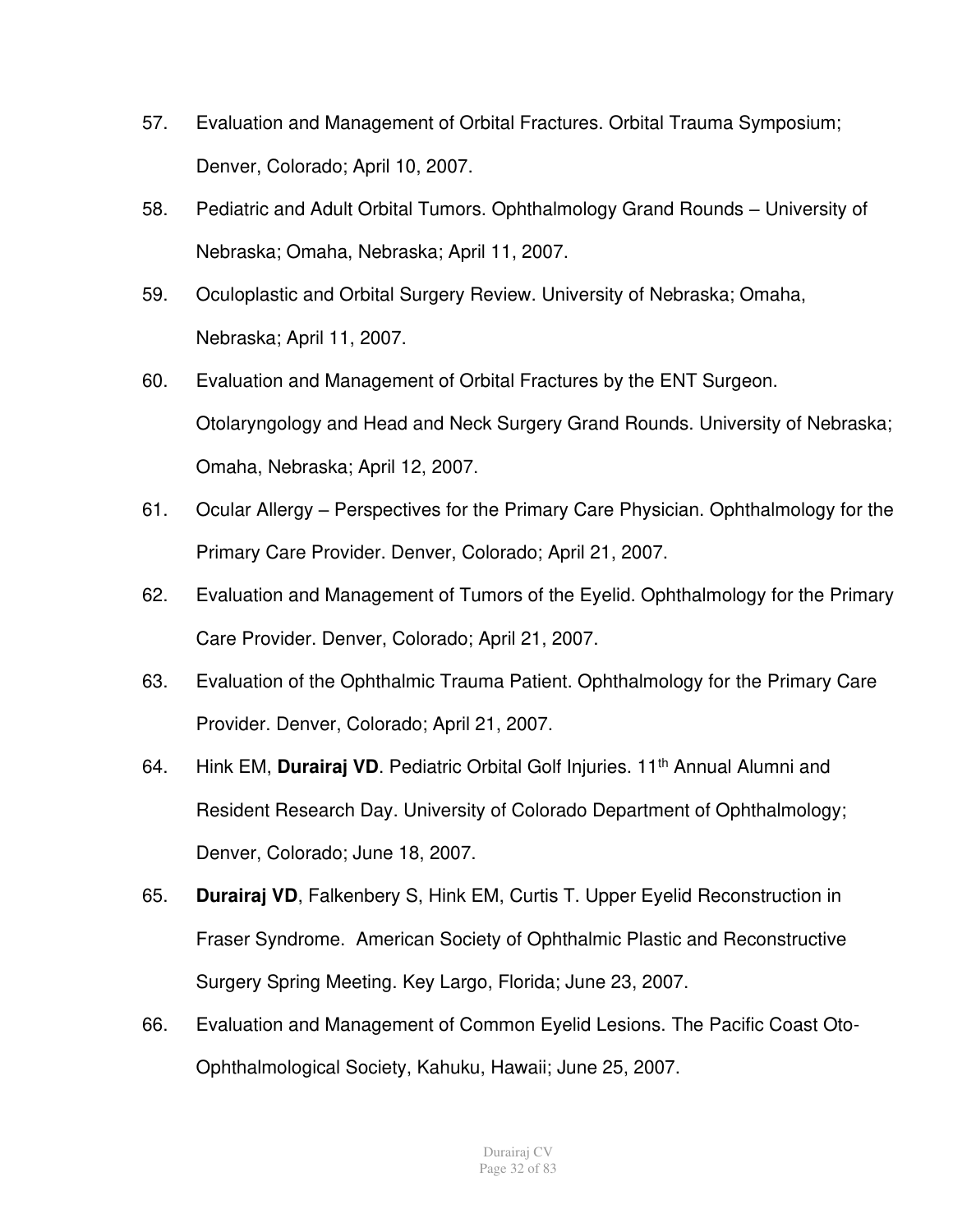- 57. Evaluation and Management of Orbital Fractures. Orbital Trauma Symposium; Denver, Colorado; April 10, 2007.
- 58. Pediatric and Adult Orbital Tumors. Ophthalmology Grand Rounds University of Nebraska; Omaha, Nebraska; April 11, 2007.
- 59. Oculoplastic and Orbital Surgery Review. University of Nebraska; Omaha, Nebraska; April 11, 2007.
- 60. Evaluation and Management of Orbital Fractures by the ENT Surgeon. Otolaryngology and Head and Neck Surgery Grand Rounds. University of Nebraska; Omaha, Nebraska; April 12, 2007.
- 61. Ocular Allergy Perspectives for the Primary Care Physician. Ophthalmology for the Primary Care Provider. Denver, Colorado; April 21, 2007.
- 62. Evaluation and Management of Tumors of the Eyelid. Ophthalmology for the Primary Care Provider. Denver, Colorado; April 21, 2007.
- 63. Evaluation of the Ophthalmic Trauma Patient. Ophthalmology for the Primary Care Provider. Denver, Colorado; April 21, 2007.
- 64. Hink EM, **Durairaj VD**. Pediatric Orbital Golf Injuries. 11th Annual Alumni and Resident Research Day. University of Colorado Department of Ophthalmology; Denver, Colorado; June 18, 2007.
- 65. **Durairaj VD**, Falkenbery S, Hink EM, Curtis T. Upper Eyelid Reconstruction in Fraser Syndrome. American Society of Ophthalmic Plastic and Reconstructive Surgery Spring Meeting. Key Largo, Florida; June 23, 2007.
- 66. Evaluation and Management of Common Eyelid Lesions. The Pacific Coast Oto-Ophthalmological Society, Kahuku, Hawaii; June 25, 2007.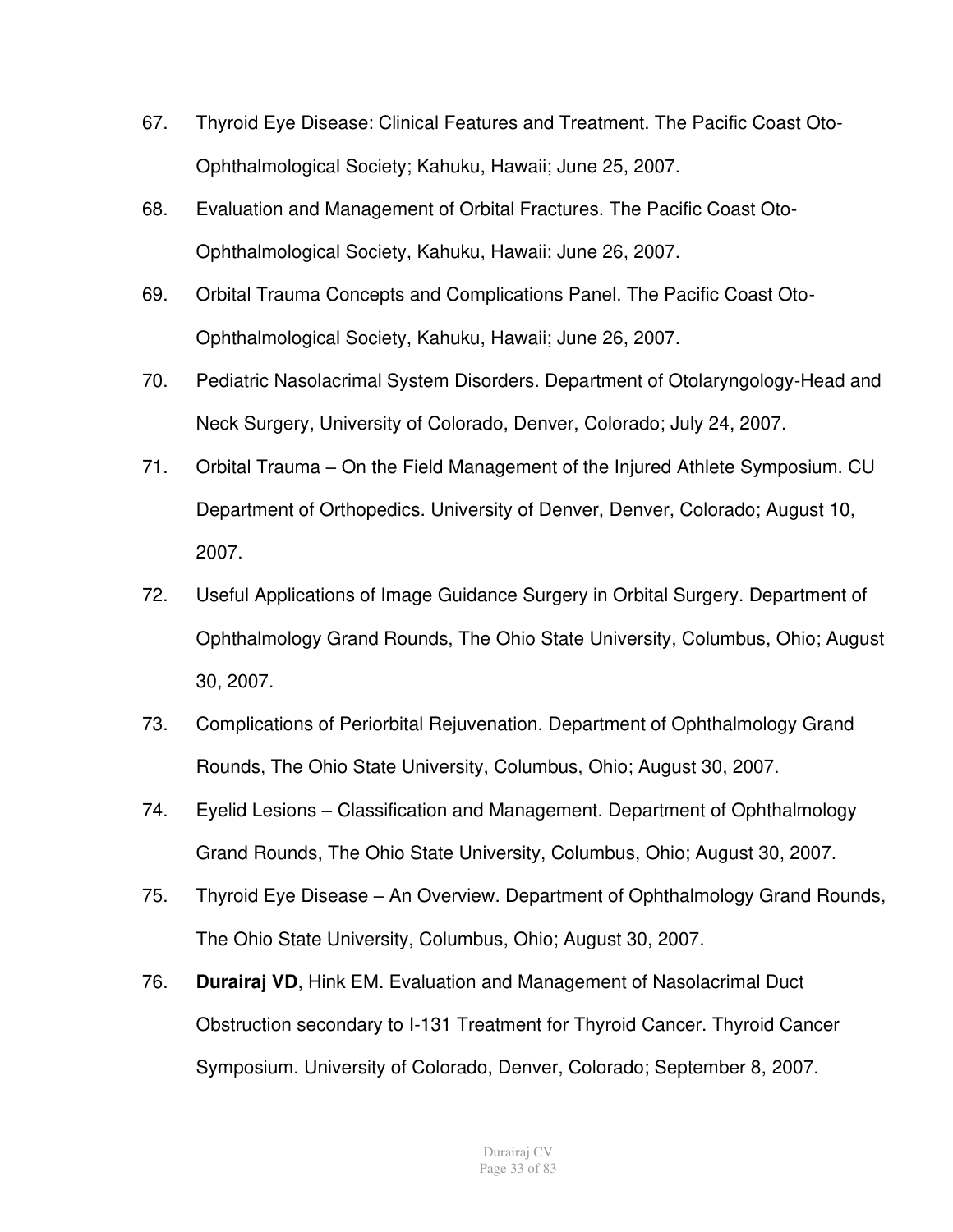- 67. Thyroid Eye Disease: Clinical Features and Treatment. The Pacific Coast Oto-Ophthalmological Society; Kahuku, Hawaii; June 25, 2007.
- 68. Evaluation and Management of Orbital Fractures. The Pacific Coast Oto-Ophthalmological Society, Kahuku, Hawaii; June 26, 2007.
- 69. Orbital Trauma Concepts and Complications Panel. The Pacific Coast Oto-Ophthalmological Society, Kahuku, Hawaii; June 26, 2007.
- 70. Pediatric Nasolacrimal System Disorders. Department of Otolaryngology-Head and Neck Surgery, University of Colorado, Denver, Colorado; July 24, 2007.
- 71. Orbital Trauma On the Field Management of the Injured Athlete Symposium. CU Department of Orthopedics. University of Denver, Denver, Colorado; August 10, 2007.
- 72. Useful Applications of Image Guidance Surgery in Orbital Surgery. Department of Ophthalmology Grand Rounds, The Ohio State University, Columbus, Ohio; August 30, 2007.
- 73. Complications of Periorbital Rejuvenation. Department of Ophthalmology Grand Rounds, The Ohio State University, Columbus, Ohio; August 30, 2007.
- 74. Eyelid Lesions Classification and Management. Department of Ophthalmology Grand Rounds, The Ohio State University, Columbus, Ohio; August 30, 2007.
- 75. Thyroid Eye Disease An Overview. Department of Ophthalmology Grand Rounds, The Ohio State University, Columbus, Ohio; August 30, 2007.
- 76. **Durairaj VD**, Hink EM. Evaluation and Management of Nasolacrimal Duct Obstruction secondary to I-131 Treatment for Thyroid Cancer. Thyroid Cancer Symposium. University of Colorado, Denver, Colorado; September 8, 2007.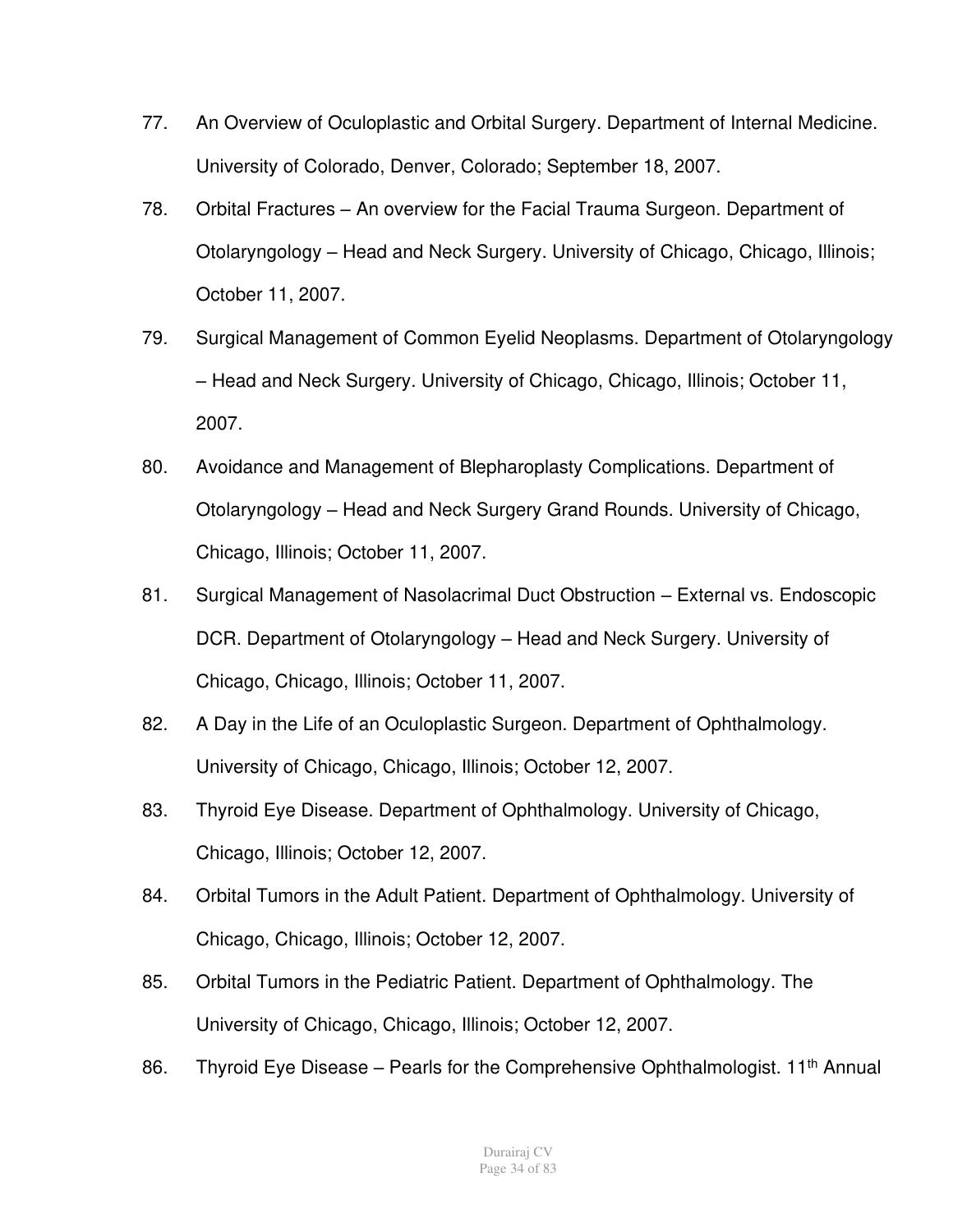- 77. An Overview of Oculoplastic and Orbital Surgery. Department of Internal Medicine. University of Colorado, Denver, Colorado; September 18, 2007.
- 78. Orbital Fractures An overview for the Facial Trauma Surgeon. Department of Otolaryngology – Head and Neck Surgery. University of Chicago, Chicago, Illinois; October 11, 2007.
- 79. Surgical Management of Common Eyelid Neoplasms. Department of Otolaryngology – Head and Neck Surgery. University of Chicago, Chicago, Illinois; October 11, 2007.
- 80. Avoidance and Management of Blepharoplasty Complications. Department of Otolaryngology – Head and Neck Surgery Grand Rounds. University of Chicago, Chicago, Illinois; October 11, 2007.
- 81. Surgical Management of Nasolacrimal Duct Obstruction External vs. Endoscopic DCR. Department of Otolaryngology – Head and Neck Surgery. University of Chicago, Chicago, Illinois; October 11, 2007.
- 82. A Day in the Life of an Oculoplastic Surgeon. Department of Ophthalmology. University of Chicago, Chicago, Illinois; October 12, 2007.
- 83. Thyroid Eye Disease. Department of Ophthalmology. University of Chicago, Chicago, Illinois; October 12, 2007.
- 84. Orbital Tumors in the Adult Patient. Department of Ophthalmology. University of Chicago, Chicago, Illinois; October 12, 2007.
- 85. Orbital Tumors in the Pediatric Patient. Department of Ophthalmology. The University of Chicago, Chicago, Illinois; October 12, 2007.
- 86. Thyroid Eye Disease Pearls for the Comprehensive Ophthalmologist.  $11<sup>th</sup>$  Annual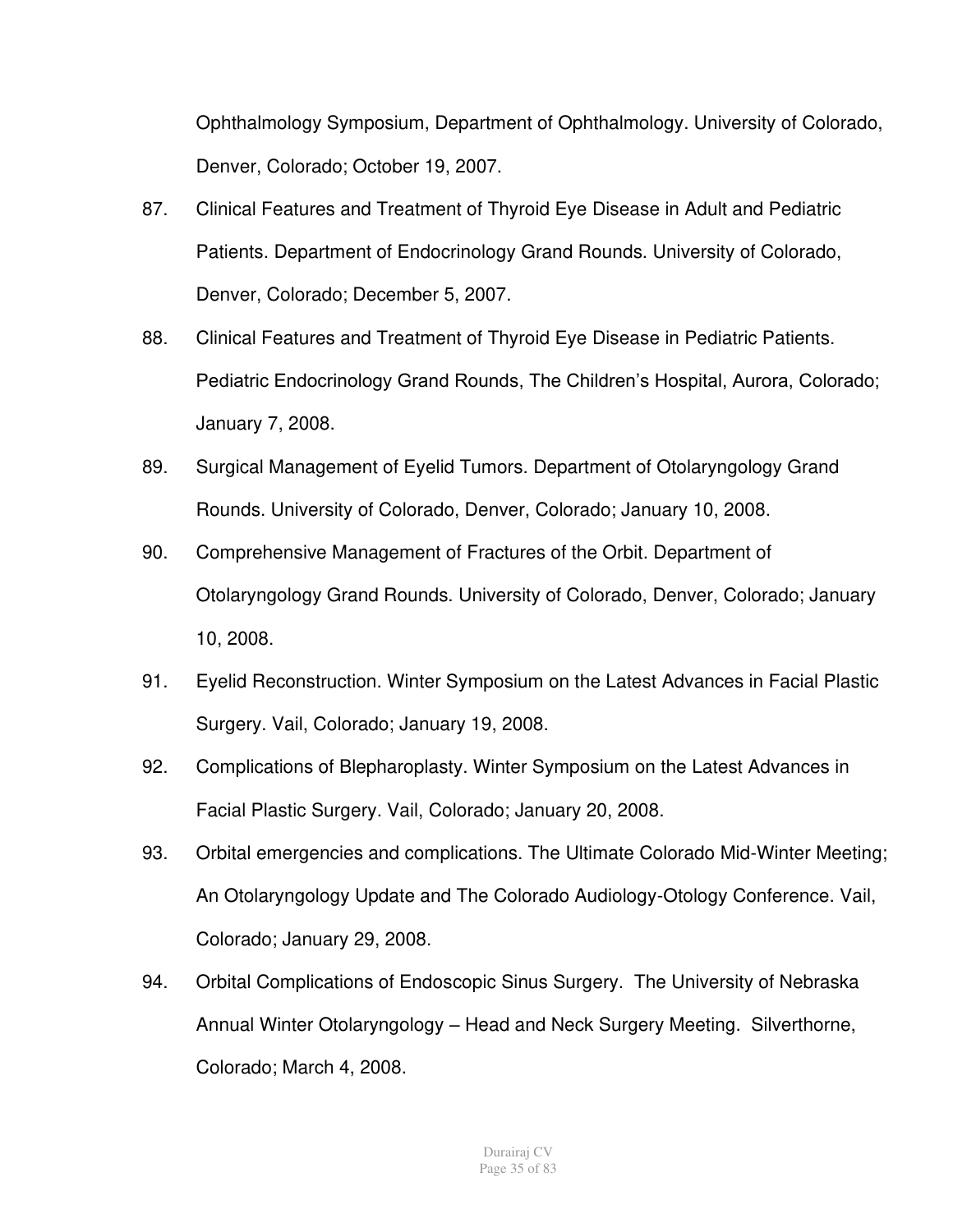Ophthalmology Symposium, Department of Ophthalmology. University of Colorado, Denver, Colorado; October 19, 2007.

- 87. Clinical Features and Treatment of Thyroid Eye Disease in Adult and Pediatric Patients. Department of Endocrinology Grand Rounds. University of Colorado, Denver, Colorado; December 5, 2007.
- 88. Clinical Features and Treatment of Thyroid Eye Disease in Pediatric Patients. Pediatric Endocrinology Grand Rounds, The Children's Hospital, Aurora, Colorado; January 7, 2008.
- 89. Surgical Management of Eyelid Tumors. Department of Otolaryngology Grand Rounds. University of Colorado, Denver, Colorado; January 10, 2008.
- 90. Comprehensive Management of Fractures of the Orbit. Department of Otolaryngology Grand Rounds. University of Colorado, Denver, Colorado; January 10, 2008.
- 91. Eyelid Reconstruction. Winter Symposium on the Latest Advances in Facial Plastic Surgery. Vail, Colorado; January 19, 2008.
- 92. Complications of Blepharoplasty. Winter Symposium on the Latest Advances in Facial Plastic Surgery. Vail, Colorado; January 20, 2008.
- 93. Orbital emergencies and complications. The Ultimate Colorado Mid-Winter Meeting; An Otolaryngology Update and The Colorado Audiology-Otology Conference. Vail, Colorado; January 29, 2008.
- 94. Orbital Complications of Endoscopic Sinus Surgery. The University of Nebraska Annual Winter Otolaryngology – Head and Neck Surgery Meeting. Silverthorne, Colorado; March 4, 2008.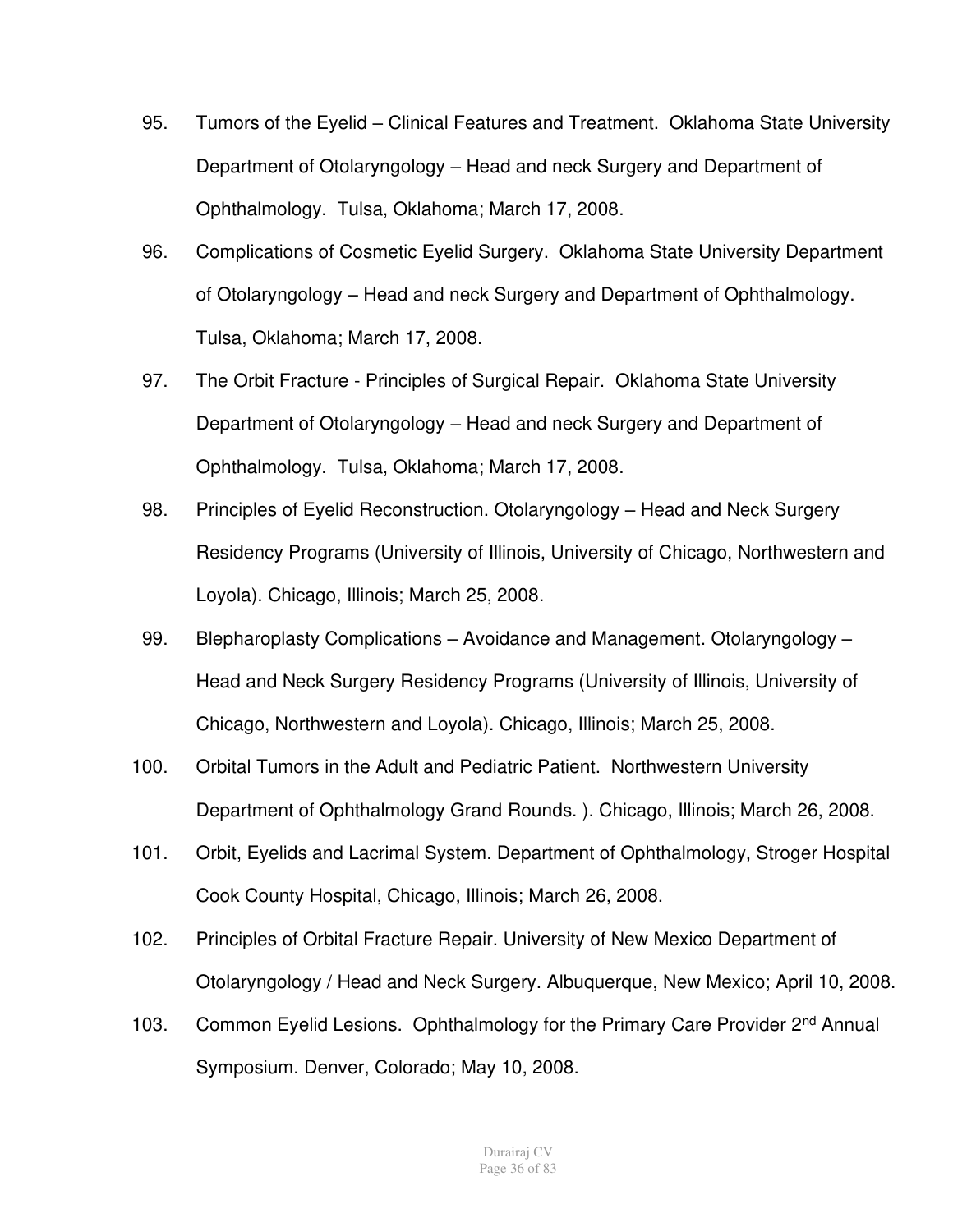- 95. Tumors of the Eyelid Clinical Features and Treatment. Oklahoma State University Department of Otolaryngology – Head and neck Surgery and Department of Ophthalmology. Tulsa, Oklahoma; March 17, 2008.
- 96. Complications of Cosmetic Eyelid Surgery. Oklahoma State University Department of Otolaryngology – Head and neck Surgery and Department of Ophthalmology. Tulsa, Oklahoma; March 17, 2008.
- 97. The Orbit Fracture Principles of Surgical Repair. Oklahoma State University Department of Otolaryngology – Head and neck Surgery and Department of Ophthalmology. Tulsa, Oklahoma; March 17, 2008.
- 98. Principles of Eyelid Reconstruction. Otolaryngology Head and Neck Surgery Residency Programs (University of Illinois, University of Chicago, Northwestern and Loyola). Chicago, Illinois; March 25, 2008.
- 99. Blepharoplasty Complications Avoidance and Management. Otolaryngology Head and Neck Surgery Residency Programs (University of Illinois, University of Chicago, Northwestern and Loyola). Chicago, Illinois; March 25, 2008.
- 100. Orbital Tumors in the Adult and Pediatric Patient. Northwestern University Department of Ophthalmology Grand Rounds. ). Chicago, Illinois; March 26, 2008.
- 101. Orbit, Eyelids and Lacrimal System. Department of Ophthalmology, Stroger Hospital Cook County Hospital, Chicago, Illinois; March 26, 2008.
- 102. Principles of Orbital Fracture Repair. University of New Mexico Department of Otolaryngology / Head and Neck Surgery. Albuquerque, New Mexico; April 10, 2008.
- 103. Common Eyelid Lesions. Ophthalmology for the Primary Care Provider 2<sup>nd</sup> Annual Symposium. Denver, Colorado; May 10, 2008.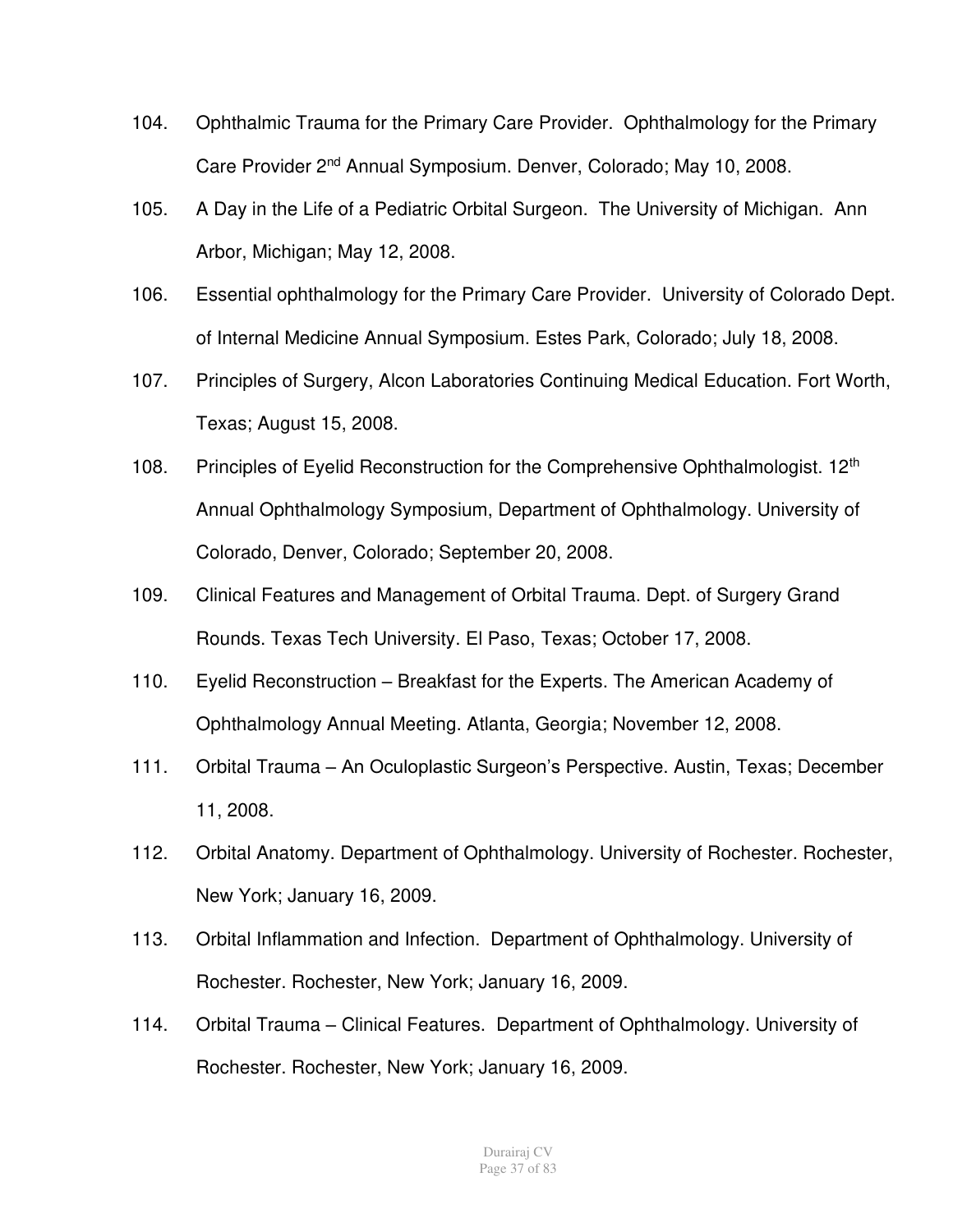- 104. Ophthalmic Trauma for the Primary Care Provider. Ophthalmology for the Primary Care Provider 2nd Annual Symposium. Denver, Colorado; May 10, 2008.
- 105. A Day in the Life of a Pediatric Orbital Surgeon. The University of Michigan. Ann Arbor, Michigan; May 12, 2008.
- 106. Essential ophthalmology for the Primary Care Provider. University of Colorado Dept. of Internal Medicine Annual Symposium. Estes Park, Colorado; July 18, 2008.
- 107. Principles of Surgery, Alcon Laboratories Continuing Medical Education. Fort Worth, Texas; August 15, 2008.
- 108. Principles of Eyelid Reconstruction for the Comprehensive Ophthalmologist. 12<sup>th</sup> Annual Ophthalmology Symposium, Department of Ophthalmology. University of Colorado, Denver, Colorado; September 20, 2008.
- 109. Clinical Features and Management of Orbital Trauma. Dept. of Surgery Grand Rounds. Texas Tech University. El Paso, Texas; October 17, 2008.
- 110. Eyelid Reconstruction Breakfast for the Experts. The American Academy of Ophthalmology Annual Meeting. Atlanta, Georgia; November 12, 2008.
- 111. Orbital Trauma An Oculoplastic Surgeon's Perspective. Austin, Texas; December 11, 2008.
- 112. Orbital Anatomy. Department of Ophthalmology. University of Rochester. Rochester, New York; January 16, 2009.
- 113. Orbital Inflammation and Infection. Department of Ophthalmology. University of Rochester. Rochester, New York; January 16, 2009.
- 114. Orbital Trauma Clinical Features. Department of Ophthalmology. University of Rochester. Rochester, New York; January 16, 2009.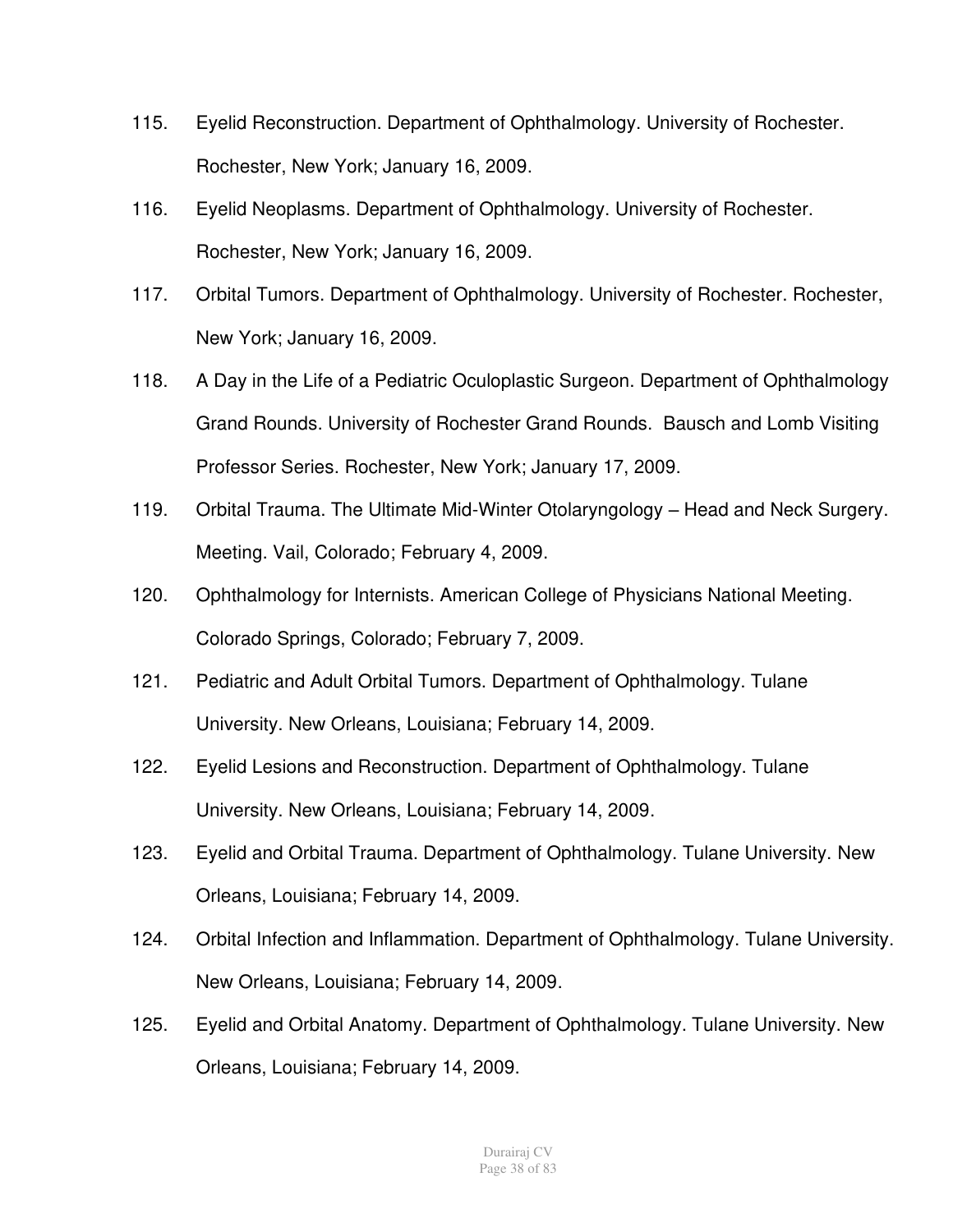- 115. Eyelid Reconstruction. Department of Ophthalmology. University of Rochester. Rochester, New York; January 16, 2009.
- 116. Eyelid Neoplasms. Department of Ophthalmology. University of Rochester. Rochester, New York; January 16, 2009.
- 117. Orbital Tumors. Department of Ophthalmology. University of Rochester. Rochester, New York; January 16, 2009.
- 118. A Day in the Life of a Pediatric Oculoplastic Surgeon. Department of Ophthalmology Grand Rounds. University of Rochester Grand Rounds. Bausch and Lomb Visiting Professor Series. Rochester, New York; January 17, 2009.
- 119. Orbital Trauma. The Ultimate Mid-Winter Otolaryngology Head and Neck Surgery. Meeting. Vail, Colorado; February 4, 2009.
- 120. Ophthalmology for Internists. American College of Physicians National Meeting. Colorado Springs, Colorado; February 7, 2009.
- 121. Pediatric and Adult Orbital Tumors. Department of Ophthalmology. Tulane University. New Orleans, Louisiana; February 14, 2009.
- 122. Eyelid Lesions and Reconstruction. Department of Ophthalmology. Tulane University. New Orleans, Louisiana; February 14, 2009.
- 123. Eyelid and Orbital Trauma. Department of Ophthalmology. Tulane University. New Orleans, Louisiana; February 14, 2009.
- 124. Orbital Infection and Inflammation. Department of Ophthalmology. Tulane University. New Orleans, Louisiana; February 14, 2009.
- 125. Eyelid and Orbital Anatomy. Department of Ophthalmology. Tulane University. New Orleans, Louisiana; February 14, 2009.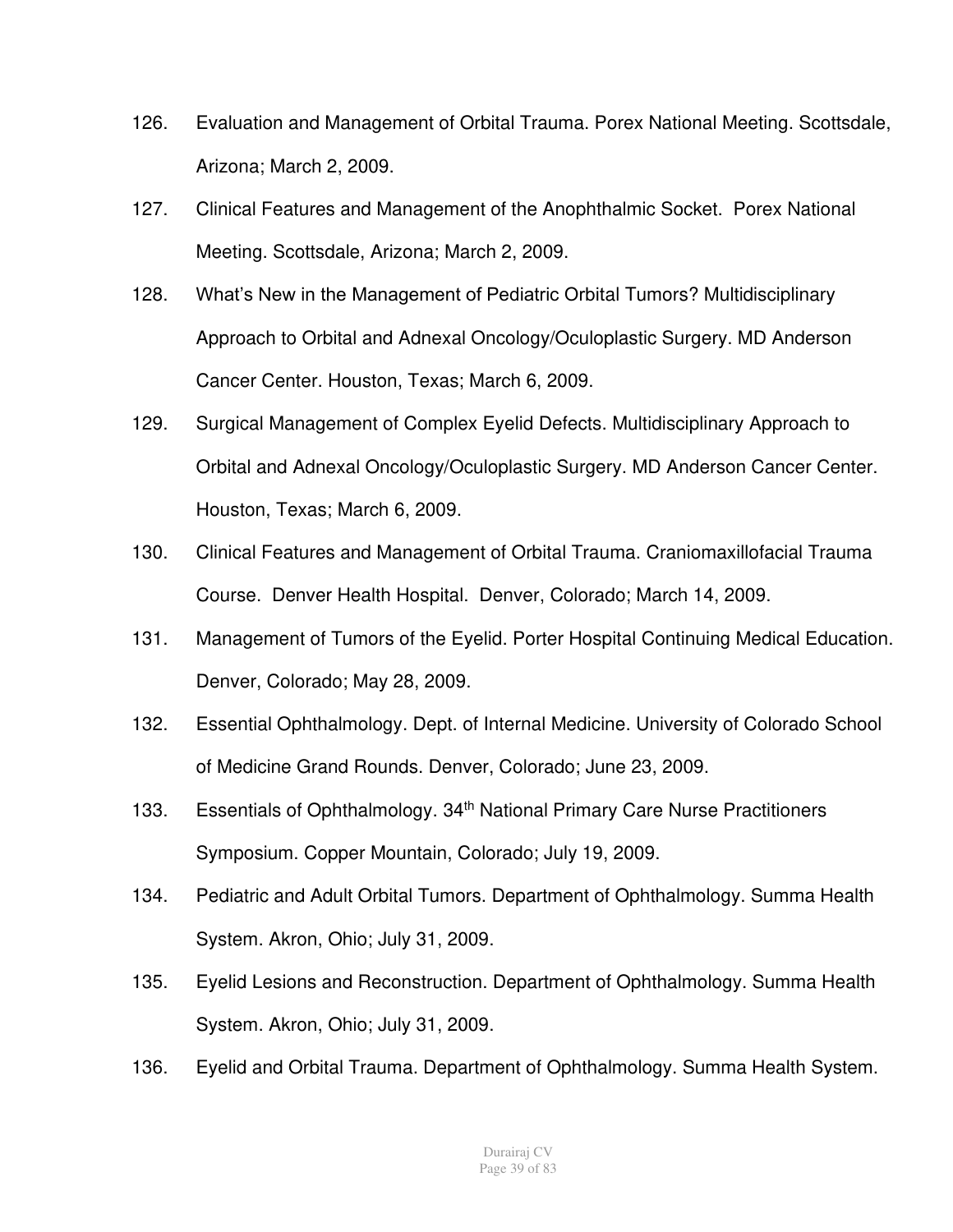- 126. Evaluation and Management of Orbital Trauma. Porex National Meeting. Scottsdale, Arizona; March 2, 2009.
- 127. Clinical Features and Management of the Anophthalmic Socket. Porex National Meeting. Scottsdale, Arizona; March 2, 2009.
- 128. What's New in the Management of Pediatric Orbital Tumors? Multidisciplinary Approach to Orbital and Adnexal Oncology/Oculoplastic Surgery. MD Anderson Cancer Center. Houston, Texas; March 6, 2009.
- 129. Surgical Management of Complex Eyelid Defects. Multidisciplinary Approach to Orbital and Adnexal Oncology/Oculoplastic Surgery. MD Anderson Cancer Center. Houston, Texas; March 6, 2009.
- 130. Clinical Features and Management of Orbital Trauma. Craniomaxillofacial Trauma Course. Denver Health Hospital. Denver, Colorado; March 14, 2009.
- 131. Management of Tumors of the Eyelid. Porter Hospital Continuing Medical Education. Denver, Colorado; May 28, 2009.
- 132. Essential Ophthalmology. Dept. of Internal Medicine. University of Colorado School of Medicine Grand Rounds. Denver, Colorado; June 23, 2009.
- 133. Essentials of Ophthalmology. 34<sup>th</sup> National Primary Care Nurse Practitioners Symposium. Copper Mountain, Colorado; July 19, 2009.
- 134. Pediatric and Adult Orbital Tumors. Department of Ophthalmology. Summa Health System. Akron, Ohio; July 31, 2009.
- 135. Eyelid Lesions and Reconstruction. Department of Ophthalmology. Summa Health System. Akron, Ohio; July 31, 2009.
- 136. Eyelid and Orbital Trauma. Department of Ophthalmology. Summa Health System.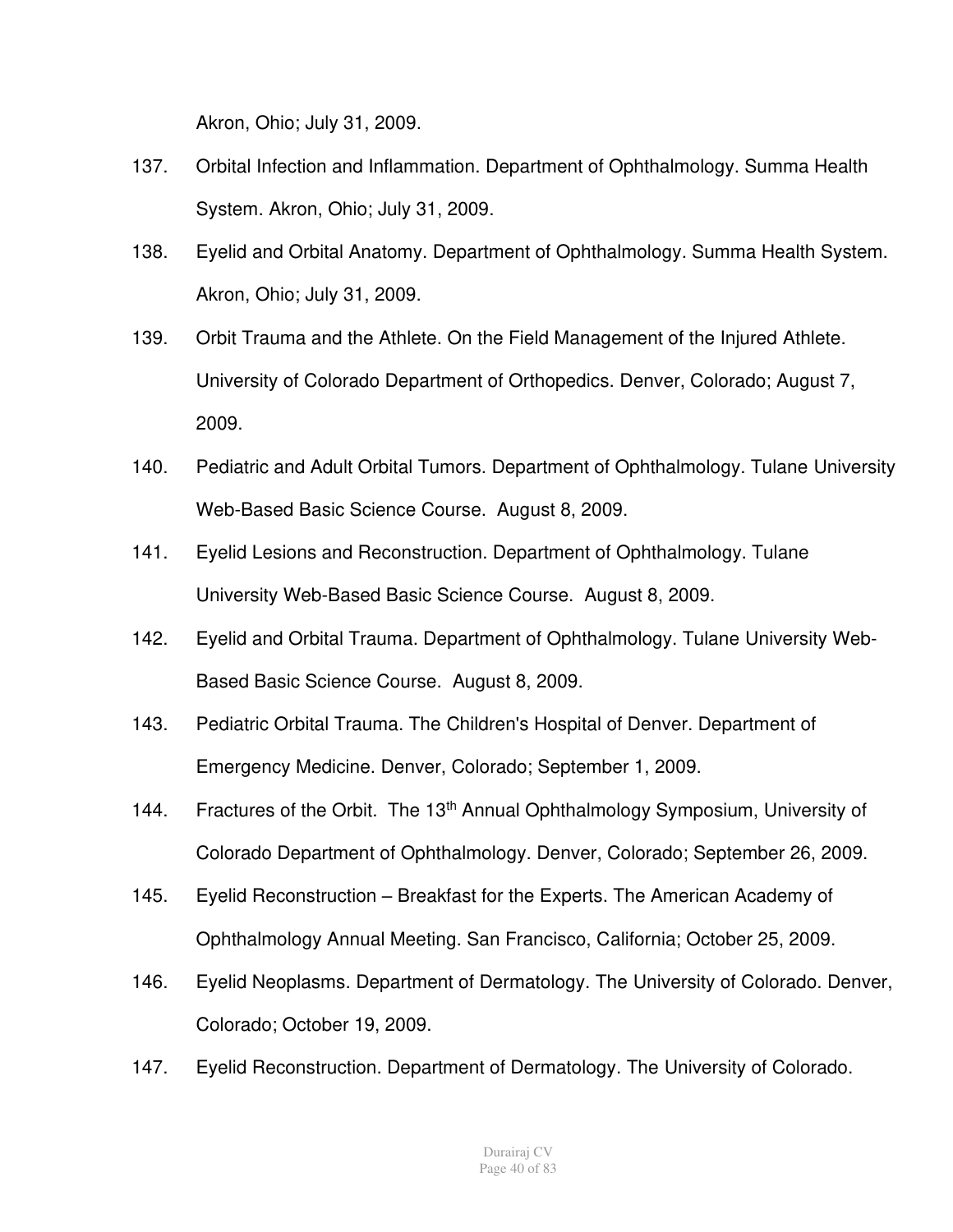Akron, Ohio; July 31, 2009.

- 137. Orbital Infection and Inflammation. Department of Ophthalmology. Summa Health System. Akron, Ohio; July 31, 2009.
- 138. Eyelid and Orbital Anatomy. Department of Ophthalmology. Summa Health System. Akron, Ohio; July 31, 2009.
- 139. Orbit Trauma and the Athlete. On the Field Management of the Injured Athlete. University of Colorado Department of Orthopedics. Denver, Colorado; August 7, 2009.
- 140. Pediatric and Adult Orbital Tumors. Department of Ophthalmology. Tulane University Web-Based Basic Science Course. August 8, 2009.
- 141. Eyelid Lesions and Reconstruction. Department of Ophthalmology. Tulane University Web-Based Basic Science Course. August 8, 2009.
- 142. Eyelid and Orbital Trauma. Department of Ophthalmology. Tulane University Web-Based Basic Science Course. August 8, 2009.
- 143. Pediatric Orbital Trauma. The Children's Hospital of Denver. Department of Emergency Medicine. Denver, Colorado; September 1, 2009.
- 144. Fractures of the Orbit. The 13<sup>th</sup> Annual Ophthalmology Symposium, University of Colorado Department of Ophthalmology. Denver, Colorado; September 26, 2009.
- 145. Eyelid Reconstruction Breakfast for the Experts. The American Academy of Ophthalmology Annual Meeting. San Francisco, California; October 25, 2009.
- 146. Eyelid Neoplasms. Department of Dermatology. The University of Colorado. Denver, Colorado; October 19, 2009.
- 147. Eyelid Reconstruction. Department of Dermatology. The University of Colorado.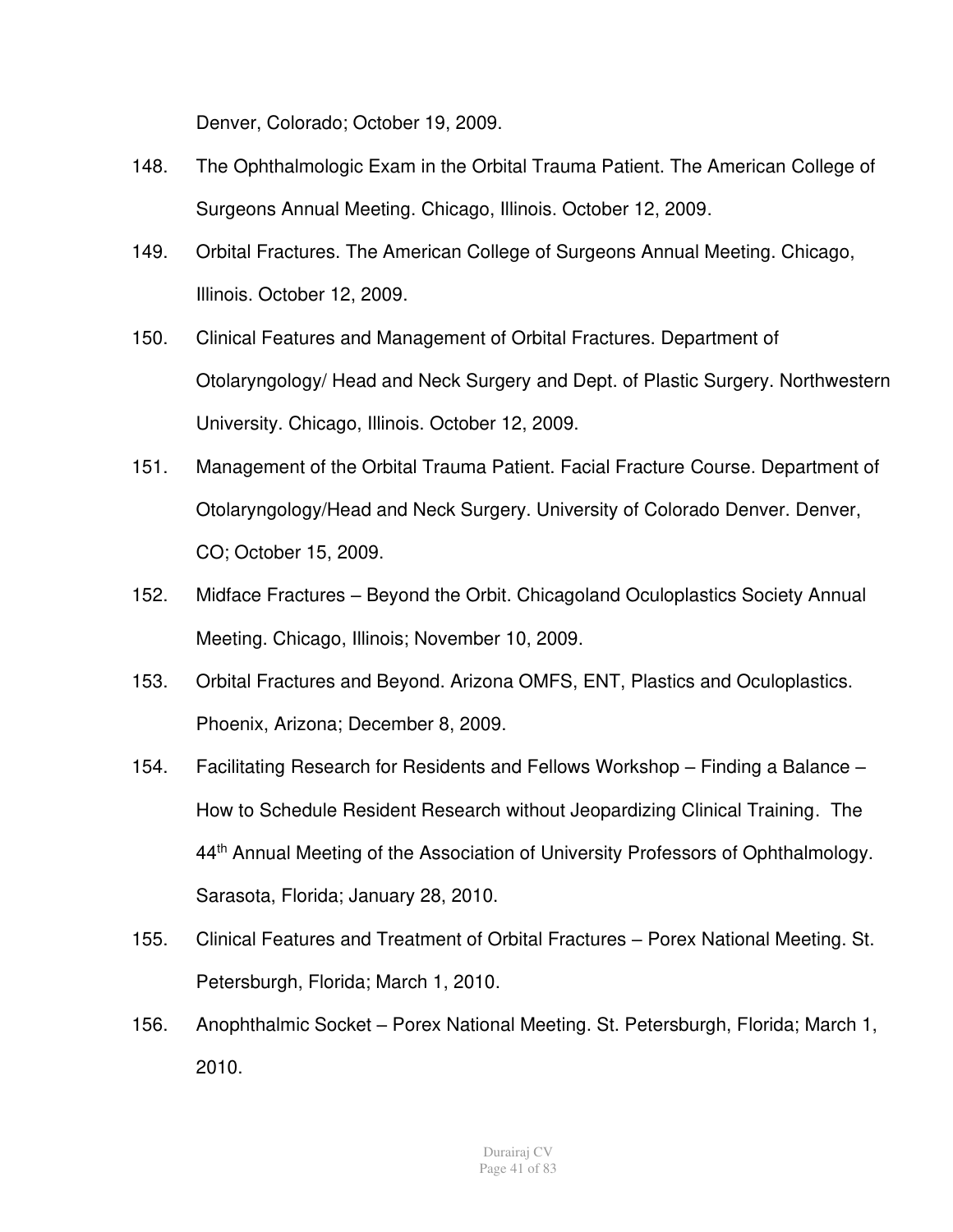Denver, Colorado; October 19, 2009.

- 148. The Ophthalmologic Exam in the Orbital Trauma Patient. The American College of Surgeons Annual Meeting. Chicago, Illinois. October 12, 2009.
- 149. Orbital Fractures. The American College of Surgeons Annual Meeting. Chicago, Illinois. October 12, 2009.
- 150. Clinical Features and Management of Orbital Fractures. Department of Otolaryngology/ Head and Neck Surgery and Dept. of Plastic Surgery. Northwestern University. Chicago, Illinois. October 12, 2009.
- 151. Management of the Orbital Trauma Patient. Facial Fracture Course. Department of Otolaryngology/Head and Neck Surgery. University of Colorado Denver. Denver, CO; October 15, 2009.
- 152. Midface Fractures Beyond the Orbit. Chicagoland Oculoplastics Society Annual Meeting. Chicago, Illinois; November 10, 2009.
- 153. Orbital Fractures and Beyond. Arizona OMFS, ENT, Plastics and Oculoplastics. Phoenix, Arizona; December 8, 2009.
- 154. Facilitating Research for Residents and Fellows Workshop Finding a Balance How to Schedule Resident Research without Jeopardizing Clinical Training. The 44<sup>th</sup> Annual Meeting of the Association of University Professors of Ophthalmology. Sarasota, Florida; January 28, 2010.
- 155. Clinical Features and Treatment of Orbital Fractures Porex National Meeting. St. Petersburgh, Florida; March 1, 2010.
- 156. Anophthalmic Socket Porex National Meeting. St. Petersburgh, Florida; March 1, 2010.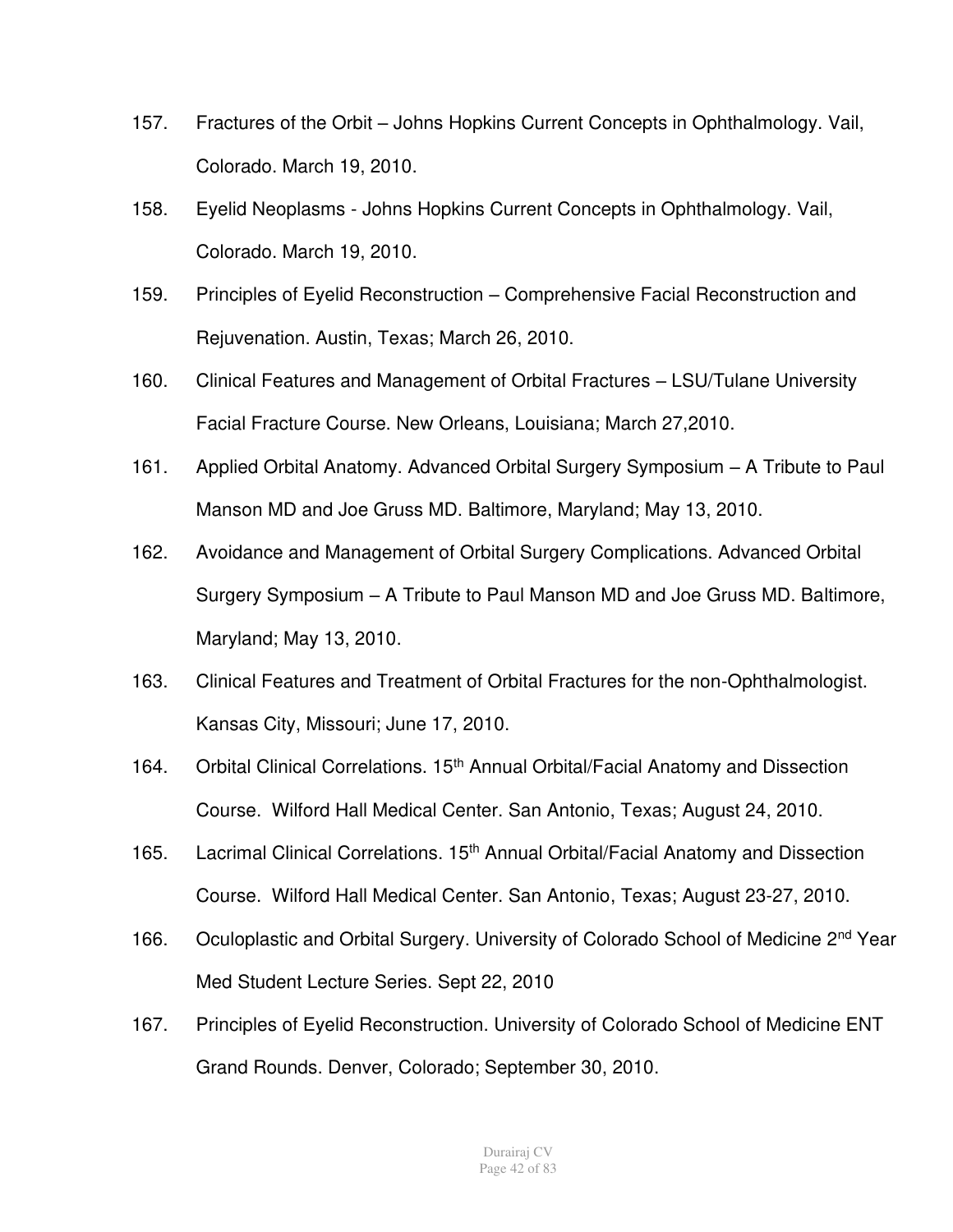- 157. Fractures of the Orbit Johns Hopkins Current Concepts in Ophthalmology. Vail, Colorado. March 19, 2010.
- 158. Eyelid Neoplasms Johns Hopkins Current Concepts in Ophthalmology. Vail, Colorado. March 19, 2010.
- 159. Principles of Eyelid Reconstruction Comprehensive Facial Reconstruction and Rejuvenation. Austin, Texas; March 26, 2010.
- 160. Clinical Features and Management of Orbital Fractures LSU/Tulane University Facial Fracture Course. New Orleans, Louisiana; March 27,2010.
- 161. Applied Orbital Anatomy. Advanced Orbital Surgery Symposium A Tribute to Paul Manson MD and Joe Gruss MD. Baltimore, Maryland; May 13, 2010.
- 162. Avoidance and Management of Orbital Surgery Complications. Advanced Orbital Surgery Symposium – A Tribute to Paul Manson MD and Joe Gruss MD. Baltimore, Maryland; May 13, 2010.
- 163. Clinical Features and Treatment of Orbital Fractures for the non-Ophthalmologist. Kansas City, Missouri; June 17, 2010.
- 164. Orbital Clinical Correlations. 15<sup>th</sup> Annual Orbital/Facial Anatomy and Dissection Course. Wilford Hall Medical Center. San Antonio, Texas; August 24, 2010.
- 165. Lacrimal Clinical Correlations. 15<sup>th</sup> Annual Orbital/Facial Anatomy and Dissection Course. Wilford Hall Medical Center. San Antonio, Texas; August 23-27, 2010.
- 166. Oculoplastic and Orbital Surgery. University of Colorado School of Medicine 2<sup>nd</sup> Year Med Student Lecture Series. Sept 22, 2010
- 167. Principles of Eyelid Reconstruction. University of Colorado School of Medicine ENT Grand Rounds. Denver, Colorado; September 30, 2010.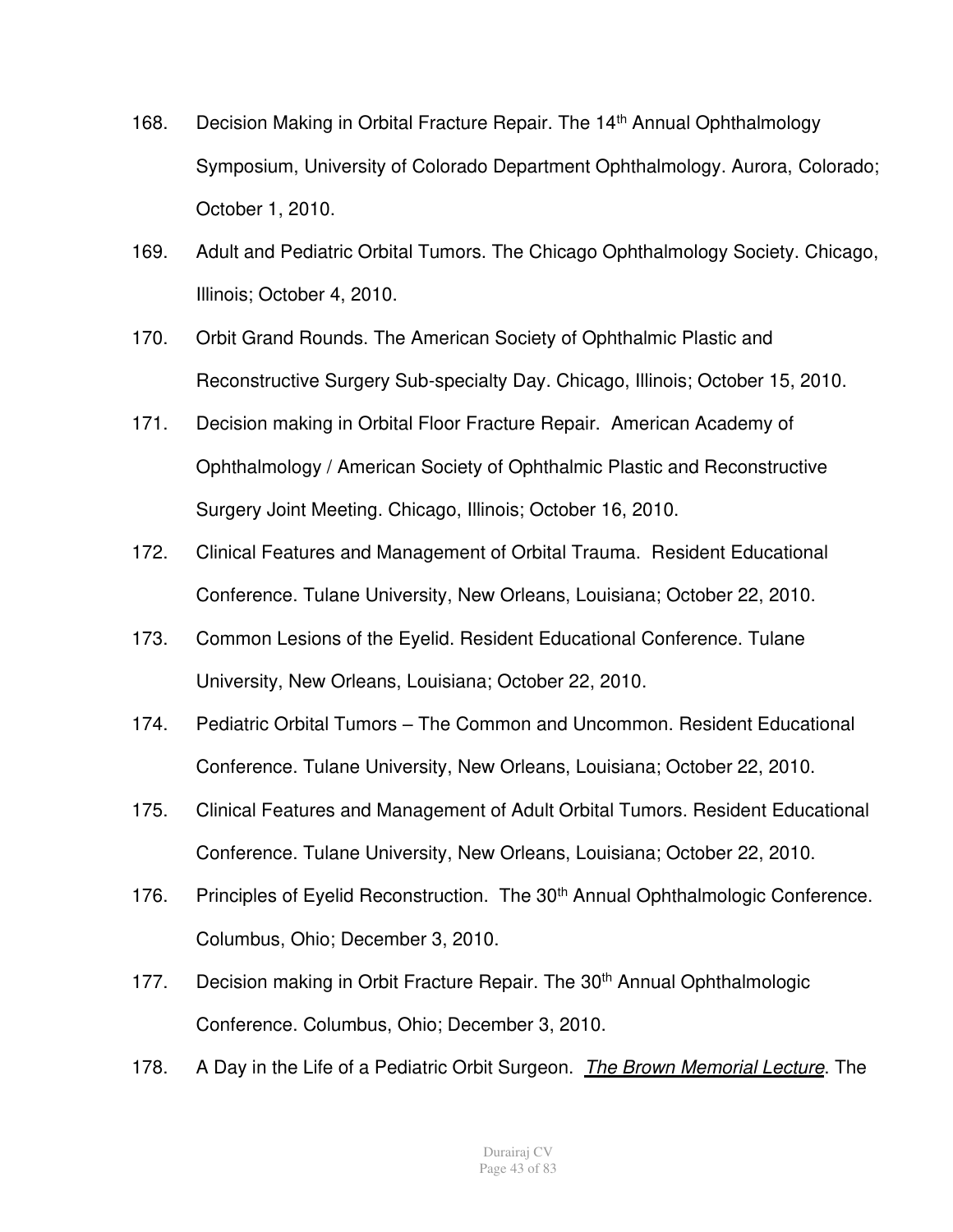- 168. Decision Making in Orbital Fracture Repair. The 14<sup>th</sup> Annual Ophthalmology Symposium, University of Colorado Department Ophthalmology. Aurora, Colorado; October 1, 2010.
- 169. Adult and Pediatric Orbital Tumors. The Chicago Ophthalmology Society. Chicago, Illinois; October 4, 2010.
- 170. Orbit Grand Rounds. The American Society of Ophthalmic Plastic and Reconstructive Surgery Sub-specialty Day. Chicago, Illinois; October 15, 2010.
- 171. Decision making in Orbital Floor Fracture Repair. American Academy of Ophthalmology / American Society of Ophthalmic Plastic and Reconstructive Surgery Joint Meeting. Chicago, Illinois; October 16, 2010.
- 172. Clinical Features and Management of Orbital Trauma. Resident Educational Conference. Tulane University, New Orleans, Louisiana; October 22, 2010.
- 173. Common Lesions of the Eyelid. Resident Educational Conference. Tulane University, New Orleans, Louisiana; October 22, 2010.
- 174. Pediatric Orbital Tumors The Common and Uncommon. Resident Educational Conference. Tulane University, New Orleans, Louisiana; October 22, 2010.
- 175. Clinical Features and Management of Adult Orbital Tumors. Resident Educational Conference. Tulane University, New Orleans, Louisiana; October 22, 2010.
- 176. Principles of Eyelid Reconstruction. The 30<sup>th</sup> Annual Ophthalmologic Conference. Columbus, Ohio; December 3, 2010.
- 177. Decision making in Orbit Fracture Repair. The 30<sup>th</sup> Annual Ophthalmologic Conference. Columbus, Ohio; December 3, 2010.
- 178. A Day in the Life of a Pediatric Orbit Surgeon. *The Brown Memorial Lecture*. The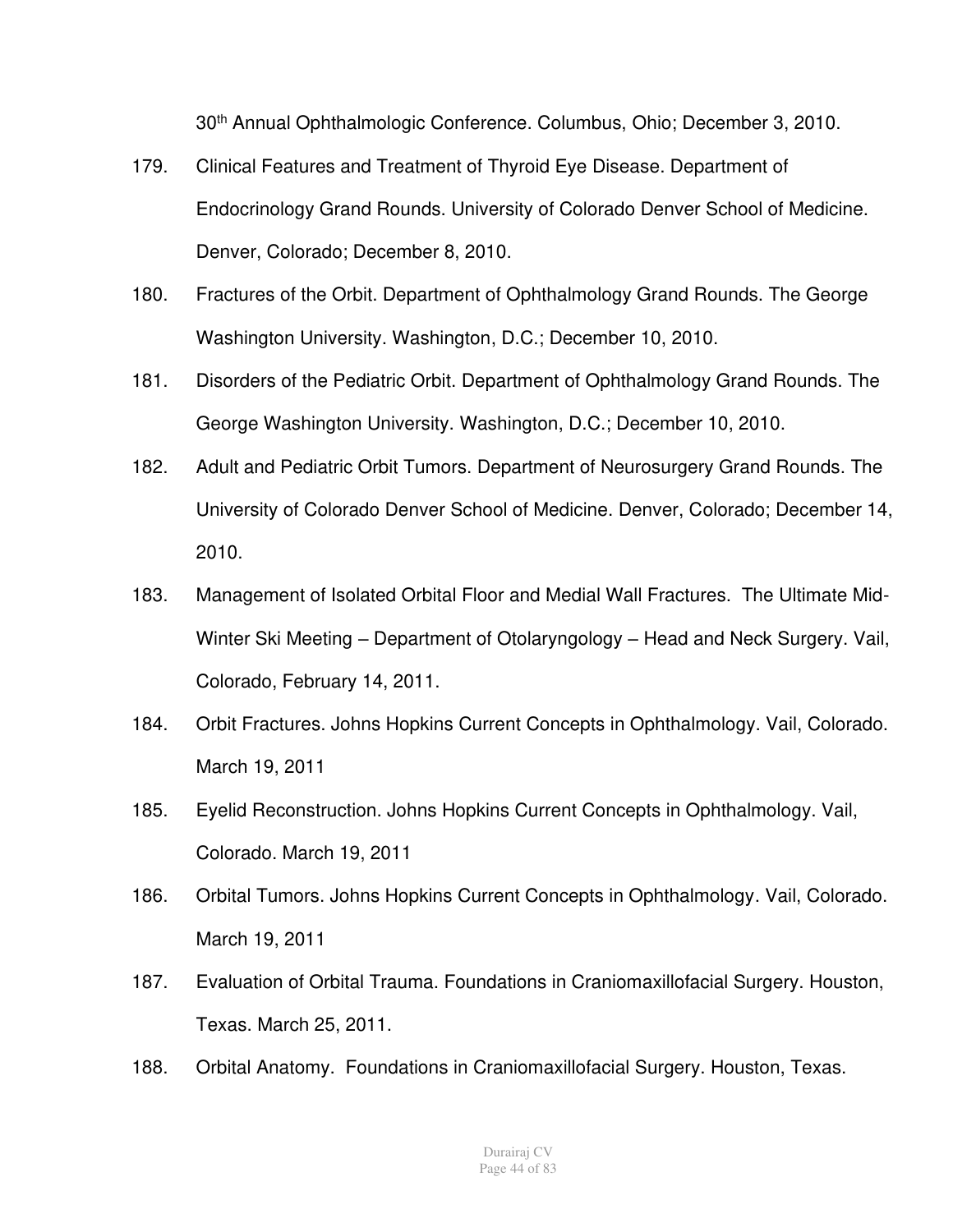30th Annual Ophthalmologic Conference. Columbus, Ohio; December 3, 2010.

- 179. Clinical Features and Treatment of Thyroid Eye Disease. Department of Endocrinology Grand Rounds. University of Colorado Denver School of Medicine. Denver, Colorado; December 8, 2010.
- 180. Fractures of the Orbit. Department of Ophthalmology Grand Rounds. The George Washington University. Washington, D.C.; December 10, 2010.
- 181. Disorders of the Pediatric Orbit. Department of Ophthalmology Grand Rounds. The George Washington University. Washington, D.C.; December 10, 2010.
- 182. Adult and Pediatric Orbit Tumors. Department of Neurosurgery Grand Rounds. The University of Colorado Denver School of Medicine. Denver, Colorado; December 14, 2010.
- 183. Management of Isolated Orbital Floor and Medial Wall Fractures. The Ultimate Mid-Winter Ski Meeting – Department of Otolaryngology – Head and Neck Surgery. Vail, Colorado, February 14, 2011.
- 184. Orbit Fractures. Johns Hopkins Current Concepts in Ophthalmology. Vail, Colorado. March 19, 2011
- 185. Eyelid Reconstruction. Johns Hopkins Current Concepts in Ophthalmology. Vail, Colorado. March 19, 2011
- 186. Orbital Tumors. Johns Hopkins Current Concepts in Ophthalmology. Vail, Colorado. March 19, 2011
- 187. Evaluation of Orbital Trauma. Foundations in Craniomaxillofacial Surgery. Houston, Texas. March 25, 2011.
- 188. Orbital Anatomy. Foundations in Craniomaxillofacial Surgery. Houston, Texas.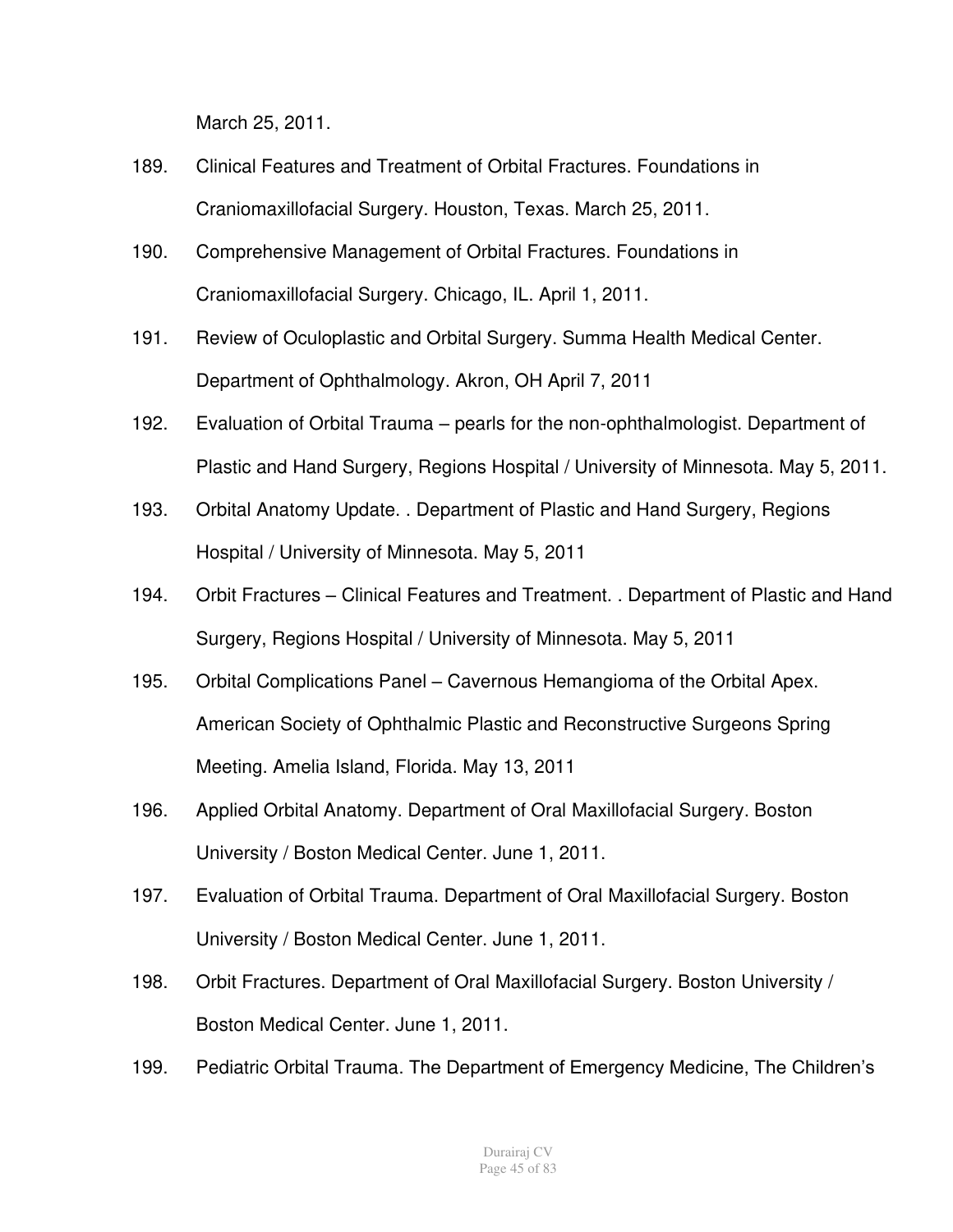March 25, 2011.

- 189. Clinical Features and Treatment of Orbital Fractures. Foundations in Craniomaxillofacial Surgery. Houston, Texas. March 25, 2011.
- 190. Comprehensive Management of Orbital Fractures. Foundations in Craniomaxillofacial Surgery. Chicago, IL. April 1, 2011.
- 191. Review of Oculoplastic and Orbital Surgery. Summa Health Medical Center. Department of Ophthalmology. Akron, OH April 7, 2011
- 192. Evaluation of Orbital Trauma pearls for the non-ophthalmologist. Department of Plastic and Hand Surgery, Regions Hospital / University of Minnesota. May 5, 2011.
- 193. Orbital Anatomy Update. . Department of Plastic and Hand Surgery, Regions Hospital / University of Minnesota. May 5, 2011
- 194. Orbit Fractures Clinical Features and Treatment. . Department of Plastic and Hand Surgery, Regions Hospital / University of Minnesota. May 5, 2011
- 195. Orbital Complications Panel Cavernous Hemangioma of the Orbital Apex. American Society of Ophthalmic Plastic and Reconstructive Surgeons Spring Meeting. Amelia Island, Florida. May 13, 2011
- 196. Applied Orbital Anatomy. Department of Oral Maxillofacial Surgery. Boston University / Boston Medical Center. June 1, 2011.
- 197. Evaluation of Orbital Trauma. Department of Oral Maxillofacial Surgery. Boston University / Boston Medical Center. June 1, 2011.
- 198. Orbit Fractures. Department of Oral Maxillofacial Surgery. Boston University / Boston Medical Center. June 1, 2011.
- 199. Pediatric Orbital Trauma. The Department of Emergency Medicine, The Children's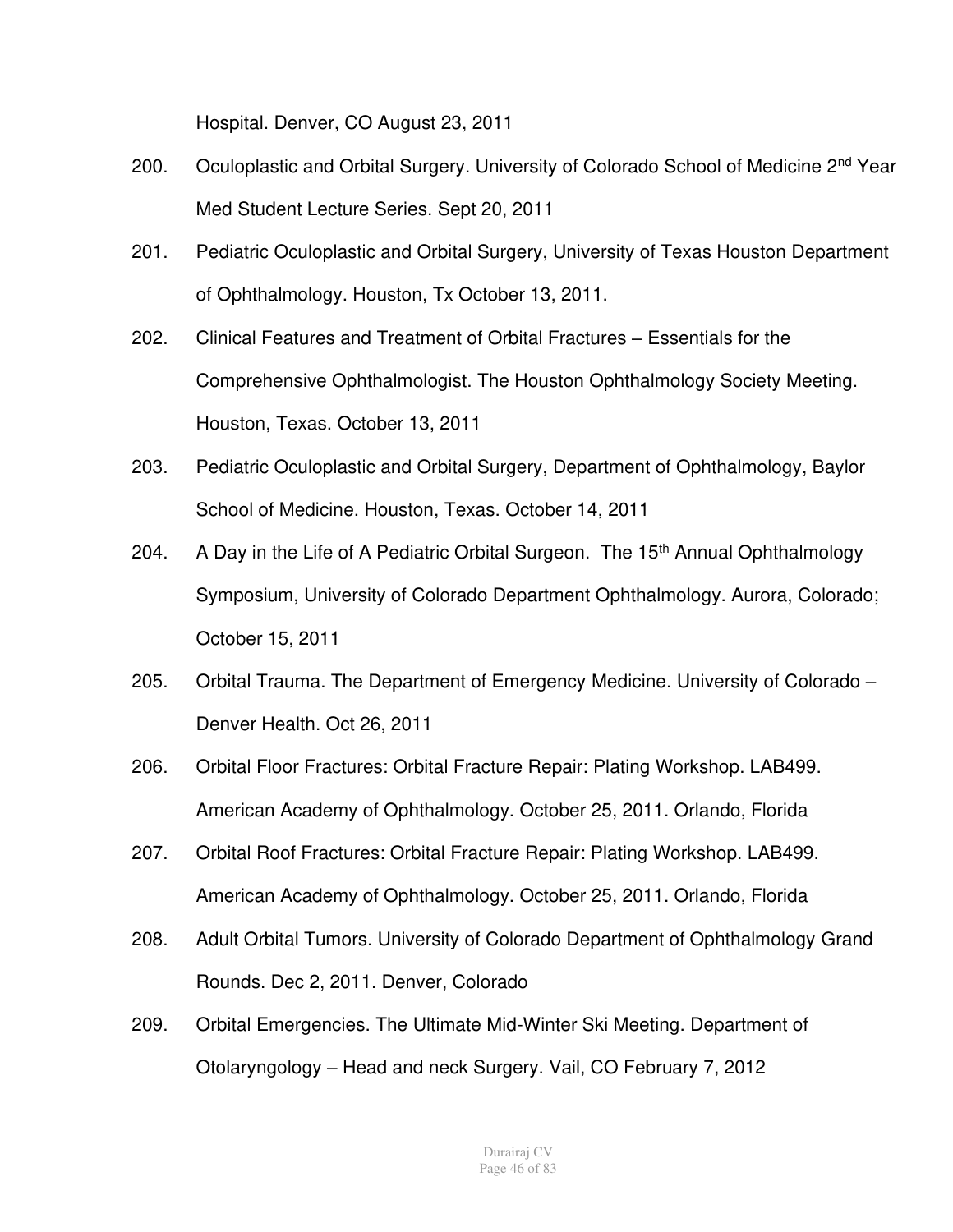Hospital. Denver, CO August 23, 2011

- 200. Oculoplastic and Orbital Surgery. University of Colorado School of Medicine 2<sup>nd</sup> Year Med Student Lecture Series. Sept 20, 2011
- 201. Pediatric Oculoplastic and Orbital Surgery, University of Texas Houston Department of Ophthalmology. Houston, Tx October 13, 2011.
- 202. Clinical Features and Treatment of Orbital Fractures Essentials for the Comprehensive Ophthalmologist. The Houston Ophthalmology Society Meeting. Houston, Texas. October 13, 2011
- 203. Pediatric Oculoplastic and Orbital Surgery, Department of Ophthalmology, Baylor School of Medicine. Houston, Texas. October 14, 2011
- 204. A Day in the Life of A Pediatric Orbital Surgeon. The 15<sup>th</sup> Annual Ophthalmology Symposium, University of Colorado Department Ophthalmology. Aurora, Colorado; October 15, 2011
- 205. Orbital Trauma. The Department of Emergency Medicine. University of Colorado Denver Health. Oct 26, 2011
- 206. Orbital Floor Fractures: Orbital Fracture Repair: Plating Workshop. LAB499. American Academy of Ophthalmology. October 25, 2011. Orlando, Florida
- 207. Orbital Roof Fractures: Orbital Fracture Repair: Plating Workshop. LAB499. American Academy of Ophthalmology. October 25, 2011. Orlando, Florida
- 208. Adult Orbital Tumors. University of Colorado Department of Ophthalmology Grand Rounds. Dec 2, 2011. Denver, Colorado
- 209. Orbital Emergencies. The Ultimate Mid-Winter Ski Meeting. Department of Otolaryngology – Head and neck Surgery. Vail, CO February 7, 2012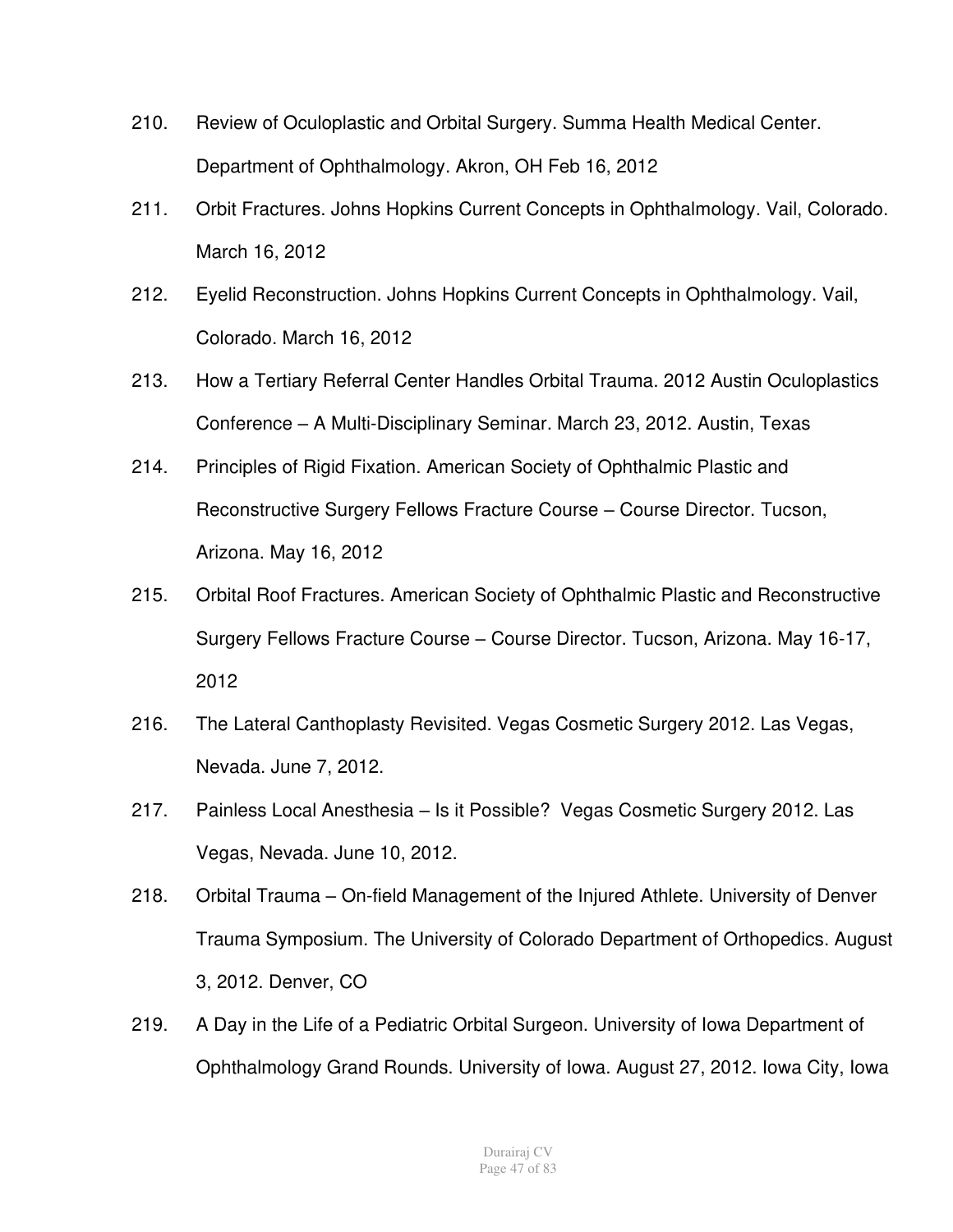- 210. Review of Oculoplastic and Orbital Surgery. Summa Health Medical Center. Department of Ophthalmology. Akron, OH Feb 16, 2012
- 211. Orbit Fractures. Johns Hopkins Current Concepts in Ophthalmology. Vail, Colorado. March 16, 2012
- 212. Eyelid Reconstruction. Johns Hopkins Current Concepts in Ophthalmology. Vail, Colorado. March 16, 2012
- 213. How a Tertiary Referral Center Handles Orbital Trauma. 2012 Austin Oculoplastics Conference – A Multi-Disciplinary Seminar. March 23, 2012. Austin, Texas
- 214. Principles of Rigid Fixation. American Society of Ophthalmic Plastic and Reconstructive Surgery Fellows Fracture Course – Course Director. Tucson, Arizona. May 16, 2012
- 215. Orbital Roof Fractures. American Society of Ophthalmic Plastic and Reconstructive Surgery Fellows Fracture Course – Course Director. Tucson, Arizona. May 16-17, 2012
- 216. The Lateral Canthoplasty Revisited. Vegas Cosmetic Surgery 2012. Las Vegas, Nevada. June 7, 2012.
- 217. Painless Local Anesthesia Is it Possible? Vegas Cosmetic Surgery 2012. Las Vegas, Nevada. June 10, 2012.
- 218. Orbital Trauma On-field Management of the Injured Athlete. University of Denver Trauma Symposium. The University of Colorado Department of Orthopedics. August 3, 2012. Denver, CO
- 219. A Day in the Life of a Pediatric Orbital Surgeon. University of Iowa Department of Ophthalmology Grand Rounds. University of Iowa. August 27, 2012. Iowa City, Iowa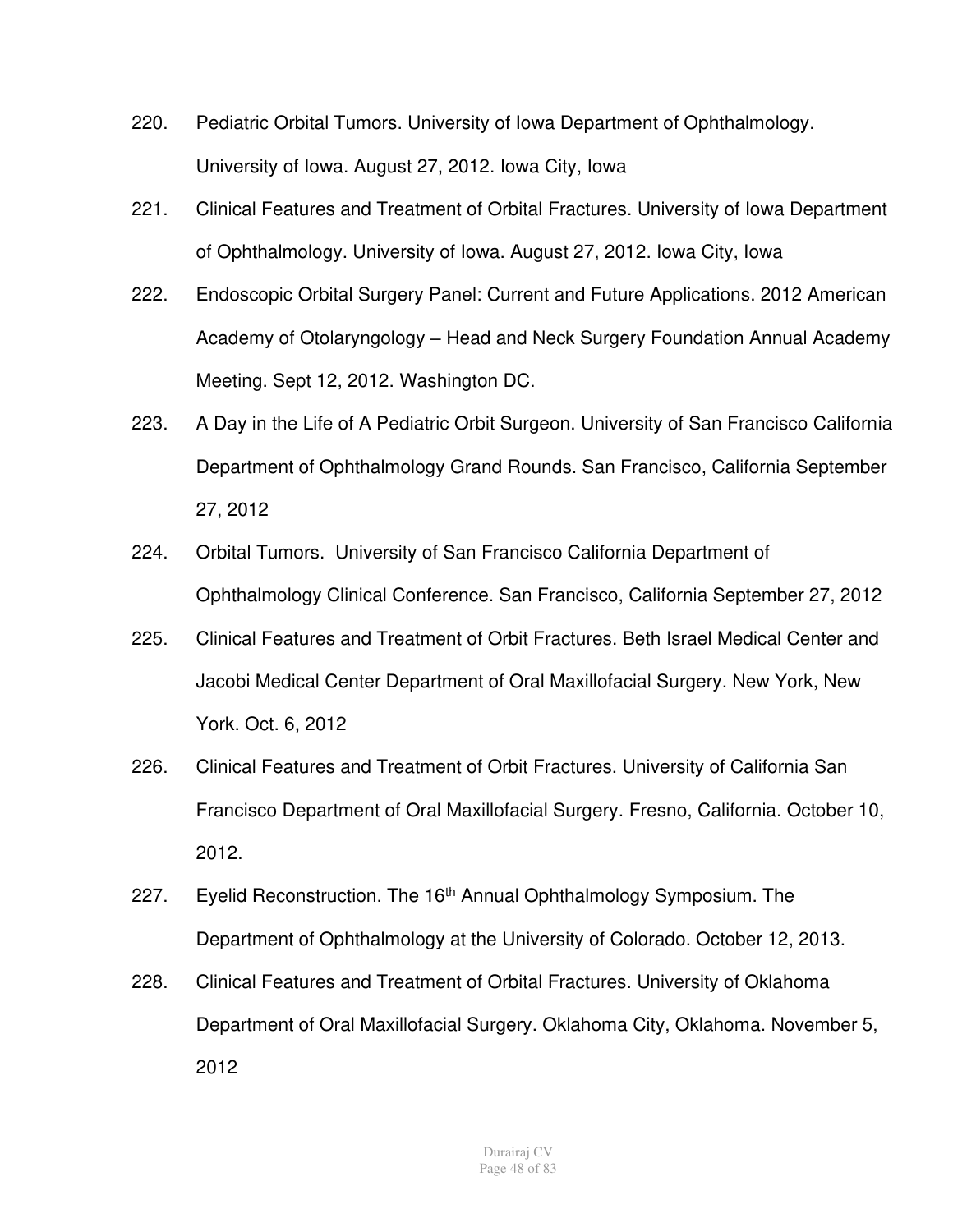- 220. Pediatric Orbital Tumors. University of Iowa Department of Ophthalmology. University of Iowa. August 27, 2012. Iowa City, Iowa
- 221. Clinical Features and Treatment of Orbital Fractures. University of Iowa Department of Ophthalmology. University of Iowa. August 27, 2012. Iowa City, Iowa
- 222. Endoscopic Orbital Surgery Panel: Current and Future Applications. 2012 American Academy of Otolaryngology – Head and Neck Surgery Foundation Annual Academy Meeting. Sept 12, 2012. Washington DC.
- 223. A Day in the Life of A Pediatric Orbit Surgeon. University of San Francisco California Department of Ophthalmology Grand Rounds. San Francisco, California September 27, 2012
- 224. Orbital Tumors. University of San Francisco California Department of Ophthalmology Clinical Conference. San Francisco, California September 27, 2012
- 225. Clinical Features and Treatment of Orbit Fractures. Beth Israel Medical Center and Jacobi Medical Center Department of Oral Maxillofacial Surgery. New York, New York. Oct. 6, 2012
- 226. Clinical Features and Treatment of Orbit Fractures. University of California San Francisco Department of Oral Maxillofacial Surgery. Fresno, California. October 10, 2012.
- 227. Eyelid Reconstruction. The 16<sup>th</sup> Annual Ophthalmology Symposium. The Department of Ophthalmology at the University of Colorado. October 12, 2013.
- 228. Clinical Features and Treatment of Orbital Fractures. University of Oklahoma Department of Oral Maxillofacial Surgery. Oklahoma City, Oklahoma. November 5, 2012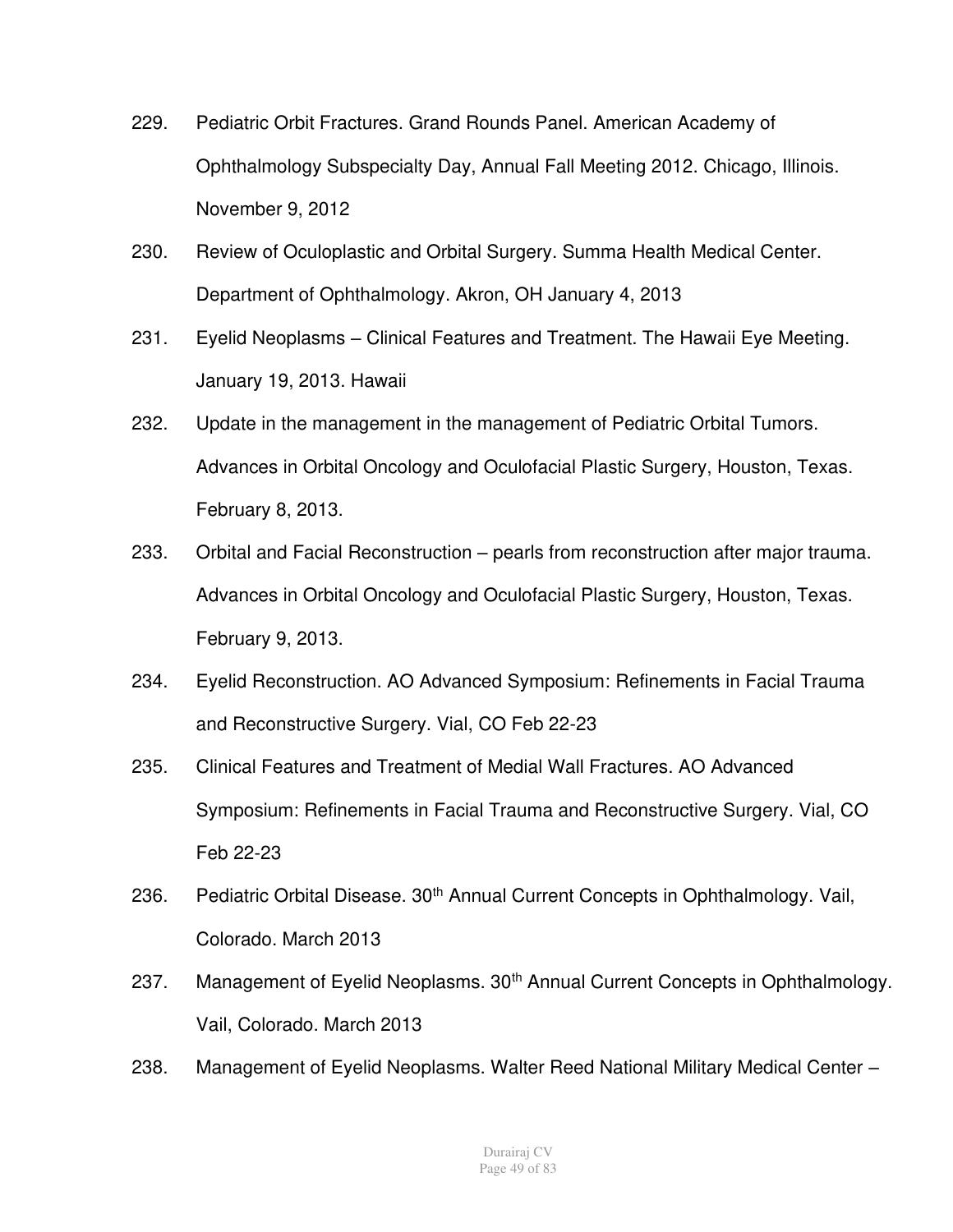- 229. Pediatric Orbit Fractures. Grand Rounds Panel. American Academy of Ophthalmology Subspecialty Day, Annual Fall Meeting 2012. Chicago, Illinois. November 9, 2012
- 230. Review of Oculoplastic and Orbital Surgery. Summa Health Medical Center. Department of Ophthalmology. Akron, OH January 4, 2013
- 231. Eyelid Neoplasms Clinical Features and Treatment. The Hawaii Eye Meeting. January 19, 2013. Hawaii
- 232. Update in the management in the management of Pediatric Orbital Tumors. Advances in Orbital Oncology and Oculofacial Plastic Surgery, Houston, Texas. February 8, 2013.
- 233. Orbital and Facial Reconstruction pearls from reconstruction after major trauma. Advances in Orbital Oncology and Oculofacial Plastic Surgery, Houston, Texas. February 9, 2013.
- 234. Eyelid Reconstruction. AO Advanced Symposium: Refinements in Facial Trauma and Reconstructive Surgery. Vial, CO Feb 22-23
- 235. Clinical Features and Treatment of Medial Wall Fractures. AO Advanced Symposium: Refinements in Facial Trauma and Reconstructive Surgery. Vial, CO Feb 22-23
- 236. Pediatric Orbital Disease. 30<sup>th</sup> Annual Current Concepts in Ophthalmology. Vail, Colorado. March 2013
- 237. Management of Eyelid Neoplasms. 30<sup>th</sup> Annual Current Concepts in Ophthalmology. Vail, Colorado. March 2013
- 238. Management of Eyelid Neoplasms. Walter Reed National Military Medical Center –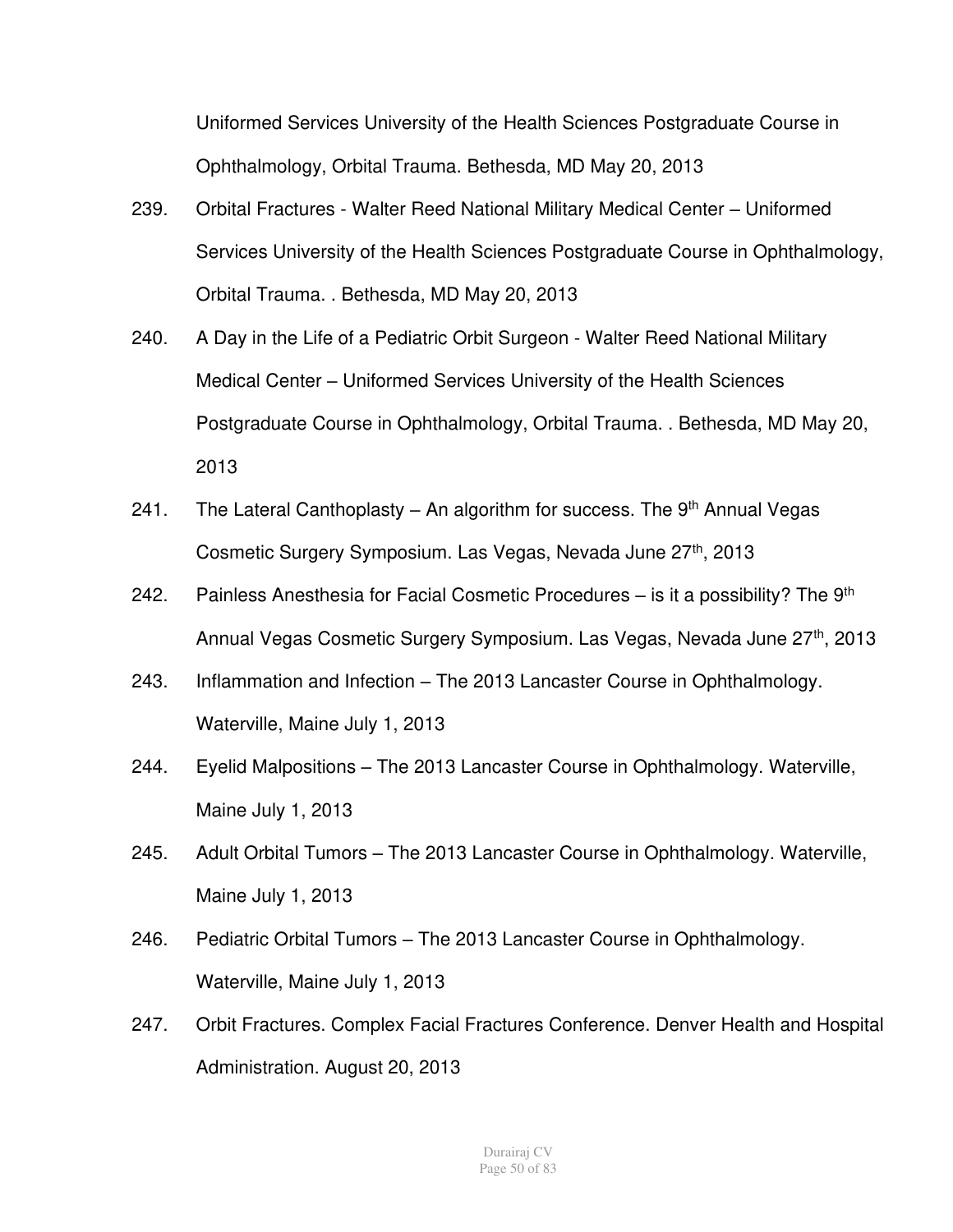Uniformed Services University of the Health Sciences Postgraduate Course in Ophthalmology, Orbital Trauma. Bethesda, MD May 20, 2013

- 239. Orbital Fractures Walter Reed National Military Medical Center Uniformed Services University of the Health Sciences Postgraduate Course in Ophthalmology, Orbital Trauma. . Bethesda, MD May 20, 2013
- 240. A Day in the Life of a Pediatric Orbit Surgeon Walter Reed National Military Medical Center – Uniformed Services University of the Health Sciences Postgraduate Course in Ophthalmology, Orbital Trauma. . Bethesda, MD May 20, 2013
- 241. The Lateral Canthoplasty An algorithm for success. The  $9<sup>th</sup>$  Annual Vegas Cosmetic Surgery Symposium. Las Vegas, Nevada June 27<sup>th</sup>, 2013
- 242. Painless Anesthesia for Facial Cosmetic Procedures  $-$  is it a possibility? The 9<sup>th</sup> Annual Vegas Cosmetic Surgery Symposium. Las Vegas, Nevada June 27<sup>th</sup>, 2013
- 243. Inflammation and Infection The 2013 Lancaster Course in Ophthalmology. Waterville, Maine July 1, 2013
- 244. Eyelid Malpositions The 2013 Lancaster Course in Ophthalmology. Waterville, Maine July 1, 2013
- 245. Adult Orbital Tumors The 2013 Lancaster Course in Ophthalmology. Waterville, Maine July 1, 2013
- 246. Pediatric Orbital Tumors The 2013 Lancaster Course in Ophthalmology. Waterville, Maine July 1, 2013
- 247. Orbit Fractures. Complex Facial Fractures Conference. Denver Health and Hospital Administration. August 20, 2013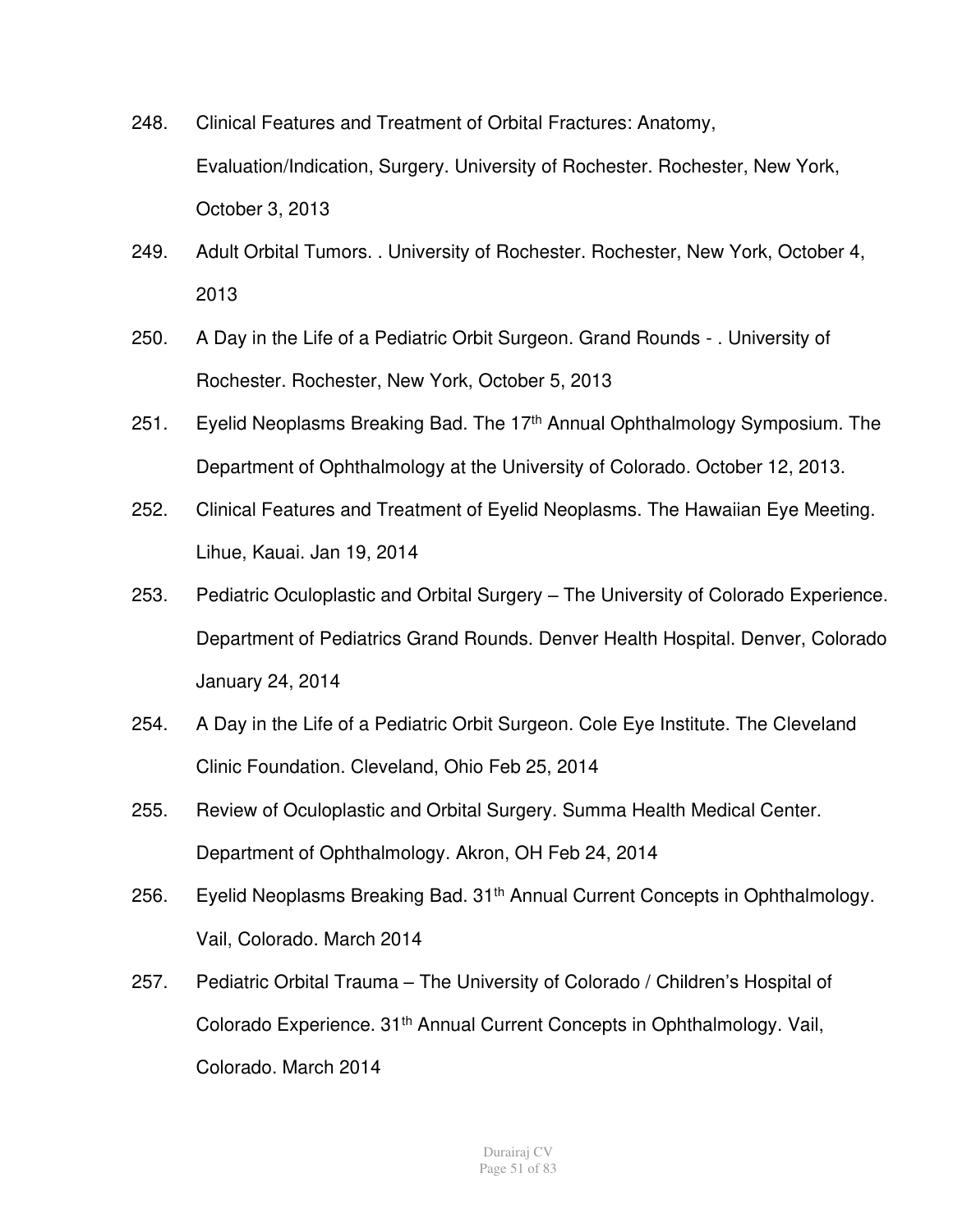- 248. Clinical Features and Treatment of Orbital Fractures: Anatomy, Evaluation/Indication, Surgery. University of Rochester. Rochester, New York, October 3, 2013
- 249. Adult Orbital Tumors. . University of Rochester. Rochester, New York, October 4, 2013
- 250. A Day in the Life of a Pediatric Orbit Surgeon. Grand Rounds . University of Rochester. Rochester, New York, October 5, 2013
- 251. Eyelid Neoplasms Breaking Bad. The 17<sup>th</sup> Annual Ophthalmology Symposium. The Department of Ophthalmology at the University of Colorado. October 12, 2013.
- 252. Clinical Features and Treatment of Eyelid Neoplasms. The Hawaiian Eye Meeting. Lihue, Kauai. Jan 19, 2014
- 253. Pediatric Oculoplastic and Orbital Surgery The University of Colorado Experience. Department of Pediatrics Grand Rounds. Denver Health Hospital. Denver, Colorado January 24, 2014
- 254. A Day in the Life of a Pediatric Orbit Surgeon. Cole Eye Institute. The Cleveland Clinic Foundation. Cleveland, Ohio Feb 25, 2014
- 255. Review of Oculoplastic and Orbital Surgery. Summa Health Medical Center. Department of Ophthalmology. Akron, OH Feb 24, 2014
- 256. Eyelid Neoplasms Breaking Bad. 31<sup>th</sup> Annual Current Concepts in Ophthalmology. Vail, Colorado. March 2014
- 257. Pediatric Orbital Trauma The University of Colorado / Children's Hospital of Colorado Experience. 31<sup>th</sup> Annual Current Concepts in Ophthalmology. Vail, Colorado. March 2014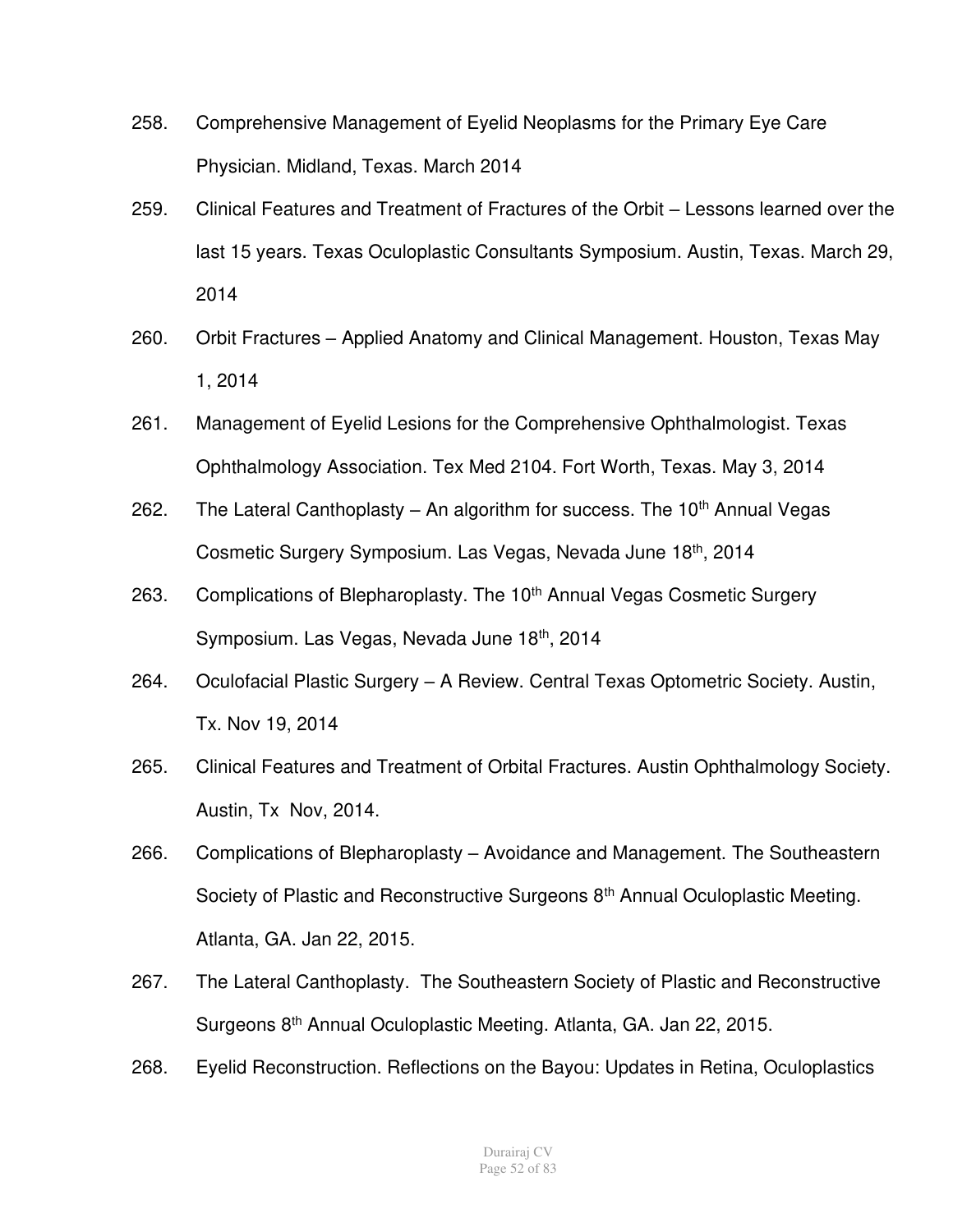- 258. Comprehensive Management of Eyelid Neoplasms for the Primary Eye Care Physician. Midland, Texas. March 2014
- 259. Clinical Features and Treatment of Fractures of the Orbit Lessons learned over the last 15 years. Texas Oculoplastic Consultants Symposium. Austin, Texas. March 29, 2014
- 260. Orbit Fractures Applied Anatomy and Clinical Management. Houston, Texas May 1, 2014
- 261. Management of Eyelid Lesions for the Comprehensive Ophthalmologist. Texas Ophthalmology Association. Tex Med 2104. Fort Worth, Texas. May 3, 2014
- 262. The Lateral Canthoplasty An algorithm for success. The  $10<sup>th</sup>$  Annual Vegas Cosmetic Surgery Symposium. Las Vegas, Nevada June 18th, 2014
- 263. Complications of Blepharoplasty. The 10<sup>th</sup> Annual Vegas Cosmetic Surgery Symposium. Las Vegas, Nevada June 18th, 2014
- 264. Oculofacial Plastic Surgery A Review. Central Texas Optometric Society. Austin, Tx. Nov 19, 2014
- 265. Clinical Features and Treatment of Orbital Fractures. Austin Ophthalmology Society. Austin, Tx Nov, 2014.
- 266. Complications of Blepharoplasty Avoidance and Management. The Southeastern Society of Plastic and Reconstructive Surgeons 8<sup>th</sup> Annual Oculoplastic Meeting. Atlanta, GA. Jan 22, 2015.
- 267. The Lateral Canthoplasty. The Southeastern Society of Plastic and Reconstructive Surgeons 8th Annual Oculoplastic Meeting. Atlanta, GA. Jan 22, 2015.
- 268. Eyelid Reconstruction. Reflections on the Bayou: Updates in Retina, Oculoplastics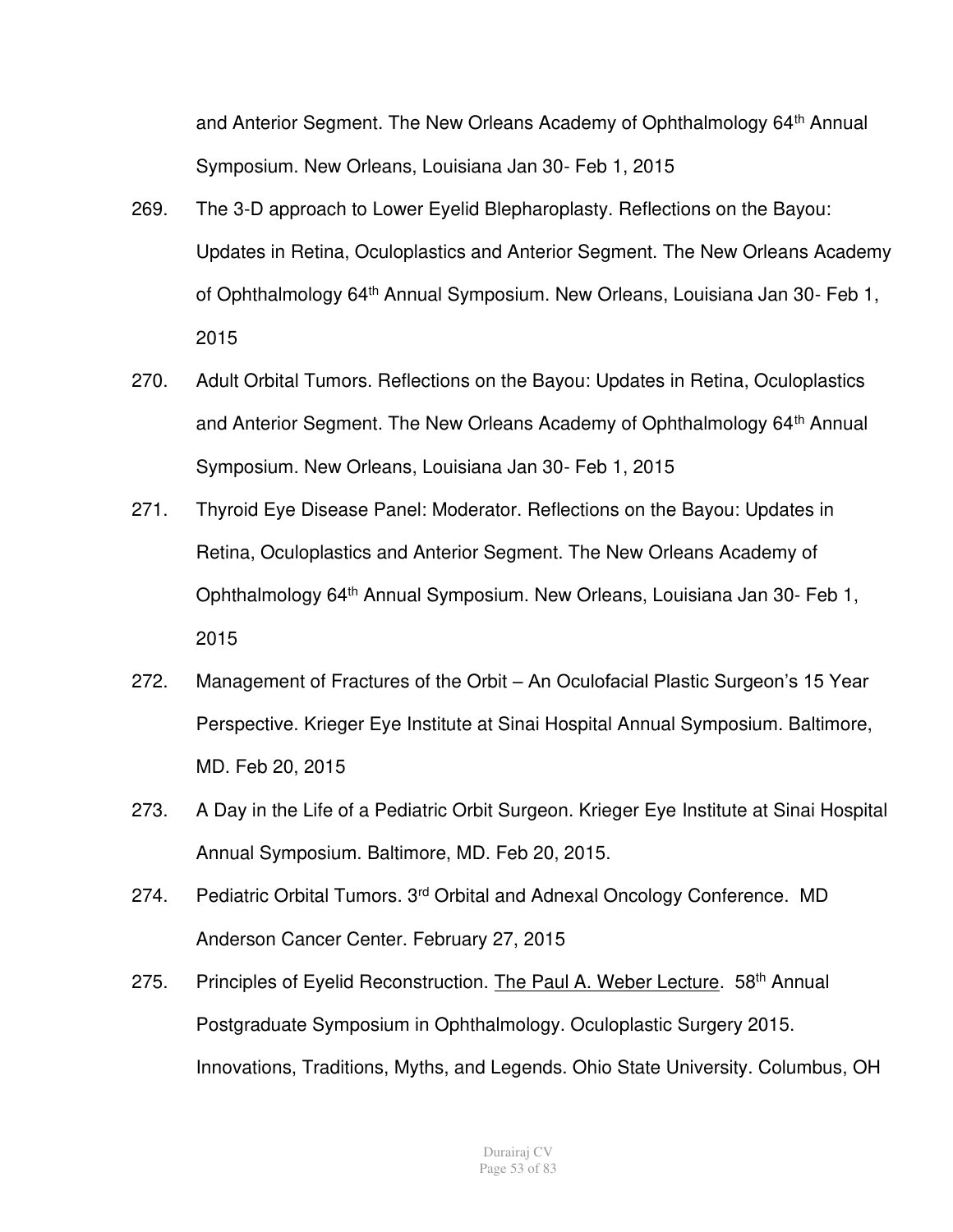and Anterior Segment. The New Orleans Academy of Ophthalmology 64<sup>th</sup> Annual Symposium. New Orleans, Louisiana Jan 30- Feb 1, 2015

- 269. The 3-D approach to Lower Eyelid Blepharoplasty. Reflections on the Bayou: Updates in Retina, Oculoplastics and Anterior Segment. The New Orleans Academy of Ophthalmology 64<sup>th</sup> Annual Symposium. New Orleans, Louisiana Jan 30- Feb 1, 2015
- 270. Adult Orbital Tumors. Reflections on the Bayou: Updates in Retina, Oculoplastics and Anterior Segment. The New Orleans Academy of Ophthalmology 64<sup>th</sup> Annual Symposium. New Orleans, Louisiana Jan 30- Feb 1, 2015
- 271. Thyroid Eye Disease Panel: Moderator. Reflections on the Bayou: Updates in Retina, Oculoplastics and Anterior Segment. The New Orleans Academy of Ophthalmology 64<sup>th</sup> Annual Symposium. New Orleans, Louisiana Jan 30- Feb 1, 2015
- 272. Management of Fractures of the Orbit An Oculofacial Plastic Surgeon's 15 Year Perspective. Krieger Eye Institute at Sinai Hospital Annual Symposium. Baltimore, MD. Feb 20, 2015
- 273. A Day in the Life of a Pediatric Orbit Surgeon. Krieger Eye Institute at Sinai Hospital Annual Symposium. Baltimore, MD. Feb 20, 2015.
- 274. Pediatric Orbital Tumors. 3<sup>rd</sup> Orbital and Adnexal Oncology Conference. MD Anderson Cancer Center. February 27, 2015
- 275. Principles of Eyelid Reconstruction. The Paul A. Weber Lecture. 58<sup>th</sup> Annual Postgraduate Symposium in Ophthalmology. Oculoplastic Surgery 2015. Innovations, Traditions, Myths, and Legends. Ohio State University. Columbus, OH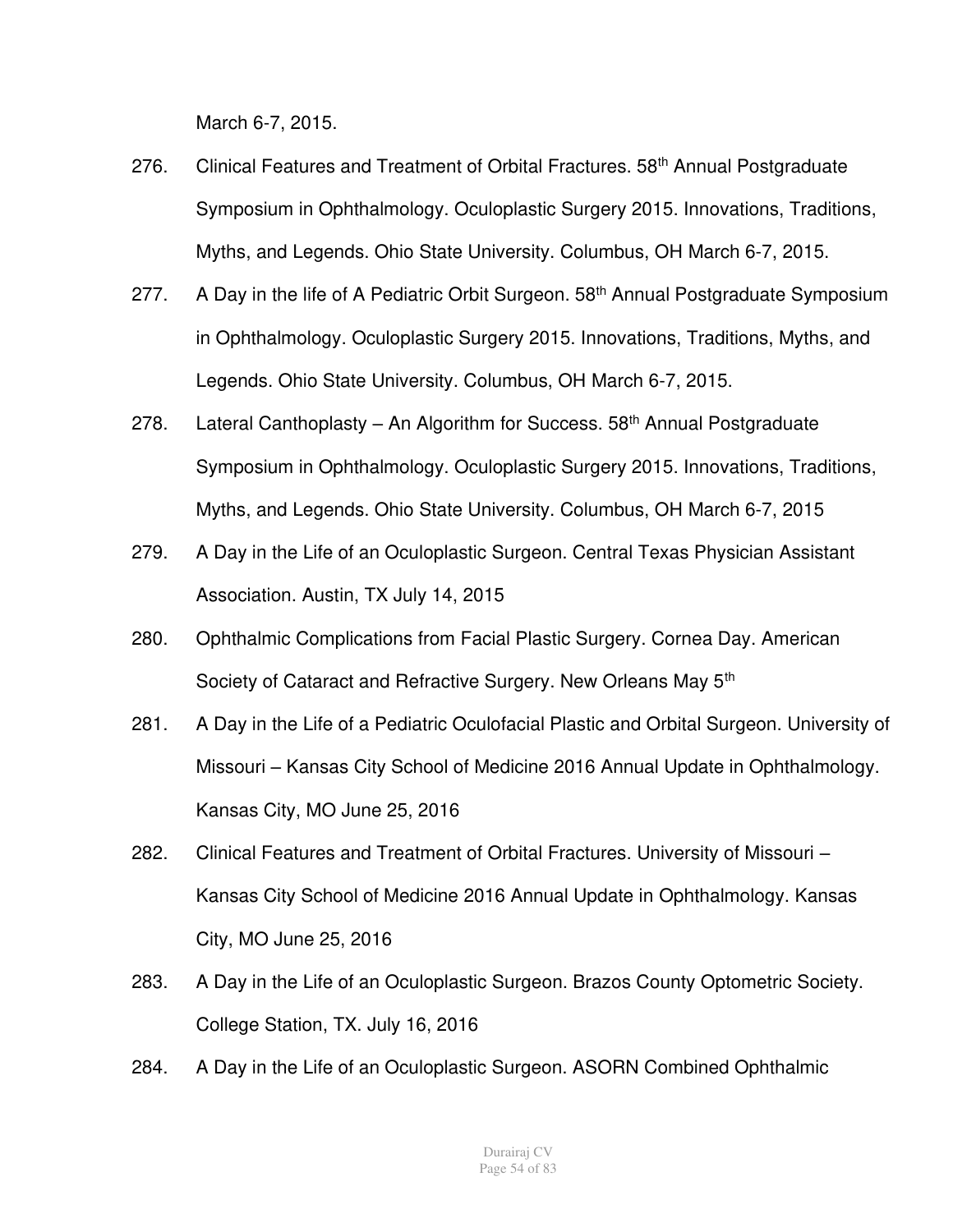March 6-7, 2015.

- 276. Clinical Features and Treatment of Orbital Fractures. 58<sup>th</sup> Annual Postgraduate Symposium in Ophthalmology. Oculoplastic Surgery 2015. Innovations, Traditions, Myths, and Legends. Ohio State University. Columbus, OH March 6-7, 2015.
- 277. A Day in the life of A Pediatric Orbit Surgeon. 58<sup>th</sup> Annual Postgraduate Symposium in Ophthalmology. Oculoplastic Surgery 2015. Innovations, Traditions, Myths, and Legends. Ohio State University. Columbus, OH March 6-7, 2015.
- 278. Lateral Canthoplasty An Algorithm for Success.  $58<sup>th</sup>$  Annual Postgraduate Symposium in Ophthalmology. Oculoplastic Surgery 2015. Innovations, Traditions, Myths, and Legends. Ohio State University. Columbus, OH March 6-7, 2015
- 279. A Day in the Life of an Oculoplastic Surgeon. Central Texas Physician Assistant Association. Austin, TX July 14, 2015
- 280. Ophthalmic Complications from Facial Plastic Surgery. Cornea Day. American Society of Cataract and Refractive Surgery. New Orleans May 5<sup>th</sup>
- 281. A Day in the Life of a Pediatric Oculofacial Plastic and Orbital Surgeon. University of Missouri – Kansas City School of Medicine 2016 Annual Update in Ophthalmology. Kansas City, MO June 25, 2016
- 282. Clinical Features and Treatment of Orbital Fractures. University of Missouri Kansas City School of Medicine 2016 Annual Update in Ophthalmology. Kansas City, MO June 25, 2016
- 283. A Day in the Life of an Oculoplastic Surgeon. Brazos County Optometric Society. College Station, TX. July 16, 2016
- 284. A Day in the Life of an Oculoplastic Surgeon. ASORN Combined Ophthalmic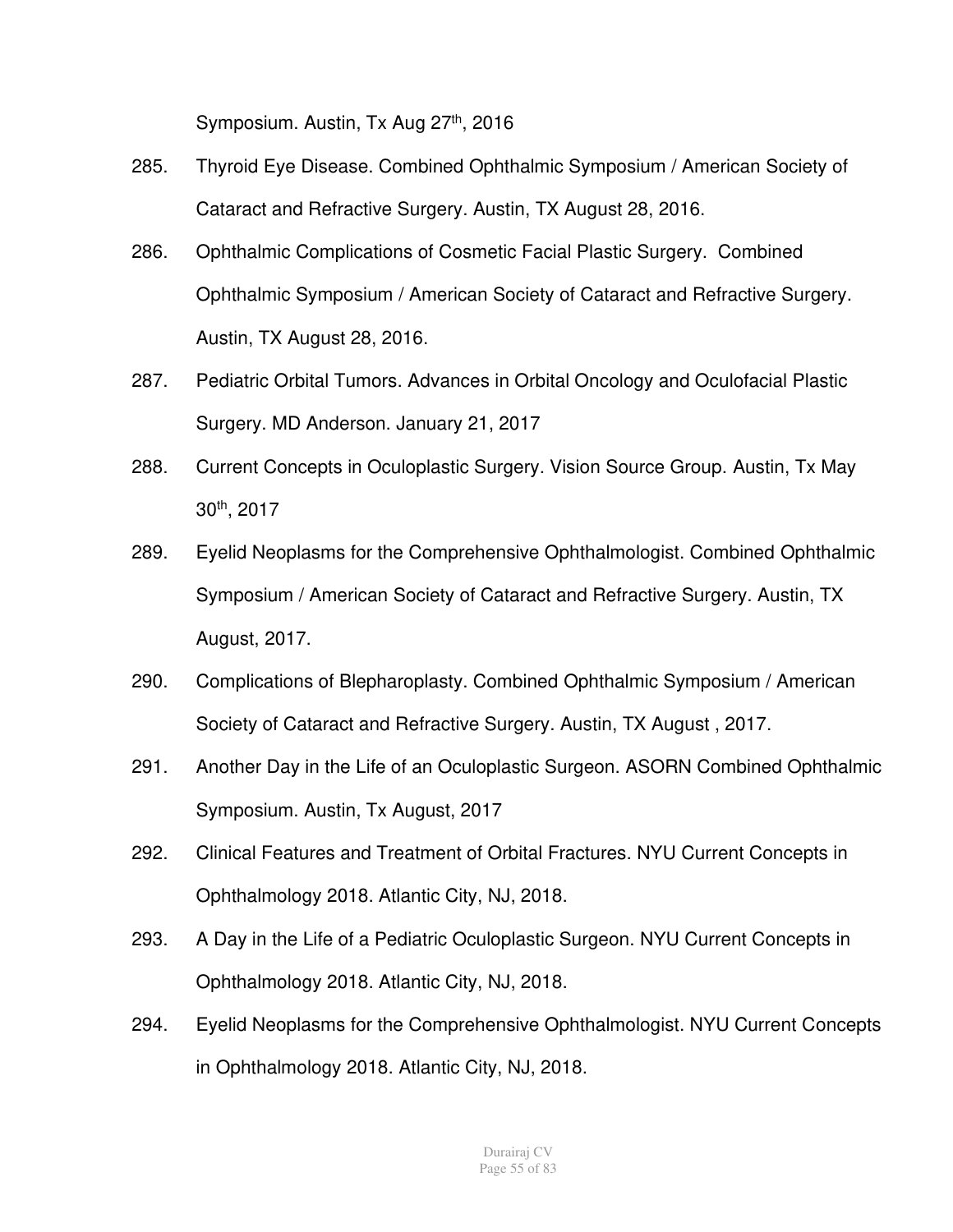Symposium. Austin, Tx Aug 27<sup>th</sup>, 2016

- 285. Thyroid Eye Disease. Combined Ophthalmic Symposium / American Society of Cataract and Refractive Surgery. Austin, TX August 28, 2016.
- 286. Ophthalmic Complications of Cosmetic Facial Plastic Surgery. Combined Ophthalmic Symposium / American Society of Cataract and Refractive Surgery. Austin, TX August 28, 2016.
- 287. Pediatric Orbital Tumors. Advances in Orbital Oncology and Oculofacial Plastic Surgery. MD Anderson. January 21, 2017
- 288. Current Concepts in Oculoplastic Surgery. Vision Source Group. Austin, Tx May 30th, 2017
- 289. Eyelid Neoplasms for the Comprehensive Ophthalmologist. Combined Ophthalmic Symposium / American Society of Cataract and Refractive Surgery. Austin, TX August, 2017.
- 290. Complications of Blepharoplasty. Combined Ophthalmic Symposium / American Society of Cataract and Refractive Surgery. Austin, TX August , 2017.
- 291. Another Day in the Life of an Oculoplastic Surgeon. ASORN Combined Ophthalmic Symposium. Austin, Tx August, 2017
- 292. Clinical Features and Treatment of Orbital Fractures. NYU Current Concepts in Ophthalmology 2018. Atlantic City, NJ, 2018.
- 293. A Day in the Life of a Pediatric Oculoplastic Surgeon. NYU Current Concepts in Ophthalmology 2018. Atlantic City, NJ, 2018.
- 294. Eyelid Neoplasms for the Comprehensive Ophthalmologist. NYU Current Concepts in Ophthalmology 2018. Atlantic City, NJ, 2018.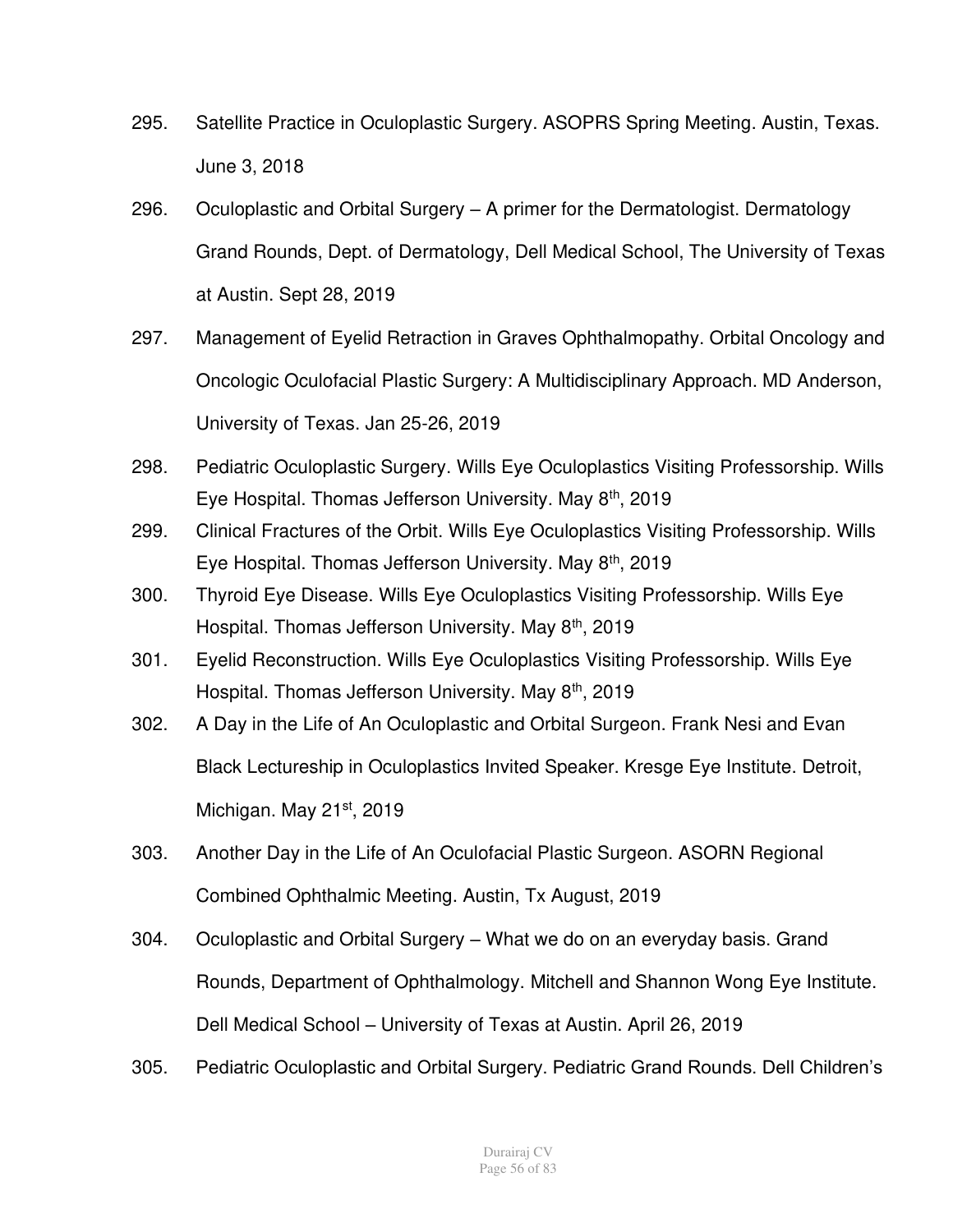- 295. Satellite Practice in Oculoplastic Surgery. ASOPRS Spring Meeting. Austin, Texas. June 3, 2018
- 296. Oculoplastic and Orbital Surgery A primer for the Dermatologist. Dermatology Grand Rounds, Dept. of Dermatology, Dell Medical School, The University of Texas at Austin. Sept 28, 2019
- 297. Management of Eyelid Retraction in Graves Ophthalmopathy. Orbital Oncology and Oncologic Oculofacial Plastic Surgery: A Multidisciplinary Approach. MD Anderson, University of Texas. Jan 25-26, 2019
- 298. Pediatric Oculoplastic Surgery. Wills Eye Oculoplastics Visiting Professorship. Wills Eye Hospital. Thomas Jefferson University. May 8th, 2019
- 299. Clinical Fractures of the Orbit. Wills Eye Oculoplastics Visiting Professorship. Wills Eye Hospital. Thomas Jefferson University. May 8th, 2019
- 300. Thyroid Eye Disease. Wills Eye Oculoplastics Visiting Professorship. Wills Eye Hospital. Thomas Jefferson University. May 8<sup>th</sup>, 2019
- 301. Eyelid Reconstruction. Wills Eye Oculoplastics Visiting Professorship. Wills Eye Hospital. Thomas Jefferson University. May 8<sup>th</sup>, 2019
- 302. A Day in the Life of An Oculoplastic and Orbital Surgeon. Frank Nesi and Evan Black Lectureship in Oculoplastics Invited Speaker. Kresge Eye Institute. Detroit, Michigan. May 21<sup>st</sup>, 2019
- 303. Another Day in the Life of An Oculofacial Plastic Surgeon. ASORN Regional Combined Ophthalmic Meeting. Austin, Tx August, 2019
- 304. Oculoplastic and Orbital Surgery What we do on an everyday basis. Grand Rounds, Department of Ophthalmology. Mitchell and Shannon Wong Eye Institute. Dell Medical School – University of Texas at Austin. April 26, 2019
- 305. Pediatric Oculoplastic and Orbital Surgery. Pediatric Grand Rounds. Dell Children's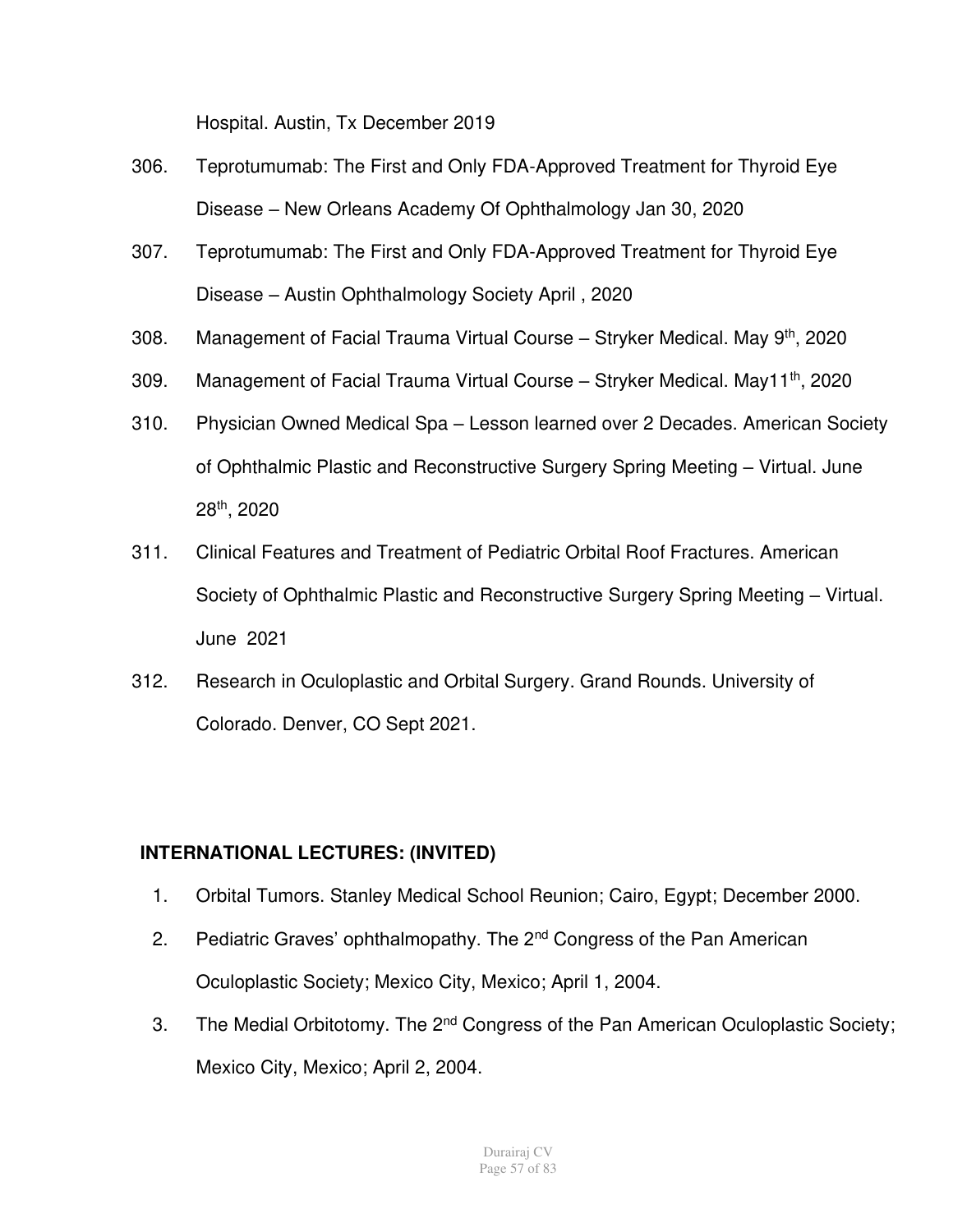Hospital. Austin, Tx December 2019

- 306. Teprotumumab: The First and Only FDA-Approved Treatment for Thyroid Eye Disease – New Orleans Academy Of Ophthalmology Jan 30, 2020
- 307. Teprotumumab: The First and Only FDA-Approved Treatment for Thyroid Eye Disease – Austin Ophthalmology Society April , 2020
- 308. Management of Facial Trauma Virtual Course Stryker Medical. May 9<sup>th</sup>, 2020
- 309. Management of Facial Trauma Virtual Course Stryker Medical. May11th, 2020
- 310. Physician Owned Medical Spa Lesson learned over 2 Decades. American Society of Ophthalmic Plastic and Reconstructive Surgery Spring Meeting – Virtual. June 28th, 2020
- 311. Clinical Features and Treatment of Pediatric Orbital Roof Fractures. American Society of Ophthalmic Plastic and Reconstructive Surgery Spring Meeting – Virtual. June 2021
- 312. Research in Oculoplastic and Orbital Surgery. Grand Rounds. University of Colorado. Denver, CO Sept 2021.

## **INTERNATIONAL LECTURES: (INVITED)**

- 1. Orbital Tumors. Stanley Medical School Reunion; Cairo, Egypt; December 2000.
- 2. Pediatric Graves' ophthalmopathy. The 2<sup>nd</sup> Congress of the Pan American Oculoplastic Society; Mexico City, Mexico; April 1, 2004.
- 3. The Medial Orbitotomy. The 2<sup>nd</sup> Congress of the Pan American Oculoplastic Society; Mexico City, Mexico; April 2, 2004.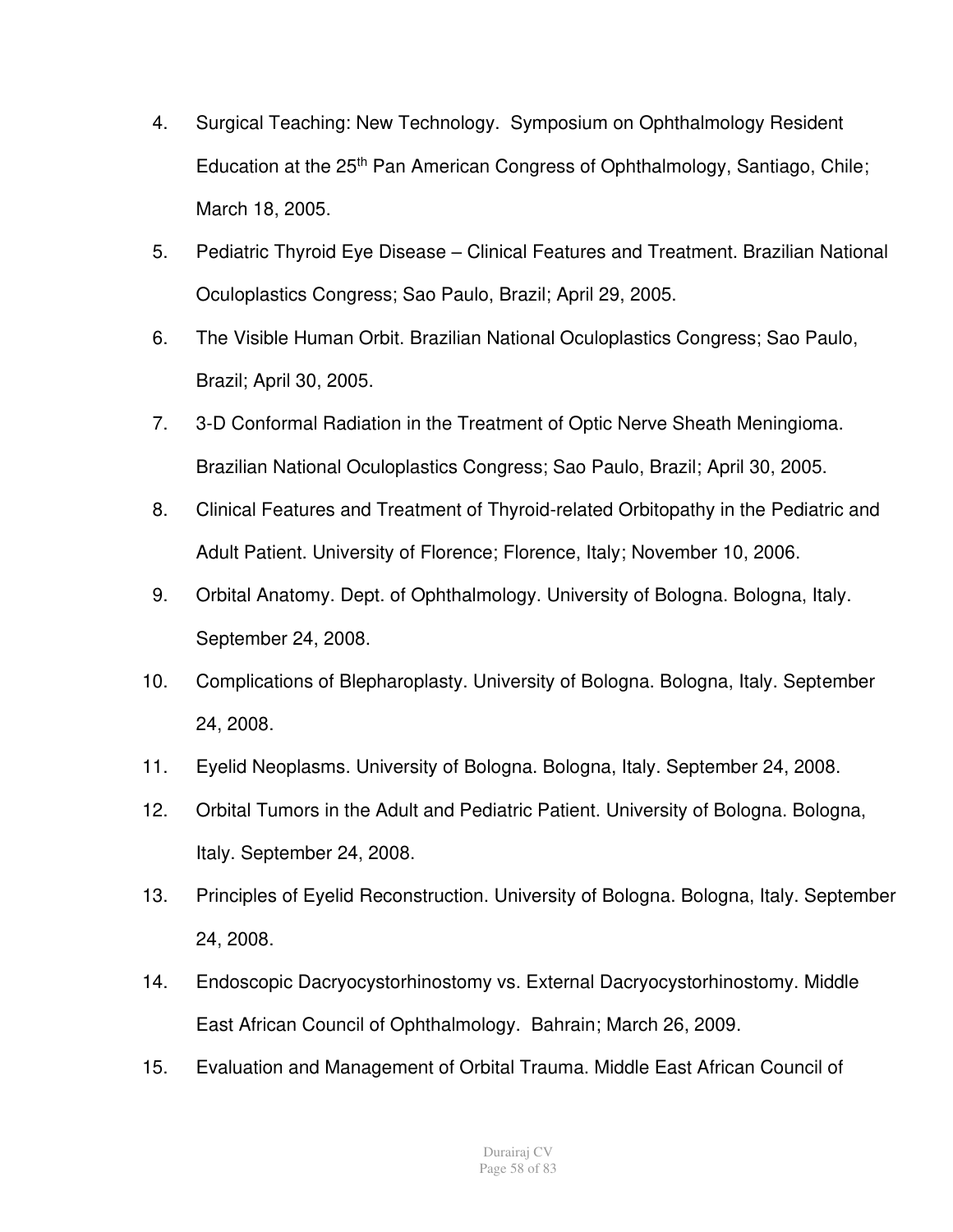- 4. Surgical Teaching: New Technology. Symposium on Ophthalmology Resident Education at the 25<sup>th</sup> Pan American Congress of Ophthalmology, Santiago, Chile; March 18, 2005.
- 5. Pediatric Thyroid Eye Disease Clinical Features and Treatment. Brazilian National Oculoplastics Congress; Sao Paulo, Brazil; April 29, 2005.
- 6. The Visible Human Orbit. Brazilian National Oculoplastics Congress; Sao Paulo, Brazil; April 30, 2005.
- 7. 3-D Conformal Radiation in the Treatment of Optic Nerve Sheath Meningioma. Brazilian National Oculoplastics Congress; Sao Paulo, Brazil; April 30, 2005.
- 8. Clinical Features and Treatment of Thyroid-related Orbitopathy in the Pediatric and Adult Patient. University of Florence; Florence, Italy; November 10, 2006.
- 9. Orbital Anatomy. Dept. of Ophthalmology. University of Bologna. Bologna, Italy. September 24, 2008.
- 10. Complications of Blepharoplasty. University of Bologna. Bologna, Italy. September 24, 2008.
- 11. Eyelid Neoplasms. University of Bologna. Bologna, Italy. September 24, 2008.
- 12. Orbital Tumors in the Adult and Pediatric Patient. University of Bologna. Bologna, Italy. September 24, 2008.
- 13. Principles of Eyelid Reconstruction. University of Bologna. Bologna, Italy. September 24, 2008.
- 14. Endoscopic Dacryocystorhinostomy vs. External Dacryocystorhinostomy. Middle East African Council of Ophthalmology. Bahrain; March 26, 2009.
- 15. Evaluation and Management of Orbital Trauma. Middle East African Council of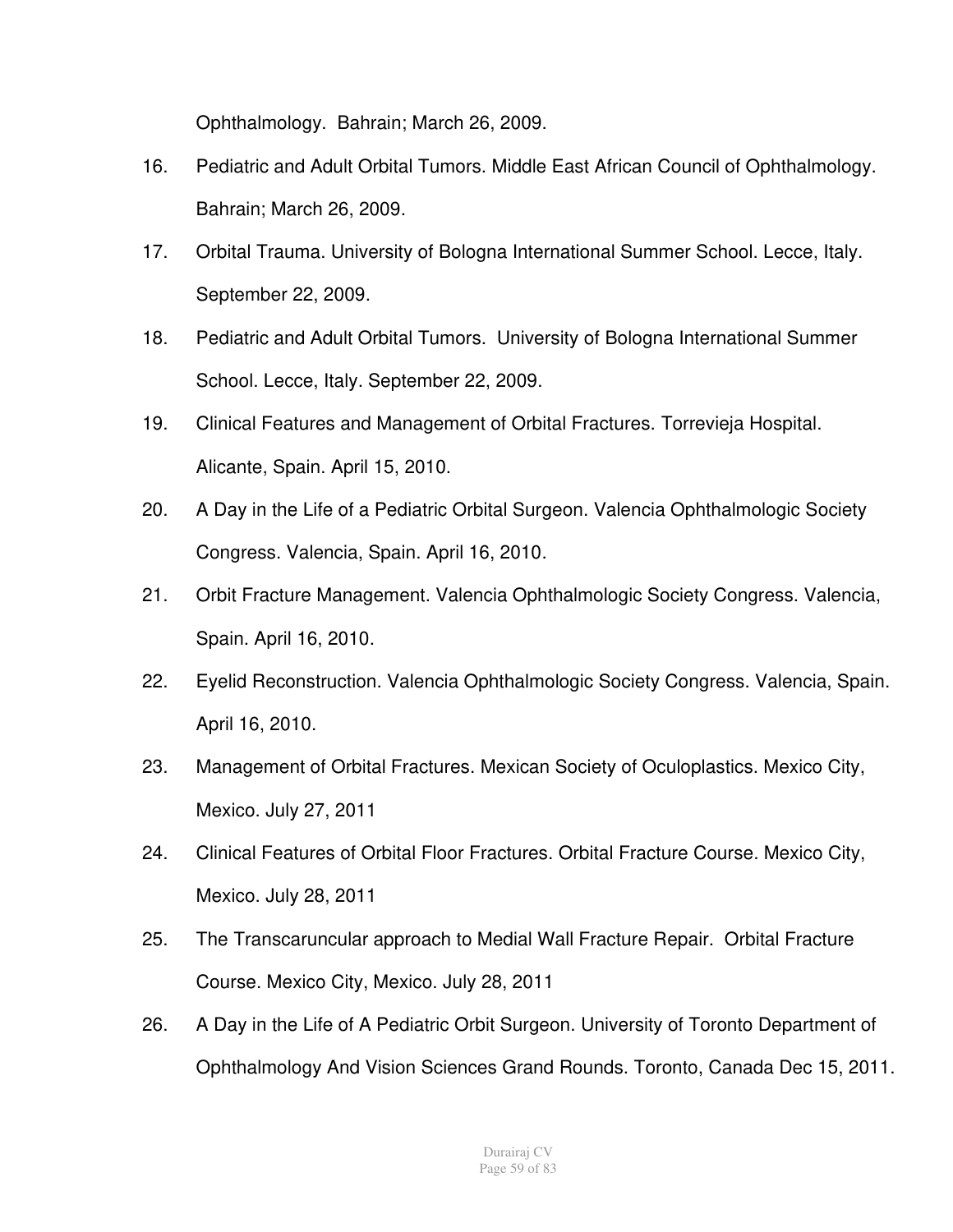Ophthalmology. Bahrain; March 26, 2009.

- 16. Pediatric and Adult Orbital Tumors. Middle East African Council of Ophthalmology. Bahrain; March 26, 2009.
- 17. Orbital Trauma. University of Bologna International Summer School. Lecce, Italy. September 22, 2009.
- 18. Pediatric and Adult Orbital Tumors. University of Bologna International Summer School. Lecce, Italy. September 22, 2009.
- 19. Clinical Features and Management of Orbital Fractures. Torrevieja Hospital. Alicante, Spain. April 15, 2010.
- 20. A Day in the Life of a Pediatric Orbital Surgeon. Valencia Ophthalmologic Society Congress. Valencia, Spain. April 16, 2010.
- 21. Orbit Fracture Management. Valencia Ophthalmologic Society Congress. Valencia, Spain. April 16, 2010.
- 22. Eyelid Reconstruction. Valencia Ophthalmologic Society Congress. Valencia, Spain. April 16, 2010.
- 23. Management of Orbital Fractures. Mexican Society of Oculoplastics. Mexico City, Mexico. July 27, 2011
- 24. Clinical Features of Orbital Floor Fractures. Orbital Fracture Course. Mexico City, Mexico. July 28, 2011
- 25. The Transcaruncular approach to Medial Wall Fracture Repair. Orbital Fracture Course. Mexico City, Mexico. July 28, 2011
- 26. A Day in the Life of A Pediatric Orbit Surgeon. University of Toronto Department of Ophthalmology And Vision Sciences Grand Rounds. Toronto, Canada Dec 15, 2011.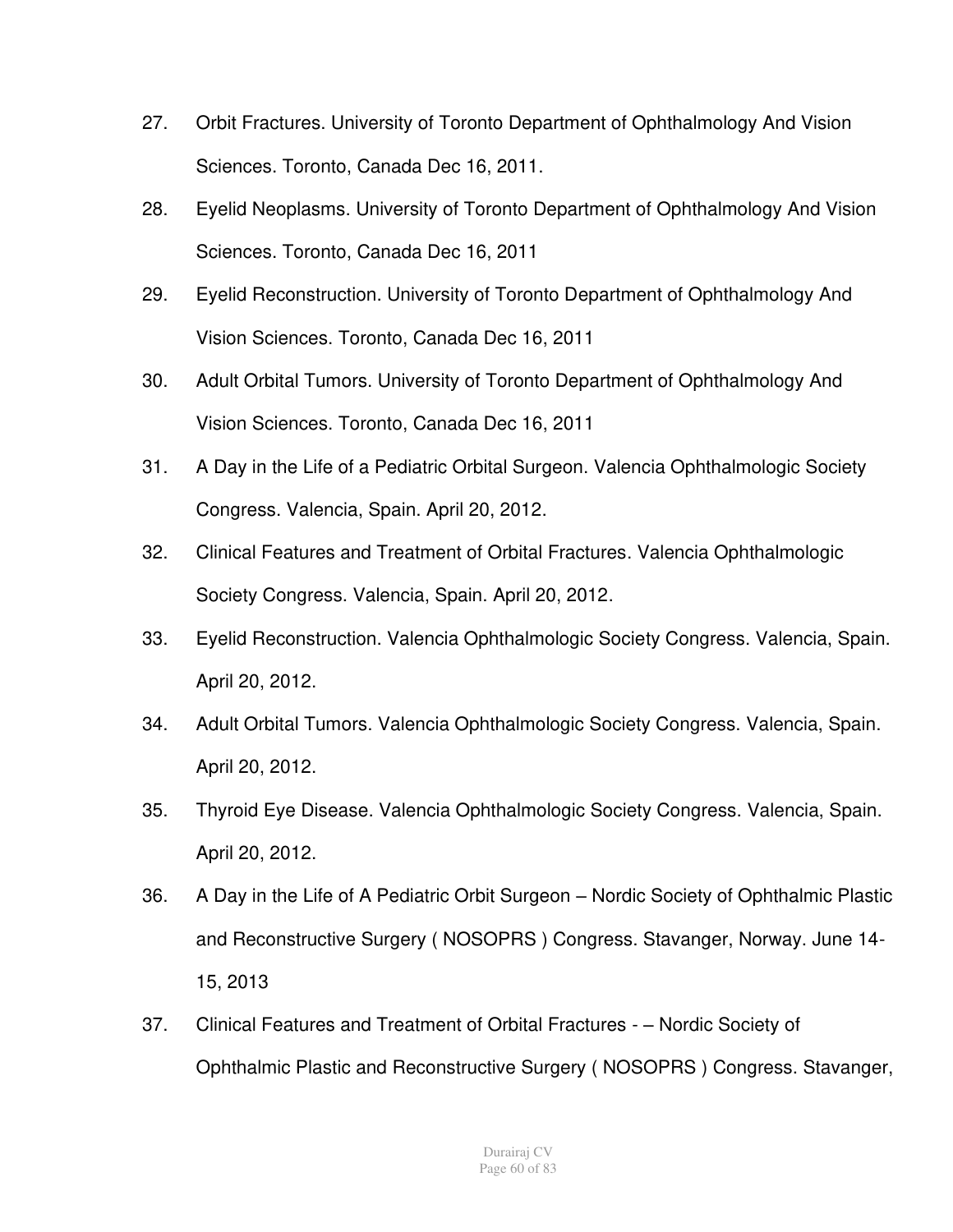- 27. Orbit Fractures. University of Toronto Department of Ophthalmology And Vision Sciences. Toronto, Canada Dec 16, 2011.
- 28. Eyelid Neoplasms. University of Toronto Department of Ophthalmology And Vision Sciences. Toronto, Canada Dec 16, 2011
- 29. Eyelid Reconstruction. University of Toronto Department of Ophthalmology And Vision Sciences. Toronto, Canada Dec 16, 2011
- 30. Adult Orbital Tumors. University of Toronto Department of Ophthalmology And Vision Sciences. Toronto, Canada Dec 16, 2011
- 31. A Day in the Life of a Pediatric Orbital Surgeon. Valencia Ophthalmologic Society Congress. Valencia, Spain. April 20, 2012.
- 32. Clinical Features and Treatment of Orbital Fractures. Valencia Ophthalmologic Society Congress. Valencia, Spain. April 20, 2012.
- 33. Eyelid Reconstruction. Valencia Ophthalmologic Society Congress. Valencia, Spain. April 20, 2012.
- 34. Adult Orbital Tumors. Valencia Ophthalmologic Society Congress. Valencia, Spain. April 20, 2012.
- 35. Thyroid Eye Disease. Valencia Ophthalmologic Society Congress. Valencia, Spain. April 20, 2012.
- 36. A Day in the Life of A Pediatric Orbit Surgeon Nordic Society of Ophthalmic Plastic and Reconstructive Surgery ( NOSOPRS ) Congress. Stavanger, Norway. June 14- 15, 2013
- 37. Clinical Features and Treatment of Orbital Fractures – Nordic Society of Ophthalmic Plastic and Reconstructive Surgery ( NOSOPRS ) Congress. Stavanger,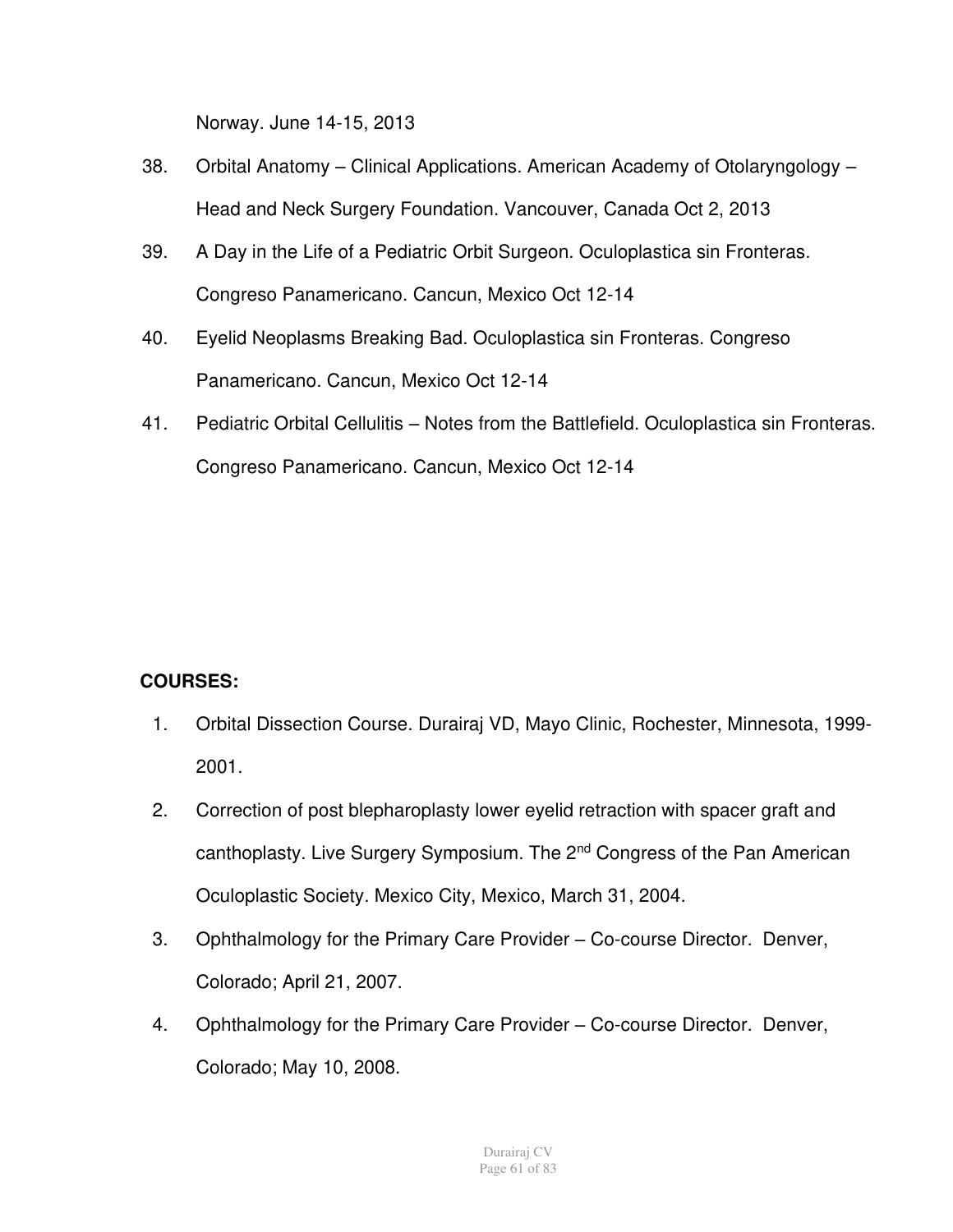Norway. June 14-15, 2013

- 38. Orbital Anatomy Clinical Applications. American Academy of Otolaryngology Head and Neck Surgery Foundation. Vancouver, Canada Oct 2, 2013
- 39. A Day in the Life of a Pediatric Orbit Surgeon. Oculoplastica sin Fronteras. Congreso Panamericano. Cancun, Mexico Oct 12-14
- 40. Eyelid Neoplasms Breaking Bad. Oculoplastica sin Fronteras. Congreso Panamericano. Cancun, Mexico Oct 12-14
- 41. Pediatric Orbital Cellulitis Notes from the Battlefield. Oculoplastica sin Fronteras. Congreso Panamericano. Cancun, Mexico Oct 12-14

## **COURSES:**

- 1. Orbital Dissection Course. Durairaj VD, Mayo Clinic, Rochester, Minnesota, 1999- 2001.
- 2. Correction of post blepharoplasty lower eyelid retraction with spacer graft and canthoplasty. Live Surgery Symposium. The 2<sup>nd</sup> Congress of the Pan American Oculoplastic Society. Mexico City, Mexico, March 31, 2004.
- 3. Ophthalmology for the Primary Care Provider Co-course Director. Denver, Colorado; April 21, 2007.
- 4. Ophthalmology for the Primary Care Provider Co-course Director. Denver, Colorado; May 10, 2008.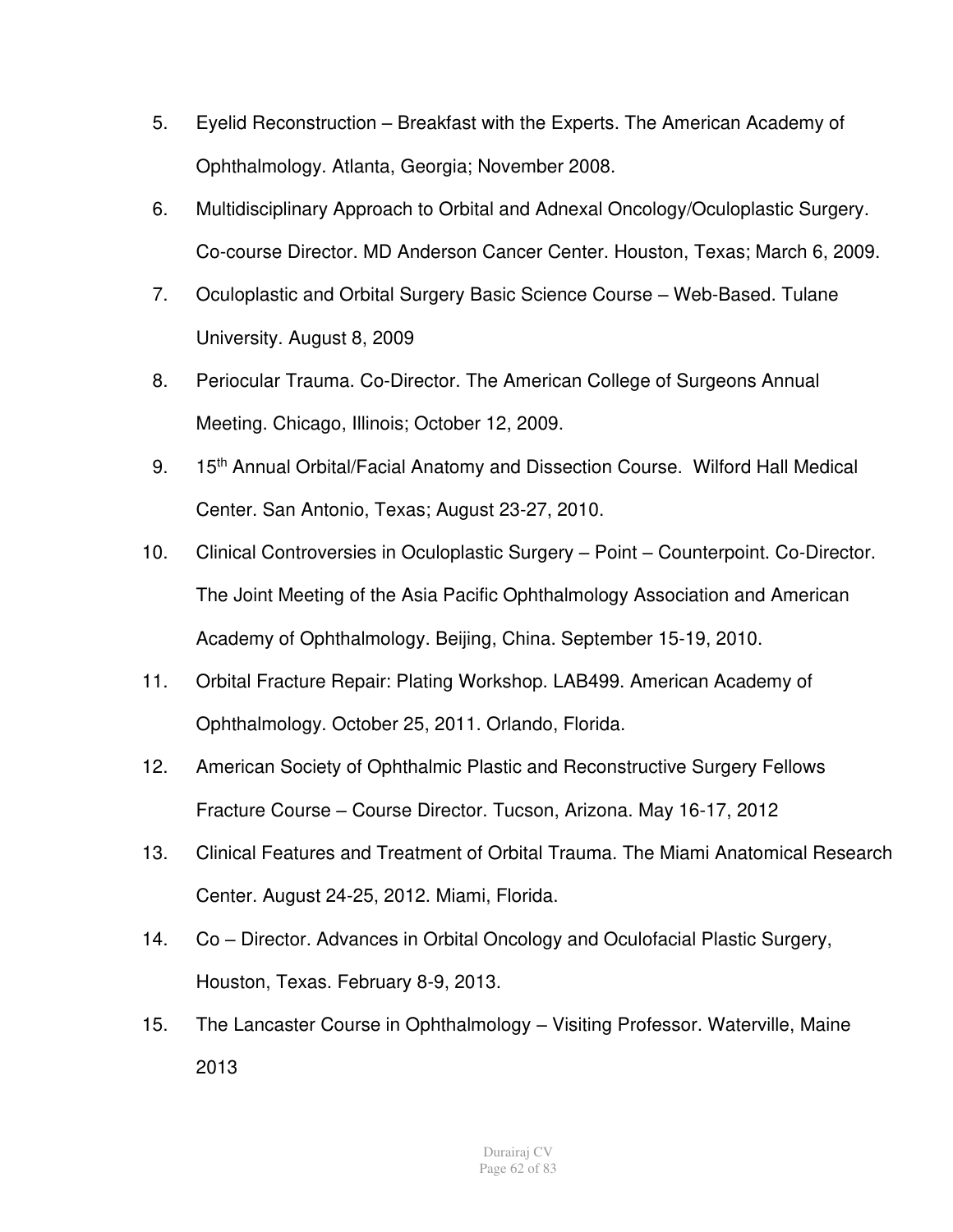- 5. Eyelid Reconstruction Breakfast with the Experts. The American Academy of Ophthalmology. Atlanta, Georgia; November 2008.
- 6. Multidisciplinary Approach to Orbital and Adnexal Oncology/Oculoplastic Surgery. Co-course Director. MD Anderson Cancer Center. Houston, Texas; March 6, 2009.
- 7. Oculoplastic and Orbital Surgery Basic Science Course Web-Based. Tulane University. August 8, 2009
- 8. Periocular Trauma. Co-Director. The American College of Surgeons Annual Meeting. Chicago, Illinois; October 12, 2009.
- 9. 15<sup>th</sup> Annual Orbital/Facial Anatomy and Dissection Course. Wilford Hall Medical Center. San Antonio, Texas; August 23-27, 2010.
- 10. Clinical Controversies in Oculoplastic Surgery Point Counterpoint. Co-Director. The Joint Meeting of the Asia Pacific Ophthalmology Association and American Academy of Ophthalmology. Beijing, China. September 15-19, 2010.
- 11. Orbital Fracture Repair: Plating Workshop. LAB499. American Academy of Ophthalmology. October 25, 2011. Orlando, Florida.
- 12. American Society of Ophthalmic Plastic and Reconstructive Surgery Fellows Fracture Course – Course Director. Tucson, Arizona. May 16-17, 2012
- 13. Clinical Features and Treatment of Orbital Trauma. The Miami Anatomical Research Center. August 24-25, 2012. Miami, Florida.
- 14. Co Director. Advances in Orbital Oncology and Oculofacial Plastic Surgery, Houston, Texas. February 8-9, 2013.
- 15. The Lancaster Course in Ophthalmology Visiting Professor. Waterville, Maine 2013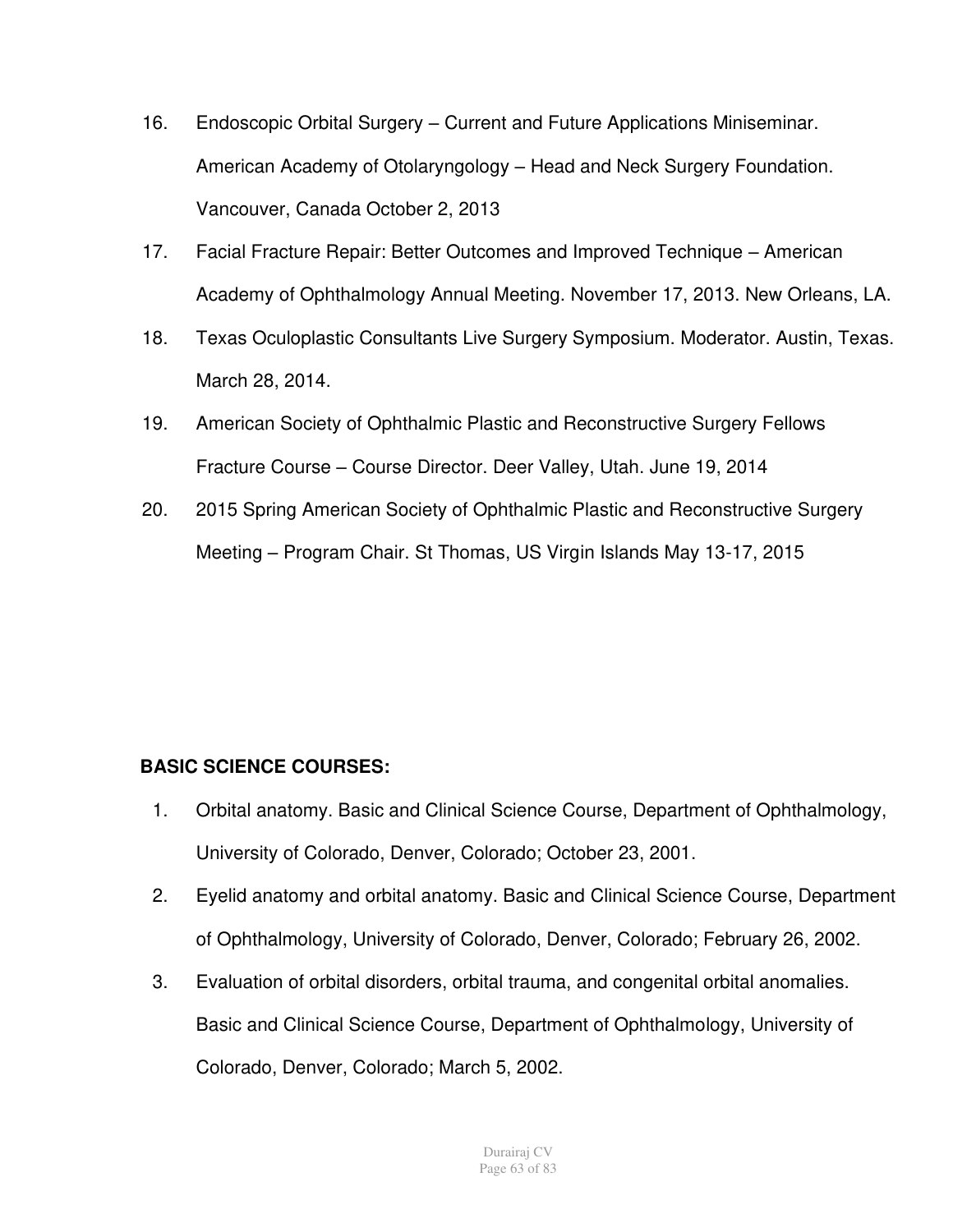- 16. Endoscopic Orbital Surgery Current and Future Applications Miniseminar. American Academy of Otolaryngology – Head and Neck Surgery Foundation. Vancouver, Canada October 2, 2013
- 17. Facial Fracture Repair: Better Outcomes and Improved Technique American Academy of Ophthalmology Annual Meeting. November 17, 2013. New Orleans, LA.
- 18. Texas Oculoplastic Consultants Live Surgery Symposium. Moderator. Austin, Texas. March 28, 2014.
- 19. American Society of Ophthalmic Plastic and Reconstructive Surgery Fellows Fracture Course – Course Director. Deer Valley, Utah. June 19, 2014
- 20. 2015 Spring American Society of Ophthalmic Plastic and Reconstructive Surgery Meeting – Program Chair. St Thomas, US Virgin Islands May 13-17, 2015

## **BASIC SCIENCE COURSES:**

- 1. Orbital anatomy. Basic and Clinical Science Course, Department of Ophthalmology, University of Colorado, Denver, Colorado; October 23, 2001.
- 2. Eyelid anatomy and orbital anatomy. Basic and Clinical Science Course, Department of Ophthalmology, University of Colorado, Denver, Colorado; February 26, 2002.
- 3. Evaluation of orbital disorders, orbital trauma, and congenital orbital anomalies. Basic and Clinical Science Course, Department of Ophthalmology, University of Colorado, Denver, Colorado; March 5, 2002.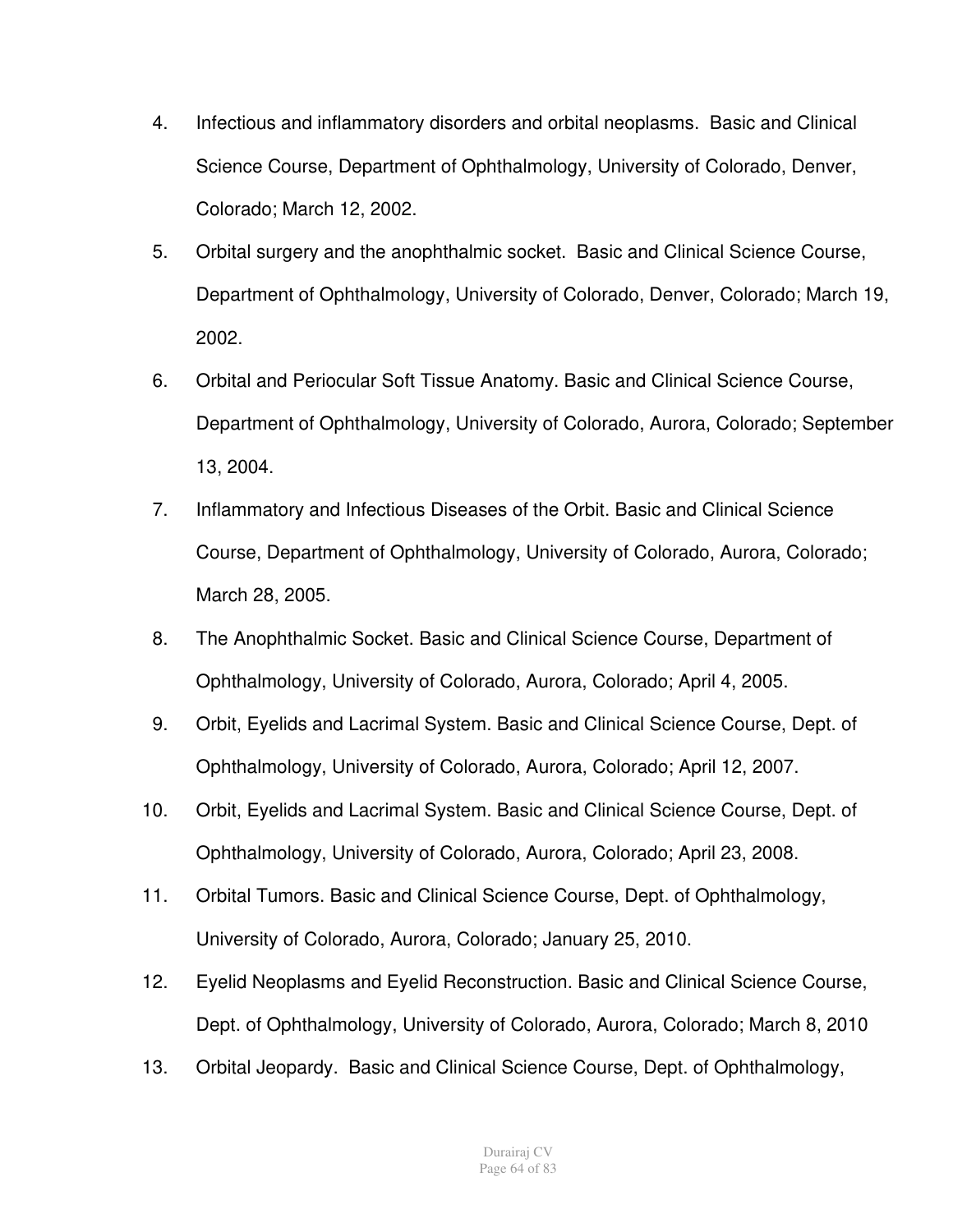- 4. Infectious and inflammatory disorders and orbital neoplasms. Basic and Clinical Science Course, Department of Ophthalmology, University of Colorado, Denver, Colorado; March 12, 2002.
- 5. Orbital surgery and the anophthalmic socket. Basic and Clinical Science Course, Department of Ophthalmology, University of Colorado, Denver, Colorado; March 19, 2002.
- 6. Orbital and Periocular Soft Tissue Anatomy. Basic and Clinical Science Course, Department of Ophthalmology, University of Colorado, Aurora, Colorado; September 13, 2004.
- 7. Inflammatory and Infectious Diseases of the Orbit. Basic and Clinical Science Course, Department of Ophthalmology, University of Colorado, Aurora, Colorado; March 28, 2005.
- 8. The Anophthalmic Socket. Basic and Clinical Science Course, Department of Ophthalmology, University of Colorado, Aurora, Colorado; April 4, 2005.
- 9. Orbit, Eyelids and Lacrimal System. Basic and Clinical Science Course, Dept. of Ophthalmology, University of Colorado, Aurora, Colorado; April 12, 2007.
- 10. Orbit, Eyelids and Lacrimal System. Basic and Clinical Science Course, Dept. of Ophthalmology, University of Colorado, Aurora, Colorado; April 23, 2008.
- 11. Orbital Tumors. Basic and Clinical Science Course, Dept. of Ophthalmology, University of Colorado, Aurora, Colorado; January 25, 2010.
- 12. Eyelid Neoplasms and Eyelid Reconstruction. Basic and Clinical Science Course, Dept. of Ophthalmology, University of Colorado, Aurora, Colorado; March 8, 2010
- 13. Orbital Jeopardy. Basic and Clinical Science Course, Dept. of Ophthalmology,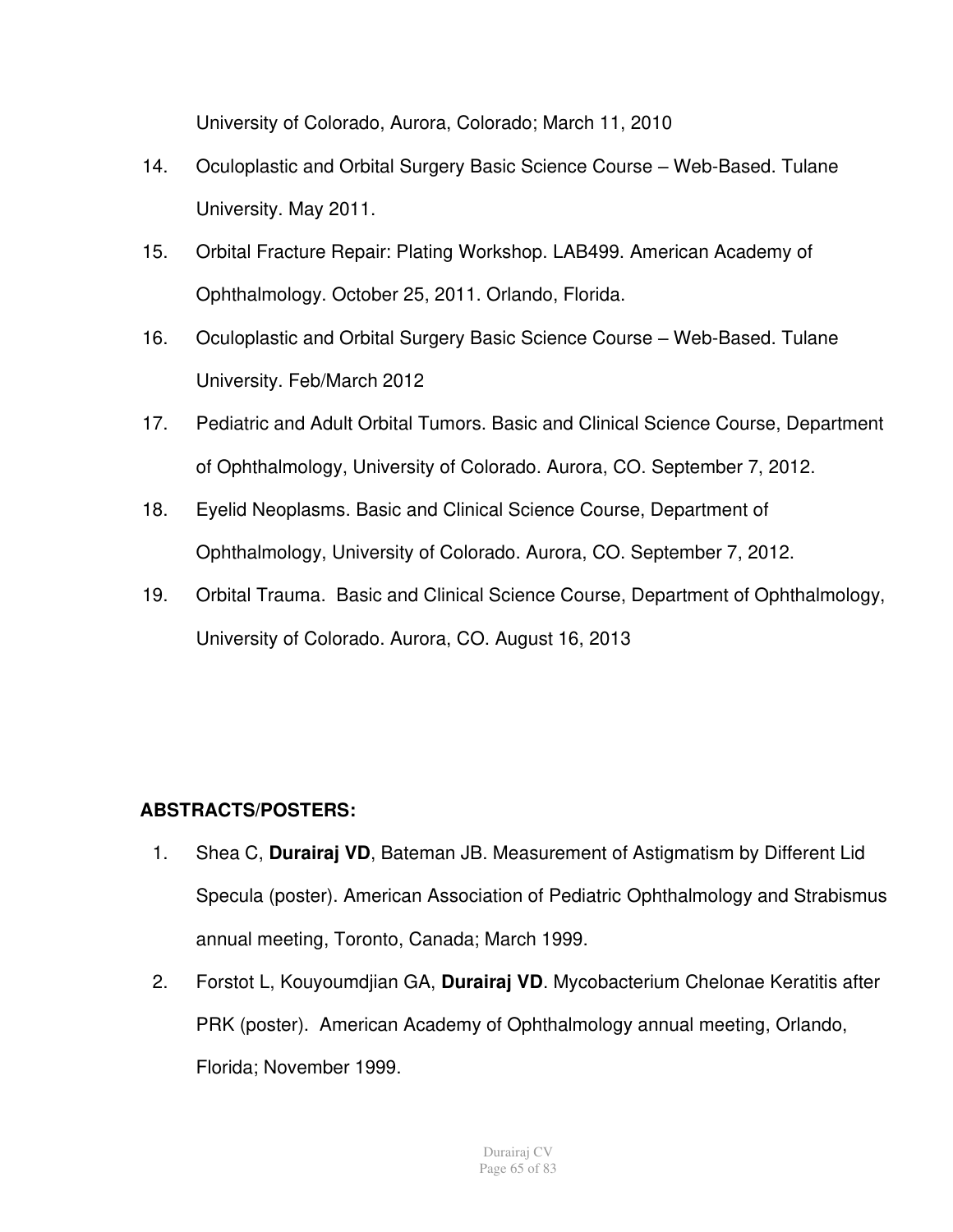University of Colorado, Aurora, Colorado; March 11, 2010

- 14. Oculoplastic and Orbital Surgery Basic Science Course Web-Based. Tulane University. May 2011.
- 15. Orbital Fracture Repair: Plating Workshop. LAB499. American Academy of Ophthalmology. October 25, 2011. Orlando, Florida.
- 16. Oculoplastic and Orbital Surgery Basic Science Course Web-Based. Tulane University. Feb/March 2012
- 17. Pediatric and Adult Orbital Tumors. Basic and Clinical Science Course, Department of Ophthalmology, University of Colorado. Aurora, CO. September 7, 2012.
- 18. Eyelid Neoplasms. Basic and Clinical Science Course, Department of Ophthalmology, University of Colorado. Aurora, CO. September 7, 2012.
- 19. Orbital Trauma. Basic and Clinical Science Course, Department of Ophthalmology, University of Colorado. Aurora, CO. August 16, 2013

## **ABSTRACTS/POSTERS:**

- 1. Shea C, **Durairaj VD**, Bateman JB. Measurement of Astigmatism by Different Lid Specula (poster). American Association of Pediatric Ophthalmology and Strabismus annual meeting, Toronto, Canada; March 1999.
- 2. Forstot L, Kouyoumdjian GA, **Durairaj VD**. Mycobacterium Chelonae Keratitis after PRK (poster). American Academy of Ophthalmology annual meeting, Orlando, Florida; November 1999.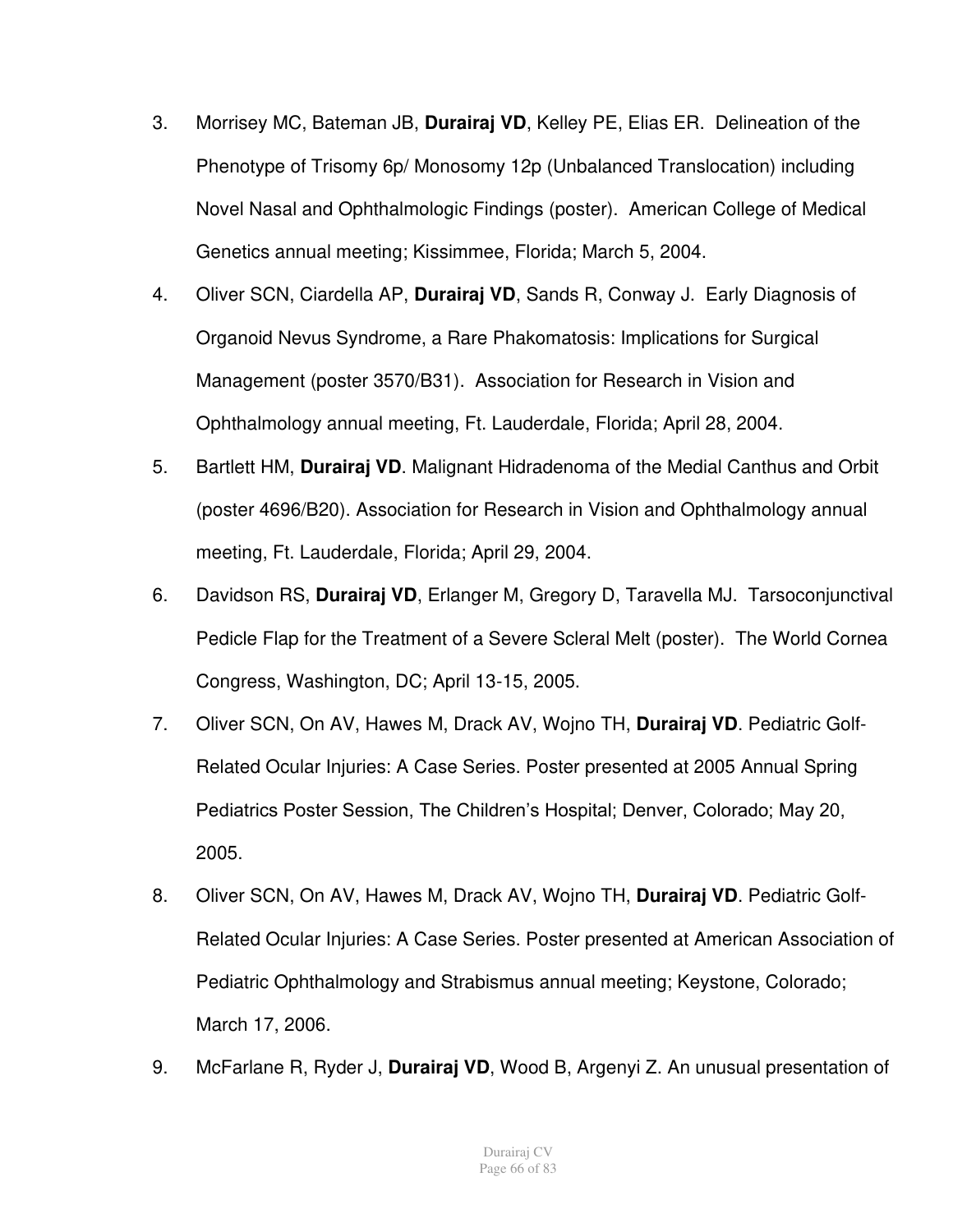- 3. Morrisey MC, Bateman JB, **Durairaj VD**, Kelley PE, Elias ER. Delineation of the Phenotype of Trisomy 6p/ Monosomy 12p (Unbalanced Translocation) including Novel Nasal and Ophthalmologic Findings (poster). American College of Medical Genetics annual meeting; Kissimmee, Florida; March 5, 2004.
- 4. Oliver SCN, Ciardella AP, **Durairaj VD**, Sands R, Conway J. Early Diagnosis of Organoid Nevus Syndrome, a Rare Phakomatosis: Implications for Surgical Management (poster 3570/B31). Association for Research in Vision and Ophthalmology annual meeting, Ft. Lauderdale, Florida; April 28, 2004.
- 5. Bartlett HM, **Durairaj VD**. Malignant Hidradenoma of the Medial Canthus and Orbit (poster 4696/B20). Association for Research in Vision and Ophthalmology annual meeting, Ft. Lauderdale, Florida; April 29, 2004.
- 6. Davidson RS, **Durairaj VD**, Erlanger M, Gregory D, Taravella MJ. Tarsoconjunctival Pedicle Flap for the Treatment of a Severe Scleral Melt (poster). The World Cornea Congress, Washington, DC; April 13-15, 2005.
- 7. Oliver SCN, On AV, Hawes M, Drack AV, Wojno TH, **Durairaj VD**. Pediatric Golf-Related Ocular Injuries: A Case Series. Poster presented at 2005 Annual Spring Pediatrics Poster Session, The Children's Hospital; Denver, Colorado; May 20, 2005.
- 8. Oliver SCN, On AV, Hawes M, Drack AV, Wojno TH, **Durairaj VD**. Pediatric Golf-Related Ocular Injuries: A Case Series. Poster presented at American Association of Pediatric Ophthalmology and Strabismus annual meeting; Keystone, Colorado; March 17, 2006.
- 9. McFarlane R, Ryder J, **Durairaj VD**, Wood B, Argenyi Z. An unusual presentation of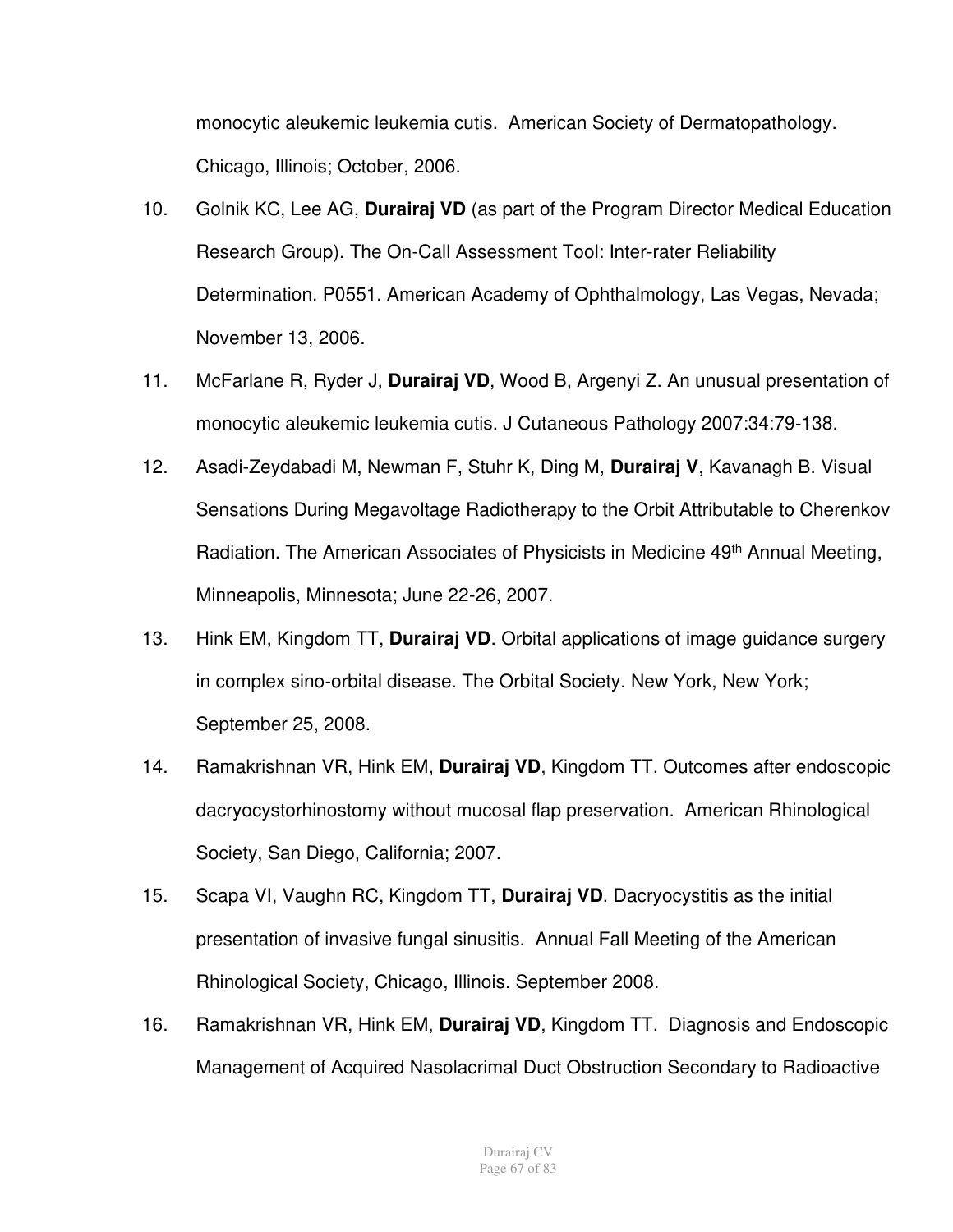monocytic aleukemic leukemia cutis. American Society of Dermatopathology. Chicago, Illinois; October, 2006.

- 10. Golnik KC, Lee AG, **Durairaj VD** (as part of the Program Director Medical Education Research Group). The On-Call Assessment Tool: Inter-rater Reliability Determination. P0551. American Academy of Ophthalmology, Las Vegas, Nevada; November 13, 2006.
- 11. McFarlane R, Ryder J, **Durairaj VD**, Wood B, Argenyi Z. An unusual presentation of monocytic aleukemic leukemia cutis. J Cutaneous Pathology 2007:34:79-138.
- 12. Asadi-Zeydabadi M, Newman F, Stuhr K, Ding M, **Durairaj V**, Kavanagh B. Visual Sensations During Megavoltage Radiotherapy to the Orbit Attributable to Cherenkov Radiation. The American Associates of Physicists in Medicine 49<sup>th</sup> Annual Meeting, Minneapolis, Minnesota; June 22-26, 2007.
- 13. Hink EM, Kingdom TT, **Durairaj VD**. Orbital applications of image guidance surgery in complex sino-orbital disease. The Orbital Society. New York, New York; September 25, 2008.
- 14. Ramakrishnan VR, Hink EM, **Durairaj VD**, Kingdom TT. Outcomes after endoscopic dacryocystorhinostomy without mucosal flap preservation. American Rhinological Society, San Diego, California; 2007.
- 15. Scapa VI, Vaughn RC, Kingdom TT, **Durairaj VD**. Dacryocystitis as the initial presentation of invasive fungal sinusitis. Annual Fall Meeting of the American Rhinological Society, Chicago, Illinois. September 2008.
- 16. Ramakrishnan VR, Hink EM, **Durairaj VD**, Kingdom TT. Diagnosis and Endoscopic Management of Acquired Nasolacrimal Duct Obstruction Secondary to Radioactive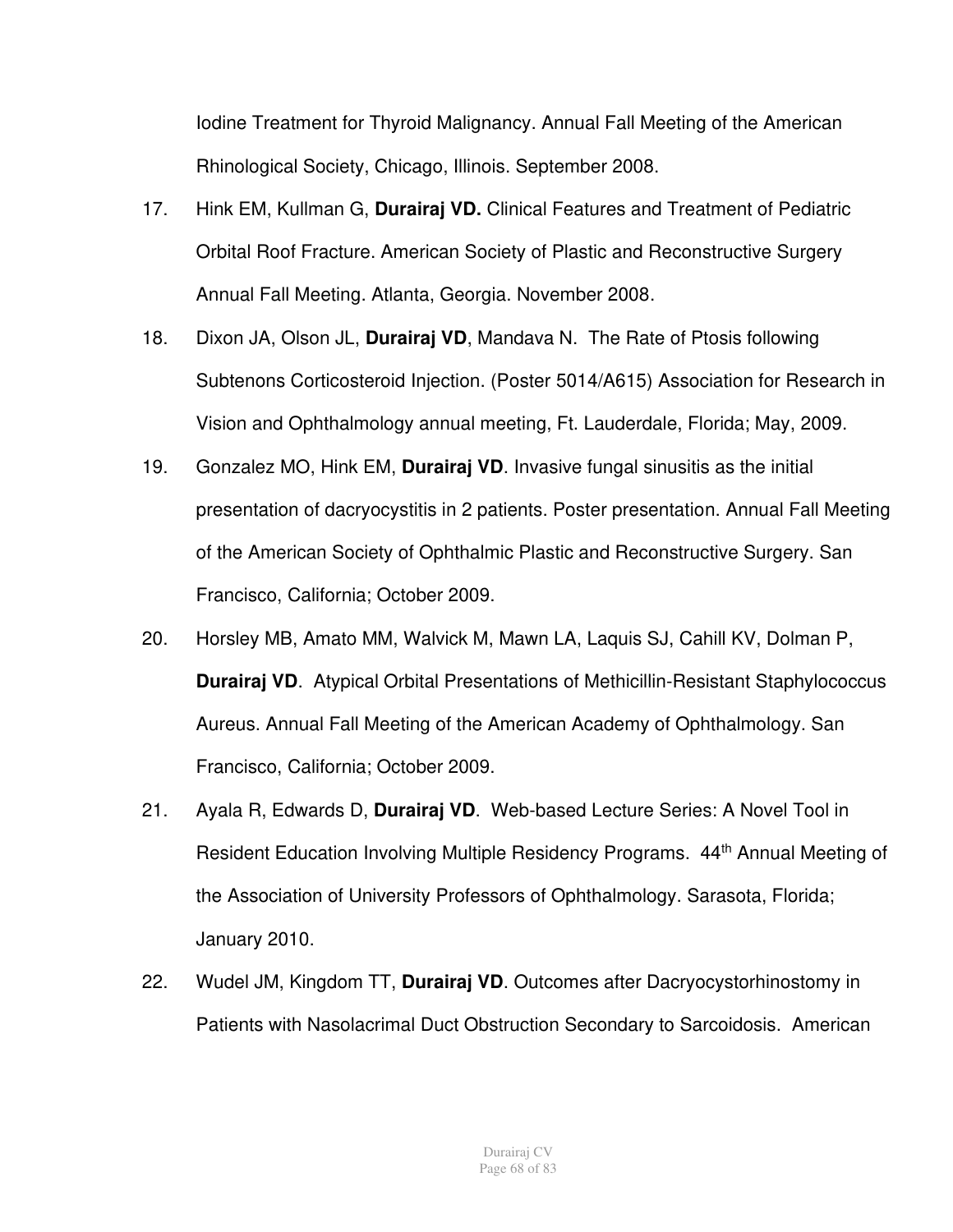Iodine Treatment for Thyroid Malignancy. Annual Fall Meeting of the American Rhinological Society, Chicago, Illinois. September 2008.

- 17. Hink EM, Kullman G, **Durairaj VD.** Clinical Features and Treatment of Pediatric Orbital Roof Fracture. American Society of Plastic and Reconstructive Surgery Annual Fall Meeting. Atlanta, Georgia. November 2008.
- 18. Dixon JA, Olson JL, **Durairaj VD**, Mandava N. The Rate of Ptosis following Subtenons Corticosteroid Injection. (Poster 5014/A615) Association for Research in Vision and Ophthalmology annual meeting, Ft. Lauderdale, Florida; May, 2009.
- 19. Gonzalez MO, Hink EM, **Durairaj VD**. Invasive fungal sinusitis as the initial presentation of dacryocystitis in 2 patients. Poster presentation. Annual Fall Meeting of the American Society of Ophthalmic Plastic and Reconstructive Surgery. San Francisco, California; October 2009.
- 20. Horsley MB, Amato MM, Walvick M, Mawn LA, Laquis SJ, Cahill KV, Dolman P, **Durairaj VD**. Atypical Orbital Presentations of Methicillin-Resistant Staphylococcus Aureus. Annual Fall Meeting of the American Academy of Ophthalmology. San Francisco, California; October 2009.
- 21. Ayala R, Edwards D, **Durairaj VD**. Web-based Lecture Series: A Novel Tool in Resident Education Involving Multiple Residency Programs. 44th Annual Meeting of the Association of University Professors of Ophthalmology. Sarasota, Florida; January 2010.
- 22. Wudel JM, Kingdom TT, **Durairaj VD**. Outcomes after Dacryocystorhinostomy in Patients with Nasolacrimal Duct Obstruction Secondary to Sarcoidosis. American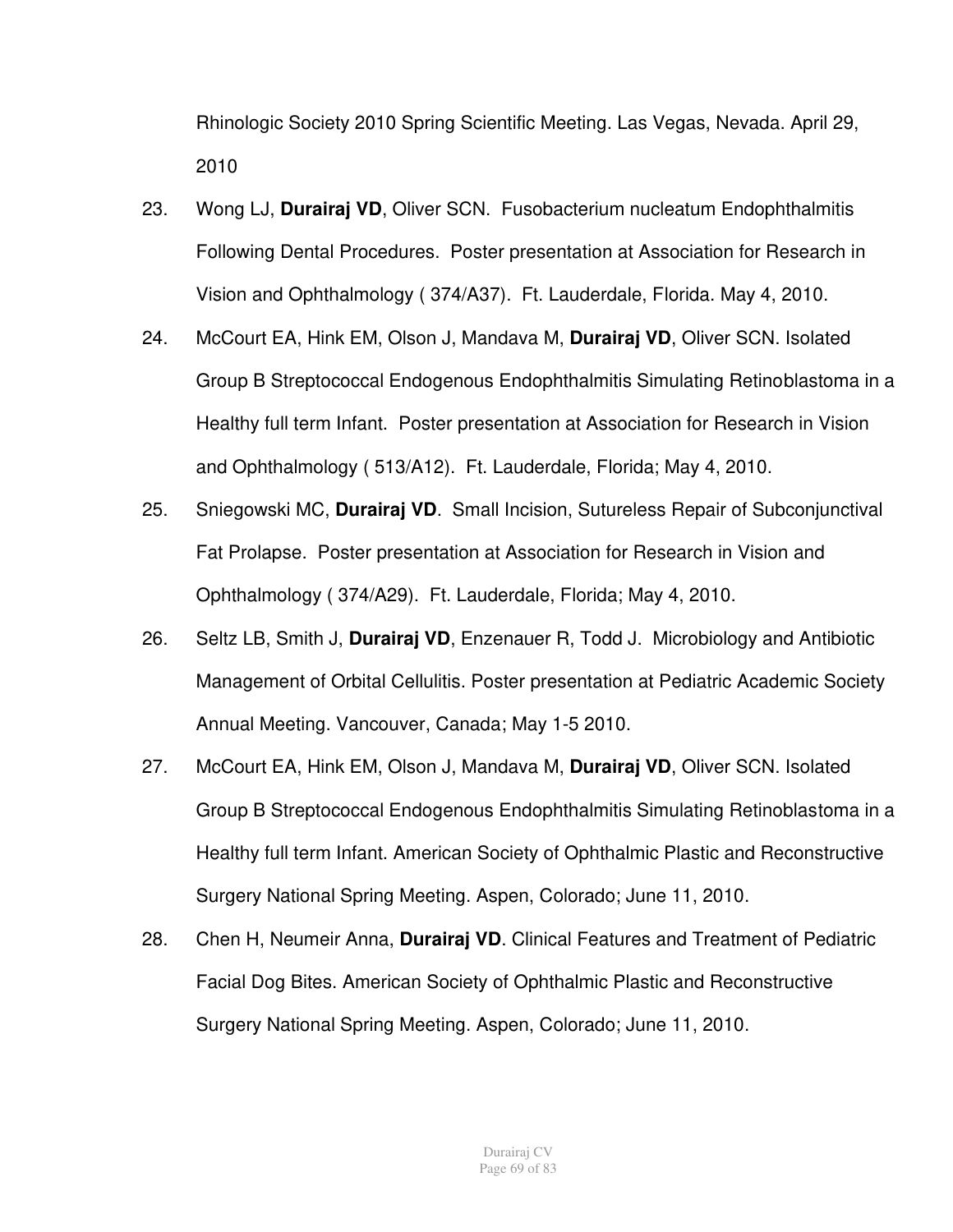Rhinologic Society 2010 Spring Scientific Meeting. Las Vegas, Nevada. April 29, 2010

- 23. Wong LJ, **Durairaj VD**, Oliver SCN. Fusobacterium nucleatum Endophthalmitis Following Dental Procedures. Poster presentation at Association for Research in Vision and Ophthalmology ( 374/A37). Ft. Lauderdale, Florida. May 4, 2010.
- 24. McCourt EA, Hink EM, Olson J, Mandava M, **Durairaj VD**, Oliver SCN. Isolated Group B Streptococcal Endogenous Endophthalmitis Simulating Retinoblastoma in a Healthy full term Infant. Poster presentation at Association for Research in Vision and Ophthalmology ( 513/A12). Ft. Lauderdale, Florida; May 4, 2010.
- 25. Sniegowski MC, **Durairaj VD**. Small Incision, Sutureless Repair of Subconjunctival Fat Prolapse. Poster presentation at Association for Research in Vision and Ophthalmology ( 374/A29). Ft. Lauderdale, Florida; May 4, 2010.
- 26. Seltz LB, Smith J, **Durairaj VD**, Enzenauer R, Todd J. Microbiology and Antibiotic Management of Orbital Cellulitis. Poster presentation at Pediatric Academic Society Annual Meeting. Vancouver, Canada; May 1-5 2010.
- 27. McCourt EA, Hink EM, Olson J, Mandava M, **Durairaj VD**, Oliver SCN. Isolated Group B Streptococcal Endogenous Endophthalmitis Simulating Retinoblastoma in a Healthy full term Infant. American Society of Ophthalmic Plastic and Reconstructive Surgery National Spring Meeting. Aspen, Colorado; June 11, 2010.
- 28. Chen H, Neumeir Anna, **Durairaj VD**. Clinical Features and Treatment of Pediatric Facial Dog Bites. American Society of Ophthalmic Plastic and Reconstructive Surgery National Spring Meeting. Aspen, Colorado; June 11, 2010.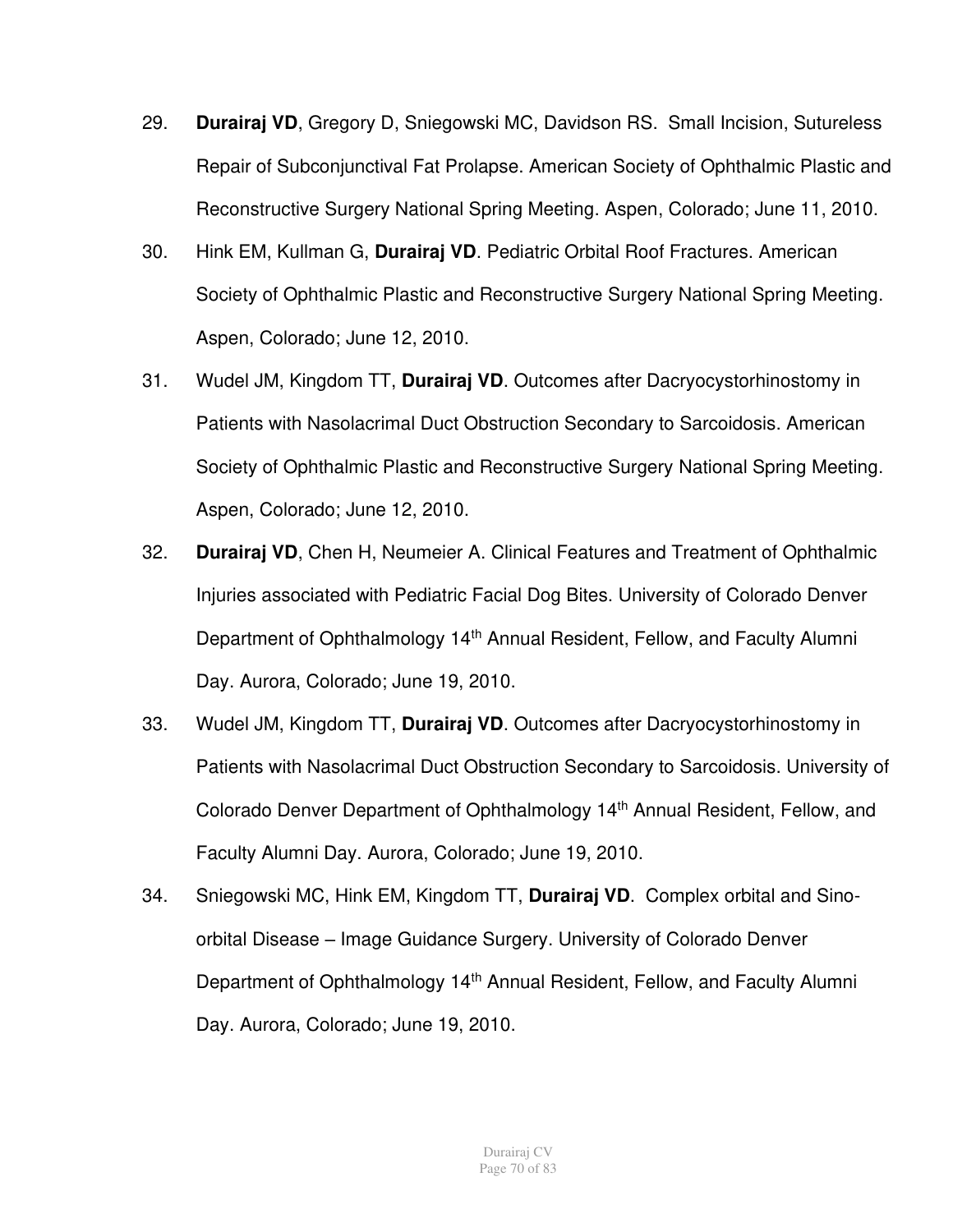- 29. **Durairaj VD**, Gregory D, Sniegowski MC, Davidson RS. Small Incision, Sutureless Repair of Subconjunctival Fat Prolapse. American Society of Ophthalmic Plastic and Reconstructive Surgery National Spring Meeting. Aspen, Colorado; June 11, 2010.
- 30. Hink EM, Kullman G, **Durairaj VD**. Pediatric Orbital Roof Fractures. American Society of Ophthalmic Plastic and Reconstructive Surgery National Spring Meeting. Aspen, Colorado; June 12, 2010.
- 31. Wudel JM, Kingdom TT, **Durairaj VD**. Outcomes after Dacryocystorhinostomy in Patients with Nasolacrimal Duct Obstruction Secondary to Sarcoidosis. American Society of Ophthalmic Plastic and Reconstructive Surgery National Spring Meeting. Aspen, Colorado; June 12, 2010.
- 32. **Durairaj VD**, Chen H, Neumeier A. Clinical Features and Treatment of Ophthalmic Injuries associated with Pediatric Facial Dog Bites. University of Colorado Denver Department of Ophthalmology 14<sup>th</sup> Annual Resident, Fellow, and Faculty Alumni Day. Aurora, Colorado; June 19, 2010.
- 33. Wudel JM, Kingdom TT, **Durairaj VD**. Outcomes after Dacryocystorhinostomy in Patients with Nasolacrimal Duct Obstruction Secondary to Sarcoidosis. University of Colorado Denver Department of Ophthalmology 14<sup>th</sup> Annual Resident, Fellow, and Faculty Alumni Day. Aurora, Colorado; June 19, 2010.
- 34. Sniegowski MC, Hink EM, Kingdom TT, **Durairaj VD**. Complex orbital and Sinoorbital Disease – Image Guidance Surgery. University of Colorado Denver Department of Ophthalmology 14<sup>th</sup> Annual Resident, Fellow, and Faculty Alumni Day. Aurora, Colorado; June 19, 2010.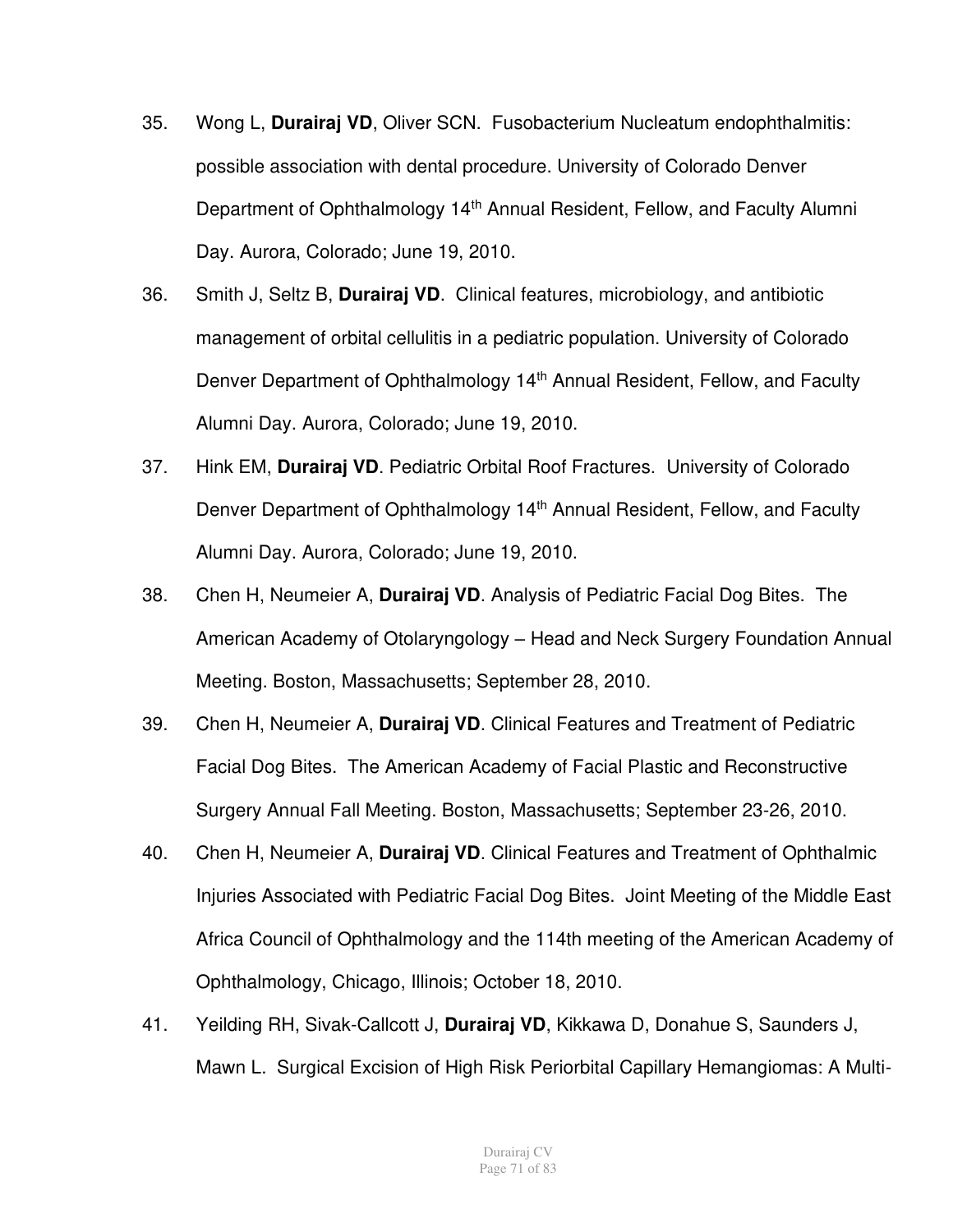- 35. Wong L, **Durairaj VD**, Oliver SCN. Fusobacterium Nucleatum endophthalmitis: possible association with dental procedure. University of Colorado Denver Department of Ophthalmology 14<sup>th</sup> Annual Resident, Fellow, and Faculty Alumni Day. Aurora, Colorado; June 19, 2010.
- 36. Smith J, Seltz B, **Durairaj VD**. Clinical features, microbiology, and antibiotic management of orbital cellulitis in a pediatric population. University of Colorado Denver Department of Ophthalmology 14<sup>th</sup> Annual Resident, Fellow, and Faculty Alumni Day. Aurora, Colorado; June 19, 2010.
- 37. Hink EM, **Durairaj VD**. Pediatric Orbital Roof Fractures. University of Colorado Denver Department of Ophthalmology 14<sup>th</sup> Annual Resident, Fellow, and Faculty Alumni Day. Aurora, Colorado; June 19, 2010.
- 38. Chen H, Neumeier A, **Durairaj VD**. Analysis of Pediatric Facial Dog Bites. The American Academy of Otolaryngology – Head and Neck Surgery Foundation Annual Meeting. Boston, Massachusetts; September 28, 2010.
- 39. Chen H, Neumeier A, **Durairaj VD**. Clinical Features and Treatment of Pediatric Facial Dog Bites. The American Academy of Facial Plastic and Reconstructive Surgery Annual Fall Meeting. Boston, Massachusetts; September 23-26, 2010.
- 40. Chen H, Neumeier A, **Durairaj VD**. Clinical Features and Treatment of Ophthalmic Injuries Associated with Pediatric Facial Dog Bites. Joint Meeting of the Middle East Africa Council of Ophthalmology and the 114th meeting of the American Academy of Ophthalmology, Chicago, Illinois; October 18, 2010.
- 41. Yeilding RH, Sivak-Callcott J, **Durairaj VD**, Kikkawa D, Donahue S, Saunders J, Mawn L. Surgical Excision of High Risk Periorbital Capillary Hemangiomas: A Multi-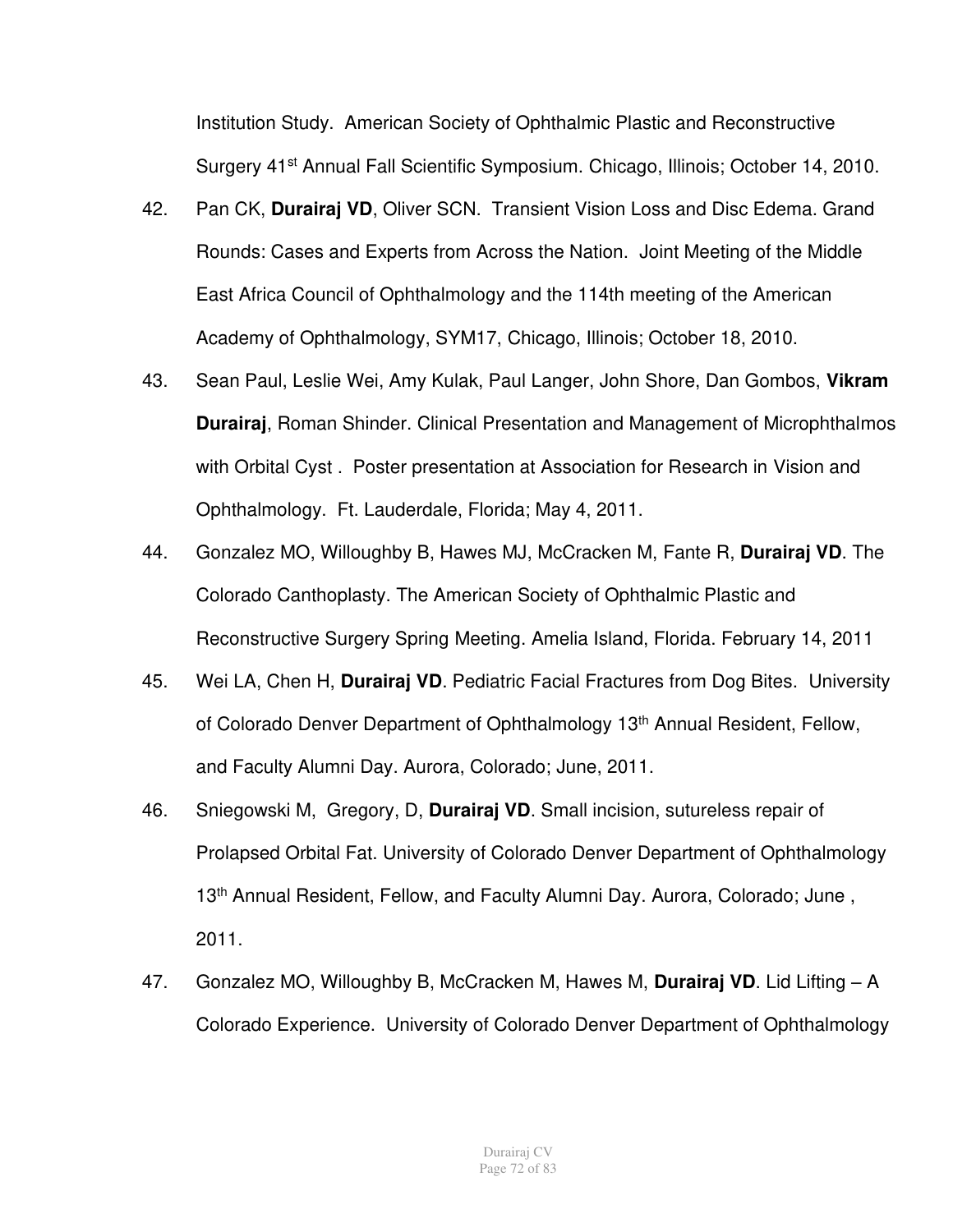Institution Study. American Society of Ophthalmic Plastic and Reconstructive Surgery 41<sup>st</sup> Annual Fall Scientific Symposium. Chicago, Illinois; October 14, 2010.

- 42. Pan CK, **Durairaj VD**, Oliver SCN. Transient Vision Loss and Disc Edema. Grand Rounds: Cases and Experts from Across the Nation. Joint Meeting of the Middle East Africa Council of Ophthalmology and the 114th meeting of the American Academy of Ophthalmology, SYM17, Chicago, Illinois; October 18, 2010.
- 43. Sean Paul, Leslie Wei, Amy Kulak, Paul Langer, John Shore, Dan Gombos, **Vikram Durairaj**, Roman Shinder. Clinical Presentation and Management of Microphthalmos with Orbital Cyst . Poster presentation at Association for Research in Vision and Ophthalmology. Ft. Lauderdale, Florida; May 4, 2011.
- 44. Gonzalez MO, Willoughby B, Hawes MJ, McCracken M, Fante R, **Durairaj VD**. The Colorado Canthoplasty. The American Society of Ophthalmic Plastic and Reconstructive Surgery Spring Meeting. Amelia Island, Florida. February 14, 2011
- 45. Wei LA, Chen H, **Durairaj VD**. Pediatric Facial Fractures from Dog Bites. University of Colorado Denver Department of Ophthalmology 13<sup>th</sup> Annual Resident, Fellow, and Faculty Alumni Day. Aurora, Colorado; June, 2011.
- 46. Sniegowski M, Gregory, D, **Durairaj VD**. Small incision, sutureless repair of Prolapsed Orbital Fat. University of Colorado Denver Department of Ophthalmology 13<sup>th</sup> Annual Resident, Fellow, and Faculty Alumni Day. Aurora, Colorado; June, 2011.
- 47. Gonzalez MO, Willoughby B, McCracken M, Hawes M, **Durairaj VD**. Lid Lifting A Colorado Experience. University of Colorado Denver Department of Ophthalmology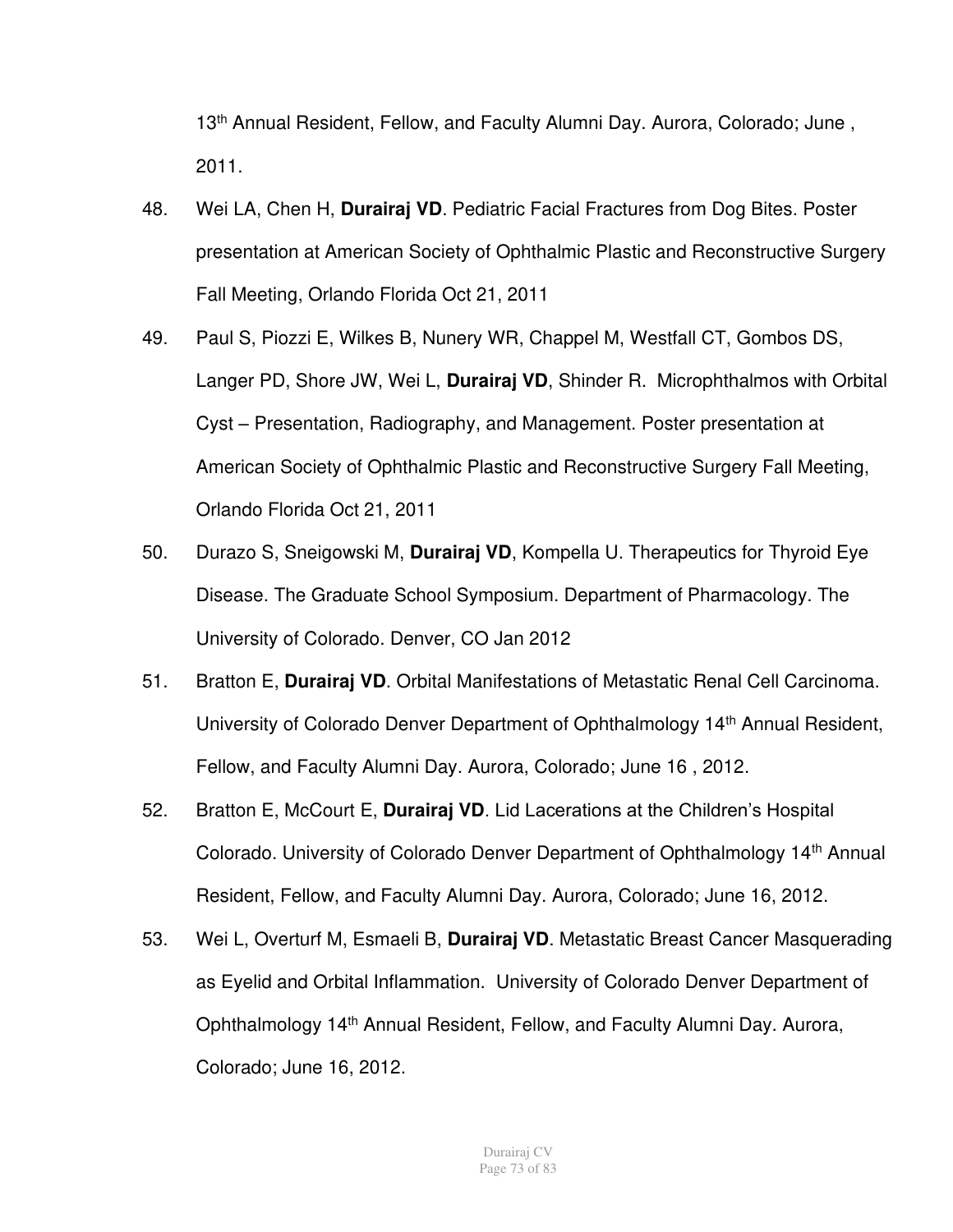13<sup>th</sup> Annual Resident, Fellow, and Faculty Alumni Day. Aurora, Colorado; June, 2011.

- 48. Wei LA, Chen H, **Durairaj VD**. Pediatric Facial Fractures from Dog Bites. Poster presentation at American Society of Ophthalmic Plastic and Reconstructive Surgery Fall Meeting, Orlando Florida Oct 21, 2011
- 49. Paul S, Piozzi E, Wilkes B, Nunery WR, Chappel M, Westfall CT, Gombos DS, Langer PD, Shore JW, Wei L, **Durairaj VD**, Shinder R. Microphthalmos with Orbital Cyst – Presentation, Radiography, and Management. Poster presentation at American Society of Ophthalmic Plastic and Reconstructive Surgery Fall Meeting, Orlando Florida Oct 21, 2011
- 50. Durazo S, Sneigowski M, **Durairaj VD**, Kompella U. Therapeutics for Thyroid Eye Disease. The Graduate School Symposium. Department of Pharmacology. The University of Colorado. Denver, CO Jan 2012
- 51. Bratton E, **Durairaj VD**. Orbital Manifestations of Metastatic Renal Cell Carcinoma. University of Colorado Denver Department of Ophthalmology 14<sup>th</sup> Annual Resident, Fellow, and Faculty Alumni Day. Aurora, Colorado; June 16 , 2012.
- 52. Bratton E, McCourt E, **Durairaj VD**. Lid Lacerations at the Children's Hospital Colorado. University of Colorado Denver Department of Ophthalmology 14th Annual Resident, Fellow, and Faculty Alumni Day. Aurora, Colorado; June 16, 2012.
- 53. Wei L, Overturf M, Esmaeli B, **Durairaj VD**. Metastatic Breast Cancer Masquerading as Eyelid and Orbital Inflammation. University of Colorado Denver Department of Ophthalmology 14<sup>th</sup> Annual Resident, Fellow, and Faculty Alumni Day. Aurora, Colorado; June 16, 2012.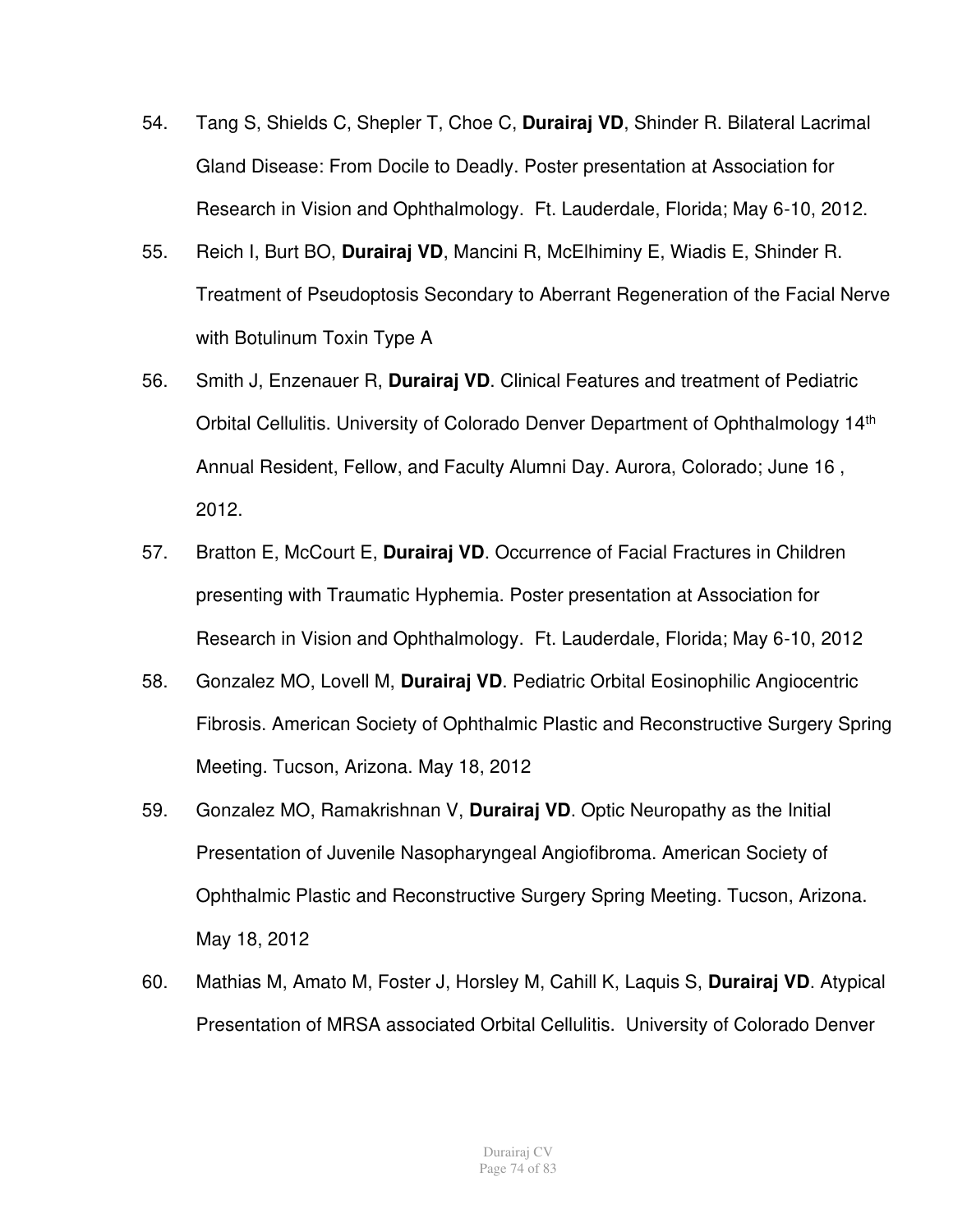- 54. Tang S, Shields C, Shepler T, Choe C, **Durairaj VD**, Shinder R. Bilateral Lacrimal Gland Disease: From Docile to Deadly. Poster presentation at Association for Research in Vision and Ophthalmology. Ft. Lauderdale, Florida; May 6-10, 2012.
- 55. Reich I, Burt BO, **Durairaj VD**, Mancini R, McElhiminy E, Wiadis E, Shinder R. Treatment of Pseudoptosis Secondary to Aberrant Regeneration of the Facial Nerve with Botulinum Toxin Type A
- 56. Smith J, Enzenauer R, **Durairaj VD**. Clinical Features and treatment of Pediatric Orbital Cellulitis. University of Colorado Denver Department of Ophthalmology 14th Annual Resident, Fellow, and Faculty Alumni Day. Aurora, Colorado; June 16 , 2012.
- 57. Bratton E, McCourt E, **Durairaj VD**. Occurrence of Facial Fractures in Children presenting with Traumatic Hyphemia. Poster presentation at Association for Research in Vision and Ophthalmology. Ft. Lauderdale, Florida; May 6-10, 2012
- 58. Gonzalez MO, Lovell M, **Durairaj VD**. Pediatric Orbital Eosinophilic Angiocentric Fibrosis. American Society of Ophthalmic Plastic and Reconstructive Surgery Spring Meeting. Tucson, Arizona. May 18, 2012
- 59. Gonzalez MO, Ramakrishnan V, **Durairaj VD**. Optic Neuropathy as the Initial Presentation of Juvenile Nasopharyngeal Angiofibroma. American Society of Ophthalmic Plastic and Reconstructive Surgery Spring Meeting. Tucson, Arizona. May 18, 2012
- 60. Mathias M, Amato M, Foster J, Horsley M, Cahill K, Laquis S, **Durairaj VD**. Atypical Presentation of MRSA associated Orbital Cellulitis. University of Colorado Denver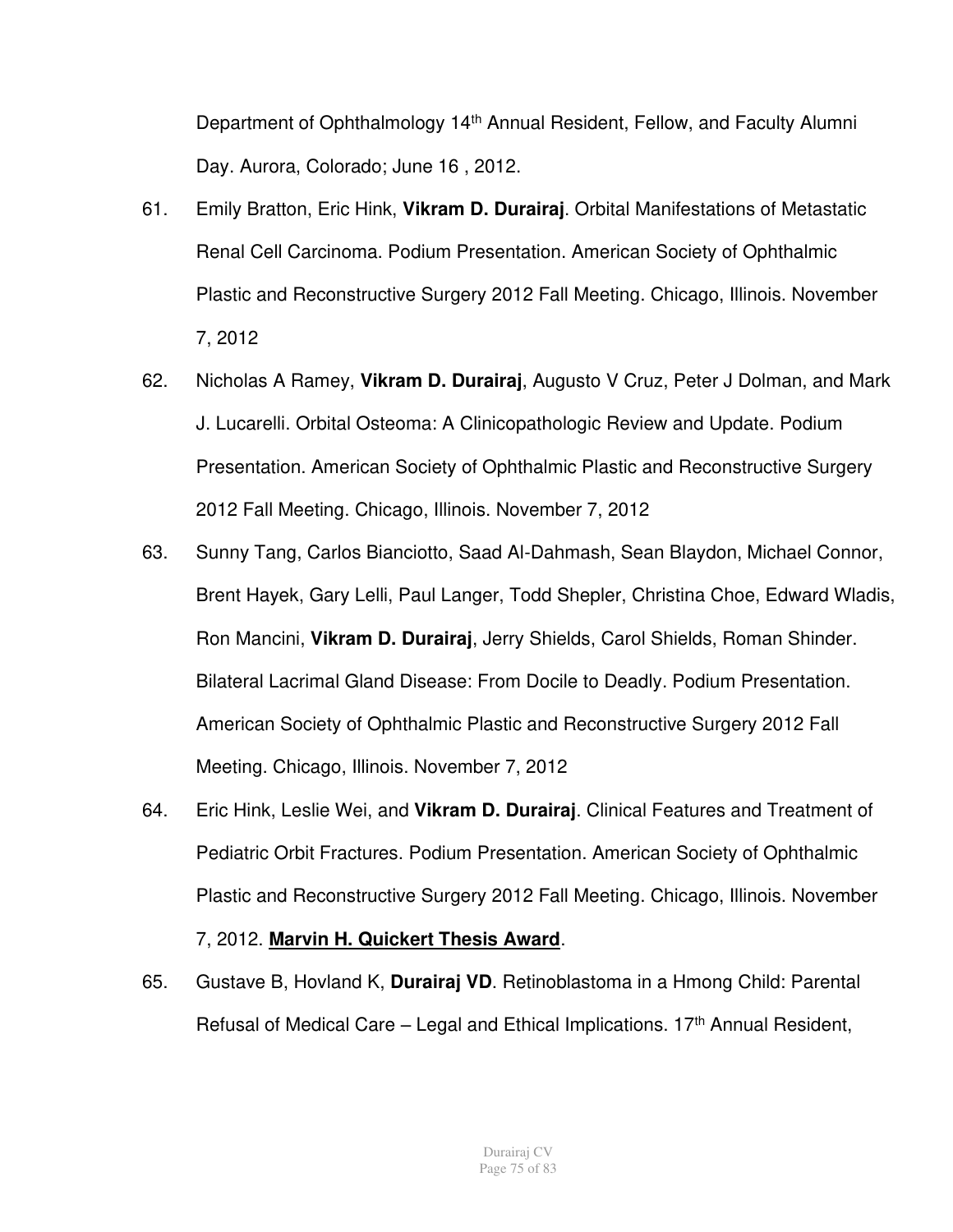Department of Ophthalmology 14<sup>th</sup> Annual Resident, Fellow, and Faculty Alumni Day. Aurora, Colorado; June 16 , 2012.

- 61. Emily Bratton, Eric Hink, **Vikram D. Durairaj**. Orbital Manifestations of Metastatic Renal Cell Carcinoma. Podium Presentation. American Society of Ophthalmic Plastic and Reconstructive Surgery 2012 Fall Meeting. Chicago, Illinois. November 7, 2012
- 62. Nicholas A Ramey, **Vikram D. Durairaj**, Augusto V Cruz, Peter J Dolman, and Mark J. Lucarelli. Orbital Osteoma: A Clinicopathologic Review and Update. Podium Presentation. American Society of Ophthalmic Plastic and Reconstructive Surgery 2012 Fall Meeting. Chicago, Illinois. November 7, 2012
- 63. Sunny Tang, Carlos Bianciotto, Saad Al-Dahmash, Sean Blaydon, Michael Connor, Brent Hayek, Gary Lelli, Paul Langer, Todd Shepler, Christina Choe, Edward Wladis, Ron Mancini, **Vikram D. Durairaj**, Jerry Shields, Carol Shields, Roman Shinder. Bilateral Lacrimal Gland Disease: From Docile to Deadly. Podium Presentation. American Society of Ophthalmic Plastic and Reconstructive Surgery 2012 Fall Meeting. Chicago, Illinois. November 7, 2012
- 64. Eric Hink, Leslie Wei, and **Vikram D. Durairaj**. Clinical Features and Treatment of Pediatric Orbit Fractures. Podium Presentation. American Society of Ophthalmic Plastic and Reconstructive Surgery 2012 Fall Meeting. Chicago, Illinois. November 7, 2012. **Marvin H. Quickert Thesis Award**.
- 65. Gustave B, Hovland K, **Durairaj VD**. Retinoblastoma in a Hmong Child: Parental Refusal of Medical Care – Legal and Ethical Implications.  $17<sup>th</sup>$  Annual Resident,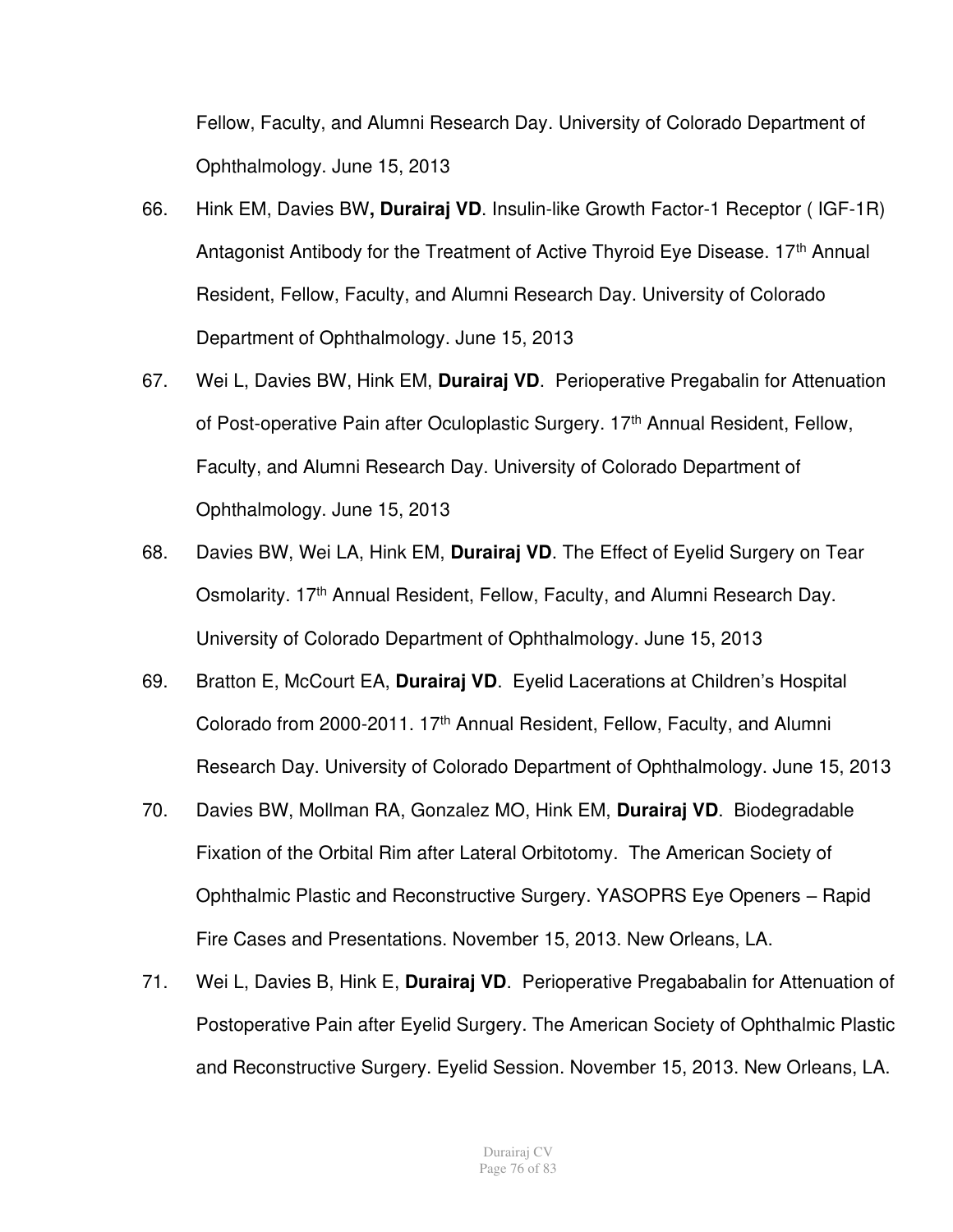Fellow, Faculty, and Alumni Research Day. University of Colorado Department of Ophthalmology. June 15, 2013

- 66. Hink EM, Davies BW**, Durairaj VD**. Insulin-like Growth Factor-1 Receptor ( IGF-1R) Antagonist Antibody for the Treatment of Active Thyroid Eye Disease. 17<sup>th</sup> Annual Resident, Fellow, Faculty, and Alumni Research Day. University of Colorado Department of Ophthalmology. June 15, 2013
- 67. Wei L, Davies BW, Hink EM, **Durairaj VD**. Perioperative Pregabalin for Attenuation of Post-operative Pain after Oculoplastic Surgery. 17<sup>th</sup> Annual Resident, Fellow, Faculty, and Alumni Research Day. University of Colorado Department of Ophthalmology. June 15, 2013
- 68. Davies BW, Wei LA, Hink EM, **Durairaj VD**. The Effect of Eyelid Surgery on Tear Osmolarity. 17<sup>th</sup> Annual Resident, Fellow, Faculty, and Alumni Research Day. University of Colorado Department of Ophthalmology. June 15, 2013
- 69. Bratton E, McCourt EA, **Durairaj VD**. Eyelid Lacerations at Children's Hospital Colorado from 2000-2011. 17<sup>th</sup> Annual Resident, Fellow, Faculty, and Alumni Research Day. University of Colorado Department of Ophthalmology. June 15, 2013
- 70. Davies BW, Mollman RA, Gonzalez MO, Hink EM, **Durairaj VD**. Biodegradable Fixation of the Orbital Rim after Lateral Orbitotomy. The American Society of Ophthalmic Plastic and Reconstructive Surgery. YASOPRS Eye Openers – Rapid Fire Cases and Presentations. November 15, 2013. New Orleans, LA.
- 71. Wei L, Davies B, Hink E, **Durairaj VD**. Perioperative Pregababalin for Attenuation of Postoperative Pain after Eyelid Surgery. The American Society of Ophthalmic Plastic and Reconstructive Surgery. Eyelid Session. November 15, 2013. New Orleans, LA.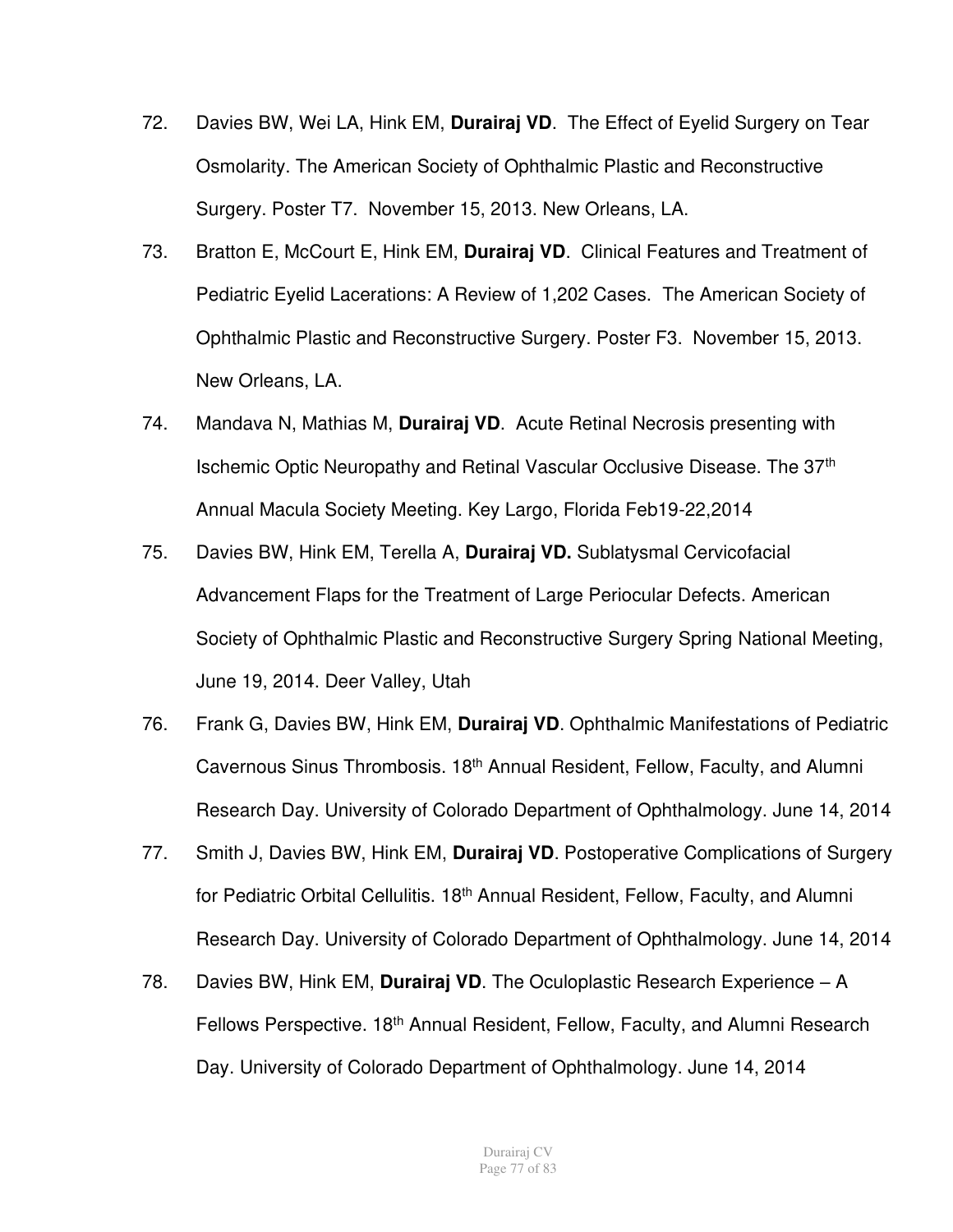- 72. Davies BW, Wei LA, Hink EM, **Durairaj VD**. The Effect of Eyelid Surgery on Tear Osmolarity. The American Society of Ophthalmic Plastic and Reconstructive Surgery. Poster T7. November 15, 2013. New Orleans, LA.
- 73. Bratton E, McCourt E, Hink EM, **Durairaj VD**. Clinical Features and Treatment of Pediatric Eyelid Lacerations: A Review of 1,202 Cases. The American Society of Ophthalmic Plastic and Reconstructive Surgery. Poster F3. November 15, 2013. New Orleans, LA.
- 74. Mandava N, Mathias M, **Durairaj VD**. Acute Retinal Necrosis presenting with Ischemic Optic Neuropathy and Retinal Vascular Occlusive Disease. The 37th Annual Macula Society Meeting. Key Largo, Florida Feb19-22,2014
- 75. Davies BW, Hink EM, Terella A, **Durairaj VD.** Sublatysmal Cervicofacial Advancement Flaps for the Treatment of Large Periocular Defects. American Society of Ophthalmic Plastic and Reconstructive Surgery Spring National Meeting, June 19, 2014. Deer Valley, Utah
- 76. Frank G, Davies BW, Hink EM, **Durairaj VD**. Ophthalmic Manifestations of Pediatric Cavernous Sinus Thrombosis. 18<sup>th</sup> Annual Resident, Fellow, Faculty, and Alumni Research Day. University of Colorado Department of Ophthalmology. June 14, 2014
- 77. Smith J, Davies BW, Hink EM, **Durairaj VD**. Postoperative Complications of Surgery for Pediatric Orbital Cellulitis. 18<sup>th</sup> Annual Resident, Fellow, Faculty, and Alumni Research Day. University of Colorado Department of Ophthalmology. June 14, 2014
- 78. Davies BW, Hink EM, **Durairaj VD**. The Oculoplastic Research Experience A Fellows Perspective. 18<sup>th</sup> Annual Resident, Fellow, Faculty, and Alumni Research Day. University of Colorado Department of Ophthalmology. June 14, 2014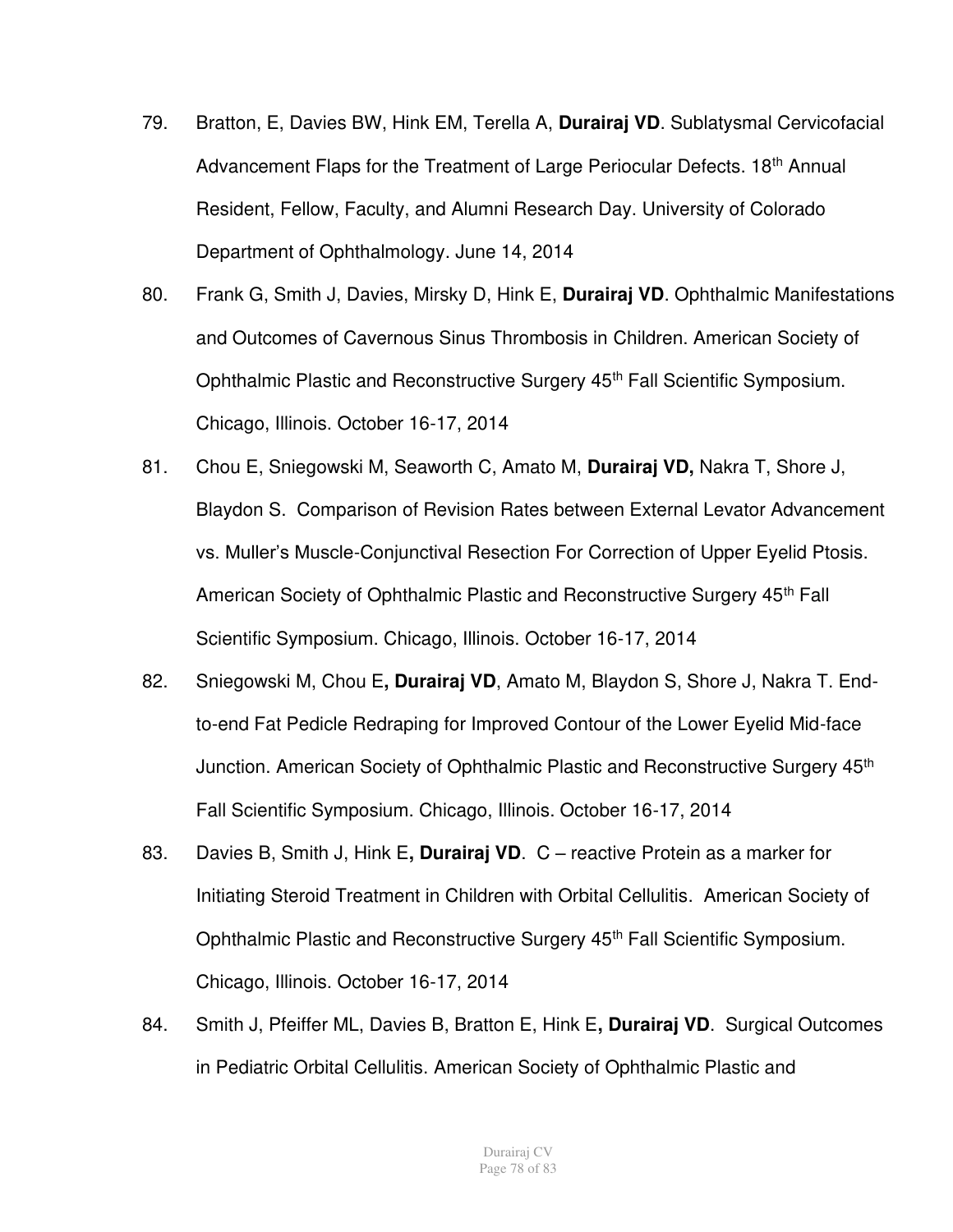- 79. Bratton, E, Davies BW, Hink EM, Terella A, **Durairaj VD**. Sublatysmal Cervicofacial Advancement Flaps for the Treatment of Large Periocular Defects. 18<sup>th</sup> Annual Resident, Fellow, Faculty, and Alumni Research Day. University of Colorado Department of Ophthalmology. June 14, 2014
- 80. Frank G, Smith J, Davies, Mirsky D, Hink E, **Durairaj VD**. Ophthalmic Manifestations and Outcomes of Cavernous Sinus Thrombosis in Children. American Society of Ophthalmic Plastic and Reconstructive Surgery 45<sup>th</sup> Fall Scientific Symposium. Chicago, Illinois. October 16-17, 2014
- 81. Chou E, Sniegowski M, Seaworth C, Amato M, **Durairaj VD,** Nakra T, Shore J, Blaydon S. Comparison of Revision Rates between External Levator Advancement vs. Muller's Muscle-Conjunctival Resection For Correction of Upper Eyelid Ptosis. American Society of Ophthalmic Plastic and Reconstructive Surgery 45th Fall Scientific Symposium. Chicago, Illinois. October 16-17, 2014
- 82. Sniegowski M, Chou E**, Durairaj VD**, Amato M, Blaydon S, Shore J, Nakra T. Endto-end Fat Pedicle Redraping for Improved Contour of the Lower Eyelid Mid-face Junction. American Society of Ophthalmic Plastic and Reconstructive Surgery 45<sup>th</sup> Fall Scientific Symposium. Chicago, Illinois. October 16-17, 2014
- 83. Davies B, Smith J, Hink E**, Durairaj VD**. C reactive Protein as a marker for Initiating Steroid Treatment in Children with Orbital Cellulitis. American Society of Ophthalmic Plastic and Reconstructive Surgery 45<sup>th</sup> Fall Scientific Symposium. Chicago, Illinois. October 16-17, 2014
- 84. Smith J, Pfeiffer ML, Davies B, Bratton E, Hink E**, Durairaj VD**. Surgical Outcomes in Pediatric Orbital Cellulitis. American Society of Ophthalmic Plastic and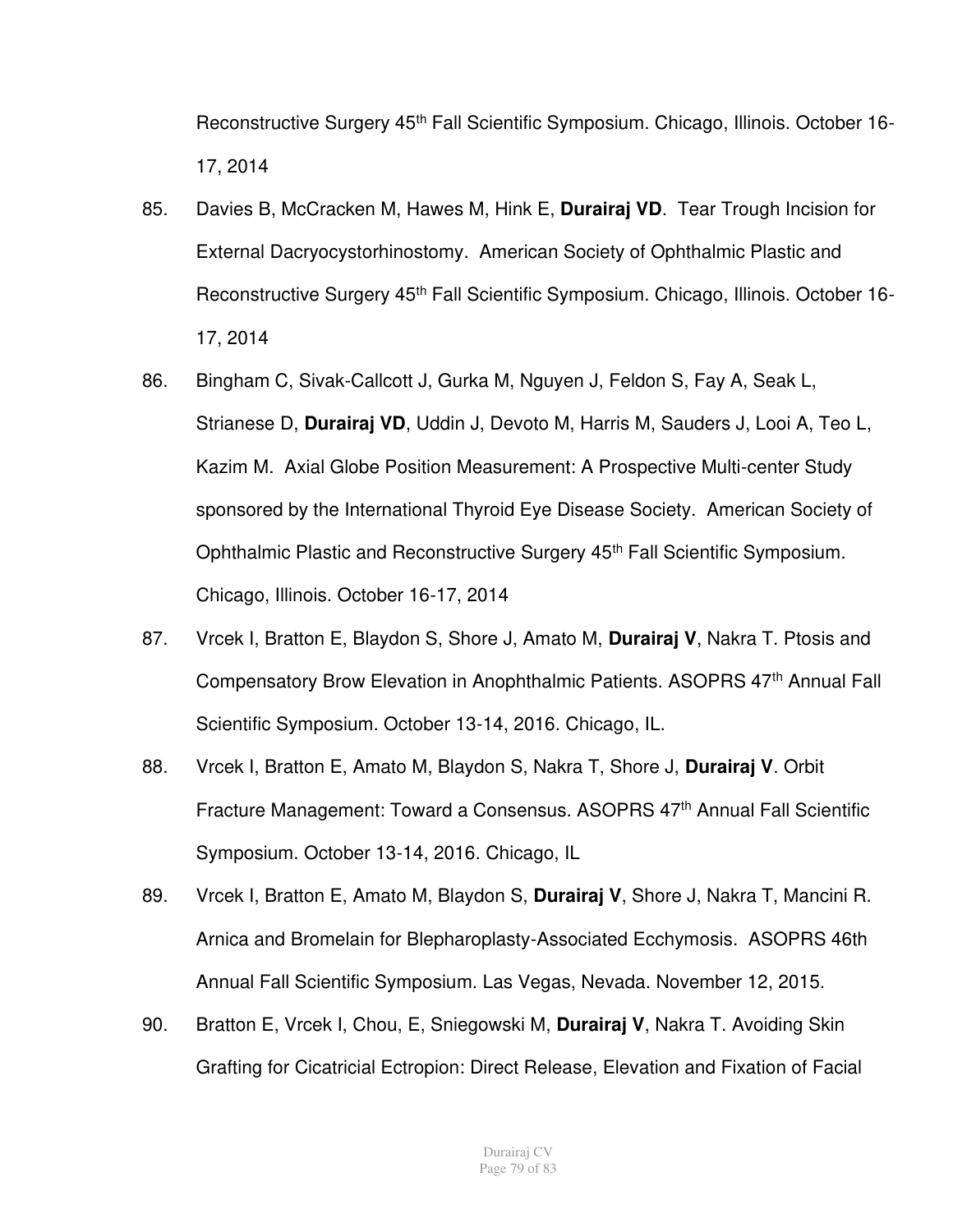Reconstructive Surgery 45<sup>th</sup> Fall Scientific Symposium. Chicago, Illinois. October 16-17, 2014

- 85. Davies B, McCracken M, Hawes M, Hink E, **Durairaj VD**. Tear Trough Incision for External Dacryocystorhinostomy. American Society of Ophthalmic Plastic and Reconstructive Surgery 45<sup>th</sup> Fall Scientific Symposium. Chicago, Illinois. October 16-17, 2014
- 86. Bingham C, Sivak-Callcott J, Gurka M, Nguyen J, Feldon S, Fay A, Seak L, Strianese D, **Durairaj VD**, Uddin J, Devoto M, Harris M, Sauders J, Looi A, Teo L, Kazim M. Axial Globe Position Measurement: A Prospective Multi-center Study sponsored by the International Thyroid Eye Disease Society. American Society of Ophthalmic Plastic and Reconstructive Surgery 45<sup>th</sup> Fall Scientific Symposium. Chicago, Illinois. October 16-17, 2014
- 87. Vrcek I, Bratton E, Blaydon S, Shore J, Amato M, **Durairaj V**, Nakra T. Ptosis and Compensatory Brow Elevation in Anophthalmic Patients. ASOPRS 47<sup>th</sup> Annual Fall Scientific Symposium. October 13-14, 2016. Chicago, IL.
- 88. Vrcek I, Bratton E, Amato M, Blaydon S, Nakra T, Shore J, **Durairaj V**. Orbit Fracture Management: Toward a Consensus. ASOPRS 47<sup>th</sup> Annual Fall Scientific Symposium. October 13-14, 2016. Chicago, IL
- 89. Vrcek I, Bratton E, Amato M, Blaydon S, **Durairaj V**, Shore J, Nakra T, Mancini R. Arnica and Bromelain for Blepharoplasty-Associated Ecchymosis. ASOPRS 46th Annual Fall Scientific Symposium. Las Vegas, Nevada. November 12, 2015.
- 90. Bratton E, Vrcek I, Chou, E, Sniegowski M, **Durairaj V**, Nakra T. Avoiding Skin Grafting for Cicatricial Ectropion: Direct Release, Elevation and Fixation of Facial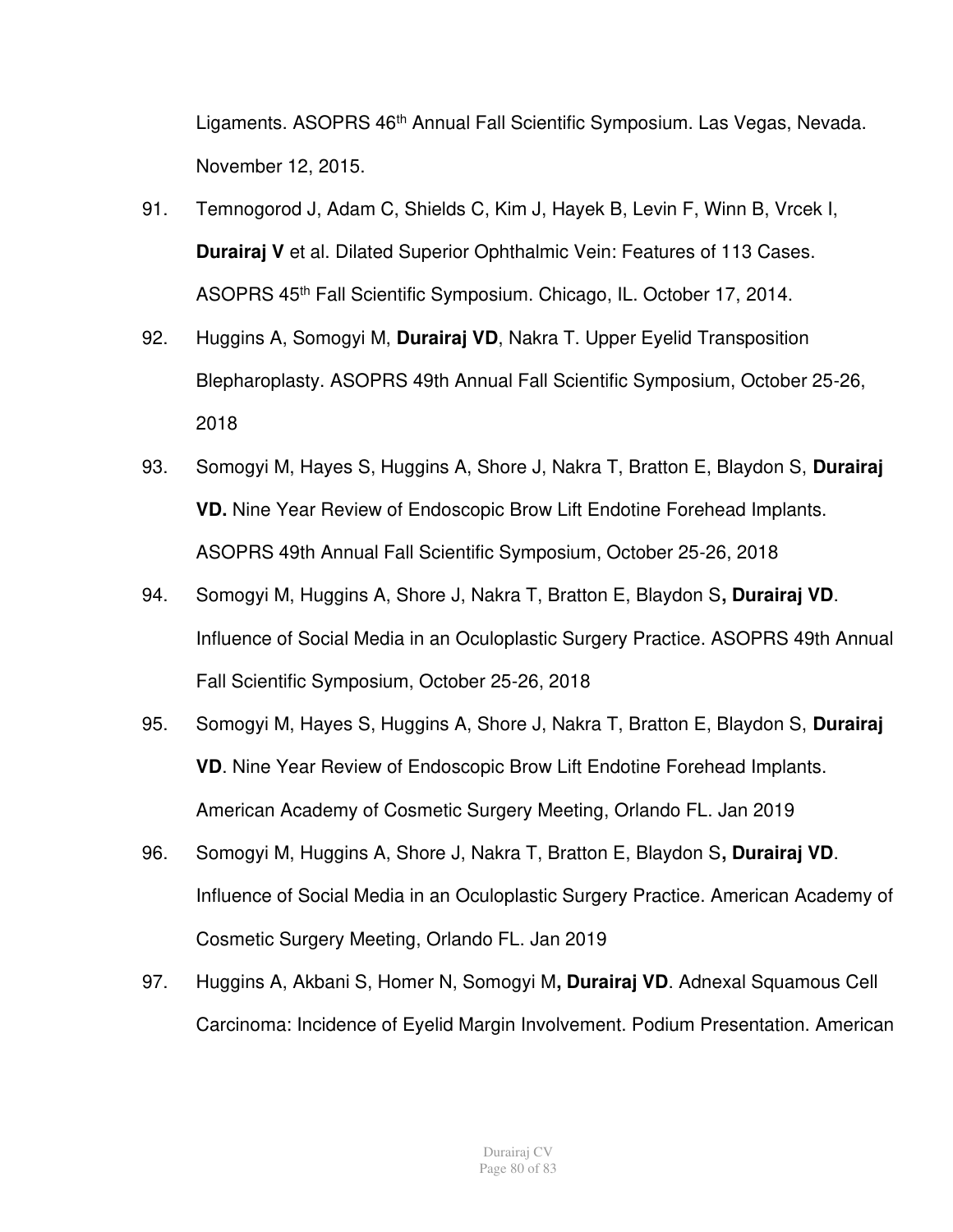Ligaments. ASOPRS 46th Annual Fall Scientific Symposium. Las Vegas, Nevada. November 12, 2015.

- 91. Temnogorod J, Adam C, Shields C, Kim J, Hayek B, Levin F, Winn B, Vrcek I, **Durairaj V** et al. Dilated Superior Ophthalmic Vein: Features of 113 Cases. ASOPRS 45th Fall Scientific Symposium. Chicago, IL. October 17, 2014.
- 92. Huggins A, Somogyi M, **Durairaj VD**, Nakra T. Upper Eyelid Transposition Blepharoplasty. ASOPRS 49th Annual Fall Scientific Symposium, October 25-26, 2018
- 93. Somogyi M, Hayes S, Huggins A, Shore J, Nakra T, Bratton E, Blaydon S, **Durairaj VD.** Nine Year Review of Endoscopic Brow Lift Endotine Forehead Implants. ASOPRS 49th Annual Fall Scientific Symposium, October 25-26, 2018
- 94. Somogyi M, Huggins A, Shore J, Nakra T, Bratton E, Blaydon S**, Durairaj VD**. Influence of Social Media in an Oculoplastic Surgery Practice. ASOPRS 49th Annual Fall Scientific Symposium, October 25-26, 2018
- 95. Somogyi M, Hayes S, Huggins A, Shore J, Nakra T, Bratton E, Blaydon S, **Durairaj VD**. Nine Year Review of Endoscopic Brow Lift Endotine Forehead Implants. American Academy of Cosmetic Surgery Meeting, Orlando FL. Jan 2019
- 96. Somogyi M, Huggins A, Shore J, Nakra T, Bratton E, Blaydon S**, Durairaj VD**. Influence of Social Media in an Oculoplastic Surgery Practice. American Academy of Cosmetic Surgery Meeting, Orlando FL. Jan 2019
- 97. Huggins A, Akbani S, Homer N, Somogyi M**, Durairaj VD**. Adnexal Squamous Cell Carcinoma: Incidence of Eyelid Margin Involvement. Podium Presentation. American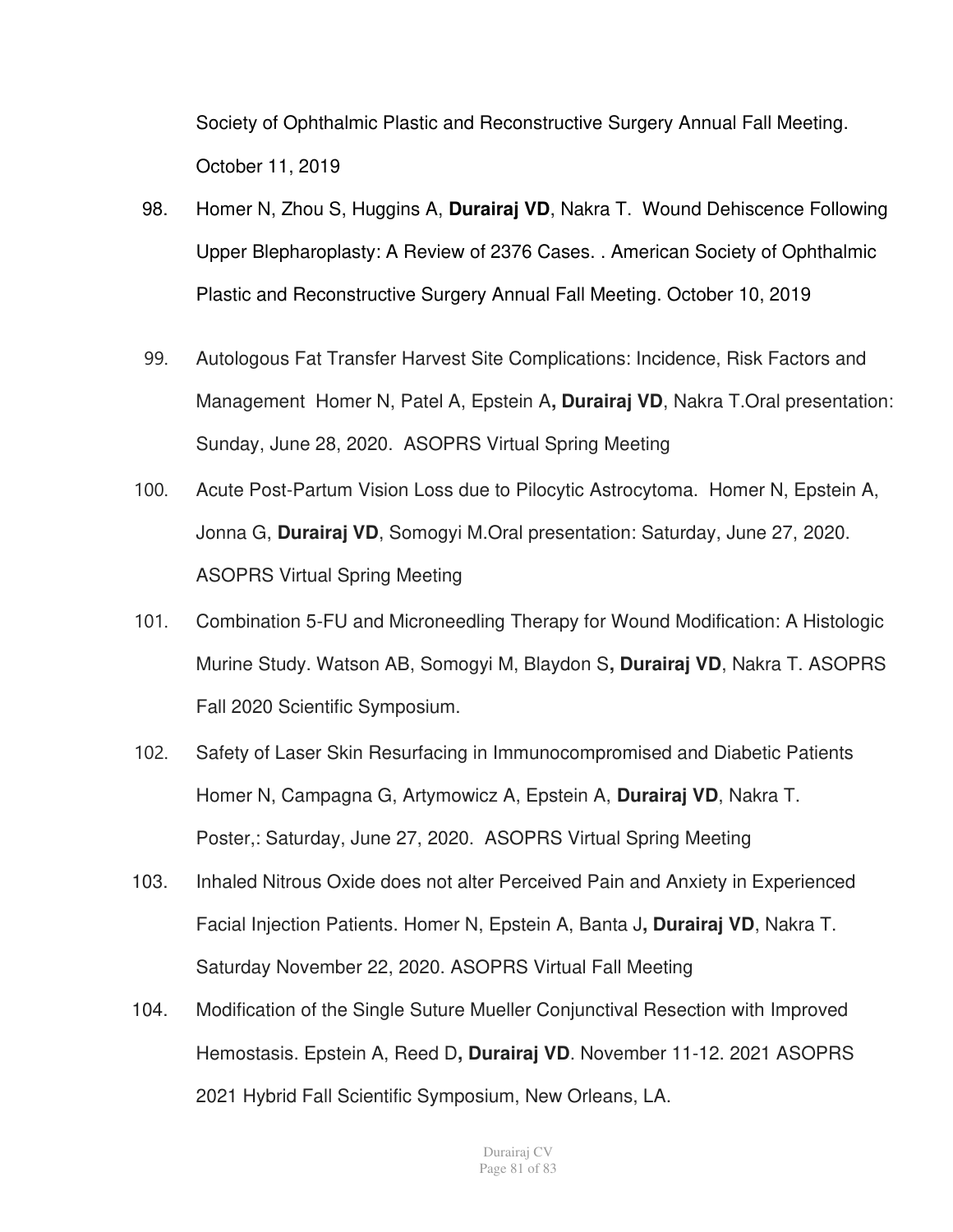Society of Ophthalmic Plastic and Reconstructive Surgery Annual Fall Meeting. October 11, 2019

- 98. Homer N, Zhou S, Huggins A, **Durairaj VD**, Nakra T. Wound Dehiscence Following Upper Blepharoplasty: A Review of 2376 Cases. . American Society of Ophthalmic Plastic and Reconstructive Surgery Annual Fall Meeting. October 10, 2019
- 99. Autologous Fat Transfer Harvest Site Complications: Incidence, Risk Factors and Management Homer N, Patel A, Epstein A**, Durairaj VD**, Nakra T.Oral presentation: Sunday, June 28, 2020. ASOPRS Virtual Spring Meeting
- 100. Acute Post-Partum Vision Loss due to Pilocytic Astrocytoma. Homer N, Epstein A, Jonna G, **Durairaj VD**, Somogyi M.Oral presentation: Saturday, June 27, 2020. ASOPRS Virtual Spring Meeting
- 101. Combination 5-FU and Microneedling Therapy for Wound Modification: A Histologic Murine Study. Watson AB, Somogyi M, Blaydon S**, Durairaj VD**, Nakra T. ASOPRS Fall 2020 Scientific Symposium.
- 102. Safety of Laser Skin Resurfacing in Immunocompromised and Diabetic Patients Homer N, Campagna G, Artymowicz A, Epstein A, **Durairaj VD**, Nakra T. Poster,: Saturday, June 27, 2020. ASOPRS Virtual Spring Meeting
- 103. Inhaled Nitrous Oxide does not alter Perceived Pain and Anxiety in Experienced Facial Injection Patients. Homer N, Epstein A, Banta J**, Durairaj VD**, Nakra T. Saturday November 22, 2020. ASOPRS Virtual Fall Meeting
- 104. Modification of the Single Suture Mueller Conjunctival Resection with Improved Hemostasis. Epstein A, Reed D**, Durairaj VD**. November 11-12. 2021 ASOPRS 2021 Hybrid Fall Scientific Symposium, New Orleans, LA.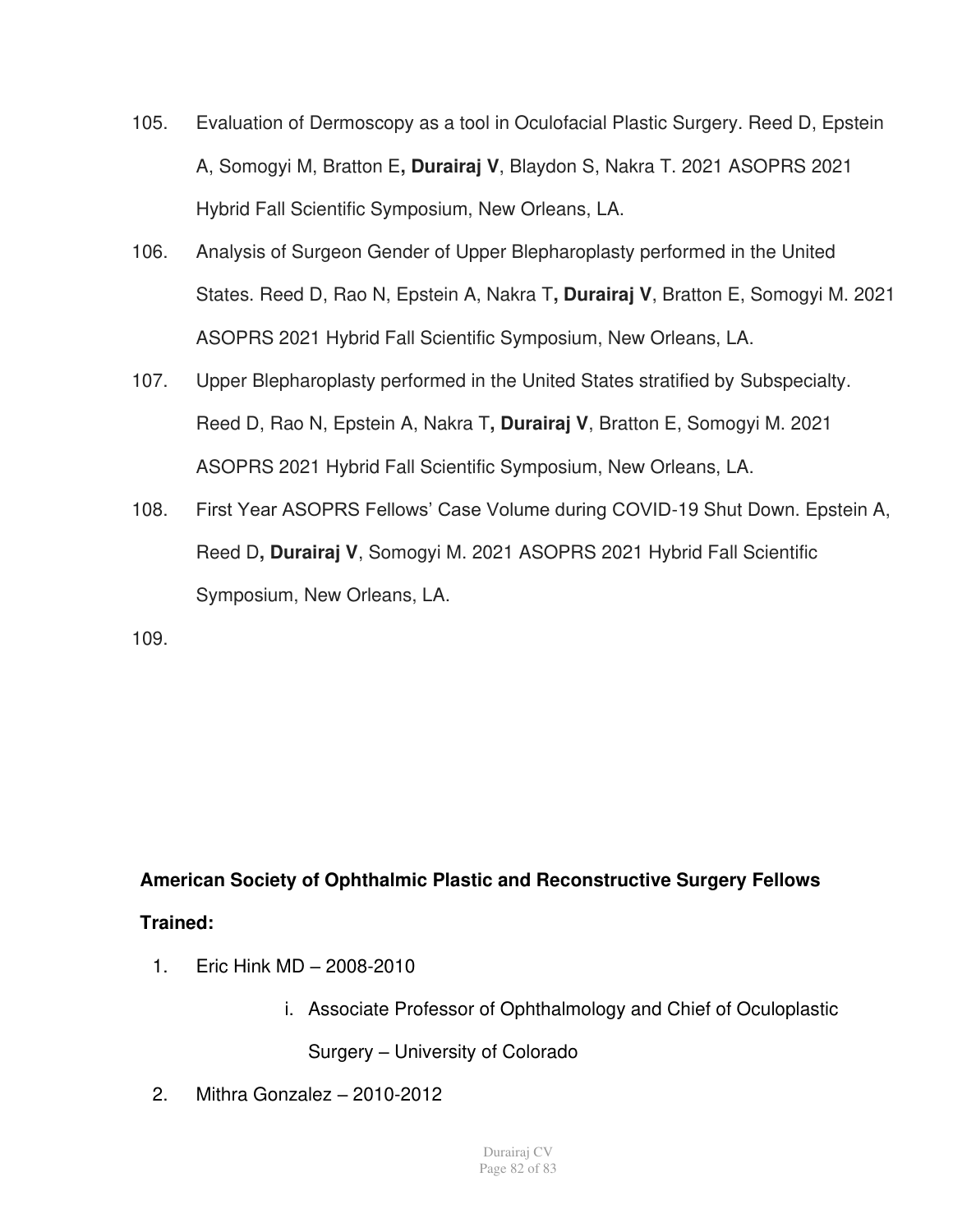- 105. Evaluation of Dermoscopy as a tool in Oculofacial Plastic Surgery. Reed D, Epstein A, Somogyi M, Bratton E**, Durairaj V**, Blaydon S, Nakra T. 2021 ASOPRS 2021 Hybrid Fall Scientific Symposium, New Orleans, LA.
- 106. Analysis of Surgeon Gender of Upper Blepharoplasty performed in the United States. Reed D, Rao N, Epstein A, Nakra T**, Durairaj V**, Bratton E, Somogyi M. 2021 ASOPRS 2021 Hybrid Fall Scientific Symposium, New Orleans, LA.
- 107. Upper Blepharoplasty performed in the United States stratified by Subspecialty. Reed D, Rao N, Epstein A, Nakra T**, Durairaj V**, Bratton E, Somogyi M. 2021 ASOPRS 2021 Hybrid Fall Scientific Symposium, New Orleans, LA.
- 108. First Year ASOPRS Fellows' Case Volume during COVID-19 Shut Down. Epstein A, Reed D**, Durairaj V**, Somogyi M. 2021 ASOPRS 2021 Hybrid Fall Scientific Symposium, New Orleans, LA.
- 109.

## **American Society of Ophthalmic Plastic and Reconstructive Surgery Fellows Trained:**

- 1. Eric Hink MD 2008-2010
	- i. Associate Professor of Ophthalmology and Chief of Oculoplastic

Surgery – University of Colorado

2. Mithra Gonzalez – 2010-2012